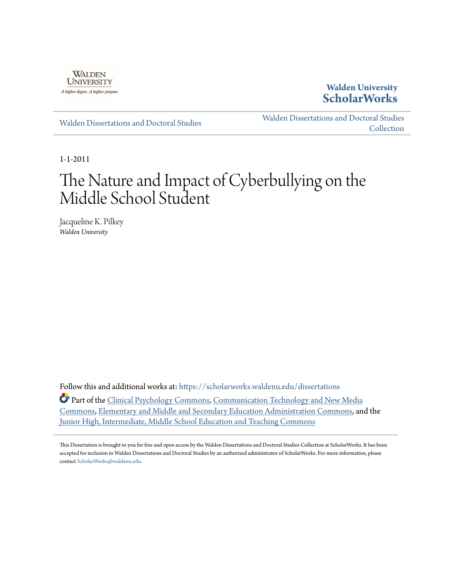

**Walden University [ScholarWorks](https://scholarworks.waldenu.edu?utm_source=scholarworks.waldenu.edu%2Fdissertations%2F916&utm_medium=PDF&utm_campaign=PDFCoverPages)**

[Walden Dissertations and Doctoral Studies](https://scholarworks.waldenu.edu/dissertations?utm_source=scholarworks.waldenu.edu%2Fdissertations%2F916&utm_medium=PDF&utm_campaign=PDFCoverPages)

[Walden Dissertations and Doctoral Studies](https://scholarworks.waldenu.edu/dissanddoc?utm_source=scholarworks.waldenu.edu%2Fdissertations%2F916&utm_medium=PDF&utm_campaign=PDFCoverPages) **[Collection](https://scholarworks.waldenu.edu/dissanddoc?utm_source=scholarworks.waldenu.edu%2Fdissertations%2F916&utm_medium=PDF&utm_campaign=PDFCoverPages)** 

1-1-2011

# The Nature and Impact of Cyberbullying on the Middle School Student

Jacqueline K. Pilkey *Walden University*

Follow this and additional works at: [https://scholarworks.waldenu.edu/dissertations](https://scholarworks.waldenu.edu/dissertations?utm_source=scholarworks.waldenu.edu%2Fdissertations%2F916&utm_medium=PDF&utm_campaign=PDFCoverPages)

Part of the [Clinical Psychology Commons,](http://network.bepress.com/hgg/discipline/406?utm_source=scholarworks.waldenu.edu%2Fdissertations%2F916&utm_medium=PDF&utm_campaign=PDFCoverPages) [Communication Technology and New Media](http://network.bepress.com/hgg/discipline/327?utm_source=scholarworks.waldenu.edu%2Fdissertations%2F916&utm_medium=PDF&utm_campaign=PDFCoverPages) [Commons,](http://network.bepress.com/hgg/discipline/327?utm_source=scholarworks.waldenu.edu%2Fdissertations%2F916&utm_medium=PDF&utm_campaign=PDFCoverPages) [Elementary and Middle and Secondary Education Administration Commons](http://network.bepress.com/hgg/discipline/790?utm_source=scholarworks.waldenu.edu%2Fdissertations%2F916&utm_medium=PDF&utm_campaign=PDFCoverPages), and the [Junior High, Intermediate, Middle School Education and Teaching Commons](http://network.bepress.com/hgg/discipline/807?utm_source=scholarworks.waldenu.edu%2Fdissertations%2F916&utm_medium=PDF&utm_campaign=PDFCoverPages)

This Dissertation is brought to you for free and open access by the Walden Dissertations and Doctoral Studies Collection at ScholarWorks. It has been accepted for inclusion in Walden Dissertations and Doctoral Studies by an authorized administrator of ScholarWorks. For more information, please contact [ScholarWorks@waldenu.edu](mailto:ScholarWorks@waldenu.edu).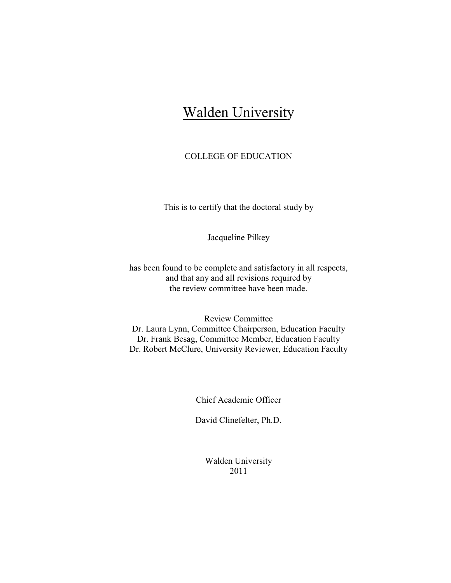# Walden University

#### COLLEGE OF EDUCATION

This is to certify that the doctoral study by

Jacqueline Pilkey

has been found to be complete and satisfactory in all respects, and that any and all revisions required by the review committee have been made.

Review Committee Dr. Laura Lynn, Committee Chairperson, Education Faculty Dr. Frank Besag, Committee Member, Education Faculty Dr. Robert McClure, University Reviewer, Education Faculty

Chief Academic Officer

David Clinefelter, Ph.D.

Walden University 2011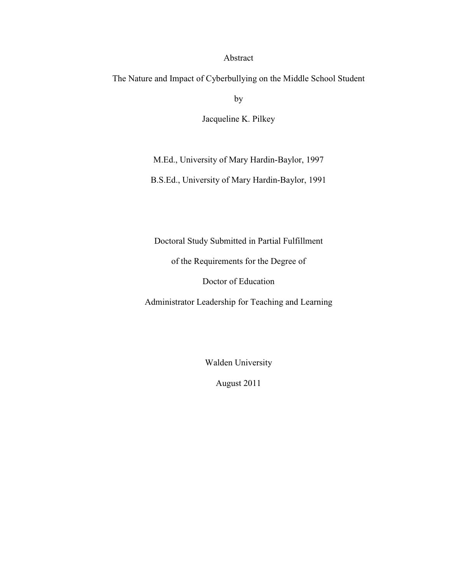### Abstract

The Nature and Impact of Cyberbullying on the Middle School Student

by

Jacqueline K. Pilkey

M.Ed., University of Mary Hardin-Baylor, 1997

B.S.Ed., University of Mary Hardin-Baylor, 1991

Doctoral Study Submitted in Partial Fulfillment

of the Requirements for the Degree of

Doctor of Education

Administrator Leadership for Teaching and Learning

Walden University

August 2011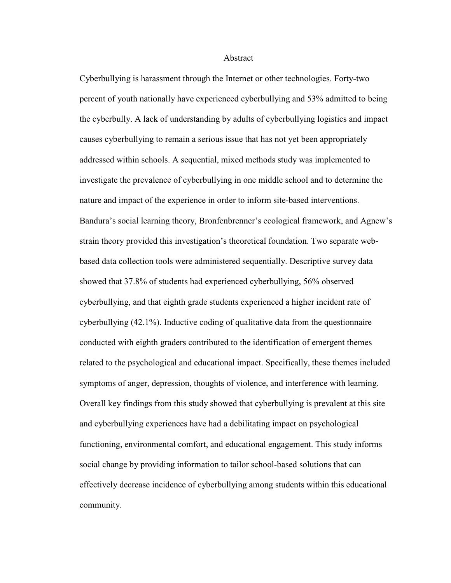#### Abstract

Cyberbullying is harassment through the Internet or other technologies. Forty-two percent of youth nationally have experienced cyberbullying and 53% admitted to being the cyberbully. A lack of understanding by adults of cyberbullying logistics and impact causes cyberbullying to remain a serious issue that has not yet been appropriately addressed within schools. A sequential, mixed methods study was implemented to investigate the prevalence of cyberbullying in one middle school and to determine the nature and impact of the experience in order to inform site-based interventions. Bandura's social learning theory, Bronfenbrenner's ecological framework, and Agnew's strain theory provided this investigation's theoretical foundation. Two separate webbased data collection tools were administered sequentially. Descriptive survey data showed that 37.8% of students had experienced cyberbullying, 56% observed cyberbullying, and that eighth grade students experienced a higher incident rate of cyberbullying (42.1%). Inductive coding of qualitative data from the questionnaire conducted with eighth graders contributed to the identification of emergent themes related to the psychological and educational impact. Specifically, these themes included symptoms of anger, depression, thoughts of violence, and interference with learning. Overall key findings from this study showed that cyberbullying is prevalent at this site and cyberbullying experiences have had a debilitating impact on psychological functioning, environmental comfort, and educational engagement. This study informs social change by providing information to tailor school-based solutions that can effectively decrease incidence of cyberbullying among students within this educational community.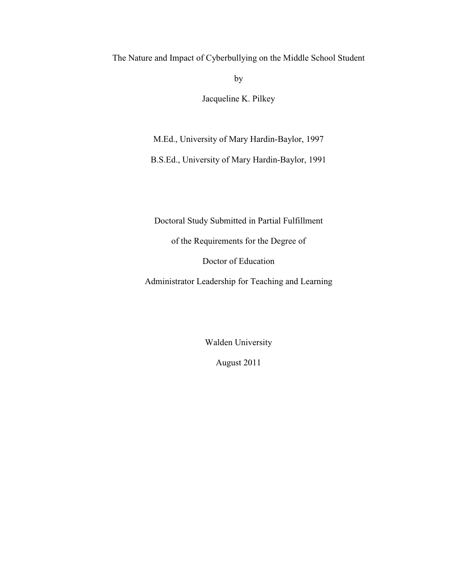The Nature and Impact of Cyberbullying on the Middle School Student

by

Jacqueline K. Pilkey

M.Ed., University of Mary Hardin-Baylor, 1997

B.S.Ed., University of Mary Hardin-Baylor, 1991

Doctoral Study Submitted in Partial Fulfillment

of the Requirements for the Degree of

Doctor of Education

Administrator Leadership for Teaching and Learning

Walden University

August 2011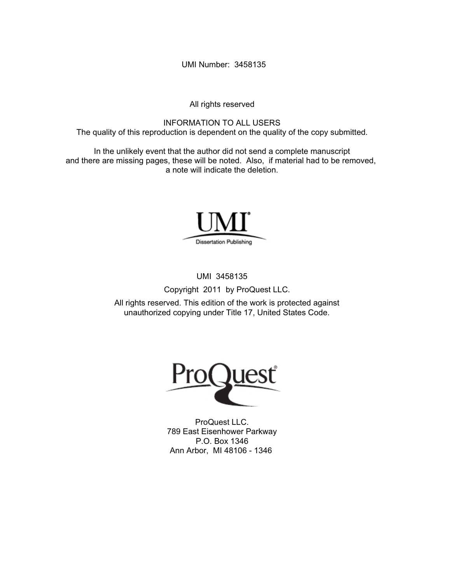UMI Number: 3458135

All rights reserved

INFORMATION TO ALL USERS The quality of this reproduction is dependent on the quality of the copy submitted.

In the unlikely event that the author did not send a complete manuscript and there are missing pages, these will be noted. Also, if material had to be removed, a note will indicate the deletion.



UMI 3458135

Copyright 2011 by ProQuest LLC.

All rights reserved. This edition of the work is protected against unauthorized copying under Title 17, United States Code.



ProQuest LLC. 789 East Eisenhower Parkway P.O. Box 1346 Ann Arbor, MI 48106 - 1346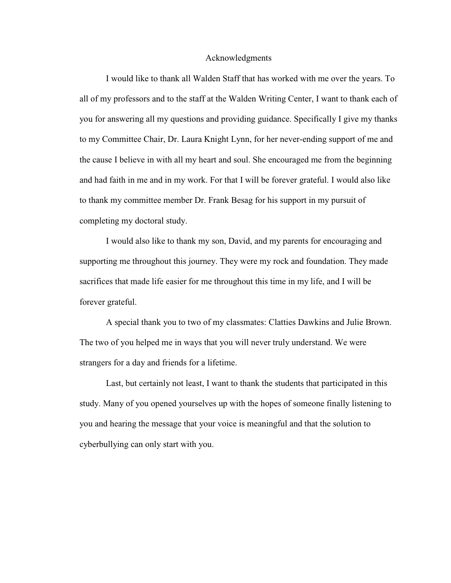#### Acknowledgments

I would like to thank all Walden Staff that has worked with me over the years. To all of my professors and to the staff at the Walden Writing Center, I want to thank each of you for answering all my questions and providing guidance. Specifically I give my thanks to my Committee Chair, Dr. Laura Knight Lynn, for her never-ending support of me and the cause I believe in with all my heart and soul. She encouraged me from the beginning and had faith in me and in my work. For that I will be forever grateful. I would also like to thank my committee member Dr. Frank Besag for his support in my pursuit of completing my doctoral study.

I would also like to thank my son, David, and my parents for encouraging and supporting me throughout this journey. They were my rock and foundation. They made sacrifices that made life easier for me throughout this time in my life, and I will be forever grateful.

A special thank you to two of my classmates: Clatties Dawkins and Julie Brown. The two of you helped me in ways that you will never truly understand. We were strangers for a day and friends for a lifetime.

Last, but certainly not least, I want to thank the students that participated in this study. Many of you opened yourselves up with the hopes of someone finally listening to you and hearing the message that your voice is meaningful and that the solution to cyberbullying can only start with you.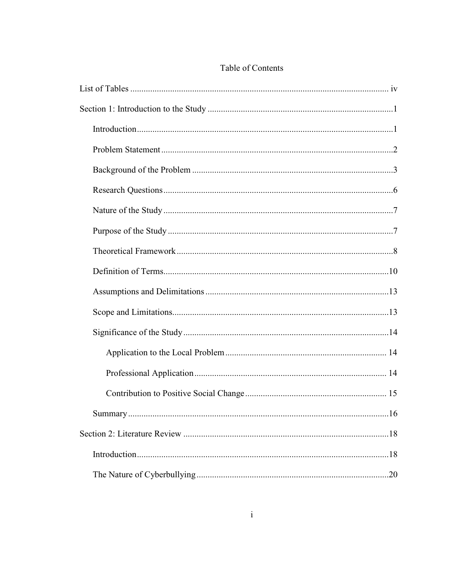## Table of Contents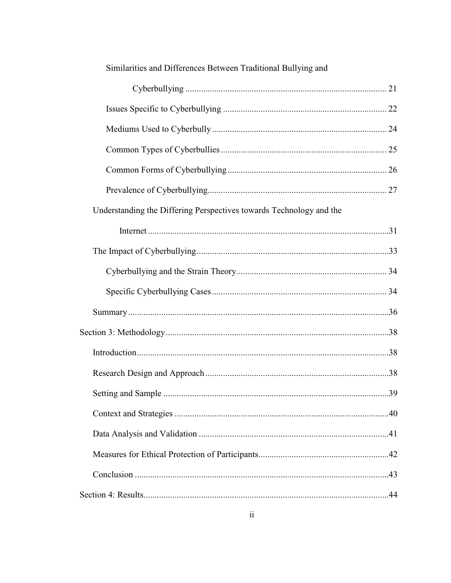| Similarities and Differences Between Traditional Bullying and       |     |
|---------------------------------------------------------------------|-----|
|                                                                     |     |
|                                                                     |     |
|                                                                     |     |
|                                                                     |     |
|                                                                     |     |
|                                                                     |     |
| Understanding the Differing Perspectives towards Technology and the |     |
|                                                                     |     |
|                                                                     |     |
|                                                                     |     |
|                                                                     |     |
|                                                                     |     |
|                                                                     |     |
|                                                                     |     |
|                                                                     |     |
|                                                                     | .39 |
|                                                                     |     |
|                                                                     |     |
|                                                                     |     |
|                                                                     |     |
|                                                                     |     |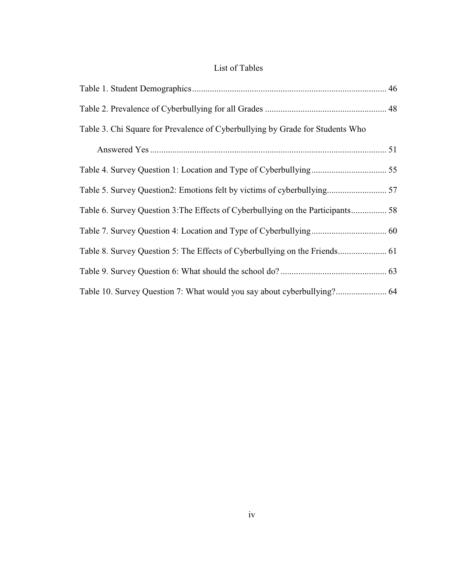# List of Tables

| Table 3. Chi Square for Prevalence of Cyberbullying by Grade for Students Who |  |
|-------------------------------------------------------------------------------|--|
|                                                                               |  |
|                                                                               |  |
| Table 5. Survey Question2: Emotions felt by victims of cyberbullying 57       |  |
|                                                                               |  |
|                                                                               |  |
|                                                                               |  |
|                                                                               |  |
| Table 10. Survey Question 7: What would you say about cyberbullying? 64       |  |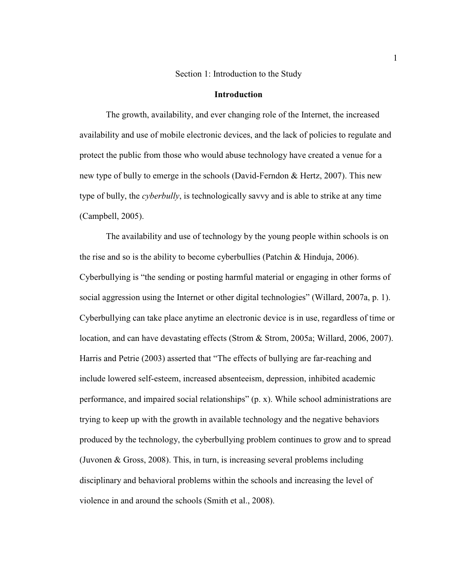#### Section 1: Introduction to the Study

#### **Introduction**

The growth, availability, and ever changing role of the Internet, the increased availability and use of mobile electronic devices, and the lack of policies to regulate and protect the public from those who would abuse technology have created a venue for a new type of bully to emerge in the schools (David-Ferndon & Hertz, 2007). This new type of bully, the *cyberbully*, is technologically savvy and is able to strike at any time (Campbell, 2005).

The availability and use of technology by the young people within schools is on the rise and so is the ability to become cyberbullies (Patchin & Hinduja, 2006). Cyberbullying is "the sending or posting harmful material or engaging in other forms of social aggression using the Internet or other digital technologies" (Willard, 2007a, p. 1). Cyberbullying can take place anytime an electronic device is in use, regardless of time or location, and can have devastating effects (Strom & Strom, 2005a; Willard, 2006, 2007). Harris and Petrie (2003) asserted that "The effects of bullying are far-reaching and include lowered self-esteem, increased absenteeism, depression, inhibited academic performance, and impaired social relationships" (p. x). While school administrations are trying to keep up with the growth in available technology and the negative behaviors produced by the technology, the cyberbullying problem continues to grow and to spread (Juvonen & Gross, 2008). This, in turn, is increasing several problems including disciplinary and behavioral problems within the schools and increasing the level of violence in and around the schools (Smith et al., 2008).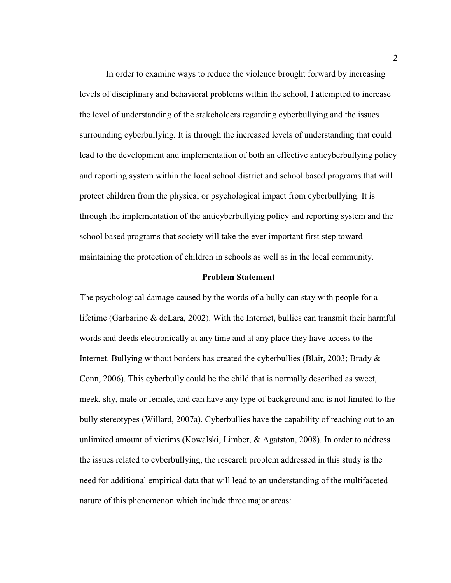In order to examine ways to reduce the violence brought forward by increasing levels of disciplinary and behavioral problems within the school, I attempted to increase the level of understanding of the stakeholders regarding cyberbullying and the issues surrounding cyberbullying. It is through the increased levels of understanding that could lead to the development and implementation of both an effective anticyberbullying policy and reporting system within the local school district and school based programs that will protect children from the physical or psychological impact from cyberbullying. It is through the implementation of the anticyberbullying policy and reporting system and the school based programs that society will take the ever important first step toward maintaining the protection of children in schools as well as in the local community.

#### **Problem Statement**

The psychological damage caused by the words of a bully can stay with people for a lifetime (Garbarino & deLara, 2002). With the Internet, bullies can transmit their harmful words and deeds electronically at any time and at any place they have access to the Internet. Bullying without borders has created the cyberbullies (Blair, 2003; Brady & Conn, 2006). This cyberbully could be the child that is normally described as sweet, meek, shy, male or female, and can have any type of background and is not limited to the bully stereotypes (Willard, 2007a). Cyberbullies have the capability of reaching out to an unlimited amount of victims (Kowalski, Limber, & Agatston, 2008). In order to address the issues related to cyberbullying, the research problem addressed in this study is the need for additional empirical data that will lead to an understanding of the multifaceted nature of this phenomenon which include three major areas: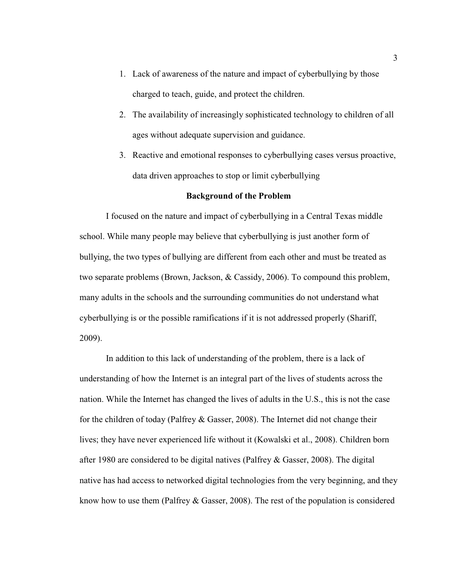- 1. Lack of awareness of the nature and impact of cyberbullying by those charged to teach, guide, and protect the children.
- 2. The availability of increasingly sophisticated technology to children of all ages without adequate supervision and guidance.
- 3. Reactive and emotional responses to cyberbullying cases versus proactive, data driven approaches to stop or limit cyberbullying

#### **Background of the Problem**

I focused on the nature and impact of cyberbullying in a Central Texas middle school. While many people may believe that cyberbullying is just another form of bullying, the two types of bullying are different from each other and must be treated as two separate problems (Brown, Jackson, & Cassidy, 2006). To compound this problem, many adults in the schools and the surrounding communities do not understand what cyberbullying is or the possible ramifications if it is not addressed properly (Shariff, 2009).

In addition to this lack of understanding of the problem, there is a lack of understanding of how the Internet is an integral part of the lives of students across the nation. While the Internet has changed the lives of adults in the U.S., this is not the case for the children of today (Palfrey & Gasser, 2008). The Internet did not change their lives; they have never experienced life without it (Kowalski et al., 2008). Children born after 1980 are considered to be digital natives (Palfrey & Gasser, 2008). The digital native has had access to networked digital technologies from the very beginning, and they know how to use them (Palfrey & Gasser, 2008). The rest of the population is considered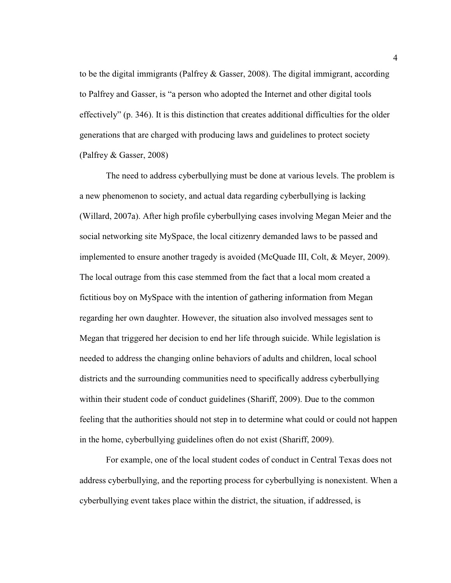to be the digital immigrants (Palfrey & Gasser, 2008). The digital immigrant, according to Palfrey and Gasser, is "a person who adopted the Internet and other digital tools effectively" (p. 346). It is this distinction that creates additional difficulties for the older generations that are charged with producing laws and guidelines to protect society (Palfrey & Gasser, 2008)

The need to address cyberbullying must be done at various levels. The problem is a new phenomenon to society, and actual data regarding cyberbullying is lacking (Willard, 2007a). After high profile cyberbullying cases involving Megan Meier and the social networking site MySpace, the local citizenry demanded laws to be passed and implemented to ensure another tragedy is avoided (McQuade III, Colt, & Meyer, 2009). The local outrage from this case stemmed from the fact that a local mom created a fictitious boy on MySpace with the intention of gathering information from Megan regarding her own daughter. However, the situation also involved messages sent to Megan that triggered her decision to end her life through suicide. While legislation is needed to address the changing online behaviors of adults and children, local school districts and the surrounding communities need to specifically address cyberbullying within their student code of conduct guidelines (Shariff, 2009). Due to the common feeling that the authorities should not step in to determine what could or could not happen in the home, cyberbullying guidelines often do not exist (Shariff, 2009).

For example, one of the local student codes of conduct in Central Texas does not address cyberbullying, and the reporting process for cyberbullying is nonexistent. When a cyberbullying event takes place within the district, the situation, if addressed, is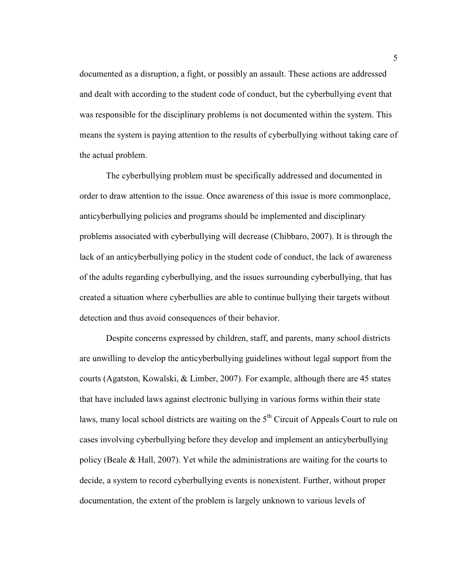documented as a disruption, a fight, or possibly an assault. These actions are addressed and dealt with according to the student code of conduct, but the cyberbullying event that was responsible for the disciplinary problems is not documented within the system. This means the system is paying attention to the results of cyberbullying without taking care of the actual problem.

The cyberbullying problem must be specifically addressed and documented in order to draw attention to the issue. Once awareness of this issue is more commonplace, anticyberbullying policies and programs should be implemented and disciplinary problems associated with cyberbullying will decrease (Chibbaro, 2007). It is through the lack of an anticyberbullying policy in the student code of conduct, the lack of awareness of the adults regarding cyberbullying, and the issues surrounding cyberbullying, that has created a situation where cyberbullies are able to continue bullying their targets without detection and thus avoid consequences of their behavior.

Despite concerns expressed by children, staff, and parents, many school districts are unwilling to develop the anticyberbullying guidelines without legal support from the courts (Agatston, Kowalski, & Limber, 2007). For example, although there are 45 states that have included laws against electronic bullying in various forms within their state laws, many local school districts are waiting on the  $5<sup>th</sup>$  Circuit of Appeals Court to rule on cases involving cyberbullying before they develop and implement an anticyberbullying policy (Beale & Hall, 2007). Yet while the administrations are waiting for the courts to decide, a system to record cyberbullying events is nonexistent. Further, without proper documentation, the extent of the problem is largely unknown to various levels of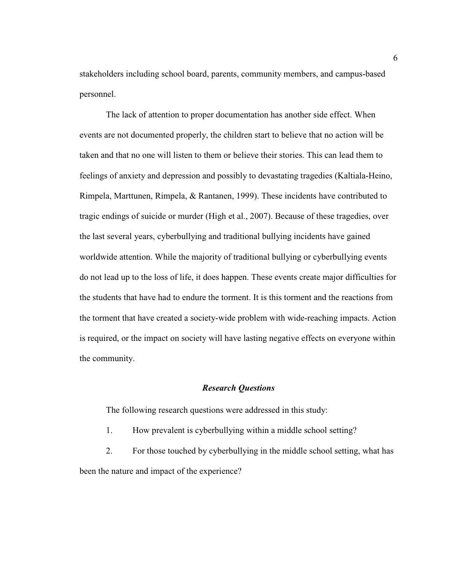stakeholders including school board, parents, community members, and campus-based personnel.

The lack of attention to proper documentation has another side effect. When events are not documented properly, the children start to believe that no action will be taken and that no one will listen to them or believe their stories. This can lead them to feelings of anxiety and depression and possibly to devastating tragedies (Kaltiala-Heino, Rimpela, Marttunen, Rimpela, & Rantanen, 1999). These incidents have contributed to tragic endings of suicide or murder (High et al., 2007). Because of these tragedies, over the last several years, cyberbullying and traditional bullying incidents have gained worldwide attention. While the majority of traditional bullying or cyberbullying events do not lead up to the loss of life, it does happen. These events create major difficulties for the students that have had to endure the torment. It is this torment and the reactions from the torment that have created a society-wide problem with wide-reaching impacts. Action is required, or the impact on society will have lasting negative effects on everyone within the community.

#### *Research Questions*

The following research questions were addressed in this study:

1. How prevalent is cyberbullying within a middle school setting?

2. For those touched by cyberbullying in the middle school setting, what has been the nature and impact of the experience?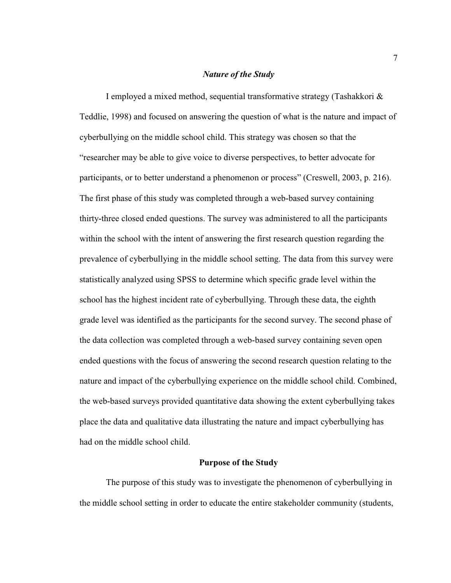#### *Nature of the Study*

I employed a mixed method, sequential transformative strategy (Tashakkori & Teddlie, 1998) and focused on answering the question of what is the nature and impact of cyberbullying on the middle school child. This strategy was chosen so that the "researcher may be able to give voice to diverse perspectives, to better advocate for participants, or to better understand a phenomenon or process" (Creswell, 2003, p. 216). The first phase of this study was completed through a web-based survey containing thirty-three closed ended questions. The survey was administered to all the participants within the school with the intent of answering the first research question regarding the prevalence of cyberbullying in the middle school setting. The data from this survey were statistically analyzed using SPSS to determine which specific grade level within the school has the highest incident rate of cyberbullying. Through these data, the eighth grade level was identified as the participants for the second survey. The second phase of the data collection was completed through a web-based survey containing seven open ended questions with the focus of answering the second research question relating to the nature and impact of the cyberbullying experience on the middle school child. Combined, the web-based surveys provided quantitative data showing the extent cyberbullying takes place the data and qualitative data illustrating the nature and impact cyberbullying has had on the middle school child.

#### **Purpose of the Study**

The purpose of this study was to investigate the phenomenon of cyberbullying in the middle school setting in order to educate the entire stakeholder community (students,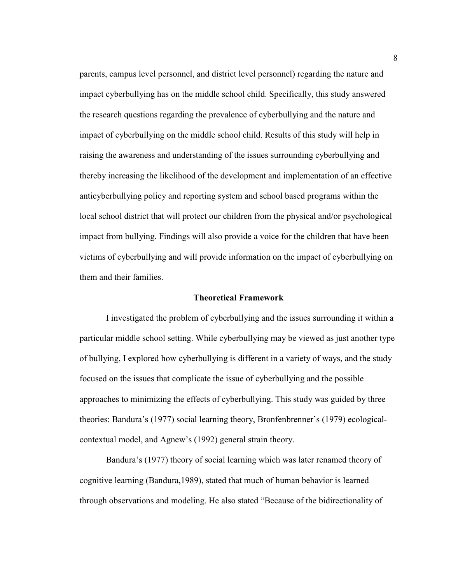parents, campus level personnel, and district level personnel) regarding the nature and impact cyberbullying has on the middle school child. Specifically, this study answered the research questions regarding the prevalence of cyberbullying and the nature and impact of cyberbullying on the middle school child. Results of this study will help in raising the awareness and understanding of the issues surrounding cyberbullying and thereby increasing the likelihood of the development and implementation of an effective anticyberbullying policy and reporting system and school based programs within the local school district that will protect our children from the physical and/or psychological impact from bullying. Findings will also provide a voice for the children that have been victims of cyberbullying and will provide information on the impact of cyberbullying on them and their families.

#### **Theoretical Framework**

 I investigated the problem of cyberbullying and the issues surrounding it within a particular middle school setting. While cyberbullying may be viewed as just another type of bullying, I explored how cyberbullying is different in a variety of ways, and the study focused on the issues that complicate the issue of cyberbullying and the possible approaches to minimizing the effects of cyberbullying. This study was guided by three theories: Bandura's (1977) social learning theory, Bronfenbrenner's (1979) ecologicalcontextual model, and Agnew's (1992) general strain theory.

Bandura's (1977) theory of social learning which was later renamed theory of cognitive learning (Bandura,1989), stated that much of human behavior is learned through observations and modeling. He also stated "Because of the bidirectionality of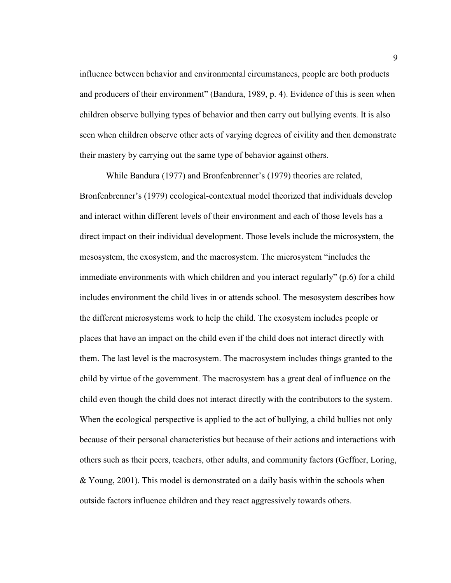influence between behavior and environmental circumstances, people are both products and producers of their environment" (Bandura, 1989, p. 4). Evidence of this is seen when children observe bullying types of behavior and then carry out bullying events. It is also seen when children observe other acts of varying degrees of civility and then demonstrate their mastery by carrying out the same type of behavior against others.

While Bandura (1977) and Bronfenbrenner's (1979) theories are related, Bronfenbrenner's (1979) ecological-contextual model theorized that individuals develop and interact within different levels of their environment and each of those levels has a direct impact on their individual development. Those levels include the microsystem, the mesosystem, the exosystem, and the macrosystem. The microsystem "includes the immediate environments with which children and you interact regularly" (p.6) for a child includes environment the child lives in or attends school. The mesosystem describes how the different microsystems work to help the child. The exosystem includes people or places that have an impact on the child even if the child does not interact directly with them. The last level is the macrosystem. The macrosystem includes things granted to the child by virtue of the government. The macrosystem has a great deal of influence on the child even though the child does not interact directly with the contributors to the system. When the ecological perspective is applied to the act of bullying, a child bullies not only because of their personal characteristics but because of their actions and interactions with others such as their peers, teachers, other adults, and community factors (Geffner, Loring, & Young, 2001). This model is demonstrated on a daily basis within the schools when outside factors influence children and they react aggressively towards others.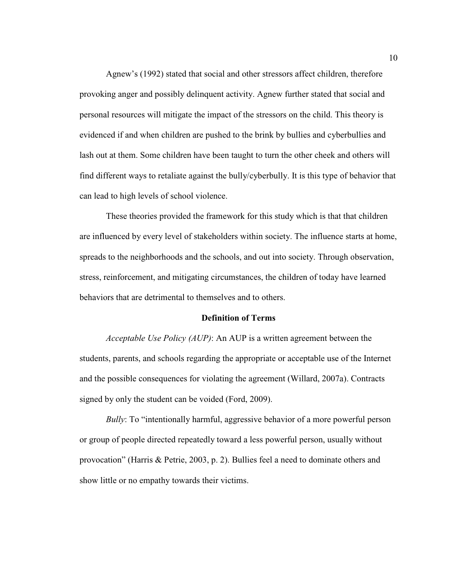Agnew's (1992) stated that social and other stressors affect children, therefore provoking anger and possibly delinquent activity. Agnew further stated that social and personal resources will mitigate the impact of the stressors on the child. This theory is evidenced if and when children are pushed to the brink by bullies and cyberbullies and lash out at them. Some children have been taught to turn the other cheek and others will find different ways to retaliate against the bully/cyberbully. It is this type of behavior that can lead to high levels of school violence.

These theories provided the framework for this study which is that that children are influenced by every level of stakeholders within society. The influence starts at home, spreads to the neighborhoods and the schools, and out into society. Through observation, stress, reinforcement, and mitigating circumstances, the children of today have learned behaviors that are detrimental to themselves and to others.

#### **Definition of Terms**

*Acceptable Use Policy (AUP)*: An AUP is a written agreement between the students, parents, and schools regarding the appropriate or acceptable use of the Internet and the possible consequences for violating the agreement (Willard, 2007a). Contracts signed by only the student can be voided (Ford, 2009).

*Bully*: To "intentionally harmful, aggressive behavior of a more powerful person or group of people directed repeatedly toward a less powerful person, usually without provocation" (Harris & Petrie, 2003, p. 2). Bullies feel a need to dominate others and show little or no empathy towards their victims.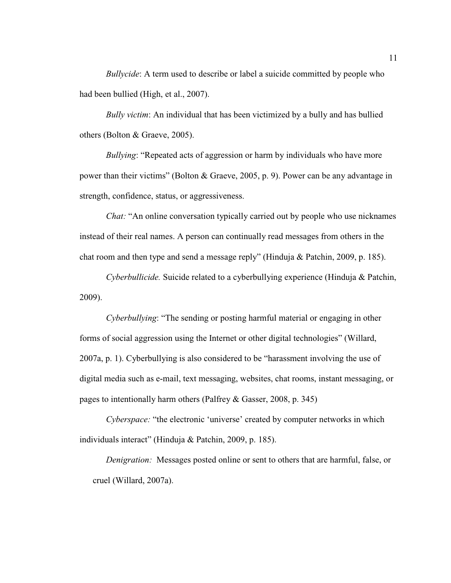*Bullycide*: A term used to describe or label a suicide committed by people who had been bullied (High, et al., 2007).

*Bully victim*: An individual that has been victimized by a bully and has bullied others (Bolton & Graeve, 2005).

*Bullying*: "Repeated acts of aggression or harm by individuals who have more power than their victims" (Bolton & Graeve, 2005, p. 9). Power can be any advantage in strength, confidence, status, or aggressiveness.

*Chat:* "An online conversation typically carried out by people who use nicknames instead of their real names. A person can continually read messages from others in the chat room and then type and send a message reply" (Hinduja & Patchin, 2009, p. 185).

*Cyberbullicide.* Suicide related to a cyberbullying experience (Hinduja & Patchin, 2009).

*Cyberbullying*: "The sending or posting harmful material or engaging in other forms of social aggression using the Internet or other digital technologies" (Willard, 2007a, p. 1). Cyberbullying is also considered to be "harassment involving the use of digital media such as e-mail, text messaging, websites, chat rooms, instant messaging, or pages to intentionally harm others (Palfrey & Gasser, 2008, p. 345)

*Cyberspace:* "the electronic 'universe' created by computer networks in which individuals interact" (Hinduja & Patchin, 2009, p. 185).

*Denigration:* Messages posted online or sent to others that are harmful, false, or cruel (Willard, 2007a).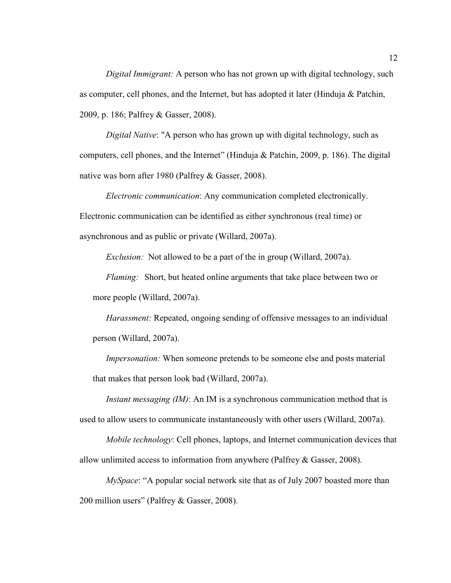*Digital Immigrant:* A person who has not grown up with digital technology, such as computer, cell phones, and the Internet, but has adopted it later (Hinduja & Patchin, 2009, p. 186; Palfrey & Gasser, 2008).

*Digital Native*: "A person who has grown up with digital technology, such as computers, cell phones, and the Internet" (Hinduja & Patchin, 2009, p. 186). The digital native was born after 1980 (Palfrey & Gasser, 2008).

*Electronic communication*: Any communication completed electronically. Electronic communication can be identified as either synchronous (real time) or asynchronous and as public or private (Willard, 2007a).

*Exclusion:* Not allowed to be a part of the in group (Willard, 2007a).

*Flaming:* Short, but heated online arguments that take place between two or more people (Willard, 2007a).

*Harassment:* Repeated, ongoing sending of offensive messages to an individual person (Willard, 2007a).

*Impersonation:* When someone pretends to be someone else and posts material that makes that person look bad (Willard, 2007a).

*Instant messaging (IM)*: An IM is a synchronous communication method that is used to allow users to communicate instantaneously with other users (Willard, 2007a).

*Mobile technology*: Cell phones, laptops, and Internet communication devices that allow unlimited access to information from anywhere (Palfrey & Gasser, 2008).

*MySpace*: "A popular social network site that as of July 2007 boasted more than 200 million users" (Palfrey & Gasser, 2008).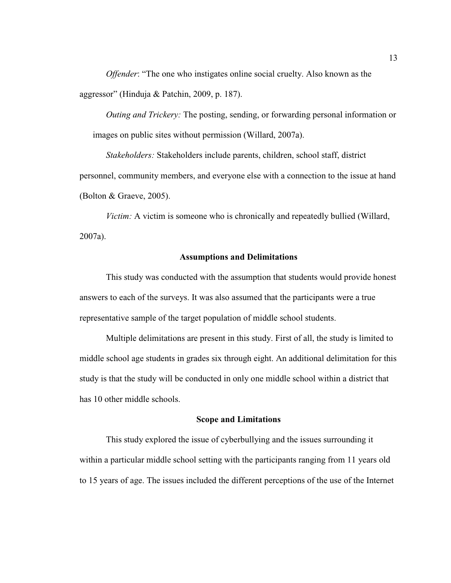*Offender*: "The one who instigates online social cruelty. Also known as the aggressor" (Hinduja & Patchin, 2009, p. 187).

*Outing and Trickery:* The posting, sending, or forwarding personal information or images on public sites without permission (Willard, 2007a).

*Stakeholders:* Stakeholders include parents, children, school staff, district personnel, community members, and everyone else with a connection to the issue at hand (Bolton & Graeve, 2005).

*Victim:* A victim is someone who is chronically and repeatedly bullied (Willard, 2007a).

#### **Assumptions and Delimitations**

 This study was conducted with the assumption that students would provide honest answers to each of the surveys. It was also assumed that the participants were a true representative sample of the target population of middle school students.

 Multiple delimitations are present in this study. First of all, the study is limited to middle school age students in grades six through eight. An additional delimitation for this study is that the study will be conducted in only one middle school within a district that has 10 other middle schools.

#### **Scope and Limitations**

This study explored the issue of cyberbullying and the issues surrounding it within a particular middle school setting with the participants ranging from 11 years old to 15 years of age. The issues included the different perceptions of the use of the Internet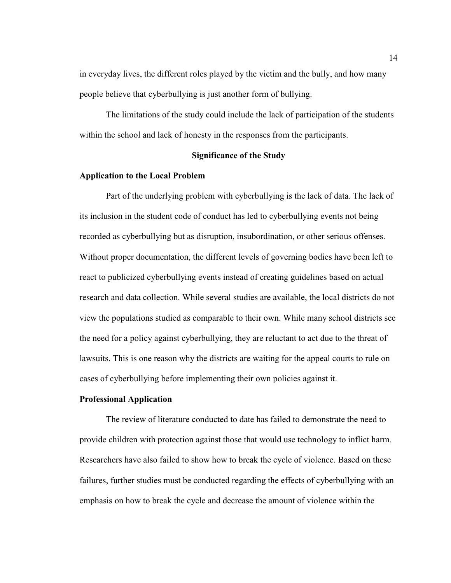in everyday lives, the different roles played by the victim and the bully, and how many people believe that cyberbullying is just another form of bullying.

The limitations of the study could include the lack of participation of the students within the school and lack of honesty in the responses from the participants.

#### **Significance of the Study**

#### **Application to the Local Problem**

Part of the underlying problem with cyberbullying is the lack of data. The lack of its inclusion in the student code of conduct has led to cyberbullying events not being recorded as cyberbullying but as disruption, insubordination, or other serious offenses. Without proper documentation, the different levels of governing bodies have been left to react to publicized cyberbullying events instead of creating guidelines based on actual research and data collection. While several studies are available, the local districts do not view the populations studied as comparable to their own. While many school districts see the need for a policy against cyberbullying, they are reluctant to act due to the threat of lawsuits. This is one reason why the districts are waiting for the appeal courts to rule on cases of cyberbullying before implementing their own policies against it.

#### **Professional Application**

The review of literature conducted to date has failed to demonstrate the need to provide children with protection against those that would use technology to inflict harm. Researchers have also failed to show how to break the cycle of violence. Based on these failures, further studies must be conducted regarding the effects of cyberbullying with an emphasis on how to break the cycle and decrease the amount of violence within the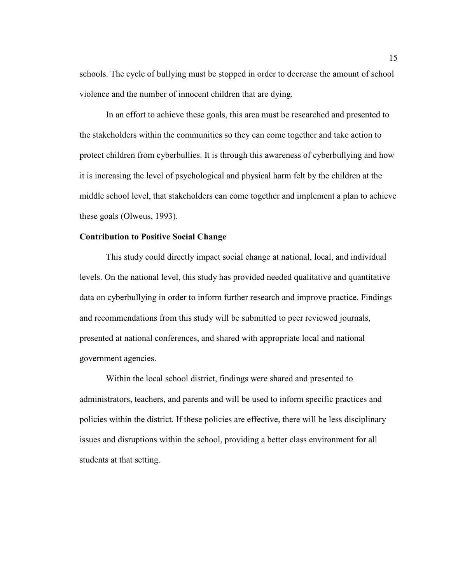schools. The cycle of bullying must be stopped in order to decrease the amount of school violence and the number of innocent children that are dying.

In an effort to achieve these goals, this area must be researched and presented to the stakeholders within the communities so they can come together and take action to protect children from cyberbullies. It is through this awareness of cyberbullying and how it is increasing the level of psychological and physical harm felt by the children at the middle school level, that stakeholders can come together and implement a plan to achieve these goals (Olweus, 1993).

#### **Contribution to Positive Social Change**

This study could directly impact social change at national, local, and individual levels. On the national level, this study has provided needed qualitative and quantitative data on cyberbullying in order to inform further research and improve practice. Findings and recommendations from this study will be submitted to peer reviewed journals, presented at national conferences, and shared with appropriate local and national government agencies.

Within the local school district, findings were shared and presented to administrators, teachers, and parents and will be used to inform specific practices and policies within the district. If these policies are effective, there will be less disciplinary issues and disruptions within the school, providing a better class environment for all students at that setting.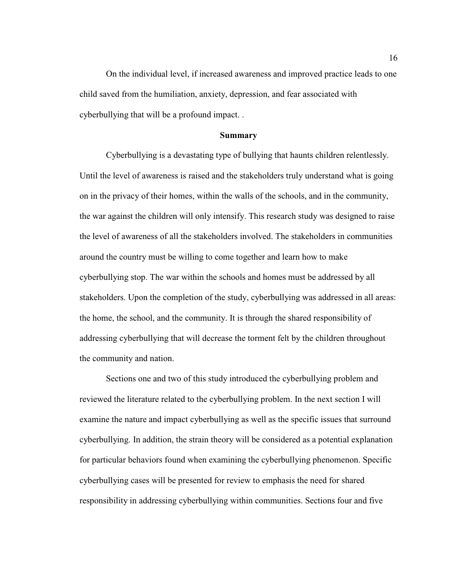On the individual level, if increased awareness and improved practice leads to one child saved from the humiliation, anxiety, depression, and fear associated with cyberbullying that will be a profound impact. .

#### **Summary**

Cyberbullying is a devastating type of bullying that haunts children relentlessly. Until the level of awareness is raised and the stakeholders truly understand what is going on in the privacy of their homes, within the walls of the schools, and in the community, the war against the children will only intensify. This research study was designed to raise the level of awareness of all the stakeholders involved. The stakeholders in communities around the country must be willing to come together and learn how to make cyberbullying stop. The war within the schools and homes must be addressed by all stakeholders. Upon the completion of the study, cyberbullying was addressed in all areas: the home, the school, and the community. It is through the shared responsibility of addressing cyberbullying that will decrease the torment felt by the children throughout the community and nation.

Sections one and two of this study introduced the cyberbullying problem and reviewed the literature related to the cyberbullying problem. In the next section I will examine the nature and impact cyberbullying as well as the specific issues that surround cyberbullying. In addition, the strain theory will be considered as a potential explanation for particular behaviors found when examining the cyberbullying phenomenon. Specific cyberbullying cases will be presented for review to emphasis the need for shared responsibility in addressing cyberbullying within communities. Sections four and five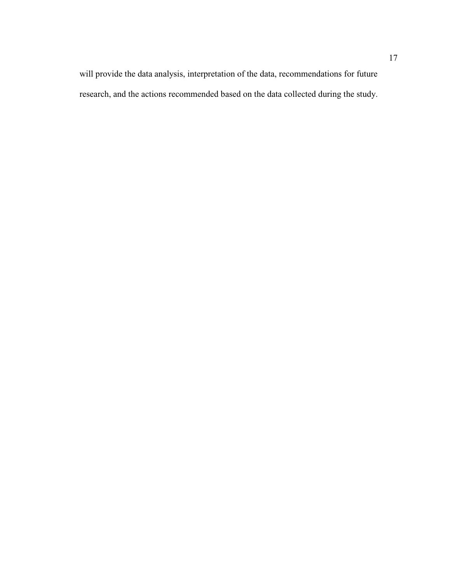will provide the data analysis, interpretation of the data, recommendations for future research, and the actions recommended based on the data collected during the study.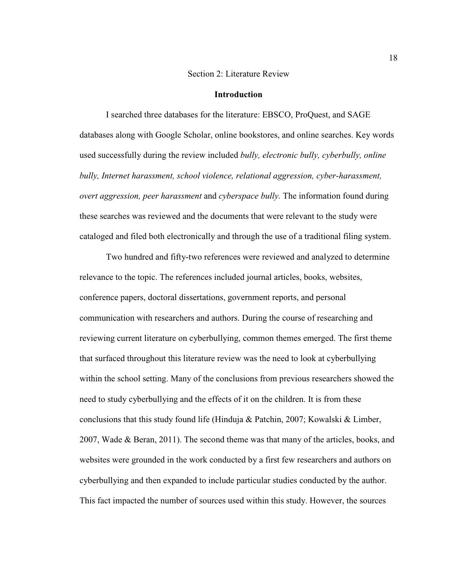#### Section 2: Literature Review

#### **Introduction**

I searched three databases for the literature: EBSCO, ProQuest, and SAGE databases along with Google Scholar, online bookstores, and online searches. Key words used successfully during the review included *bully, electronic bully, cyberbully, online bully, Internet harassment, school violence, relational aggression, cyber-harassment, overt aggression, peer harassment* and *cyberspace bully.* The information found during these searches was reviewed and the documents that were relevant to the study were cataloged and filed both electronically and through the use of a traditional filing system.

Two hundred and fifty-two references were reviewed and analyzed to determine relevance to the topic. The references included journal articles, books, websites, conference papers, doctoral dissertations, government reports, and personal communication with researchers and authors. During the course of researching and reviewing current literature on cyberbullying, common themes emerged. The first theme that surfaced throughout this literature review was the need to look at cyberbullying within the school setting. Many of the conclusions from previous researchers showed the need to study cyberbullying and the effects of it on the children. It is from these conclusions that this study found life (Hinduja & Patchin, 2007; Kowalski & Limber, 2007, Wade & Beran, 2011). The second theme was that many of the articles, books, and websites were grounded in the work conducted by a first few researchers and authors on cyberbullying and then expanded to include particular studies conducted by the author. This fact impacted the number of sources used within this study. However, the sources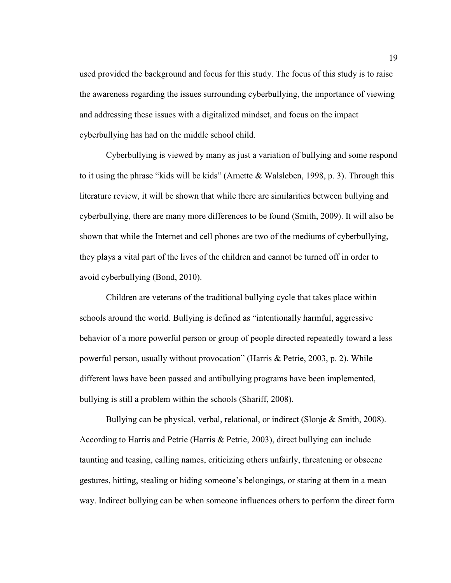used provided the background and focus for this study. The focus of this study is to raise the awareness regarding the issues surrounding cyberbullying, the importance of viewing and addressing these issues with a digitalized mindset, and focus on the impact cyberbullying has had on the middle school child.

Cyberbullying is viewed by many as just a variation of bullying and some respond to it using the phrase "kids will be kids" (Arnette & Walsleben, 1998, p. 3). Through this literature review, it will be shown that while there are similarities between bullying and cyberbullying, there are many more differences to be found (Smith, 2009). It will also be shown that while the Internet and cell phones are two of the mediums of cyberbullying, they plays a vital part of the lives of the children and cannot be turned off in order to avoid cyberbullying (Bond, 2010).

Children are veterans of the traditional bullying cycle that takes place within schools around the world. Bullying is defined as "intentionally harmful, aggressive behavior of a more powerful person or group of people directed repeatedly toward a less powerful person, usually without provocation" (Harris & Petrie, 2003, p. 2). While different laws have been passed and antibullying programs have been implemented, bullying is still a problem within the schools (Shariff, 2008).

 Bullying can be physical, verbal, relational, or indirect (Slonje & Smith, 2008). According to Harris and Petrie (Harris & Petrie, 2003), direct bullying can include taunting and teasing, calling names, criticizing others unfairly, threatening or obscene gestures, hitting, stealing or hiding someone's belongings, or staring at them in a mean way. Indirect bullying can be when someone influences others to perform the direct form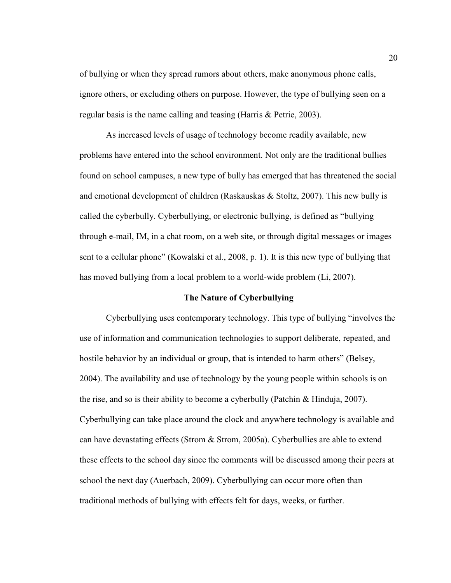of bullying or when they spread rumors about others, make anonymous phone calls, ignore others, or excluding others on purpose. However, the type of bullying seen on a regular basis is the name calling and teasing (Harris & Petrie, 2003).

As increased levels of usage of technology become readily available, new problems have entered into the school environment. Not only are the traditional bullies found on school campuses, a new type of bully has emerged that has threatened the social and emotional development of children (Raskauskas  $&$  Stoltz, 2007). This new bully is called the cyberbully. Cyberbullying, or electronic bullying, is defined as "bullying through e-mail, IM, in a chat room, on a web site, or through digital messages or images sent to a cellular phone" (Kowalski et al., 2008, p. 1). It is this new type of bullying that has moved bullying from a local problem to a world-wide problem (Li, 2007).

#### **The Nature of Cyberbullying**

Cyberbullying uses contemporary technology. This type of bullying "involves the use of information and communication technologies to support deliberate, repeated, and hostile behavior by an individual or group, that is intended to harm others" (Belsey, 2004). The availability and use of technology by the young people within schools is on the rise, and so is their ability to become a cyberbully (Patchin & Hinduja, 2007). Cyberbullying can take place around the clock and anywhere technology is available and can have devastating effects (Strom & Strom, 2005a). Cyberbullies are able to extend these effects to the school day since the comments will be discussed among their peers at school the next day (Auerbach, 2009). Cyberbullying can occur more often than traditional methods of bullying with effects felt for days, weeks, or further.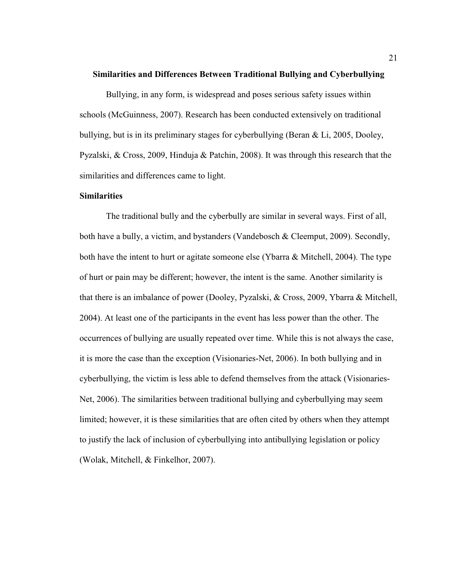#### **Similarities and Differences Between Traditional Bullying and Cyberbullying**

Bullying, in any form, is widespread and poses serious safety issues within schools (McGuinness, 2007). Research has been conducted extensively on traditional bullying, but is in its preliminary stages for cyberbullying (Beran & Li, 2005, Dooley, Pyzalski, & Cross, 2009, Hinduja & Patchin, 2008). It was through this research that the similarities and differences came to light.

#### **Similarities**

The traditional bully and the cyberbully are similar in several ways. First of all, both have a bully, a victim, and bystanders (Vandebosch & Cleemput, 2009). Secondly, both have the intent to hurt or agitate someone else (Ybarra & Mitchell, 2004). The type of hurt or pain may be different; however, the intent is the same. Another similarity is that there is an imbalance of power (Dooley, Pyzalski, & Cross, 2009, Ybarra & Mitchell, 2004). At least one of the participants in the event has less power than the other. The occurrences of bullying are usually repeated over time. While this is not always the case, it is more the case than the exception (Visionaries-Net, 2006). In both bullying and in cyberbullying, the victim is less able to defend themselves from the attack (Visionaries-Net, 2006). The similarities between traditional bullying and cyberbullying may seem limited; however, it is these similarities that are often cited by others when they attempt to justify the lack of inclusion of cyberbullying into antibullying legislation or policy (Wolak, Mitchell, & Finkelhor, 2007).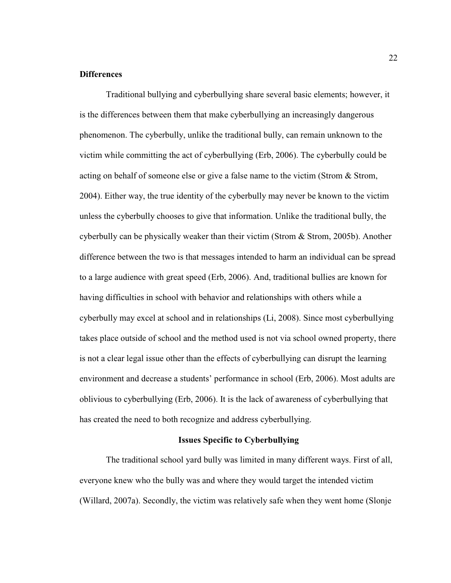#### **Differences**

Traditional bullying and cyberbullying share several basic elements; however, it is the differences between them that make cyberbullying an increasingly dangerous phenomenon. The cyberbully, unlike the traditional bully, can remain unknown to the victim while committing the act of cyberbullying (Erb, 2006). The cyberbully could be acting on behalf of someone else or give a false name to the victim (Strom & Strom, 2004). Either way, the true identity of the cyberbully may never be known to the victim unless the cyberbully chooses to give that information. Unlike the traditional bully, the cyberbully can be physically weaker than their victim (Strom & Strom, 2005b). Another difference between the two is that messages intended to harm an individual can be spread to a large audience with great speed (Erb, 2006). And, traditional bullies are known for having difficulties in school with behavior and relationships with others while a cyberbully may excel at school and in relationships (Li, 2008). Since most cyberbullying takes place outside of school and the method used is not via school owned property, there is not a clear legal issue other than the effects of cyberbullying can disrupt the learning environment and decrease a students' performance in school (Erb, 2006). Most adults are oblivious to cyberbullying (Erb, 2006). It is the lack of awareness of cyberbullying that has created the need to both recognize and address cyberbullying.

#### **Issues Specific to Cyberbullying**

 The traditional school yard bully was limited in many different ways. First of all, everyone knew who the bully was and where they would target the intended victim (Willard, 2007a). Secondly, the victim was relatively safe when they went home (Slonje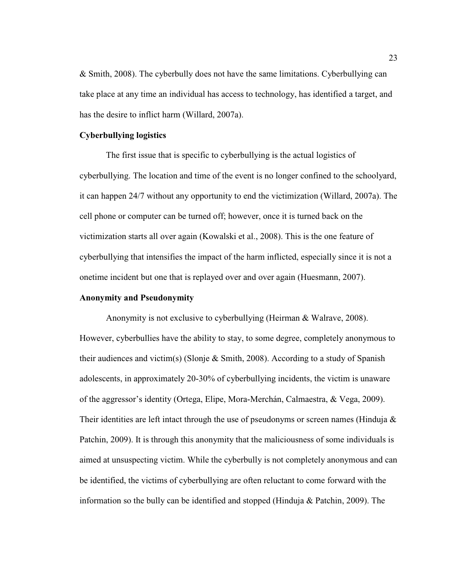& Smith, 2008). The cyberbully does not have the same limitations. Cyberbullying can take place at any time an individual has access to technology, has identified a target, and has the desire to inflict harm (Willard, 2007a).

#### **Cyberbullying logistics**

The first issue that is specific to cyberbullying is the actual logistics of cyberbullying. The location and time of the event is no longer confined to the schoolyard, it can happen 24/7 without any opportunity to end the victimization (Willard, 2007a). The cell phone or computer can be turned off; however, once it is turned back on the victimization starts all over again (Kowalski et al., 2008). This is the one feature of cyberbullying that intensifies the impact of the harm inflicted, especially since it is not a onetime incident but one that is replayed over and over again (Huesmann, 2007).

#### **Anonymity and Pseudonymity**

Anonymity is not exclusive to cyberbullying (Heirman & Walrave, 2008). However, cyberbullies have the ability to stay, to some degree, completely anonymous to their audiences and victim(s) (Slonje & Smith, 2008). According to a study of Spanish adolescents, in approximately 20-30% of cyberbullying incidents, the victim is unaware of the aggressor's identity (Ortega, Elipe, Mora-Merchán, Calmaestra, & Vega, 2009). Their identities are left intact through the use of pseudonyms or screen names (Hinduja  $\&$ Patchin, 2009). It is through this anonymity that the maliciousness of some individuals is aimed at unsuspecting victim. While the cyberbully is not completely anonymous and can be identified, the victims of cyberbullying are often reluctant to come forward with the information so the bully can be identified and stopped (Hinduja & Patchin, 2009). The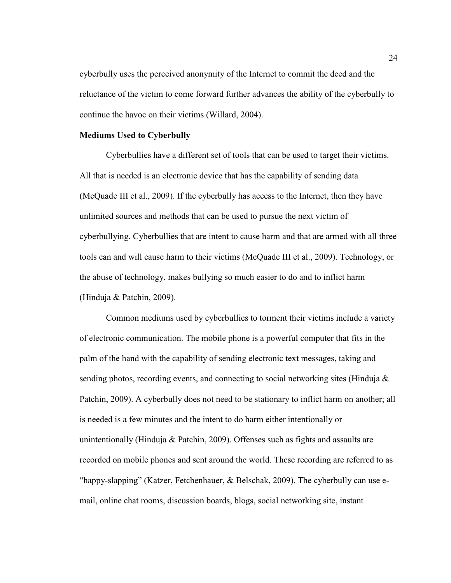cyberbully uses the perceived anonymity of the Internet to commit the deed and the reluctance of the victim to come forward further advances the ability of the cyberbully to continue the havoc on their victims (Willard, 2004).

#### **Mediums Used to Cyberbully**

Cyberbullies have a different set of tools that can be used to target their victims. All that is needed is an electronic device that has the capability of sending data (McQuade III et al., 2009). If the cyberbully has access to the Internet, then they have unlimited sources and methods that can be used to pursue the next victim of cyberbullying. Cyberbullies that are intent to cause harm and that are armed with all three tools can and will cause harm to their victims (McQuade III et al., 2009). Technology, or the abuse of technology, makes bullying so much easier to do and to inflict harm (Hinduja & Patchin, 2009).

Common mediums used by cyberbullies to torment their victims include a variety of electronic communication. The mobile phone is a powerful computer that fits in the palm of the hand with the capability of sending electronic text messages, taking and sending photos, recording events, and connecting to social networking sites (Hinduja & Patchin, 2009). A cyberbully does not need to be stationary to inflict harm on another; all is needed is a few minutes and the intent to do harm either intentionally or unintentionally (Hinduja & Patchin, 2009). Offenses such as fights and assaults are recorded on mobile phones and sent around the world. These recording are referred to as "happy-slapping" (Katzer, Fetchenhauer, & Belschak, 2009). The cyberbully can use email, online chat rooms, discussion boards, blogs, social networking site, instant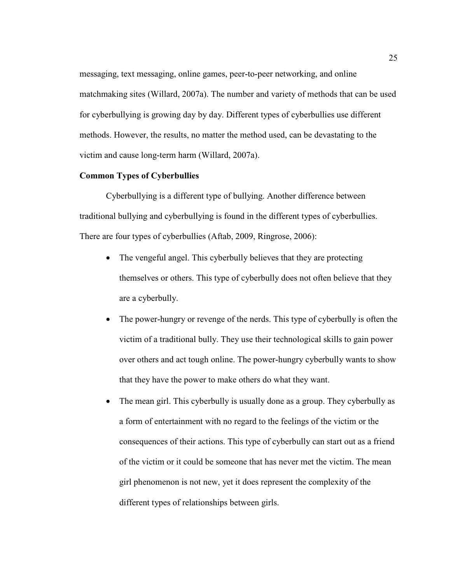messaging, text messaging, online games, peer-to-peer networking, and online matchmaking sites (Willard, 2007a). The number and variety of methods that can be used for cyberbullying is growing day by day. Different types of cyberbullies use different methods. However, the results, no matter the method used, can be devastating to the victim and cause long-term harm (Willard, 2007a).

# **Common Types of Cyberbullies**

Cyberbullying is a different type of bullying. Another difference between traditional bullying and cyberbullying is found in the different types of cyberbullies. There are four types of cyberbullies (Aftab, 2009, Ringrose, 2006):

- The vengeful angel. This cyberbully believes that they are protecting themselves or others. This type of cyberbully does not often believe that they are a cyberbully.
- The power-hungry or revenge of the nerds. This type of cyberbully is often the victim of a traditional bully. They use their technological skills to gain power over others and act tough online. The power-hungry cyberbully wants to show that they have the power to make others do what they want.
- The mean girl. This cyberbully is usually done as a group. They cyberbully as a form of entertainment with no regard to the feelings of the victim or the consequences of their actions. This type of cyberbully can start out as a friend of the victim or it could be someone that has never met the victim. The mean girl phenomenon is not new, yet it does represent the complexity of the different types of relationships between girls.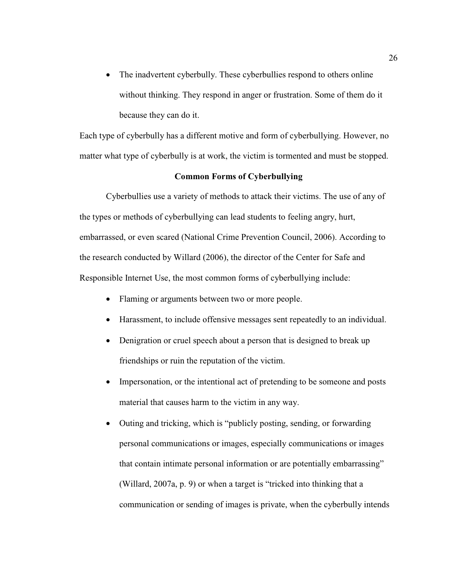• The inadvertent cyberbully. These cyberbullies respond to others online without thinking. They respond in anger or frustration. Some of them do it because they can do it.

Each type of cyberbully has a different motive and form of cyberbullying. However, no matter what type of cyberbully is at work, the victim is tormented and must be stopped.

# **Common Forms of Cyberbullying**

Cyberbullies use a variety of methods to attack their victims. The use of any of the types or methods of cyberbullying can lead students to feeling angry, hurt, embarrassed, or even scared (National Crime Prevention Council, 2006). According to the research conducted by Willard (2006), the director of the Center for Safe and Responsible Internet Use, the most common forms of cyberbullying include:

- Flaming or arguments between two or more people.
- Harassment, to include offensive messages sent repeatedly to an individual.
- Denigration or cruel speech about a person that is designed to break up friendships or ruin the reputation of the victim.
- Impersonation, or the intentional act of pretending to be someone and posts material that causes harm to the victim in any way.
- Outing and tricking, which is "publicly posting, sending, or forwarding personal communications or images, especially communications or images that contain intimate personal information or are potentially embarrassing" (Willard, 2007a, p. 9) or when a target is "tricked into thinking that a communication or sending of images is private, when the cyberbully intends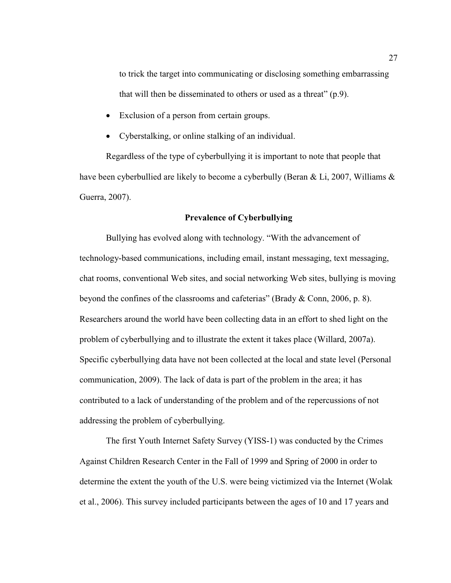to trick the target into communicating or disclosing something embarrassing that will then be disseminated to others or used as a threat" (p.9).

- Exclusion of a person from certain groups.
- Cyberstalking, or online stalking of an individual.

Regardless of the type of cyberbullying it is important to note that people that have been cyberbullied are likely to become a cyberbully (Beran & Li, 2007, Williams & Guerra, 2007).

# **Prevalence of Cyberbullying**

Bullying has evolved along with technology. "With the advancement of technology-based communications, including email, instant messaging, text messaging, chat rooms, conventional Web sites, and social networking Web sites, bullying is moving beyond the confines of the classrooms and cafeterias" (Brady & Conn, 2006, p. 8). Researchers around the world have been collecting data in an effort to shed light on the problem of cyberbullying and to illustrate the extent it takes place (Willard, 2007a). Specific cyberbullying data have not been collected at the local and state level (Personal communication, 2009). The lack of data is part of the problem in the area; it has contributed to a lack of understanding of the problem and of the repercussions of not addressing the problem of cyberbullying.

The first Youth Internet Safety Survey (YISS-1) was conducted by the Crimes Against Children Research Center in the Fall of 1999 and Spring of 2000 in order to determine the extent the youth of the U.S. were being victimized via the Internet (Wolak et al., 2006). This survey included participants between the ages of 10 and 17 years and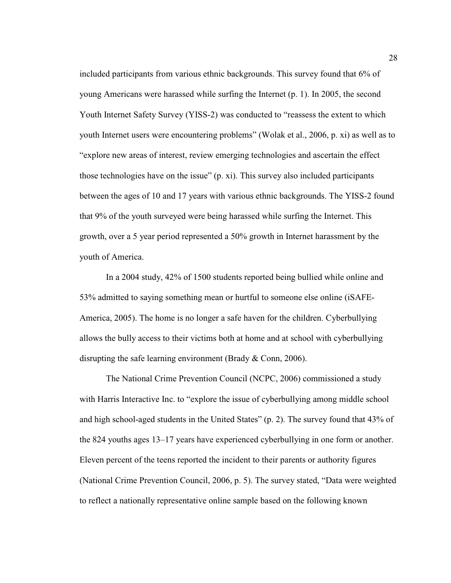included participants from various ethnic backgrounds. This survey found that 6% of young Americans were harassed while surfing the Internet (p. 1). In 2005, the second Youth Internet Safety Survey (YISS-2) was conducted to "reassess the extent to which youth Internet users were encountering problems" (Wolak et al., 2006, p. xi) as well as to "explore new areas of interest, review emerging technologies and ascertain the effect those technologies have on the issue" (p. xi). This survey also included participants between the ages of 10 and 17 years with various ethnic backgrounds. The YISS-2 found that 9% of the youth surveyed were being harassed while surfing the Internet. This growth, over a 5 year period represented a 50% growth in Internet harassment by the youth of America.

In a 2004 study, 42% of 1500 students reported being bullied while online and 53% admitted to saying something mean or hurtful to someone else online (iSAFE-America, 2005). The home is no longer a safe haven for the children. Cyberbullying allows the bully access to their victims both at home and at school with cyberbullying disrupting the safe learning environment (Brady & Conn, 2006).

The National Crime Prevention Council (NCPC, 2006) commissioned a study with Harris Interactive Inc. to "explore the issue of cyberbullying among middle school and high school-aged students in the United States" (p. 2). The survey found that 43% of the 824 youths ages 13–17 years have experienced cyberbullying in one form or another. Eleven percent of the teens reported the incident to their parents or authority figures (National Crime Prevention Council, 2006, p. 5). The survey stated, "Data were weighted to reflect a nationally representative online sample based on the following known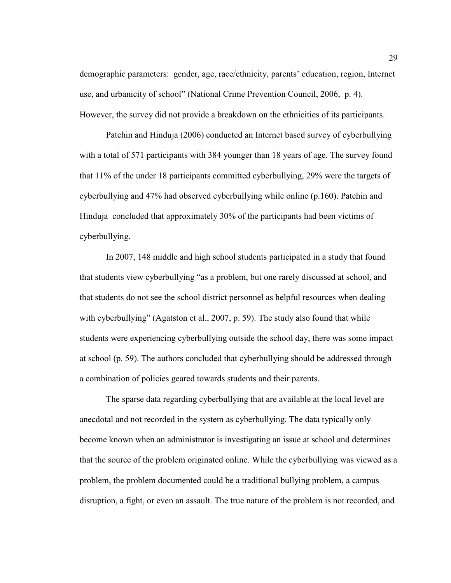demographic parameters: gender, age, race/ethnicity, parents' education, region, Internet use, and urbanicity of school" (National Crime Prevention Council, 2006, p. 4). However, the survey did not provide a breakdown on the ethnicities of its participants.

Patchin and Hinduja (2006) conducted an Internet based survey of cyberbullying with a total of 571 participants with 384 younger than 18 years of age. The survey found that 11% of the under 18 participants committed cyberbullying, 29% were the targets of cyberbullying and 47% had observed cyberbullying while online (p.160). Patchin and Hinduja concluded that approximately 30% of the participants had been victims of cyberbullying.

In 2007, 148 middle and high school students participated in a study that found that students view cyberbullying "as a problem, but one rarely discussed at school, and that students do not see the school district personnel as helpful resources when dealing with cyberbullying" (Agatston et al., 2007, p. 59). The study also found that while students were experiencing cyberbullying outside the school day, there was some impact at school (p. 59). The authors concluded that cyberbullying should be addressed through a combination of policies geared towards students and their parents.

The sparse data regarding cyberbullying that are available at the local level are anecdotal and not recorded in the system as cyberbullying. The data typically only become known when an administrator is investigating an issue at school and determines that the source of the problem originated online. While the cyberbullying was viewed as a problem, the problem documented could be a traditional bullying problem, a campus disruption, a fight, or even an assault. The true nature of the problem is not recorded, and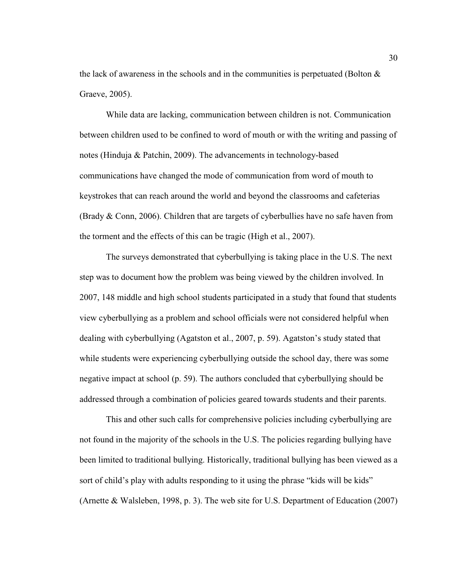the lack of awareness in the schools and in the communities is perpetuated (Bolton  $\&$ Graeve, 2005).

While data are lacking, communication between children is not. Communication between children used to be confined to word of mouth or with the writing and passing of notes (Hinduja & Patchin, 2009). The advancements in technology-based communications have changed the mode of communication from word of mouth to keystrokes that can reach around the world and beyond the classrooms and cafeterias (Brady  $& Conn, 2006$ ). Children that are targets of cyberbullies have no safe haven from the torment and the effects of this can be tragic (High et al., 2007).

The surveys demonstrated that cyberbullying is taking place in the U.S. The next step was to document how the problem was being viewed by the children involved. In 2007, 148 middle and high school students participated in a study that found that students view cyberbullying as a problem and school officials were not considered helpful when dealing with cyberbullying (Agatston et al., 2007, p. 59). Agatston's study stated that while students were experiencing cyberbullying outside the school day, there was some negative impact at school (p. 59). The authors concluded that cyberbullying should be addressed through a combination of policies geared towards students and their parents.

This and other such calls for comprehensive policies including cyberbullying are not found in the majority of the schools in the U.S. The policies regarding bullying have been limited to traditional bullying. Historically, traditional bullying has been viewed as a sort of child's play with adults responding to it using the phrase "kids will be kids" (Arnette & Walsleben, 1998, p. 3). The web site for U.S. Department of Education (2007)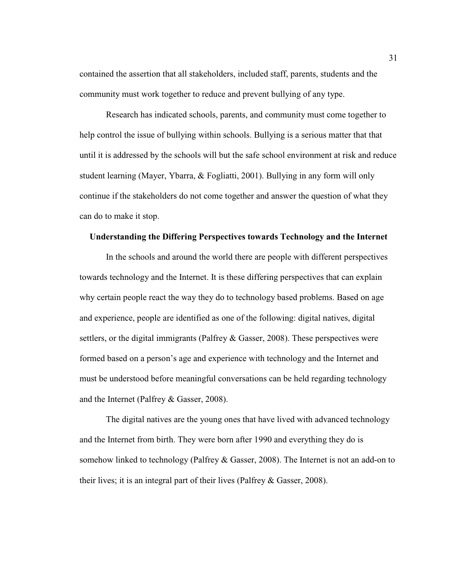contained the assertion that all stakeholders, included staff, parents, students and the community must work together to reduce and prevent bullying of any type.

Research has indicated schools, parents, and community must come together to help control the issue of bullying within schools. Bullying is a serious matter that that until it is addressed by the schools will but the safe school environment at risk and reduce student learning (Mayer, Ybarra, & Fogliatti, 2001). Bullying in any form will only continue if the stakeholders do not come together and answer the question of what they can do to make it stop.

# **Understanding the Differing Perspectives towards Technology and the Internet**

In the schools and around the world there are people with different perspectives towards technology and the Internet. It is these differing perspectives that can explain why certain people react the way they do to technology based problems. Based on age and experience, people are identified as one of the following: digital natives, digital settlers, or the digital immigrants (Palfrey & Gasser, 2008). These perspectives were formed based on a person's age and experience with technology and the Internet and must be understood before meaningful conversations can be held regarding technology and the Internet (Palfrey & Gasser, 2008).

The digital natives are the young ones that have lived with advanced technology and the Internet from birth. They were born after 1990 and everything they do is somehow linked to technology (Palfrey & Gasser, 2008). The Internet is not an add-on to their lives; it is an integral part of their lives (Palfrey & Gasser, 2008).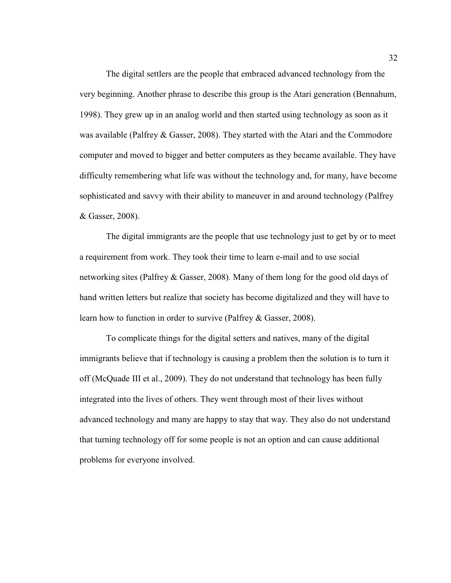The digital settlers are the people that embraced advanced technology from the very beginning. Another phrase to describe this group is the Atari generation (Bennahum, 1998). They grew up in an analog world and then started using technology as soon as it was available (Palfrey & Gasser, 2008). They started with the Atari and the Commodore computer and moved to bigger and better computers as they became available. They have difficulty remembering what life was without the technology and, for many, have become sophisticated and savvy with their ability to maneuver in and around technology (Palfrey & Gasser, 2008).

The digital immigrants are the people that use technology just to get by or to meet a requirement from work. They took their time to learn e-mail and to use social networking sites (Palfrey & Gasser, 2008). Many of them long for the good old days of hand written letters but realize that society has become digitalized and they will have to learn how to function in order to survive (Palfrey & Gasser, 2008).

To complicate things for the digital setters and natives, many of the digital immigrants believe that if technology is causing a problem then the solution is to turn it off (McQuade III et al., 2009). They do not understand that technology has been fully integrated into the lives of others. They went through most of their lives without advanced technology and many are happy to stay that way. They also do not understand that turning technology off for some people is not an option and can cause additional problems for everyone involved.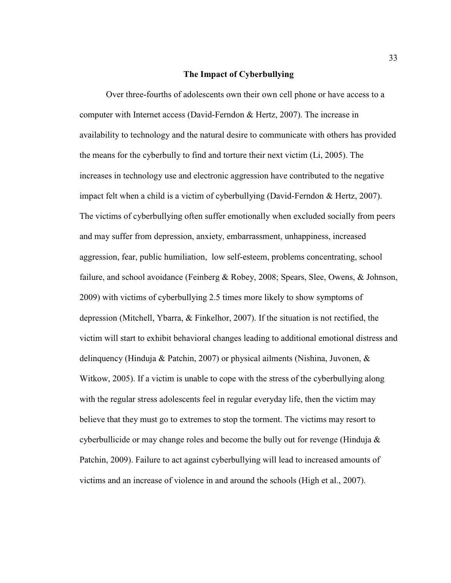#### **The Impact of Cyberbullying**

 Over three-fourths of adolescents own their own cell phone or have access to a computer with Internet access (David-Ferndon & Hertz, 2007). The increase in availability to technology and the natural desire to communicate with others has provided the means for the cyberbully to find and torture their next victim (Li, 2005). The increases in technology use and electronic aggression have contributed to the negative impact felt when a child is a victim of cyberbullying (David-Ferndon & Hertz, 2007). The victims of cyberbullying often suffer emotionally when excluded socially from peers and may suffer from depression, anxiety, embarrassment, unhappiness, increased aggression, fear, public humiliation, low self-esteem, problems concentrating, school failure, and school avoidance (Feinberg & Robey, 2008; Spears, Slee, Owens, & Johnson, 2009) with victims of cyberbullying 2.5 times more likely to show symptoms of depression (Mitchell, Ybarra, & Finkelhor, 2007). If the situation is not rectified, the victim will start to exhibit behavioral changes leading to additional emotional distress and delinquency (Hinduja & Patchin, 2007) or physical ailments (Nishina, Juvonen, & Witkow, 2005). If a victim is unable to cope with the stress of the cyberbullying along with the regular stress adolescents feel in regular everyday life, then the victim may believe that they must go to extremes to stop the torment. The victims may resort to cyberbullicide or may change roles and become the bully out for revenge (Hinduja  $\&$ Patchin, 2009). Failure to act against cyberbullying will lead to increased amounts of victims and an increase of violence in and around the schools (High et al., 2007).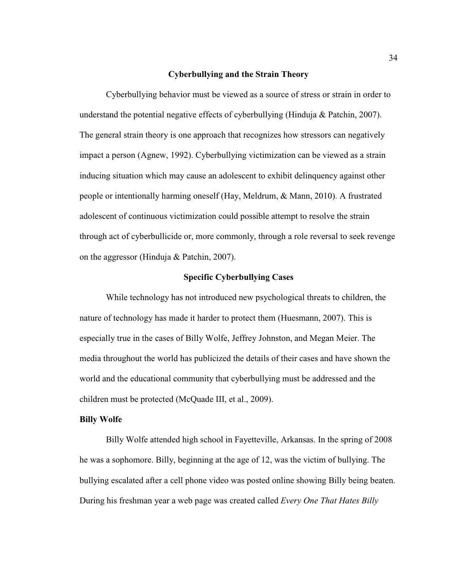## **Cyberbullying and the Strain Theory**

 Cyberbullying behavior must be viewed as a source of stress or strain in order to understand the potential negative effects of cyberbullying (Hinduja & Patchin, 2007). The general strain theory is one approach that recognizes how stressors can negatively impact a person (Agnew, 1992). Cyberbullying victimization can be viewed as a strain inducing situation which may cause an adolescent to exhibit delinquency against other people or intentionally harming oneself (Hay, Meldrum, & Mann, 2010). A frustrated adolescent of continuous victimization could possible attempt to resolve the strain through act of cyberbullicide or, more commonly, through a role reversal to seek revenge on the aggressor (Hinduja & Patchin, 2007).

# **Specific Cyberbullying Cases**

 While technology has not introduced new psychological threats to children, the nature of technology has made it harder to protect them (Huesmann, 2007). This is especially true in the cases of Billy Wolfe, Jeffrey Johnston, and Megan Meier. The media throughout the world has publicized the details of their cases and have shown the world and the educational community that cyberbullying must be addressed and the children must be protected (McQuade III, et al., 2009).

#### **Billy Wolfe**

Billy Wolfe attended high school in Fayetteville, Arkansas. In the spring of 2008 he was a sophomore. Billy, beginning at the age of 12, was the victim of bullying. The bullying escalated after a cell phone video was posted online showing Billy being beaten. During his freshman year a web page was created called *Every One That Hates Billy*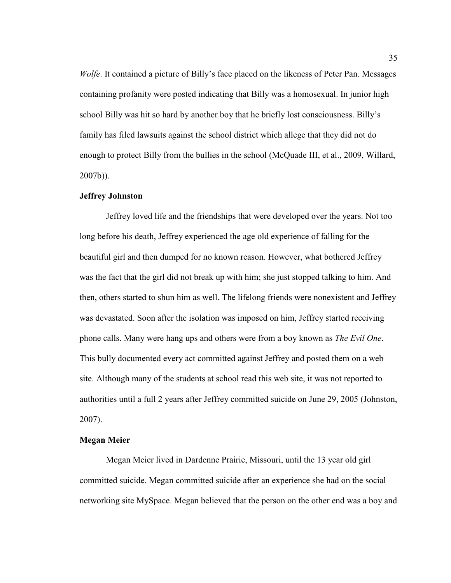*Wolfe*. It contained a picture of Billy's face placed on the likeness of Peter Pan. Messages containing profanity were posted indicating that Billy was a homosexual. In junior high school Billy was hit so hard by another boy that he briefly lost consciousness. Billy's family has filed lawsuits against the school district which allege that they did not do enough to protect Billy from the bullies in the school (McQuade III, et al., 2009, Willard, 2007b)).

## **Jeffrey Johnston**

Jeffrey loved life and the friendships that were developed over the years. Not too long before his death, Jeffrey experienced the age old experience of falling for the beautiful girl and then dumped for no known reason. However, what bothered Jeffrey was the fact that the girl did not break up with him; she just stopped talking to him. And then, others started to shun him as well. The lifelong friends were nonexistent and Jeffrey was devastated. Soon after the isolation was imposed on him, Jeffrey started receiving phone calls. Many were hang ups and others were from a boy known as *The Evil One*. This bully documented every act committed against Jeffrey and posted them on a web site. Although many of the students at school read this web site, it was not reported to authorities until a full 2 years after Jeffrey committed suicide on June 29, 2005 (Johnston, 2007).

## **Megan Meier**

Megan Meier lived in Dardenne Prairie, Missouri, until the 13 year old girl committed suicide. Megan committed suicide after an experience she had on the social networking site MySpace. Megan believed that the person on the other end was a boy and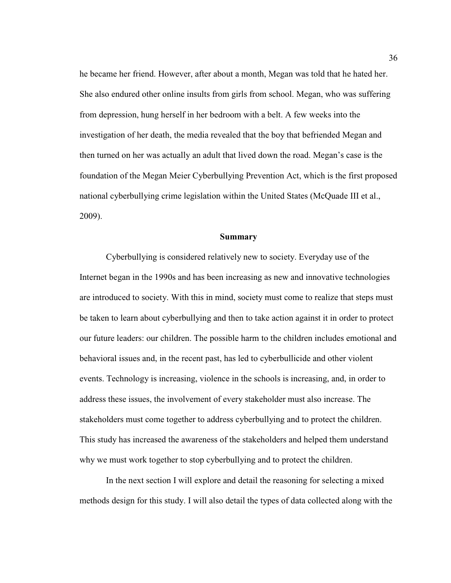he became her friend. However, after about a month, Megan was told that he hated her. She also endured other online insults from girls from school. Megan, who was suffering from depression, hung herself in her bedroom with a belt. A few weeks into the investigation of her death, the media revealed that the boy that befriended Megan and then turned on her was actually an adult that lived down the road. Megan's case is the foundation of the Megan Meier Cyberbullying Prevention Act, which is the first proposed national cyberbullying crime legislation within the United States (McQuade III et al., 2009).

#### **Summary**

 Cyberbullying is considered relatively new to society. Everyday use of the Internet began in the 1990s and has been increasing as new and innovative technologies are introduced to society. With this in mind, society must come to realize that steps must be taken to learn about cyberbullying and then to take action against it in order to protect our future leaders: our children. The possible harm to the children includes emotional and behavioral issues and, in the recent past, has led to cyberbullicide and other violent events. Technology is increasing, violence in the schools is increasing, and, in order to address these issues, the involvement of every stakeholder must also increase. The stakeholders must come together to address cyberbullying and to protect the children. This study has increased the awareness of the stakeholders and helped them understand why we must work together to stop cyberbullying and to protect the children.

 In the next section I will explore and detail the reasoning for selecting a mixed methods design for this study. I will also detail the types of data collected along with the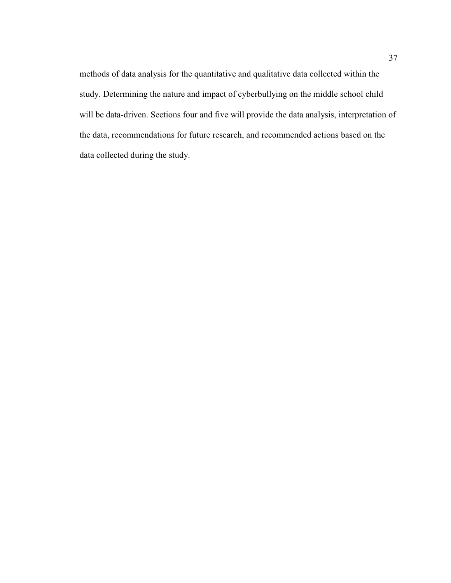methods of data analysis for the quantitative and qualitative data collected within the study. Determining the nature and impact of cyberbullying on the middle school child will be data-driven. Sections four and five will provide the data analysis, interpretation of the data, recommendations for future research, and recommended actions based on the data collected during the study.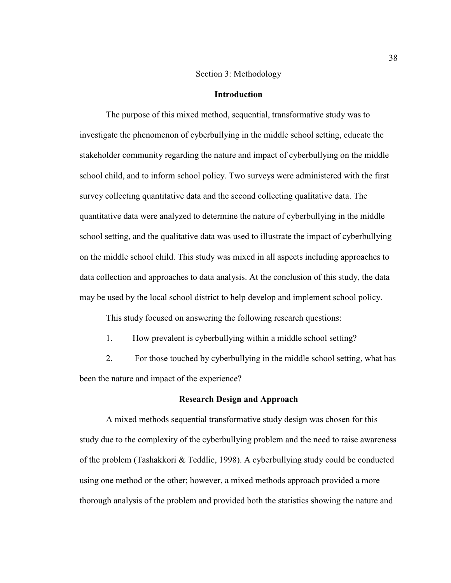## Section 3: Methodology

# **Introduction**

The purpose of this mixed method, sequential, transformative study was to investigate the phenomenon of cyberbullying in the middle school setting, educate the stakeholder community regarding the nature and impact of cyberbullying on the middle school child, and to inform school policy. Two surveys were administered with the first survey collecting quantitative data and the second collecting qualitative data. The quantitative data were analyzed to determine the nature of cyberbullying in the middle school setting, and the qualitative data was used to illustrate the impact of cyberbullying on the middle school child. This study was mixed in all aspects including approaches to data collection and approaches to data analysis. At the conclusion of this study, the data may be used by the local school district to help develop and implement school policy.

This study focused on answering the following research questions:

1. How prevalent is cyberbullying within a middle school setting?

2. For those touched by cyberbullying in the middle school setting, what has been the nature and impact of the experience?

#### **Research Design and Approach**

A mixed methods sequential transformative study design was chosen for this study due to the complexity of the cyberbullying problem and the need to raise awareness of the problem (Tashakkori & Teddlie, 1998). A cyberbullying study could be conducted using one method or the other; however, a mixed methods approach provided a more thorough analysis of the problem and provided both the statistics showing the nature and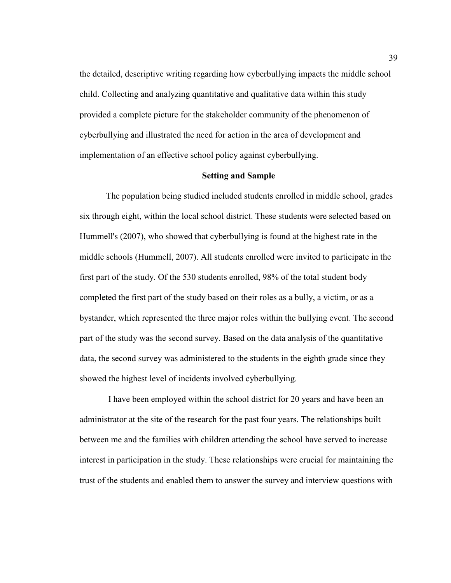the detailed, descriptive writing regarding how cyberbullying impacts the middle school child. Collecting and analyzing quantitative and qualitative data within this study provided a complete picture for the stakeholder community of the phenomenon of cyberbullying and illustrated the need for action in the area of development and implementation of an effective school policy against cyberbullying.

# **Setting and Sample**

The population being studied included students enrolled in middle school, grades six through eight, within the local school district. These students were selected based on Hummell's (2007), who showed that cyberbullying is found at the highest rate in the middle schools (Hummell, 2007). All students enrolled were invited to participate in the first part of the study. Of the 530 students enrolled, 98% of the total student body completed the first part of the study based on their roles as a bully, a victim, or as a bystander, which represented the three major roles within the bullying event. The second part of the study was the second survey. Based on the data analysis of the quantitative data, the second survey was administered to the students in the eighth grade since they showed the highest level of incidents involved cyberbullying.

 I have been employed within the school district for 20 years and have been an administrator at the site of the research for the past four years. The relationships built between me and the families with children attending the school have served to increase interest in participation in the study. These relationships were crucial for maintaining the trust of the students and enabled them to answer the survey and interview questions with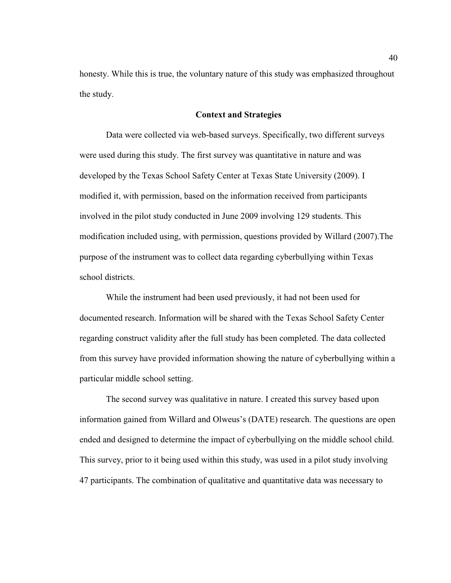honesty. While this is true, the voluntary nature of this study was emphasized throughout the study.

## **Context and Strategies**

Data were collected via web-based surveys. Specifically, two different surveys were used during this study. The first survey was quantitative in nature and was developed by the Texas School Safety Center at Texas State University (2009). I modified it, with permission, based on the information received from participants involved in the pilot study conducted in June 2009 involving 129 students. This modification included using, with permission, questions provided by Willard (2007).The purpose of the instrument was to collect data regarding cyberbullying within Texas school districts.

While the instrument had been used previously, it had not been used for documented research. Information will be shared with the Texas School Safety Center regarding construct validity after the full study has been completed. The data collected from this survey have provided information showing the nature of cyberbullying within a particular middle school setting.

The second survey was qualitative in nature. I created this survey based upon information gained from Willard and Olweus's (DATE) research. The questions are open ended and designed to determine the impact of cyberbullying on the middle school child. This survey, prior to it being used within this study, was used in a pilot study involving 47 participants. The combination of qualitative and quantitative data was necessary to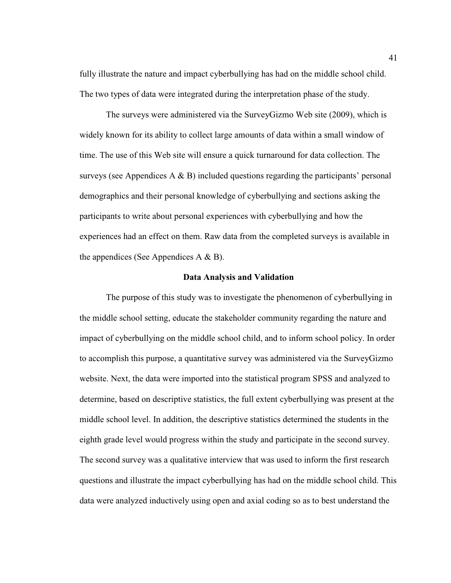fully illustrate the nature and impact cyberbullying has had on the middle school child. The two types of data were integrated during the interpretation phase of the study.

The surveys were administered via the SurveyGizmo Web site (2009), which is widely known for its ability to collect large amounts of data within a small window of time. The use of this Web site will ensure a quick turnaround for data collection. The surveys (see Appendices  $A \& B$ ) included questions regarding the participants' personal demographics and their personal knowledge of cyberbullying and sections asking the participants to write about personal experiences with cyberbullying and how the experiences had an effect on them. Raw data from the completed surveys is available in the appendices (See Appendices  $A \& B$ ).

#### **Data Analysis and Validation**

 The purpose of this study was to investigate the phenomenon of cyberbullying in the middle school setting, educate the stakeholder community regarding the nature and impact of cyberbullying on the middle school child, and to inform school policy. In order to accomplish this purpose, a quantitative survey was administered via the SurveyGizmo website. Next, the data were imported into the statistical program SPSS and analyzed to determine, based on descriptive statistics, the full extent cyberbullying was present at the middle school level. In addition, the descriptive statistics determined the students in the eighth grade level would progress within the study and participate in the second survey. The second survey was a qualitative interview that was used to inform the first research questions and illustrate the impact cyberbullying has had on the middle school child. This data were analyzed inductively using open and axial coding so as to best understand the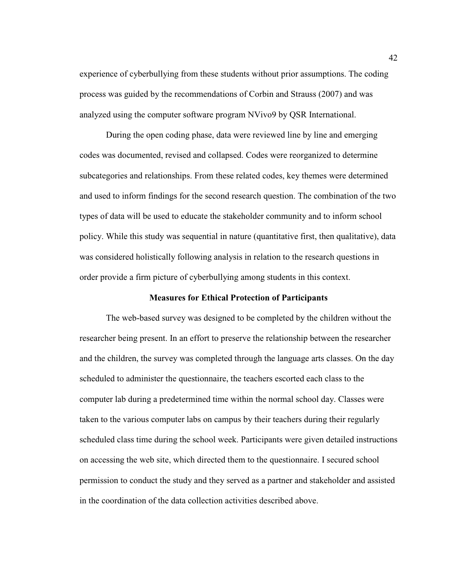experience of cyberbullying from these students without prior assumptions. The coding process was guided by the recommendations of Corbin and Strauss (2007) and was analyzed using the computer software program NVivo9 by QSR International.

During the open coding phase, data were reviewed line by line and emerging codes was documented, revised and collapsed. Codes were reorganized to determine subcategories and relationships. From these related codes, key themes were determined and used to inform findings for the second research question. The combination of the two types of data will be used to educate the stakeholder community and to inform school policy. While this study was sequential in nature (quantitative first, then qualitative), data was considered holistically following analysis in relation to the research questions in order provide a firm picture of cyberbullying among students in this context.

#### **Measures for Ethical Protection of Participants**

The web-based survey was designed to be completed by the children without the researcher being present. In an effort to preserve the relationship between the researcher and the children, the survey was completed through the language arts classes. On the day scheduled to administer the questionnaire, the teachers escorted each class to the computer lab during a predetermined time within the normal school day. Classes were taken to the various computer labs on campus by their teachers during their regularly scheduled class time during the school week. Participants were given detailed instructions on accessing the web site, which directed them to the questionnaire. I secured school permission to conduct the study and they served as a partner and stakeholder and assisted in the coordination of the data collection activities described above.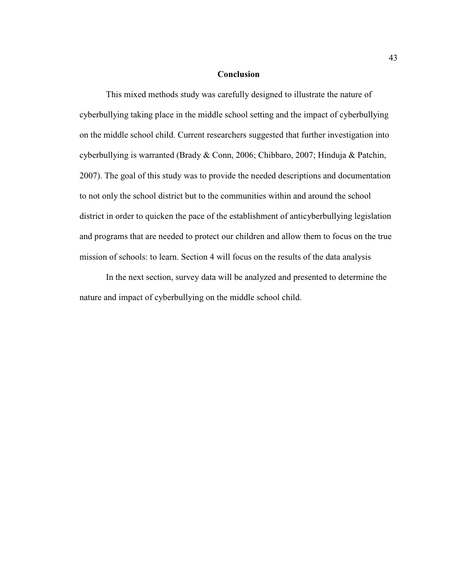# **Conclusion**

This mixed methods study was carefully designed to illustrate the nature of cyberbullying taking place in the middle school setting and the impact of cyberbullying on the middle school child. Current researchers suggested that further investigation into cyberbullying is warranted (Brady & Conn, 2006; Chibbaro, 2007; Hinduja & Patchin, 2007). The goal of this study was to provide the needed descriptions and documentation to not only the school district but to the communities within and around the school district in order to quicken the pace of the establishment of anticyberbullying legislation and programs that are needed to protect our children and allow them to focus on the true mission of schools: to learn. Section 4 will focus on the results of the data analysis

In the next section, survey data will be analyzed and presented to determine the nature and impact of cyberbullying on the middle school child.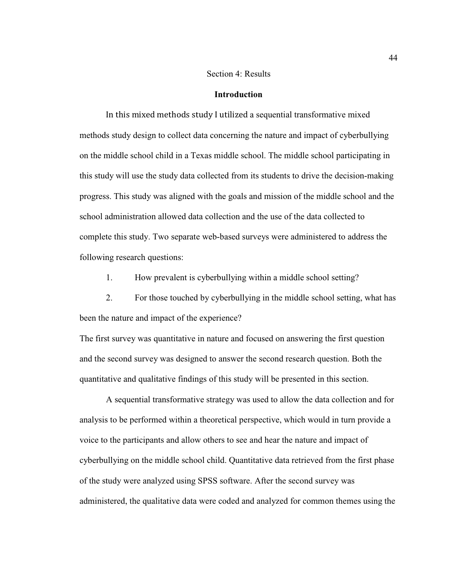# Section 4: Results

# **Introduction**

 In this mixed methods study I utilized a sequential transformative mixed methods study design to collect data concerning the nature and impact of cyberbullying on the middle school child in a Texas middle school. The middle school participating in this study will use the study data collected from its students to drive the decision-making progress. This study was aligned with the goals and mission of the middle school and the school administration allowed data collection and the use of the data collected to complete this study. Two separate web-based surveys were administered to address the following research questions:

1. How prevalent is cyberbullying within a middle school setting?

2. For those touched by cyberbullying in the middle school setting, what has been the nature and impact of the experience?

The first survey was quantitative in nature and focused on answering the first question and the second survey was designed to answer the second research question. Both the quantitative and qualitative findings of this study will be presented in this section.

A sequential transformative strategy was used to allow the data collection and for analysis to be performed within a theoretical perspective, which would in turn provide a voice to the participants and allow others to see and hear the nature and impact of cyberbullying on the middle school child. Quantitative data retrieved from the first phase of the study were analyzed using SPSS software. After the second survey was administered, the qualitative data were coded and analyzed for common themes using the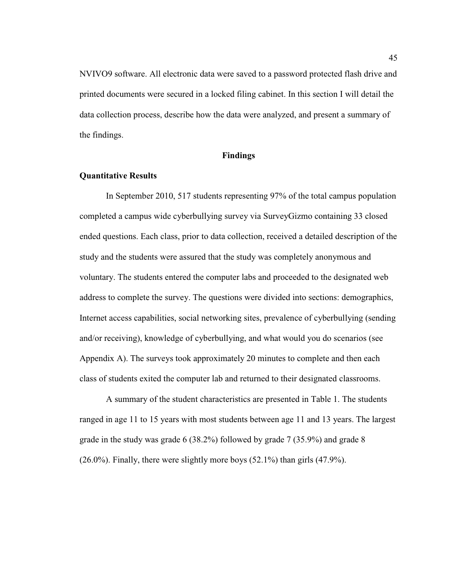NVIVO9 software. All electronic data were saved to a password protected flash drive and printed documents were secured in a locked filing cabinet. In this section I will detail the data collection process, describe how the data were analyzed, and present a summary of the findings.

### **Findings**

# **Quantitative Results**

In September 2010, 517 students representing 97% of the total campus population completed a campus wide cyberbullying survey via SurveyGizmo containing 33 closed ended questions. Each class, prior to data collection, received a detailed description of the study and the students were assured that the study was completely anonymous and voluntary. The students entered the computer labs and proceeded to the designated web address to complete the survey. The questions were divided into sections: demographics, Internet access capabilities, social networking sites, prevalence of cyberbullying (sending and/or receiving), knowledge of cyberbullying, and what would you do scenarios (see Appendix A). The surveys took approximately 20 minutes to complete and then each class of students exited the computer lab and returned to their designated classrooms.

A summary of the student characteristics are presented in Table 1. The students ranged in age 11 to 15 years with most students between age 11 and 13 years. The largest grade in the study was grade 6 (38.2%) followed by grade 7 (35.9%) and grade 8  $(26.0\%)$ . Finally, there were slightly more boys  $(52.1\%)$  than girls  $(47.9\%)$ .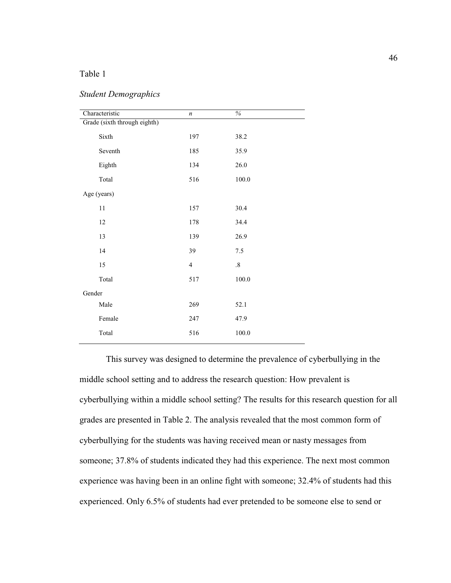# Table 1

| Characteristic               | $\boldsymbol{n}$ | $\frac{0}{6}$ |  |  |  |
|------------------------------|------------------|---------------|--|--|--|
| Grade (sixth through eighth) |                  |               |  |  |  |
| Sixth                        | 197              | 38.2          |  |  |  |
| Seventh                      | 185              | 35.9          |  |  |  |
| Eighth                       | 134              | 26.0          |  |  |  |
| Total                        | 516              | 100.0         |  |  |  |
| Age (years)                  |                  |               |  |  |  |
| $11\,$                       | 157              | 30.4          |  |  |  |
| 12                           | 178              | 34.4          |  |  |  |
| 13                           | 139              | 26.9          |  |  |  |
| 14                           | 39               | 7.5           |  |  |  |
| 15                           | $\overline{4}$   | $.8\,$        |  |  |  |
| Total                        | 517              | 100.0         |  |  |  |
| Gender                       |                  |               |  |  |  |
| Male                         | 269              | 52.1          |  |  |  |
| Female                       | 247              | 47.9          |  |  |  |
| Total                        | 516              | $100.0\,$     |  |  |  |

# *Student Demographics*

This survey was designed to determine the prevalence of cyberbullying in the middle school setting and to address the research question: How prevalent is cyberbullying within a middle school setting? The results for this research question for all grades are presented in Table 2. The analysis revealed that the most common form of cyberbullying for the students was having received mean or nasty messages from someone; 37.8% of students indicated they had this experience. The next most common experience was having been in an online fight with someone; 32.4% of students had this experienced. Only 6.5% of students had ever pretended to be someone else to send or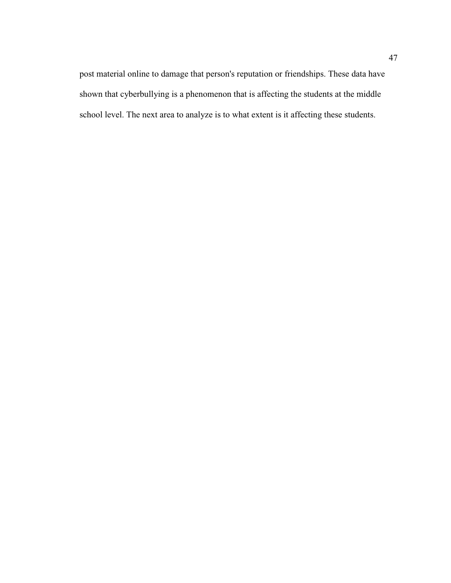post material online to damage that person's reputation or friendships. These data have shown that cyberbullying is a phenomenon that is affecting the students at the middle school level. The next area to analyze is to what extent is it affecting these students.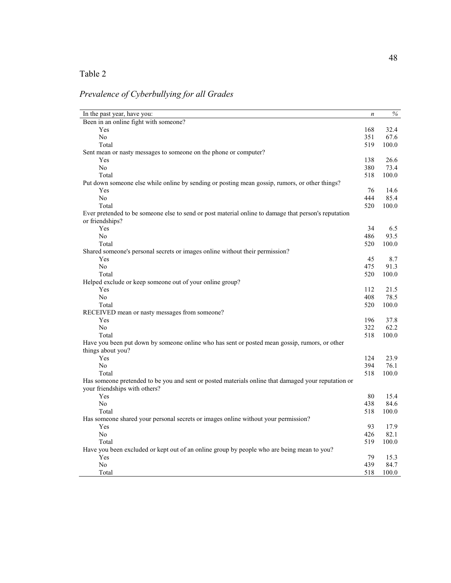# Table 2

# *Prevalence of Cyberbullying for all Grades*

| In the past year, have you:                                                                                        | $\boldsymbol{n}$ | $\%$  |
|--------------------------------------------------------------------------------------------------------------------|------------------|-------|
| Been in an online fight with someone?                                                                              |                  |       |
| Yes                                                                                                                | 168              | 32.4  |
| No                                                                                                                 | 351              | 67.6  |
| Total                                                                                                              | 519              | 100.0 |
| Sent mean or nasty messages to someone on the phone or computer?                                                   |                  |       |
| Yes                                                                                                                | 138              | 26.6  |
| N <sub>0</sub>                                                                                                     | 380              | 73.4  |
| Total                                                                                                              | 518              | 100.0 |
| Put down someone else while online by sending or posting mean gossip, rumors, or other things?                     |                  |       |
| Yes                                                                                                                | 76               | 14.6  |
| No                                                                                                                 | 444              | 85.4  |
| Total                                                                                                              | 520              | 100.0 |
| Ever pretended to be someone else to send or post material online to damage that person's reputation               |                  |       |
| or friendships?                                                                                                    |                  |       |
| Yes                                                                                                                | 34               | 6.5   |
| No                                                                                                                 | 486              | 93.5  |
| Total                                                                                                              | 520              | 100.0 |
| Shared someone's personal secrets or images online without their permission?                                       |                  |       |
| Yes                                                                                                                | 45               | 8.7   |
| N <sub>0</sub>                                                                                                     | 475              | 91.3  |
| Total                                                                                                              | 520              | 100.0 |
| Helped exclude or keep someone out of your online group?                                                           |                  |       |
| Yes                                                                                                                | 112              | 21.5  |
| No                                                                                                                 | 408              | 78.5  |
| Total                                                                                                              | 520              | 100.0 |
| RECEIVED mean or nasty messages from someone?                                                                      |                  |       |
| Yes                                                                                                                | 196              | 37.8  |
| No                                                                                                                 | 322              | 62.2  |
| Total                                                                                                              | 518              | 100.0 |
| Have you been put down by someone online who has sent or posted mean gossip, rumors, or other<br>things about you? |                  |       |
| Yes                                                                                                                | 124              | 23.9  |
| No                                                                                                                 | 394              | 76.1  |
| Total                                                                                                              | 518              | 100.0 |
| Has someone pretended to be you and sent or posted materials online that damaged your reputation or                |                  |       |
| your friendships with others?                                                                                      |                  |       |
| Yes                                                                                                                | 80               | 15.4  |
| N <sub>o</sub>                                                                                                     | 438              | 84.6  |
| Total                                                                                                              | 518              | 100.0 |
| Has someone shared your personal secrets or images online without your permission?                                 |                  |       |
| Yes                                                                                                                | 93               | 17.9  |
| No                                                                                                                 | 426              | 82.1  |
| Total                                                                                                              | 519              | 100.0 |
| Have you been excluded or kept out of an online group by people who are being mean to you?                         |                  |       |
| Yes                                                                                                                | 79               | 15.3  |
|                                                                                                                    | 439              |       |
| N <sub>0</sub>                                                                                                     |                  | 84.7  |
| Total                                                                                                              | 518              | 100.0 |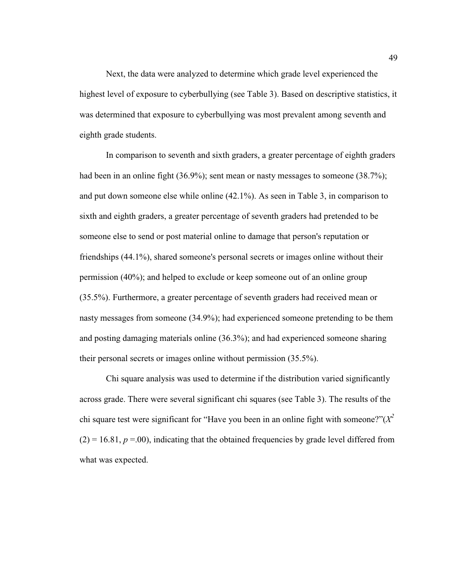Next, the data were analyzed to determine which grade level experienced the highest level of exposure to cyberbullying (see Table 3). Based on descriptive statistics, it was determined that exposure to cyberbullying was most prevalent among seventh and eighth grade students.

In comparison to seventh and sixth graders, a greater percentage of eighth graders had been in an online fight (36.9%); sent mean or nasty messages to someone (38.7%); and put down someone else while online (42.1%). As seen in Table 3, in comparison to sixth and eighth graders, a greater percentage of seventh graders had pretended to be someone else to send or post material online to damage that person's reputation or friendships (44.1%), shared someone's personal secrets or images online without their permission (40%); and helped to exclude or keep someone out of an online group (35.5%). Furthermore, a greater percentage of seventh graders had received mean or nasty messages from someone (34.9%); had experienced someone pretending to be them and posting damaging materials online (36.3%); and had experienced someone sharing their personal secrets or images online without permission (35.5%).

 Chi square analysis was used to determine if the distribution varied significantly across grade. There were several significant chi squares (see Table 3). The results of the chi square test were significant for "Have you been in an online fight with someone?"(*X 2*  $(2) = 16.81, p = 00$ , indicating that the obtained frequencies by grade level differed from what was expected.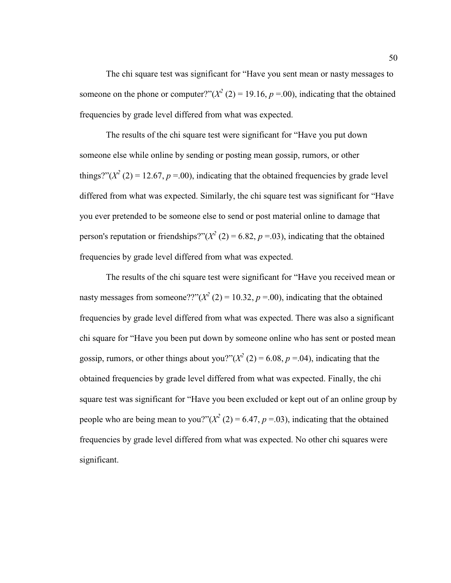The chi square test was significant for "Have you sent mean or nasty messages to someone on the phone or computer?" $(X^2(2) = 19.16, p = .00)$ , indicating that the obtained frequencies by grade level differed from what was expected.

 The results of the chi square test were significant for "Have you put down someone else while online by sending or posting mean gossip, rumors, or other things?" $(X^2 (2) = 12.67, p = .00)$ , indicating that the obtained frequencies by grade level differed from what was expected. Similarly, the chi square test was significant for "Have you ever pretended to be someone else to send or post material online to damage that person's reputation or friendships?" $(X^2(2) = 6.82, p = .03)$ , indicating that the obtained frequencies by grade level differed from what was expected.

 The results of the chi square test were significant for "Have you received mean or nasty messages from someone??" $(X^2(2) = 10.32, p = .00)$ , indicating that the obtained frequencies by grade level differed from what was expected. There was also a significant chi square for "Have you been put down by someone online who has sent or posted mean gossip, rumors, or other things about you?" $(X^2 (2) = 6.08, p = .04)$ , indicating that the obtained frequencies by grade level differed from what was expected. Finally, the chi square test was significant for "Have you been excluded or kept out of an online group by people who are being mean to you?" $(X^2(2) = 6.47, p = .03)$ , indicating that the obtained frequencies by grade level differed from what was expected. No other chi squares were significant.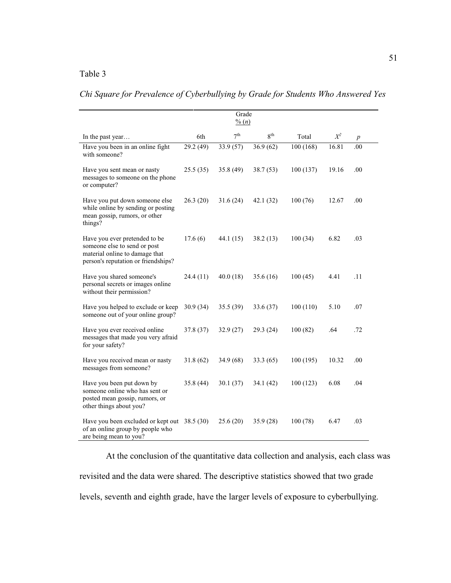# Table 3

| Chi Square for Prevalence of Cyberbullying by Grade for Students Who Answered Yes |  |
|-----------------------------------------------------------------------------------|--|
|-----------------------------------------------------------------------------------|--|

|                                                                                                                                        | Grade<br>$\frac{0}{0}$ (n) |                 |                 |          |       |                  |
|----------------------------------------------------------------------------------------------------------------------------------------|----------------------------|-----------------|-----------------|----------|-------|------------------|
| In the past year                                                                                                                       | 6th                        | 7 <sup>th</sup> | 8 <sup>th</sup> | Total    | $X^2$ | $\boldsymbol{p}$ |
| Have you been in an online fight<br>with someone?                                                                                      | 29.2 (49)                  | 33.9(57)        | 36.9(62)        | 100(168) | 16.81 | .00              |
| Have you sent mean or nasty<br>messages to someone on the phone<br>or computer?                                                        | 25.5(35)                   | 35.8(49)        | 38.7(53)        | 100(137) | 19.16 | .00              |
| Have you put down someone else<br>while online by sending or posting<br>mean gossip, rumors, or other<br>things?                       | 26.3(20)                   | 31.6(24)        | 42.1(32)        | 100(76)  | 12.67 | .00              |
| Have you ever pretended to be<br>someone else to send or post<br>material online to damage that<br>person's reputation or friendships? | 17.6(6)                    | 44.1 (15)       | 38.2(13)        | 100(34)  | 6.82  | .03              |
| Have you shared someone's<br>personal secrets or images online<br>without their permission?                                            | 24.4 (11)                  | 40.0(18)        | 35.6(16)        | 100(45)  | 4.41  | .11              |
| Have you helped to exclude or keep<br>someone out of your online group?                                                                | 30.9(34)                   | 35.5(39)        | 33.6 (37)       | 100(110) | 5.10  | .07              |
| Have you ever received online<br>messages that made you very afraid<br>for your safety?                                                | 37.8 (37)                  | 32.9(27)        | 29.3(24)        | 100(82)  | .64   | .72              |
| Have you received mean or nasty<br>messages from someone?                                                                              | 31.8(62)                   | 34.9 (68)       | 33.3(65)        | 100(195) | 10.32 | .00              |
| Have you been put down by<br>someone online who has sent or<br>posted mean gossip, rumors, or<br>other things about you?               | 35.8(44)                   | 30.1(37)        | 34.1(42)        | 100(123) | 6.08  | .04              |
| Have you been excluded or kept out 38.5 (30)<br>of an online group by people who<br>are being mean to you?                             |                            | 25.6(20)        | 35.9(28)        | 100(78)  | 6.47  | .03              |

At the conclusion of the quantitative data collection and analysis, each class was revisited and the data were shared. The descriptive statistics showed that two grade levels, seventh and eighth grade, have the larger levels of exposure to cyberbullying.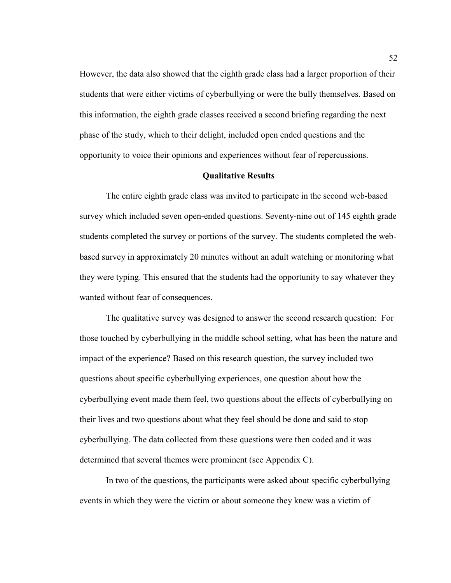However, the data also showed that the eighth grade class had a larger proportion of their students that were either victims of cyberbullying or were the bully themselves. Based on this information, the eighth grade classes received a second briefing regarding the next phase of the study, which to their delight, included open ended questions and the opportunity to voice their opinions and experiences without fear of repercussions.

# **Qualitative Results**

The entire eighth grade class was invited to participate in the second web-based survey which included seven open-ended questions. Seventy-nine out of 145 eighth grade students completed the survey or portions of the survey. The students completed the webbased survey in approximately 20 minutes without an adult watching or monitoring what they were typing. This ensured that the students had the opportunity to say whatever they wanted without fear of consequences.

The qualitative survey was designed to answer the second research question: For those touched by cyberbullying in the middle school setting, what has been the nature and impact of the experience? Based on this research question, the survey included two questions about specific cyberbullying experiences, one question about how the cyberbullying event made them feel, two questions about the effects of cyberbullying on their lives and two questions about what they feel should be done and said to stop cyberbullying. The data collected from these questions were then coded and it was determined that several themes were prominent (see Appendix C).

In two of the questions, the participants were asked about specific cyberbullying events in which they were the victim or about someone they knew was a victim of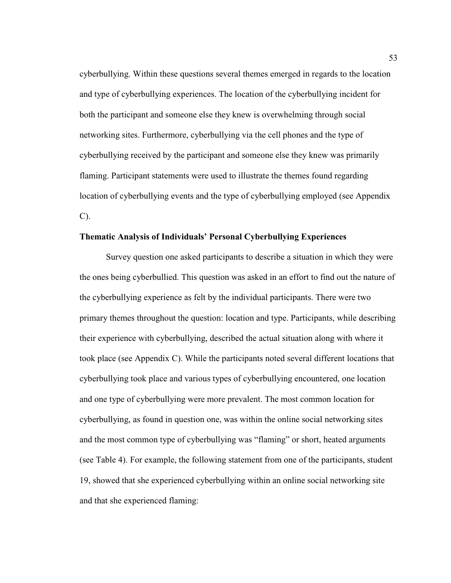cyberbullying. Within these questions several themes emerged in regards to the location and type of cyberbullying experiences. The location of the cyberbullying incident for both the participant and someone else they knew is overwhelming through social networking sites. Furthermore, cyberbullying via the cell phones and the type of cyberbullying received by the participant and someone else they knew was primarily flaming. Participant statements were used to illustrate the themes found regarding location of cyberbullying events and the type of cyberbullying employed (see Appendix C).

# **Thematic Analysis of Individuals' Personal Cyberbullying Experiences**

 Survey question one asked participants to describe a situation in which they were the ones being cyberbullied. This question was asked in an effort to find out the nature of the cyberbullying experience as felt by the individual participants. There were two primary themes throughout the question: location and type. Participants, while describing their experience with cyberbullying, described the actual situation along with where it took place (see Appendix C). While the participants noted several different locations that cyberbullying took place and various types of cyberbullying encountered, one location and one type of cyberbullying were more prevalent. The most common location for cyberbullying, as found in question one, was within the online social networking sites and the most common type of cyberbullying was "flaming" or short, heated arguments (see Table 4). For example, the following statement from one of the participants, student 19, showed that she experienced cyberbullying within an online social networking site and that she experienced flaming: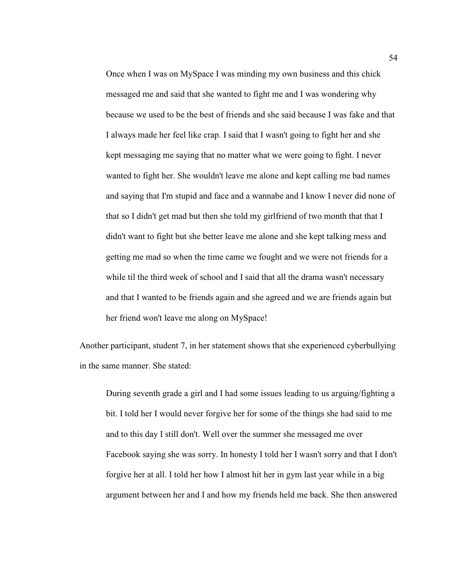Once when I was on MySpace I was minding my own business and this chick messaged me and said that she wanted to fight me and I was wondering why because we used to be the best of friends and she said because I was fake and that I always made her feel like crap. I said that I wasn't going to fight her and she kept messaging me saying that no matter what we were going to fight. I never wanted to fight her. She wouldn't leave me alone and kept calling me bad names and saying that I'm stupid and face and a wannabe and I know I never did none of that so I didn't get mad but then she told my girlfriend of two month that that I didn't want to fight but she better leave me alone and she kept talking mess and getting me mad so when the time came we fought and we were not friends for a while til the third week of school and I said that all the drama wasn't necessary and that I wanted to be friends again and she agreed and we are friends again but her friend won't leave me along on MySpace!

Another participant, student 7, in her statement shows that she experienced cyberbullying in the same manner. She stated:

During seventh grade a girl and I had some issues leading to us arguing/fighting a bit. I told her I would never forgive her for some of the things she had said to me and to this day I still don't. Well over the summer she messaged me over Facebook saying she was sorry. In honesty I told her I wasn't sorry and that I don't forgive her at all. I told her how I almost hit her in gym last year while in a big argument between her and I and how my friends held me back. She then answered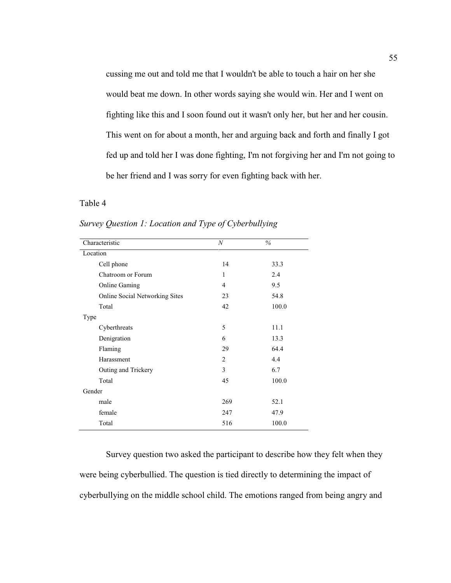cussing me out and told me that I wouldn't be able to touch a hair on her she would beat me down. In other words saying she would win. Her and I went on fighting like this and I soon found out it wasn't only her, but her and her cousin. This went on for about a month, her and arguing back and forth and finally I got fed up and told her I was done fighting, I'm not forgiving her and I'm not going to be her friend and I was sorry for even fighting back with her.

# Table 4

| Characteristic                        | N   | $\%$  |
|---------------------------------------|-----|-------|
| Location                              |     |       |
| Cell phone                            | 14  | 33.3  |
| Chatroom or Forum                     | 1   | 2.4   |
| <b>Online Gaming</b>                  | 4   | 9.5   |
| <b>Online Social Networking Sites</b> | 23  | 54.8  |
| Total                                 | 42  | 100.0 |
| Type                                  |     |       |
| Cyberthreats                          | 5   | 11.1  |
| Denigration                           | 6   | 13.3  |
| Flaming                               | 29  | 64.4  |
| Harassment                            | 2   | 4.4   |
| Outing and Trickery                   | 3   | 6.7   |
| Total                                 | 45  | 100.0 |
| Gender                                |     |       |
| male                                  | 269 | 52.1  |
| female                                | 247 | 47.9  |
| Total                                 | 516 | 100.0 |

*Survey Question 1: Location and Type of Cyberbullying*

 Survey question two asked the participant to describe how they felt when they were being cyberbullied. The question is tied directly to determining the impact of cyberbullying on the middle school child. The emotions ranged from being angry and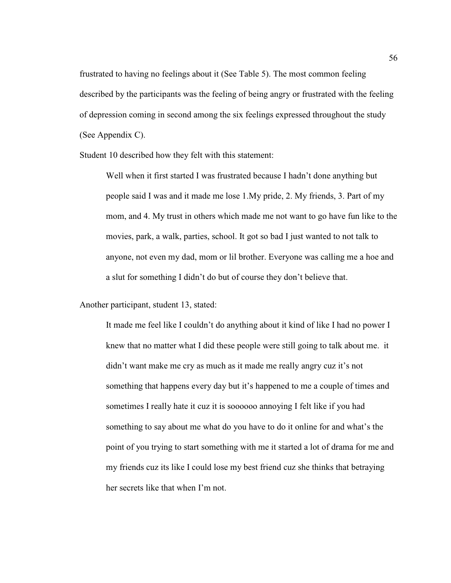frustrated to having no feelings about it (See Table 5). The most common feeling described by the participants was the feeling of being angry or frustrated with the feeling of depression coming in second among the six feelings expressed throughout the study (See Appendix C).

Student 10 described how they felt with this statement:

Well when it first started I was frustrated because I hadn't done anything but people said I was and it made me lose 1.My pride, 2. My friends, 3. Part of my mom, and 4. My trust in others which made me not want to go have fun like to the movies, park, a walk, parties, school. It got so bad I just wanted to not talk to anyone, not even my dad, mom or lil brother. Everyone was calling me a hoe and a slut for something I didn't do but of course they don't believe that.

Another participant, student 13, stated:

It made me feel like I couldn't do anything about it kind of like I had no power I knew that no matter what I did these people were still going to talk about me. it didn't want make me cry as much as it made me really angry cuz it's not something that happens every day but it's happened to me a couple of times and sometimes I really hate it cuz it is soooooo annoying I felt like if you had something to say about me what do you have to do it online for and what's the point of you trying to start something with me it started a lot of drama for me and my friends cuz its like I could lose my best friend cuz she thinks that betraying her secrets like that when I'm not.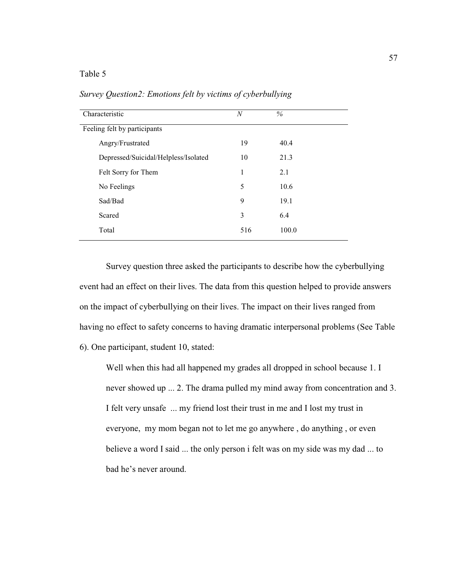# Table 5

| Characteristic               |                                      | N   | $\%$  |  |
|------------------------------|--------------------------------------|-----|-------|--|
| Feeling felt by participants |                                      |     |       |  |
| Angry/Frustrated             |                                      | 19  | 40.4  |  |
|                              | Depressed/Suicidal/Helpless/Isolated | 10  | 21.3  |  |
| Felt Sorry for Them          |                                      | 1   | 2.1   |  |
| No Feelings                  |                                      | 5   | 10.6  |  |
| Sad/Bad                      |                                      | 9   | 19.1  |  |
| Scared                       |                                      | 3   | 6.4   |  |
| Total                        |                                      | 516 | 100.0 |  |
|                              |                                      |     |       |  |

*Survey Question2: Emotions felt by victims of cyberbullying*

Survey question three asked the participants to describe how the cyberbullying event had an effect on their lives. The data from this question helped to provide answers on the impact of cyberbullying on their lives. The impact on their lives ranged from having no effect to safety concerns to having dramatic interpersonal problems (See Table 6). One participant, student 10, stated:

Well when this had all happened my grades all dropped in school because 1. I never showed up ... 2. The drama pulled my mind away from concentration and 3. I felt very unsafe ... my friend lost their trust in me and I lost my trust in everyone, my mom began not to let me go anywhere , do anything , or even believe a word I said ... the only person i felt was on my side was my dad ... to bad he's never around.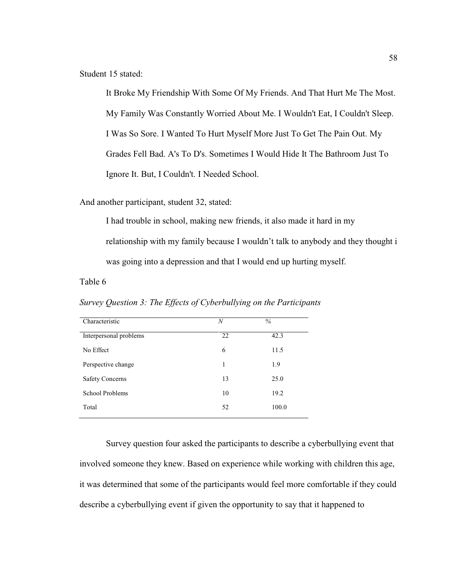Student 15 stated:

It Broke My Friendship With Some Of My Friends. And That Hurt Me The Most. My Family Was Constantly Worried About Me. I Wouldn't Eat, I Couldn't Sleep. I Was So Sore. I Wanted To Hurt Myself More Just To Get The Pain Out. My Grades Fell Bad. A's To D's. Sometimes I Would Hide It The Bathroom Just To Ignore It. But, I Couldn't. I Needed School.

And another participant, student 32, stated:

I had trouble in school, making new friends, it also made it hard in my relationship with my family because I wouldn't talk to anybody and they thought i was going into a depression and that I would end up hurting myself.

Table 6

*Survey Question 3: The Effects of Cyberbullying on the Participants*

| Characteristic         | $\boldsymbol{N}$ | $\%$  |
|------------------------|------------------|-------|
| Interpersonal problems | 22               | 42.3  |
| No Effect              | 6                | 11.5  |
| Perspective change     | 1                | 1.9   |
| <b>Safety Concerns</b> | 13               | 25.0  |
| School Problems        | 10               | 19.2  |
| Total                  | 52               | 100.0 |
|                        |                  |       |

 Survey question four asked the participants to describe a cyberbullying event that involved someone they knew. Based on experience while working with children this age, it was determined that some of the participants would feel more comfortable if they could describe a cyberbullying event if given the opportunity to say that it happened to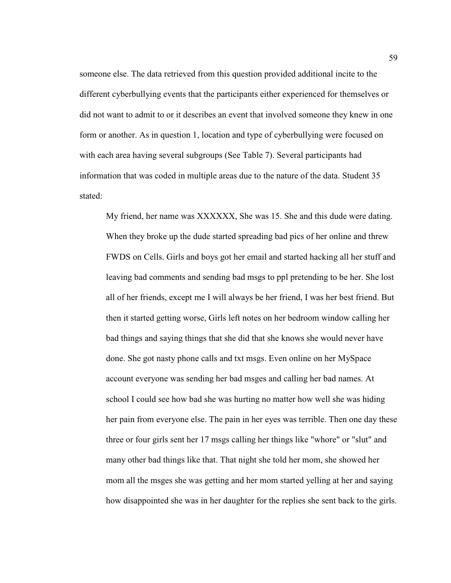someone else. The data retrieved from this question provided additional incite to the different cyberbullying events that the participants either experienced for themselves or did not want to admit to or it describes an event that involved someone they knew in one form or another. As in question 1, location and type of cyberbullying were focused on with each area having several subgroups (See Table 7). Several participants had information that was coded in multiple areas due to the nature of the data. Student 35 stated:

My friend, her name was XXXXXX, She was 15. She and this dude were dating. When they broke up the dude started spreading bad pics of her online and threw FWDS on Cells. Girls and boys got her email and started hacking all her stuff and leaving bad comments and sending bad msgs to ppl pretending to be her. She lost all of her friends, except me I will always be her friend, I was her best friend. But then it started getting worse, Girls left notes on her bedroom window calling her bad things and saying things that she did that she knows she would never have done. She got nasty phone calls and txt msgs. Even online on her MySpace account everyone was sending her bad msges and calling her bad names. At school I could see how bad she was hurting no matter how well she was hiding her pain from everyone else. The pain in her eyes was terrible. Then one day these three or four girls sent her 17 msgs calling her things like "whore" or "slut" and many other bad things like that. That night she told her mom, she showed her mom all the msges she was getting and her mom started yelling at her and saying how disappointed she was in her daughter for the replies she sent back to the girls.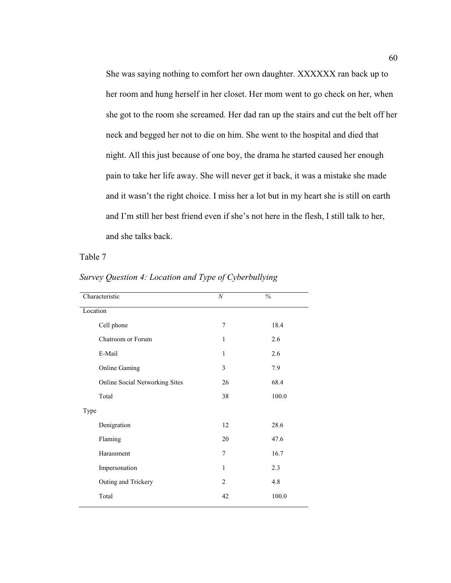She was saying nothing to comfort her own daughter. XXXXXX ran back up to her room and hung herself in her closet. Her mom went to go check on her, when she got to the room she screamed. Her dad ran up the stairs and cut the belt off her neck and begged her not to die on him. She went to the hospital and died that night. All this just because of one boy, the drama he started caused her enough pain to take her life away. She will never get it back, it was a mistake she made and it wasn't the right choice. I miss her a lot but in my heart she is still on earth and I'm still her best friend even if she's not here in the flesh, I still talk to her, and she talks back.

Table 7

| $\boldsymbol{N}$ | $\frac{0}{0}$ |
|------------------|---------------|
|                  |               |
| 7                | 18.4          |
| 1                | 2.6           |
| $\mathbf{1}$     | 2.6           |
| 3                | 7.9           |
| 26               | 68.4          |
| 38               | 100.0         |
|                  |               |
| 12               | 28.6          |
| 20               | 47.6          |
| 7                | 16.7          |
| $\mathbf{1}$     | 2.3           |
| $\overline{2}$   | 4.8           |
| 42               | 100.0         |
|                  |               |

*Survey Question 4: Location and Type of Cyberbullying*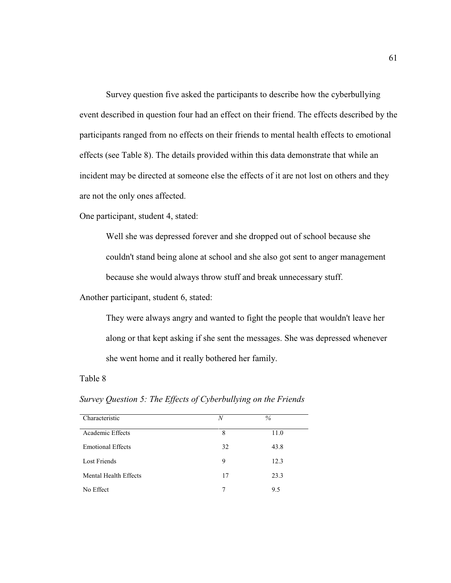Survey question five asked the participants to describe how the cyberbullying event described in question four had an effect on their friend. The effects described by the participants ranged from no effects on their friends to mental health effects to emotional effects (see Table 8). The details provided within this data demonstrate that while an incident may be directed at someone else the effects of it are not lost on others and they are not the only ones affected.

One participant, student 4, stated:

Well she was depressed forever and she dropped out of school because she couldn't stand being alone at school and she also got sent to anger management because she would always throw stuff and break unnecessary stuff.

Another participant, student 6, stated:

They were always angry and wanted to fight the people that wouldn't leave her along or that kept asking if she sent the messages. She was depressed whenever she went home and it really bothered her family.

### Table 8

Characteristic *N* % Academic Effects 8 11.0 Emotional Effects 32 43.8 Lost Friends 9 12.3 Mental Health Effects 17 23.3 No Effect 2008 7 9.5

*Survey Question 5: The Effects of Cyberbullying on the Friends*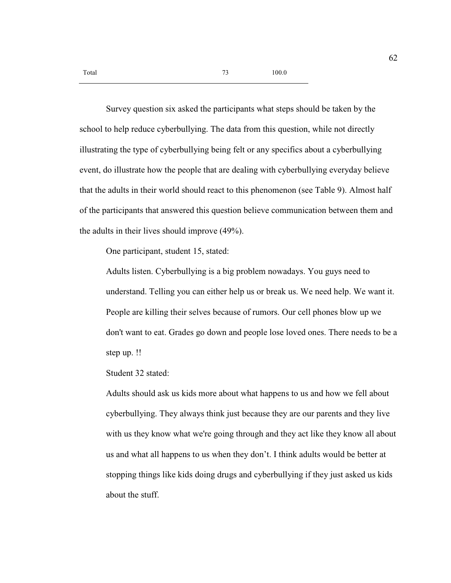Survey question six asked the participants what steps should be taken by the school to help reduce cyberbullying. The data from this question, while not directly illustrating the type of cyberbullying being felt or any specifics about a cyberbullying event, do illustrate how the people that are dealing with cyberbullying everyday believe that the adults in their world should react to this phenomenon (see Table 9). Almost half of the participants that answered this question believe communication between them and the adults in their lives should improve (49%).

One participant, student 15, stated:

Adults listen. Cyberbullying is a big problem nowadays. You guys need to understand. Telling you can either help us or break us. We need help. We want it. People are killing their selves because of rumors. Our cell phones blow up we don't want to eat. Grades go down and people lose loved ones. There needs to be a step up. !!

Student 32 stated:

Adults should ask us kids more about what happens to us and how we fell about cyberbullying. They always think just because they are our parents and they live with us they know what we're going through and they act like they know all about us and what all happens to us when they don't. I think adults would be better at stopping things like kids doing drugs and cyberbullying if they just asked us kids about the stuff.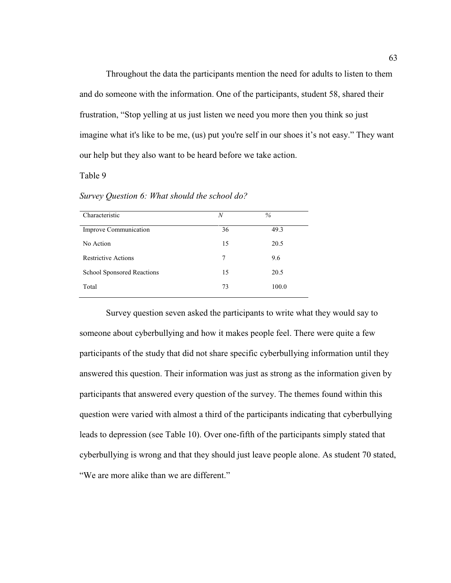Throughout the data the participants mention the need for adults to listen to them and do someone with the information. One of the participants, student 58, shared their frustration, "Stop yelling at us just listen we need you more then you think so just imagine what it's like to be me, (us) put you're self in our shoes it's not easy." They want our help but they also want to be heard before we take action.

## Table 9

*Survey Question 6: What should the school do?* 

| Characteristic             | N  | $\%$  |
|----------------------------|----|-------|
| Improve Communication      | 36 | 49.3  |
| No Action                  | 15 | 20.5  |
| <b>Restrictive Actions</b> | 7  | 9.6   |
| School Sponsored Reactions | 15 | 20.5  |
| Total                      | 73 | 100.0 |

 Survey question seven asked the participants to write what they would say to someone about cyberbullying and how it makes people feel. There were quite a few participants of the study that did not share specific cyberbullying information until they answered this question. Their information was just as strong as the information given by participants that answered every question of the survey. The themes found within this question were varied with almost a third of the participants indicating that cyberbullying leads to depression (see Table 10). Over one-fifth of the participants simply stated that cyberbullying is wrong and that they should just leave people alone. As student 70 stated, "We are more alike than we are different."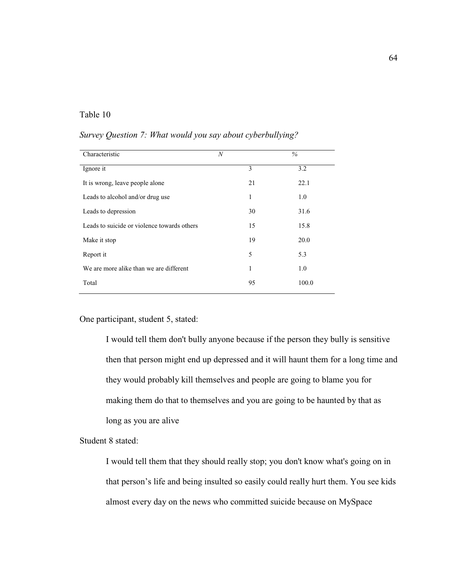# Table 10

| Characteristic                              | $\boldsymbol{N}$ | $\%$  |
|---------------------------------------------|------------------|-------|
| Ignore it                                   | 3                | 3.2   |
| It is wrong, leave people alone             | 21               | 22.1  |
| Leads to alcohol and/or drug use            | 1                | 1.0   |
| Leads to depression                         | 30               | 31.6  |
| Leads to suicide or violence towards others | 15               | 15.8  |
| Make it stop                                | 19               | 20.0  |
| Report it                                   | 5                | 5.3   |
| We are more alike than we are different     | 1                | 1.0   |
| Total                                       | 95               | 100.0 |

*Survey Question 7: What would you say about cyberbullying?* 

One participant, student 5, stated:

I would tell them don't bully anyone because if the person they bully is sensitive then that person might end up depressed and it will haunt them for a long time and they would probably kill themselves and people are going to blame you for making them do that to themselves and you are going to be haunted by that as long as you are alive

Student 8 stated:

I would tell them that they should really stop; you don't know what's going on in that person's life and being insulted so easily could really hurt them. You see kids almost every day on the news who committed suicide because on MySpace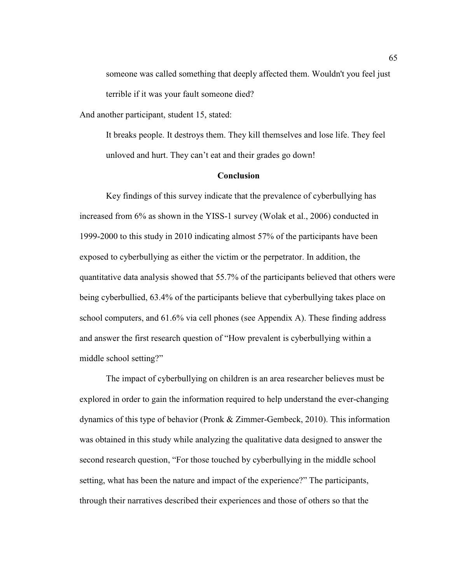someone was called something that deeply affected them. Wouldn't you feel just terrible if it was your fault someone died?

And another participant, student 15, stated:

It breaks people. It destroys them. They kill themselves and lose life. They feel unloved and hurt. They can't eat and their grades go down!

# **Conclusion**

Key findings of this survey indicate that the prevalence of cyberbullying has increased from 6% as shown in the YISS-1 survey (Wolak et al., 2006) conducted in 1999-2000 to this study in 2010 indicating almost 57% of the participants have been exposed to cyberbullying as either the victim or the perpetrator. In addition, the quantitative data analysis showed that 55.7% of the participants believed that others were being cyberbullied, 63.4% of the participants believe that cyberbullying takes place on school computers, and 61.6% via cell phones (see Appendix A). These finding address and answer the first research question of "How prevalent is cyberbullying within a middle school setting?"

 The impact of cyberbullying on children is an area researcher believes must be explored in order to gain the information required to help understand the ever-changing dynamics of this type of behavior (Pronk & Zimmer-Gembeck, 2010). This information was obtained in this study while analyzing the qualitative data designed to answer the second research question, "For those touched by cyberbullying in the middle school setting, what has been the nature and impact of the experience?" The participants, through their narratives described their experiences and those of others so that the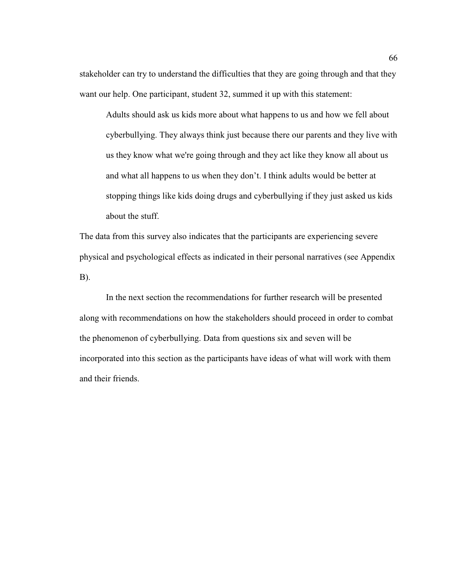stakeholder can try to understand the difficulties that they are going through and that they want our help. One participant, student 32, summed it up with this statement:

Adults should ask us kids more about what happens to us and how we fell about cyberbullying. They always think just because there our parents and they live with us they know what we're going through and they act like they know all about us and what all happens to us when they don't. I think adults would be better at stopping things like kids doing drugs and cyberbullying if they just asked us kids about the stuff.

The data from this survey also indicates that the participants are experiencing severe physical and psychological effects as indicated in their personal narratives (see Appendix B).

In the next section the recommendations for further research will be presented along with recommendations on how the stakeholders should proceed in order to combat the phenomenon of cyberbullying. Data from questions six and seven will be incorporated into this section as the participants have ideas of what will work with them and their friends.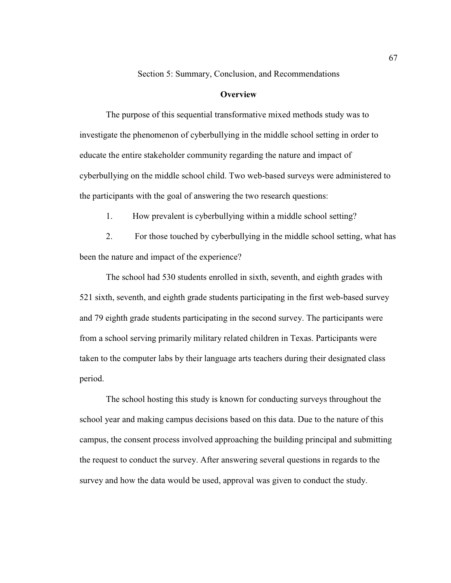Section 5: Summary, Conclusion, and Recommendations

### **Overview**

 The purpose of this sequential transformative mixed methods study was to investigate the phenomenon of cyberbullying in the middle school setting in order to educate the entire stakeholder community regarding the nature and impact of cyberbullying on the middle school child. Two web-based surveys were administered to the participants with the goal of answering the two research questions:

1. How prevalent is cyberbullying within a middle school setting?

2. For those touched by cyberbullying in the middle school setting, what has been the nature and impact of the experience?

 The school had 530 students enrolled in sixth, seventh, and eighth grades with 521 sixth, seventh, and eighth grade students participating in the first web-based survey and 79 eighth grade students participating in the second survey. The participants were from a school serving primarily military related children in Texas. Participants were taken to the computer labs by their language arts teachers during their designated class period.

 The school hosting this study is known for conducting surveys throughout the school year and making campus decisions based on this data. Due to the nature of this campus, the consent process involved approaching the building principal and submitting the request to conduct the survey. After answering several questions in regards to the survey and how the data would be used, approval was given to conduct the study.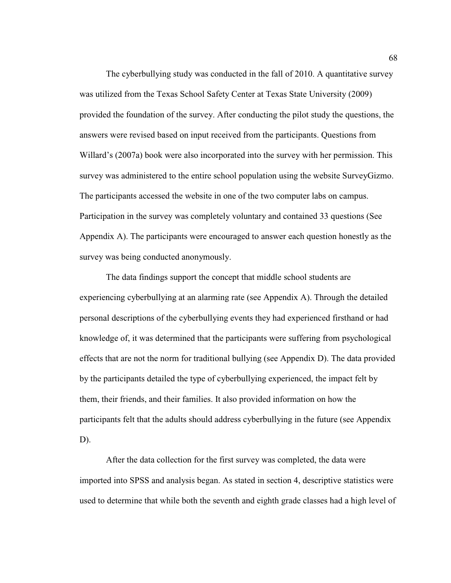The cyberbullying study was conducted in the fall of 2010. A quantitative survey was utilized from the Texas School Safety Center at Texas State University (2009) provided the foundation of the survey. After conducting the pilot study the questions, the answers were revised based on input received from the participants. Questions from Willard's (2007a) book were also incorporated into the survey with her permission. This survey was administered to the entire school population using the website SurveyGizmo. The participants accessed the website in one of the two computer labs on campus. Participation in the survey was completely voluntary and contained 33 questions (See Appendix A). The participants were encouraged to answer each question honestly as the survey was being conducted anonymously.

The data findings support the concept that middle school students are experiencing cyberbullying at an alarming rate (see Appendix A). Through the detailed personal descriptions of the cyberbullying events they had experienced firsthand or had knowledge of, it was determined that the participants were suffering from psychological effects that are not the norm for traditional bullying (see Appendix D). The data provided by the participants detailed the type of cyberbullying experienced, the impact felt by them, their friends, and their families. It also provided information on how the participants felt that the adults should address cyberbullying in the future (see Appendix D).

 After the data collection for the first survey was completed, the data were imported into SPSS and analysis began. As stated in section 4, descriptive statistics were used to determine that while both the seventh and eighth grade classes had a high level of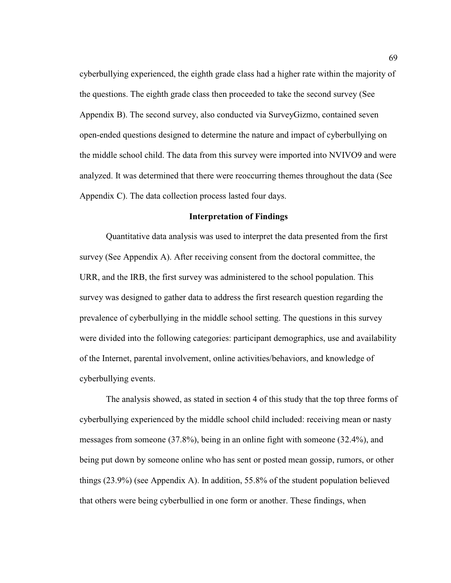cyberbullying experienced, the eighth grade class had a higher rate within the majority of the questions. The eighth grade class then proceeded to take the second survey (See Appendix B). The second survey, also conducted via SurveyGizmo, contained seven open-ended questions designed to determine the nature and impact of cyberbullying on the middle school child. The data from this survey were imported into NVIVO9 and were analyzed. It was determined that there were reoccurring themes throughout the data (See Appendix C). The data collection process lasted four days.

# **Interpretation of Findings**

 Quantitative data analysis was used to interpret the data presented from the first survey (See Appendix A). After receiving consent from the doctoral committee, the URR, and the IRB, the first survey was administered to the school population. This survey was designed to gather data to address the first research question regarding the prevalence of cyberbullying in the middle school setting. The questions in this survey were divided into the following categories: participant demographics, use and availability of the Internet, parental involvement, online activities/behaviors, and knowledge of cyberbullying events.

The analysis showed, as stated in section 4 of this study that the top three forms of cyberbullying experienced by the middle school child included: receiving mean or nasty messages from someone (37.8%), being in an online fight with someone (32.4%), and being put down by someone online who has sent or posted mean gossip, rumors, or other things (23.9%) (see Appendix A). In addition, 55.8% of the student population believed that others were being cyberbullied in one form or another. These findings, when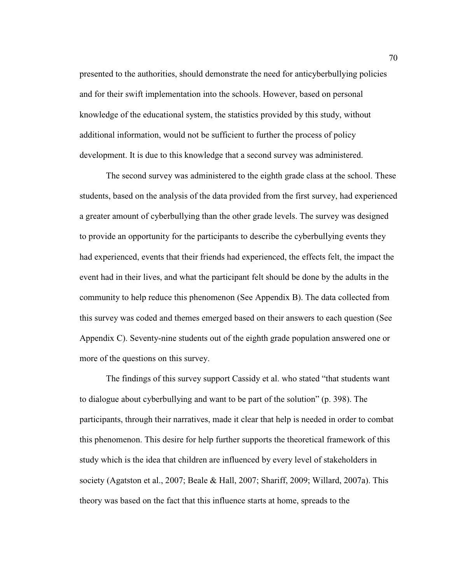presented to the authorities, should demonstrate the need for anticyberbullying policies and for their swift implementation into the schools. However, based on personal knowledge of the educational system, the statistics provided by this study, without additional information, would not be sufficient to further the process of policy development. It is due to this knowledge that a second survey was administered.

The second survey was administered to the eighth grade class at the school. These students, based on the analysis of the data provided from the first survey, had experienced a greater amount of cyberbullying than the other grade levels. The survey was designed to provide an opportunity for the participants to describe the cyberbullying events they had experienced, events that their friends had experienced, the effects felt, the impact the event had in their lives, and what the participant felt should be done by the adults in the community to help reduce this phenomenon (See Appendix B). The data collected from this survey was coded and themes emerged based on their answers to each question (See Appendix C). Seventy-nine students out of the eighth grade population answered one or more of the questions on this survey.

The findings of this survey support Cassidy et al. who stated "that students want to dialogue about cyberbullying and want to be part of the solution" (p. 398). The participants, through their narratives, made it clear that help is needed in order to combat this phenomenon. This desire for help further supports the theoretical framework of this study which is the idea that children are influenced by every level of stakeholders in society (Agatston et al., 2007; Beale & Hall, 2007; Shariff, 2009; Willard, 2007a). This theory was based on the fact that this influence starts at home, spreads to the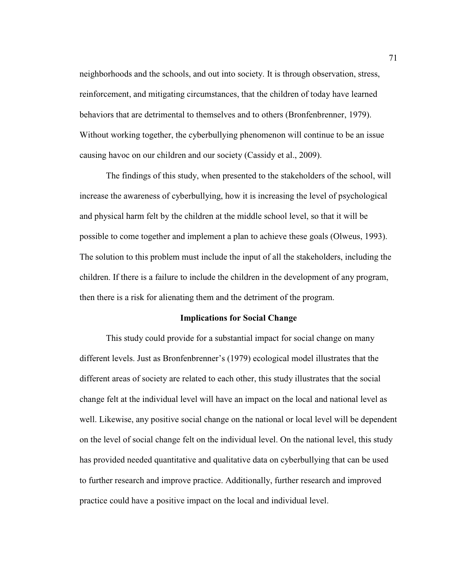neighborhoods and the schools, and out into society. It is through observation, stress, reinforcement, and mitigating circumstances, that the children of today have learned behaviors that are detrimental to themselves and to others (Bronfenbrenner, 1979). Without working together, the cyberbullying phenomenon will continue to be an issue causing havoc on our children and our society (Cassidy et al., 2009).

The findings of this study, when presented to the stakeholders of the school, will increase the awareness of cyberbullying, how it is increasing the level of psychological and physical harm felt by the children at the middle school level, so that it will be possible to come together and implement a plan to achieve these goals (Olweus, 1993). The solution to this problem must include the input of all the stakeholders, including the children. If there is a failure to include the children in the development of any program, then there is a risk for alienating them and the detriment of the program.

## **Implications for Social Change**

This study could provide for a substantial impact for social change on many different levels. Just as Bronfenbrenner's (1979) ecological model illustrates that the different areas of society are related to each other, this study illustrates that the social change felt at the individual level will have an impact on the local and national level as well. Likewise, any positive social change on the national or local level will be dependent on the level of social change felt on the individual level. On the national level, this study has provided needed quantitative and qualitative data on cyberbullying that can be used to further research and improve practice. Additionally, further research and improved practice could have a positive impact on the local and individual level.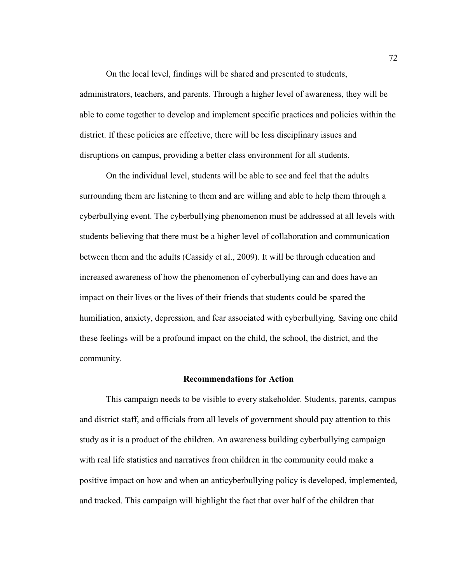On the local level, findings will be shared and presented to students, administrators, teachers, and parents. Through a higher level of awareness, they will be able to come together to develop and implement specific practices and policies within the district. If these policies are effective, there will be less disciplinary issues and disruptions on campus, providing a better class environment for all students.

On the individual level, students will be able to see and feel that the adults surrounding them are listening to them and are willing and able to help them through a cyberbullying event. The cyberbullying phenomenon must be addressed at all levels with students believing that there must be a higher level of collaboration and communication between them and the adults (Cassidy et al., 2009). It will be through education and increased awareness of how the phenomenon of cyberbullying can and does have an impact on their lives or the lives of their friends that students could be spared the humiliation, anxiety, depression, and fear associated with cyberbullying. Saving one child these feelings will be a profound impact on the child, the school, the district, and the community.

#### **Recommendations for Action**

This campaign needs to be visible to every stakeholder. Students, parents, campus and district staff, and officials from all levels of government should pay attention to this study as it is a product of the children. An awareness building cyberbullying campaign with real life statistics and narratives from children in the community could make a positive impact on how and when an anticyberbullying policy is developed, implemented, and tracked. This campaign will highlight the fact that over half of the children that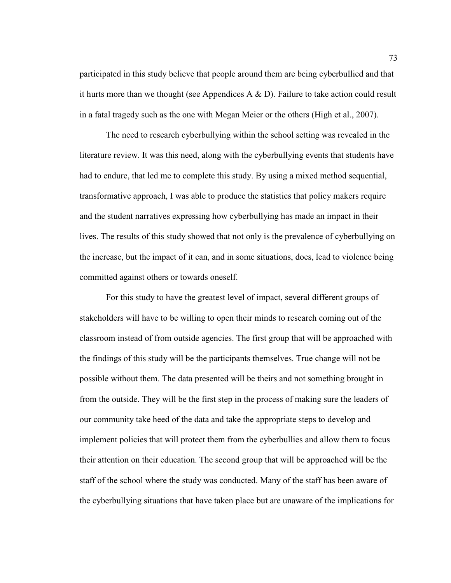participated in this study believe that people around them are being cyberbullied and that it hurts more than we thought (see Appendices A  $\&$  D). Failure to take action could result in a fatal tragedy such as the one with Megan Meier or the others (High et al., 2007).

The need to research cyberbullying within the school setting was revealed in the literature review. It was this need, along with the cyberbullying events that students have had to endure, that led me to complete this study. By using a mixed method sequential, transformative approach, I was able to produce the statistics that policy makers require and the student narratives expressing how cyberbullying has made an impact in their lives. The results of this study showed that not only is the prevalence of cyberbullying on the increase, but the impact of it can, and in some situations, does, lead to violence being committed against others or towards oneself.

 For this study to have the greatest level of impact, several different groups of stakeholders will have to be willing to open their minds to research coming out of the classroom instead of from outside agencies. The first group that will be approached with the findings of this study will be the participants themselves. True change will not be possible without them. The data presented will be theirs and not something brought in from the outside. They will be the first step in the process of making sure the leaders of our community take heed of the data and take the appropriate steps to develop and implement policies that will protect them from the cyberbullies and allow them to focus their attention on their education. The second group that will be approached will be the staff of the school where the study was conducted. Many of the staff has been aware of the cyberbullying situations that have taken place but are unaware of the implications for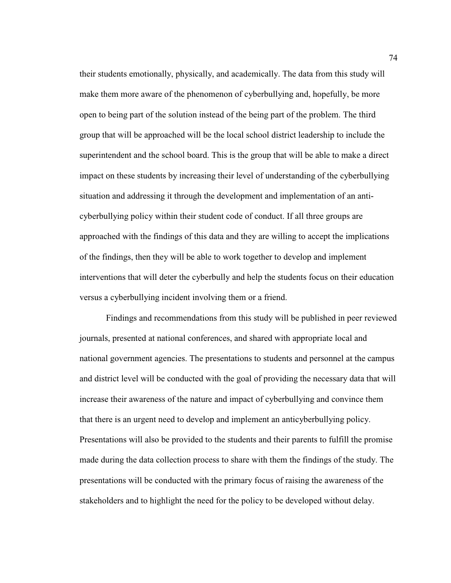their students emotionally, physically, and academically. The data from this study will make them more aware of the phenomenon of cyberbullying and, hopefully, be more open to being part of the solution instead of the being part of the problem. The third group that will be approached will be the local school district leadership to include the superintendent and the school board. This is the group that will be able to make a direct impact on these students by increasing their level of understanding of the cyberbullying situation and addressing it through the development and implementation of an anticyberbullying policy within their student code of conduct. If all three groups are approached with the findings of this data and they are willing to accept the implications of the findings, then they will be able to work together to develop and implement interventions that will deter the cyberbully and help the students focus on their education versus a cyberbullying incident involving them or a friend.

Findings and recommendations from this study will be published in peer reviewed journals, presented at national conferences, and shared with appropriate local and national government agencies. The presentations to students and personnel at the campus and district level will be conducted with the goal of providing the necessary data that will increase their awareness of the nature and impact of cyberbullying and convince them that there is an urgent need to develop and implement an anticyberbullying policy. Presentations will also be provided to the students and their parents to fulfill the promise made during the data collection process to share with them the findings of the study. The presentations will be conducted with the primary focus of raising the awareness of the stakeholders and to highlight the need for the policy to be developed without delay.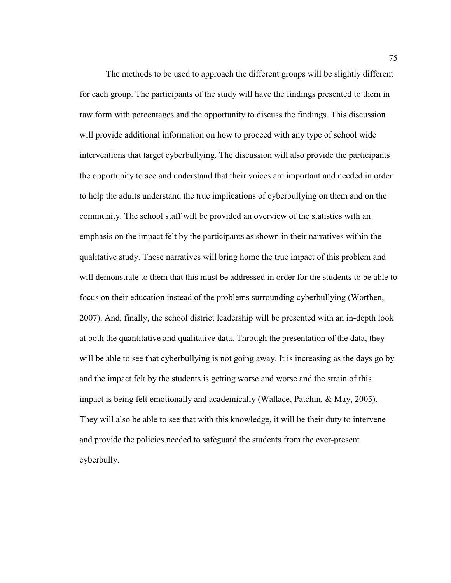The methods to be used to approach the different groups will be slightly different for each group. The participants of the study will have the findings presented to them in raw form with percentages and the opportunity to discuss the findings. This discussion will provide additional information on how to proceed with any type of school wide interventions that target cyberbullying. The discussion will also provide the participants the opportunity to see and understand that their voices are important and needed in order to help the adults understand the true implications of cyberbullying on them and on the community. The school staff will be provided an overview of the statistics with an emphasis on the impact felt by the participants as shown in their narratives within the qualitative study. These narratives will bring home the true impact of this problem and will demonstrate to them that this must be addressed in order for the students to be able to focus on their education instead of the problems surrounding cyberbullying (Worthen, 2007). And, finally, the school district leadership will be presented with an in-depth look at both the quantitative and qualitative data. Through the presentation of the data, they will be able to see that cyberbullying is not going away. It is increasing as the days go by and the impact felt by the students is getting worse and worse and the strain of this impact is being felt emotionally and academically (Wallace, Patchin, & May, 2005). They will also be able to see that with this knowledge, it will be their duty to intervene and provide the policies needed to safeguard the students from the ever-present cyberbully.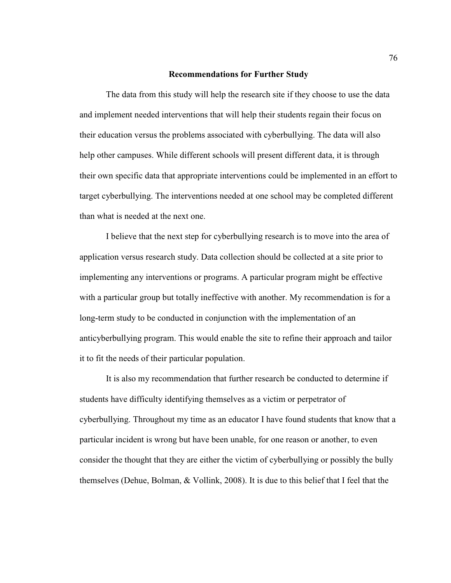#### **Recommendations for Further Study**

 The data from this study will help the research site if they choose to use the data and implement needed interventions that will help their students regain their focus on their education versus the problems associated with cyberbullying. The data will also help other campuses. While different schools will present different data, it is through their own specific data that appropriate interventions could be implemented in an effort to target cyberbullying. The interventions needed at one school may be completed different than what is needed at the next one.

I believe that the next step for cyberbullying research is to move into the area of application versus research study. Data collection should be collected at a site prior to implementing any interventions or programs. A particular program might be effective with a particular group but totally ineffective with another. My recommendation is for a long-term study to be conducted in conjunction with the implementation of an anticyberbullying program. This would enable the site to refine their approach and tailor it to fit the needs of their particular population.

 It is also my recommendation that further research be conducted to determine if students have difficulty identifying themselves as a victim or perpetrator of cyberbullying. Throughout my time as an educator I have found students that know that a particular incident is wrong but have been unable, for one reason or another, to even consider the thought that they are either the victim of cyberbullying or possibly the bully themselves (Dehue, Bolman, & Vollink, 2008). It is due to this belief that I feel that the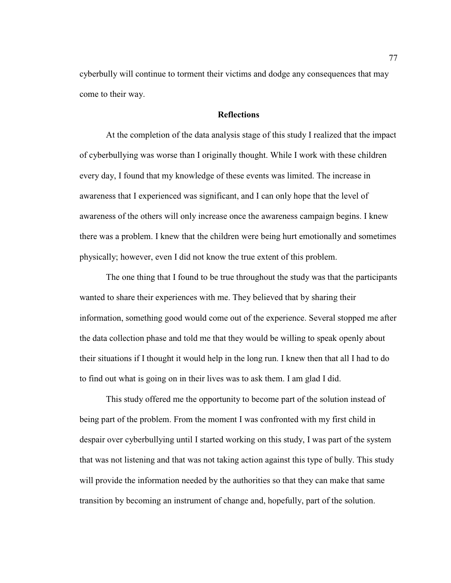cyberbully will continue to torment their victims and dodge any consequences that may come to their way.

# **Reflections**

At the completion of the data analysis stage of this study I realized that the impact of cyberbullying was worse than I originally thought. While I work with these children every day, I found that my knowledge of these events was limited. The increase in awareness that I experienced was significant, and I can only hope that the level of awareness of the others will only increase once the awareness campaign begins. I knew there was a problem. I knew that the children were being hurt emotionally and sometimes physically; however, even I did not know the true extent of this problem.

The one thing that I found to be true throughout the study was that the participants wanted to share their experiences with me. They believed that by sharing their information, something good would come out of the experience. Several stopped me after the data collection phase and told me that they would be willing to speak openly about their situations if I thought it would help in the long run. I knew then that all I had to do to find out what is going on in their lives was to ask them. I am glad I did.

This study offered me the opportunity to become part of the solution instead of being part of the problem. From the moment I was confronted with my first child in despair over cyberbullying until I started working on this study, I was part of the system that was not listening and that was not taking action against this type of bully. This study will provide the information needed by the authorities so that they can make that same transition by becoming an instrument of change and, hopefully, part of the solution.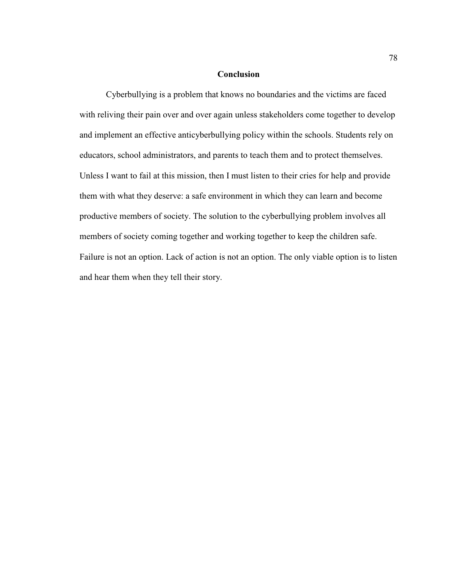# **Conclusion**

 Cyberbullying is a problem that knows no boundaries and the victims are faced with reliving their pain over and over again unless stakeholders come together to develop and implement an effective anticyberbullying policy within the schools. Students rely on educators, school administrators, and parents to teach them and to protect themselves. Unless I want to fail at this mission, then I must listen to their cries for help and provide them with what they deserve: a safe environment in which they can learn and become productive members of society. The solution to the cyberbullying problem involves all members of society coming together and working together to keep the children safe. Failure is not an option. Lack of action is not an option. The only viable option is to listen and hear them when they tell their story.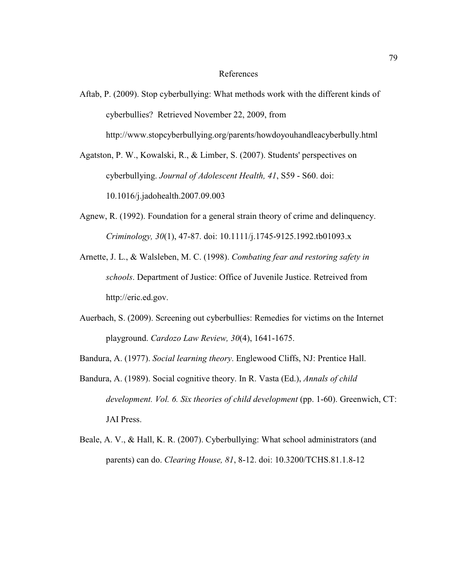#### References

Aftab, P. (2009). Stop cyberbullying: What methods work with the different kinds of cyberbullies? Retrieved November 22, 2009, from http://www.stopcyberbullying.org/parents/howdoyouhandleacyberbully.html

Agatston, P. W., Kowalski, R., & Limber, S. (2007). Students' perspectives on cyberbullying. *Journal of Adolescent Health, 41*, S59 - S60. doi: 10.1016/j.jadohealth.2007.09.003

- Agnew, R. (1992). Foundation for a general strain theory of crime and delinquency. *Criminology, 30*(1), 47-87. doi: 10.1111/j.1745-9125.1992.tb01093.x
- Arnette, J. L., & Walsleben, M. C. (1998). *Combating fear and restoring safety in schools*. Department of Justice: Office of Juvenile Justice. Retreived from http://eric.ed.gov.
- Auerbach, S. (2009). Screening out cyberbullies: Remedies for victims on the Internet playground. *Cardozo Law Review, 30*(4), 1641-1675.

Bandura, A. (1977). *Social learning theory*. Englewood Cliffs, NJ: Prentice Hall.

- Bandura, A. (1989). Social cognitive theory. In R. Vasta (Ed.), *Annals of child development. Vol. 6. Six theories of child development* (pp. 1-60). Greenwich, CT: JAI Press.
- Beale, A. V., & Hall, K. R. (2007). Cyberbullying: What school administrators (and parents) can do. *Clearing House, 81*, 8-12. doi: 10.3200/TCHS.81.1.8-12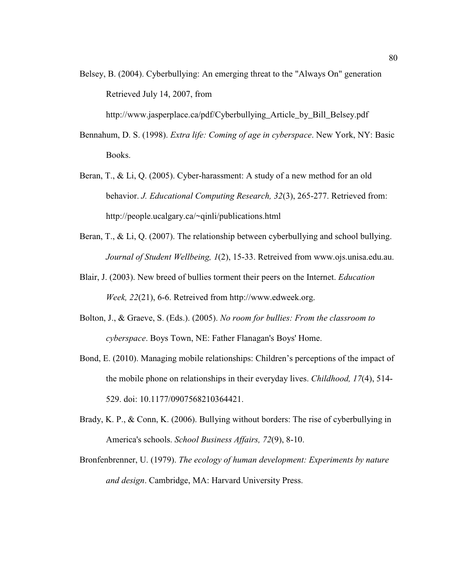Belsey, B. (2004). Cyberbullying: An emerging threat to the "Always On" generation Retrieved July 14, 2007, from

http://www.jasperplace.ca/pdf/Cyberbullying Article by Bill Belsey.pdf

- Bennahum, D. S. (1998). *Extra life: Coming of age in cyberspace*. New York, NY: Basic Books.
- Beran, T., & Li, Q. (2005). Cyber-harassment: A study of a new method for an old behavior. *J. Educational Computing Research, 32*(3), 265-277. Retrieved from: http://people.ucalgary.ca/~qinli/publications.html
- Beran, T., & Li, Q. (2007). The relationship between cyberbullying and school bullying. *Journal of Student Wellbeing, 1*(2), 15-33. Retreived from www.ojs.unisa.edu.au.
- Blair, J. (2003). New breed of bullies torment their peers on the Internet. *Education Week, 22*(21), 6-6. Retreived from http://www.edweek.org.
- Bolton, J., & Graeve, S. (Eds.). (2005). *No room for bullies: From the classroom to cyberspace*. Boys Town, NE: Father Flanagan's Boys' Home.
- Bond, E. (2010). Managing mobile relationships: Children's perceptions of the impact of the mobile phone on relationships in their everyday lives. *Childhood, 17*(4), 514- 529. doi: 10.1177/0907568210364421.
- Brady, K. P., & Conn, K. (2006). Bullying without borders: The rise of cyberbullying in America's schools. *School Business Affairs, 72*(9), 8-10.
- Bronfenbrenner, U. (1979). *The ecology of human development: Experiments by nature and design*. Cambridge, MA: Harvard University Press.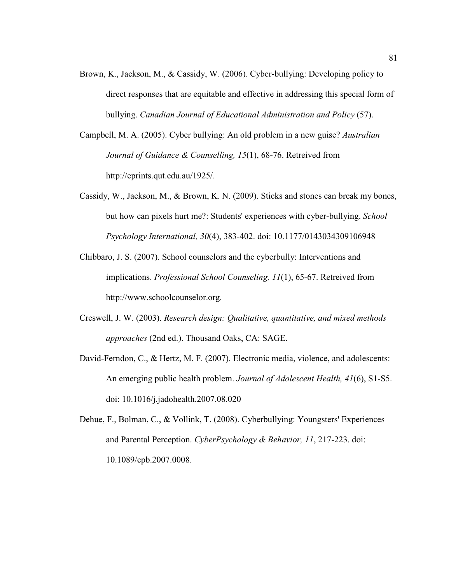- Brown, K., Jackson, M., & Cassidy, W. (2006). Cyber-bullying: Developing policy to direct responses that are equitable and effective in addressing this special form of bullying. *Canadian Journal of Educational Administration and Policy* (57).
- Campbell, M. A. (2005). Cyber bullying: An old problem in a new guise? *Australian Journal of Guidance & Counselling, 15*(1), 68-76. Retreived from http://eprints.qut.edu.au/1925/.
- Cassidy, W., Jackson, M., & Brown, K. N. (2009). Sticks and stones can break my bones, but how can pixels hurt me?: Students' experiences with cyber-bullying. *School Psychology International, 30*(4), 383-402. doi: 10.1177/0143034309106948
- Chibbaro, J. S. (2007). School counselors and the cyberbully: Interventions and implications. *Professional School Counseling, 11*(1), 65-67. Retreived from http://www.schoolcounselor.org.
- Creswell, J. W. (2003). *Research design: Qualitative, quantitative, and mixed methods approaches* (2nd ed.). Thousand Oaks, CA: SAGE.
- David-Ferndon, C., & Hertz, M. F. (2007). Electronic media, violence, and adolescents: An emerging public health problem. *Journal of Adolescent Health, 41*(6), S1-S5. doi: 10.1016/j.jadohealth.2007.08.020
- Dehue, F., Bolman, C., & Vollink, T. (2008). Cyberbullying: Youngsters' Experiences and Parental Perception. *CyberPsychology & Behavior, 11*, 217-223. doi: 10.1089/cpb.2007.0008.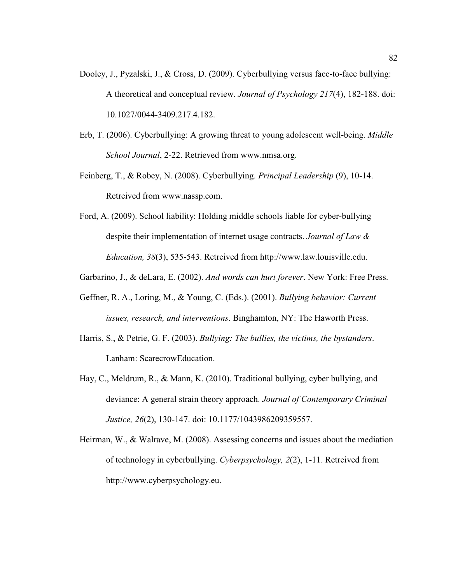- Dooley, J., Pyzalski, J., & Cross, D. (2009). Cyberbullying versus face-to-face bullying: A theoretical and conceptual review. *Journal of Psychology 217*(4), 182-188. doi: 10.1027/0044-3409.217.4.182.
- Erb, T. (2006). Cyberbullying: A growing threat to young adolescent well-being. *Middle School Journal*, 2-22. Retrieved from www.nmsa.org**.**
- Feinberg, T., & Robey, N. (2008). Cyberbullying. *Principal Leadership* (9), 10-14. Retreived from www.nassp.com.
- Ford, A. (2009). School liability: Holding middle schools liable for cyber-bullying despite their implementation of internet usage contracts. *Journal of Law & Education, 38*(3), 535-543. Retreived from http://www.law.louisville.edu.
- Garbarino, J., & deLara, E. (2002). *And words can hurt forever*. New York: Free Press.
- Geffner, R. A., Loring, M., & Young, C. (Eds.). (2001). *Bullying behavior: Current issues, research, and interventions*. Binghamton, NY: The Haworth Press.
- Harris, S., & Petrie, G. F. (2003). *Bullying: The bullies, the victims, the bystanders*. Lanham: ScarecrowEducation.
- Hay, C., Meldrum, R., & Mann, K. (2010). Traditional bullying, cyber bullying, and deviance: A general strain theory approach. *Journal of Contemporary Criminal Justice, 26*(2), 130-147. doi: 10.1177/1043986209359557.
- Heirman, W., & Walrave, M. (2008). Assessing concerns and issues about the mediation of technology in cyberbullying. *Cyberpsychology, 2*(2), 1-11. Retreived from http://www.cyberpsychology.eu.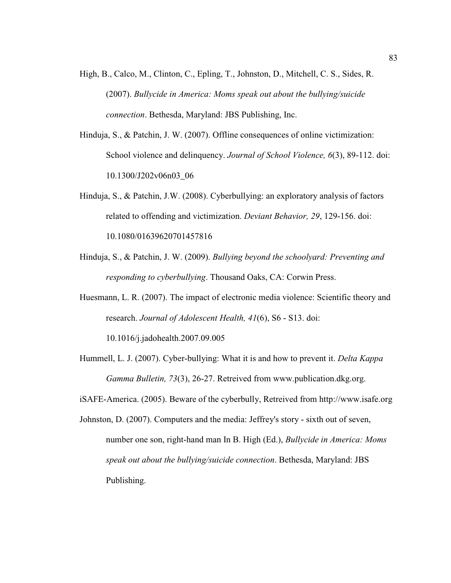- High, B., Calco, M., Clinton, C., Epling, T., Johnston, D., Mitchell, C. S., Sides, R. (2007). *Bullycide in America: Moms speak out about the bullying/suicide connection*. Bethesda, Maryland: JBS Publishing, Inc.
- Hinduja, S., & Patchin, J. W. (2007). Offline consequences of online victimization: School violence and delinquency. *Journal of School Violence, 6*(3), 89-112. doi: 10.1300/J202v06n03\_06
- Hinduja, S., & Patchin, J.W. (2008). Cyberbullying: an exploratory analysis of factors related to offending and victimization. *Deviant Behavior, 29*, 129-156. doi: 10.1080/01639620701457816
- Hinduja, S., & Patchin, J. W. (2009). *Bullying beyond the schoolyard: Preventing and responding to cyberbullying*. Thousand Oaks, CA: Corwin Press.
- Huesmann, L. R. (2007). The impact of electronic media violence: Scientific theory and research. *Journal of Adolescent Health, 41*(6), S6 - S13. doi:

10.1016/j.jadohealth.2007.09.005

Hummell, L. J. (2007). Cyber-bullying: What it is and how to prevent it. *Delta Kappa Gamma Bulletin, 73*(3), 26-27. Retreived from www.publication.dkg.org.

iSAFE-America. (2005). Beware of the cyberbully, Retreived from http://www.isafe.org

Johnston, D. (2007). Computers and the media: Jeffrey's story - sixth out of seven, number one son, right-hand man In B. High (Ed.), *Bullycide in America: Moms speak out about the bullying/suicide connection*. Bethesda, Maryland: JBS Publishing.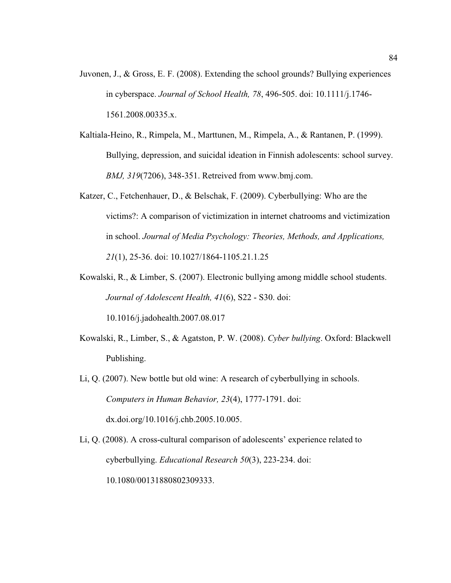- Juvonen, J., & Gross, E. F. (2008). Extending the school grounds? Bullying experiences in cyberspace. *Journal of School Health, 78*, 496-505. doi: 10.1111/j.1746- 1561.2008.00335.x.
- Kaltiala-Heino, R., Rimpela, M., Marttunen, M., Rimpela, A., & Rantanen, P. (1999). Bullying, depression, and suicidal ideation in Finnish adolescents: school survey. *BMJ, 319*(7206), 348-351. Retreived from www.bmj.com.
- Katzer, C., Fetchenhauer, D., & Belschak, F. (2009). Cyberbullying: Who are the victims?: A comparison of victimization in internet chatrooms and victimization in school. *Journal of Media Psychology: Theories, Methods, and Applications, 21*(1), 25-36. doi: 10.1027/1864-1105.21.1.25
- Kowalski, R., & Limber, S. (2007). Electronic bullying among middle school students. *Journal of Adolescent Health, 41*(6), S22 - S30. doi: 10.1016/j.jadohealth.2007.08.017
- Kowalski, R., Limber, S., & Agatston, P. W. (2008). *Cyber bullying*. Oxford: Blackwell

Publishing.

- Li, Q. (2007). New bottle but old wine: A research of cyberbullying in schools. *Computers in Human Behavior, 23*(4), 1777-1791. doi: dx.doi.org/10.1016/j.chb.2005.10.005.
- Li, Q. (2008). A cross-cultural comparison of adolescents' experience related to cyberbullying. *Educational Research 50*(3), 223-234. doi: 10.1080/00131880802309333.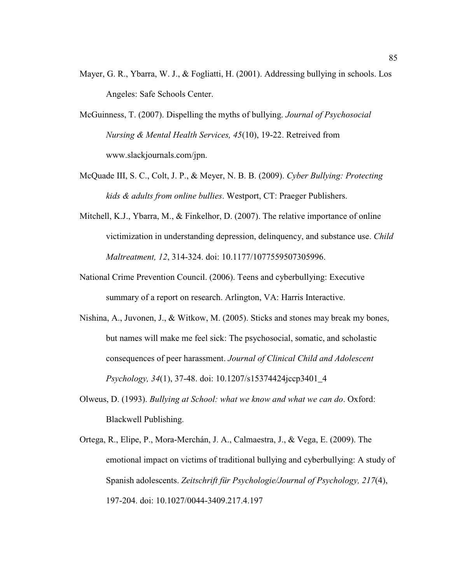- Mayer, G. R., Ybarra, W. J., & Fogliatti, H. (2001). Addressing bullying in schools. Los Angeles: Safe Schools Center.
- McGuinness, T. (2007). Dispelling the myths of bullying. *Journal of Psychosocial Nursing & Mental Health Services, 45*(10), 19-22. Retreived from www.slackjournals.com/jpn.
- McQuade III, S. C., Colt, J. P., & Meyer, N. B. B. (2009). *Cyber Bullying: Protecting kids & adults from online bullies*. Westport, CT: Praeger Publishers.
- Mitchell, K.J., Ybarra, M., & Finkelhor, D. (2007). The relative importance of online victimization in understanding depression, delinquency, and substance use. *Child Maltreatment, 12*, 314-324. doi: 10.1177/1077559507305996.
- National Crime Prevention Council. (2006). Teens and cyberbullying: Executive summary of a report on research. Arlington, VA: Harris Interactive.
- Nishina, A., Juvonen, J., & Witkow, M. (2005). Sticks and stones may break my bones, but names will make me feel sick: The psychosocial, somatic, and scholastic consequences of peer harassment. *Journal of Clinical Child and Adolescent Psychology, 34*(1), 37-48. doi: 10.1207/s15374424jccp3401\_4
- Olweus, D. (1993). *Bullying at School: what we know and what we can do*. Oxford: Blackwell Publishing.
- Ortega, R., Elipe, P., Mora-Merchán, J. A., Calmaestra, J., & Vega, E. (2009). The emotional impact on victims of traditional bullying and cyberbullying: A study of Spanish adolescents. *Zeitschrift für Psychologie/Journal of Psychology, 217*(4), 197-204. doi: 10.1027/0044-3409.217.4.197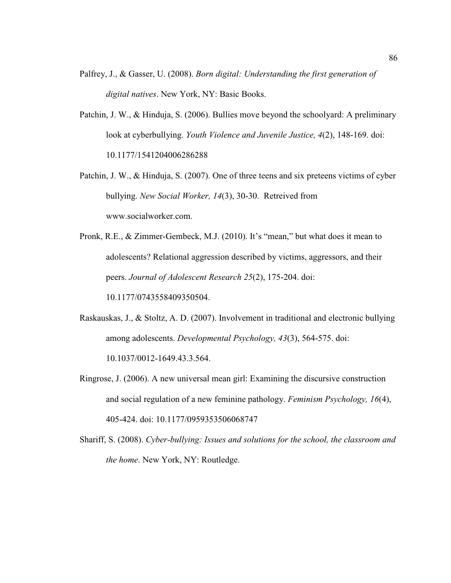- Palfrey, J., & Gasser, U. (2008). *Born digital: Understanding the first generation of digital natives*. New York, NY: Basic Books.
- Patchin, J. W., & Hinduja, S. (2006). Bullies move beyond the schoolyard: A preliminary look at cyberbullying. *Youth Violence and Juvenile Justice, 4*(2), 148-169. doi: 10.1177/1541204006286288
- Patchin, J. W., & Hinduja, S. (2007). One of three teens and six preteens victims of cyber bullying. *New Social Worker, 14*(3), 30-30. Retreived from www.socialworker.com.
- Pronk, R.E., & Zimmer-Gembeck, M.J. (2010). It's "mean," but what does it mean to adolescents? Relational aggression described by victims, aggressors, and their peers. *Journal of Adolescent Research 25*(2), 175-204. doi: 10.1177/0743558409350504.
- Raskauskas, J., & Stoltz, A. D. (2007). Involvement in traditional and electronic bullying among adolescents. *Developmental Psychology, 43*(3), 564-575. doi: 10.1037/0012-1649.43.3.564.
- Ringrose, J. (2006). A new universal mean girl: Examining the discursive construction and social regulation of a new feminine pathology. *Feminism Psychology, 16*(4), 405-424. doi: 10.1177/0959353506068747
- Shariff, S. (2008). *Cyber-bullying: Issues and solutions for the school, the classroom and the home*. New York, NY: Routledge.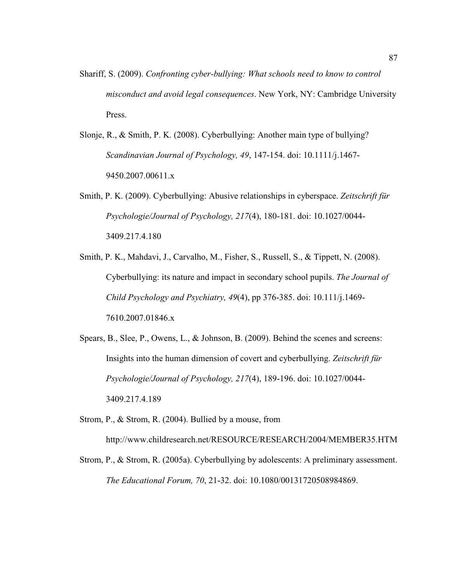- Shariff, S. (2009). *Confronting cyber-bullying: What schools need to know to control misconduct and avoid legal consequences*. New York, NY: Cambridge University Press.
- Slonje, R., & Smith, P. K. (2008). Cyberbullying: Another main type of bullying? *Scandinavian Journal of Psychology, 49*, 147-154. doi: 10.1111/j.1467- 9450.2007.00611.x
- Smith, P. K. (2009). Cyberbullying: Abusive relationships in cyberspace. *Zeitschrift für Psychologie/Journal of Psychology, 217*(4), 180-181. doi: 10.1027/0044- 3409.217.4.180
- Smith, P. K., Mahdavi, J., Carvalho, M., Fisher, S., Russell, S., & Tippett, N. (2008). Cyberbullying: its nature and impact in secondary school pupils. *The Journal of Child Psychology and Psychiatry, 49*(4), pp 376-385. doi: 10.111/j.1469- 7610.2007.01846.x
- Spears, B., Slee, P., Owens, L., & Johnson, B. (2009). Behind the scenes and screens: Insights into the human dimension of covert and cyberbullying. *Zeitschrift für Psychologie/Journal of Psychology, 217*(4), 189-196. doi: 10.1027/0044- 3409.217.4.189
- Strom, P., & Strom, R. (2004). Bullied by a mouse, from http://www.childresearch.net/RESOURCE/RESEARCH/2004/MEMBER35.HTM
- Strom, P., & Strom, R. (2005a). Cyberbullying by adolescents: A preliminary assessment. *The Educational Forum, 70*, 21-32. doi: 10.1080/00131720508984869.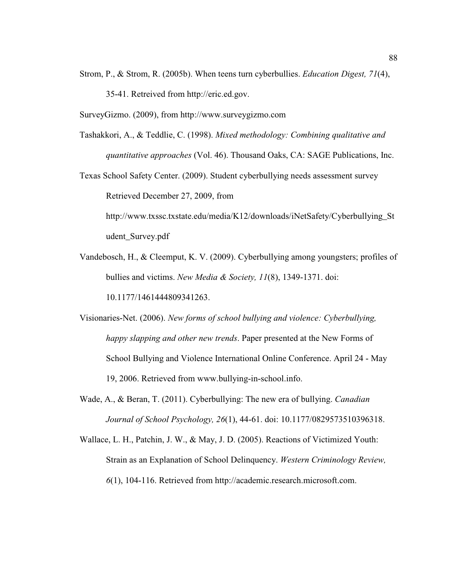- Strom, P., & Strom, R. (2005b). When teens turn cyberbullies. *Education Digest, 71*(4), 35-41. Retreived from http://eric.ed.gov.
- SurveyGizmo. (2009), from http://www.surveygizmo.com
- Tashakkori, A., & Teddlie, C. (1998). *Mixed methodology: Combining qualitative and quantitative approaches* (Vol. 46). Thousand Oaks, CA: SAGE Publications, Inc.
- Texas School Safety Center. (2009). Student cyberbullying needs assessment survey Retrieved December 27, 2009, from

http://www.txssc.txstate.edu/media/K12/downloads/iNetSafety/Cyberbullying\_St udent\_Survey.pdf

- Vandebosch, H., & Cleemput, K. V. (2009). Cyberbullying among youngsters; profiles of bullies and victims. *New Media & Society, 11*(8), 1349-1371. doi: 10.1177/1461444809341263.
- Visionaries-Net. (2006). *New forms of school bullying and violence: Cyberbullying, happy slapping and other new trends*. Paper presented at the New Forms of School Bullying and Violence International Online Conference. April 24 - May 19, 2006. Retrieved from www.bullying-in-school.info.
- Wade, A., & Beran, T. (2011). Cyberbullying: The new era of bullying. *Canadian Journal of School Psychology, 26*(1), 44-61. doi: 10.1177/0829573510396318.
- Wallace, L. H., Patchin, J. W., & May, J. D. (2005). Reactions of Victimized Youth: Strain as an Explanation of School Delinquency. *Western Criminology Review, 6*(1), 104-116. Retrieved from http://academic.research.microsoft.com.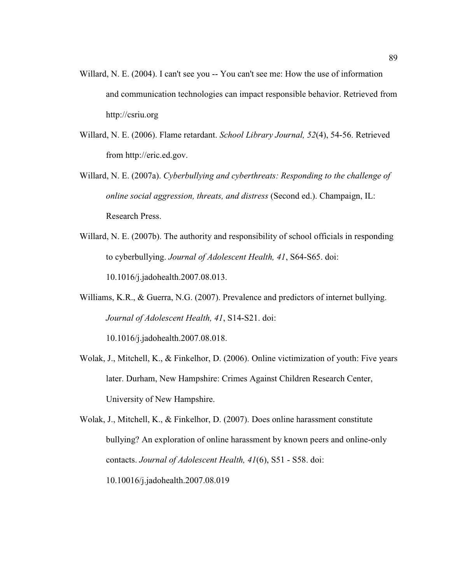- Willard, N. E. (2004). I can't see you -- You can't see me: How the use of information and communication technologies can impact responsible behavior. Retrieved from http://csriu.org
- Willard, N. E. (2006). Flame retardant. *School Library Journal, 52*(4), 54-56. Retrieved from http://eric.ed.gov.
- Willard, N. E. (2007a). *Cyberbullying and cyberthreats: Responding to the challenge of online social aggression, threats, and distress* (Second ed.). Champaign, IL: Research Press.
- Willard, N. E. (2007b). The authority and responsibility of school officials in responding to cyberbullying. *Journal of Adolescent Health, 41*, S64-S65. doi: 10.1016/j.jadohealth.2007.08.013.
- Williams, K.R., & Guerra, N.G. (2007). Prevalence and predictors of internet bullying. *Journal of Adolescent Health, 41*, S14-S21. doi:

10.1016/j.jadohealth.2007.08.018.

Wolak, J., Mitchell, K., & Finkelhor, D. (2006). Online victimization of youth: Five years later. Durham, New Hampshire: Crimes Against Children Research Center, University of New Hampshire.

Wolak, J., Mitchell, K., & Finkelhor, D. (2007). Does online harassment constitute bullying? An exploration of online harassment by known peers and online-only contacts. *Journal of Adolescent Health, 41*(6), S51 - S58. doi: 10.10016/j.jadohealth.2007.08.019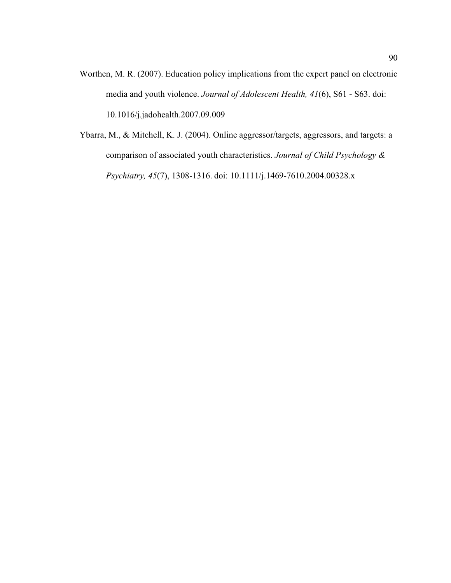- Worthen, M. R. (2007). Education policy implications from the expert panel on electronic media and youth violence. *Journal of Adolescent Health, 41*(6), S61 - S63. doi: 10.1016/j.jadohealth.2007.09.009
- Ybarra, M., & Mitchell, K. J. (2004). Online aggressor/targets, aggressors, and targets: a comparison of associated youth characteristics. *Journal of Child Psychology & Psychiatry, 45*(7), 1308-1316. doi: 10.1111/j.1469-7610.2004.00328.x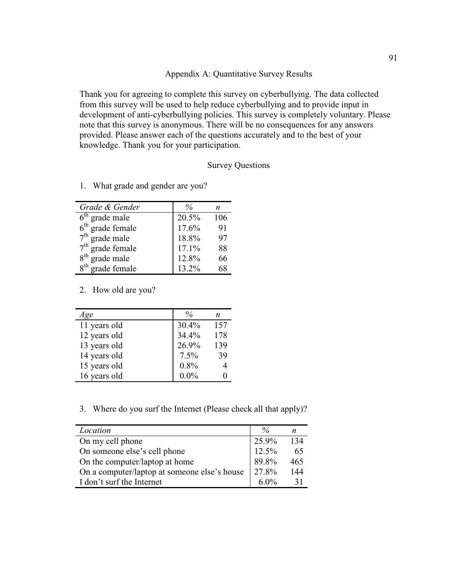# Appendix A: Quantitative Survey Results

Thank you for agreeing to complete this survey on cyberbullying. The data collected from this survey will be used to help reduce cyberbullying and to provide input in development of anti-cyberbullying policies. This survey is completely voluntary. Please note that this survey is anonymous. There will be no consequences for any answers provided. Please answer each of the questions accurately and to the best of your knowledge. Thank you for your participation.

## Survey Questions

| Grade & Gender               |       | n   |
|------------------------------|-------|-----|
| $6th$ grade male             | 20.5% | 106 |
| $6th$ grade female           | 17.6% | 91  |
| $7th$ grade male             | 18.8% | 97  |
| $7th$ grade female           | 17.1% | 88  |
| 8 <sup>th</sup> grade male   | 12.8% | 66  |
| 8 <sup>th</sup> grade female | 13.2% | 68  |

1. What grade and gender are you?

## 2. How old are you?

| Age          |          | n   |
|--------------|----------|-----|
| 11 years old | $30.4\%$ | 157 |
| 12 years old | 34.4%    | 178 |
| 13 years old | 26.9%    | 139 |
| 14 years old | 7.5%     | 39  |
| 15 years old | $0.8\%$  |     |
| 16 years old | $0.0\%$  |     |

3. Where do you surf the Internet (Please check all that apply)?

| Location                                     |       | n   |
|----------------------------------------------|-------|-----|
| On my cell phone                             | 25.9% | 134 |
| On someone else's cell phone                 | 12.5% | 65  |
| On the computer/laptop at home               | 89.8% | 465 |
| On a computer/laptop at someone else's house | 27.8% | 144 |
| I don't surf the Internet                    | 6.0%  |     |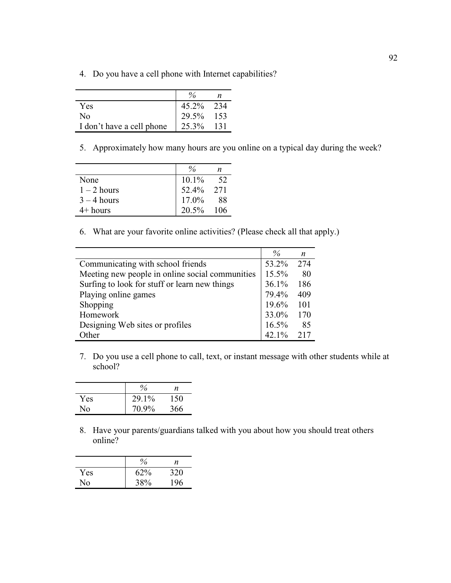4. Do you have a cell phone with Internet capabilities?

|                           | $\frac{0}{6}$ |      |
|---------------------------|---------------|------|
| Yes                       | 45.2% 234     |      |
| N <sub>0</sub>            | 29.5%         | -153 |
| I don't have a cell phone | 125.3%        | 131  |

5. Approximately how many hours are you online on a typical day during the week?

|               |           | n   |
|---------------|-----------|-----|
| None          | $10.1\%$  | 52  |
| $1 - 2$ hours | 52.4% 271 |     |
| $3 - 4$ hours | $17.0\%$  | 88  |
| $4+$ hours    | $20.5\%$  | 106 |

6. What are your favorite online activities? (Please check all that apply.)

|                                                 | $\%$     | n   |
|-------------------------------------------------|----------|-----|
| Communicating with school friends               | 53.2%    | 274 |
| Meeting new people in online social communities | 15.5%    | 80  |
| Surfing to look for stuff or learn new things   | 36.1%    | 186 |
| Playing online games                            | 79.4%    | 409 |
| Shopping                                        | 19.6%    | 101 |
| Homework                                        | 33.0%    | 170 |
| Designing Web sites or profiles                 | 16.5%    | 85  |
| Other                                           | $42.1\%$ | 217 |

7. Do you use a cell phone to call, text, or instant message with other students while at school?

|     | $\%$  | n   |
|-----|-------|-----|
| Yes | 29.1% | 150 |
| Nο  | 70.9% | 366 |

8. Have your parents/guardians talked with you about how you should treat others online?

|     | $\%$ | n   |
|-----|------|-----|
| Yes | 62%  | 320 |
| No  | 38%  | 196 |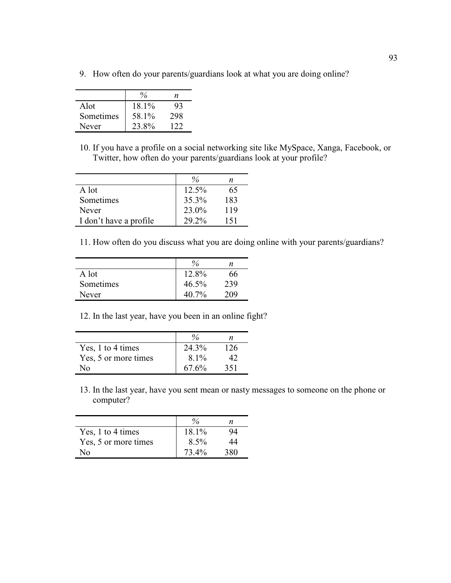9. How often do your parents/guardians look at what you are doing online?

|           |       | n   |
|-----------|-------|-----|
| Alot      | 18.1% | Ý٩  |
| Sometimes | 58.1% | 298 |
| Never     | 23.8% | 122 |

10. If you have a profile on a social networking site like MySpace, Xanga, Facebook, or Twitter, how often do your parents/guardians look at your profile?

|                        | $\frac{0}{6}$ | n   |
|------------------------|---------------|-----|
| A lot                  | $12.5\%$      | 65  |
| Sometimes              | 35.3%         | 183 |
| Never                  | 23.0%         | 119 |
| I don't have a profile | 29.2%         | 151 |

11. How often do you discuss what you are doing online with your parents/guardians?

|           |          | n   |
|-----------|----------|-----|
| A lot     | 12.8%    | 66  |
| Sometimes | $46.5\%$ | 239 |
| Never     | $40.7\%$ | 209 |

12. In the last year, have you been in an online fight?

|                      |          | n   |
|----------------------|----------|-----|
| Yes, 1 to 4 times    | 24.3%    | 126 |
| Yes, 5 or more times | $8.1\%$  |     |
| N٥                   | $67.6\%$ | 351 |

13. In the last year, have you sent mean or nasty messages to someone on the phone or computer?

| Yes, 1 to 4 times    | 18.1%   | 94  |
|----------------------|---------|-----|
| Yes, 5 or more times | $8.5\%$ | 44  |
| N٥                   | 73.4%   | 380 |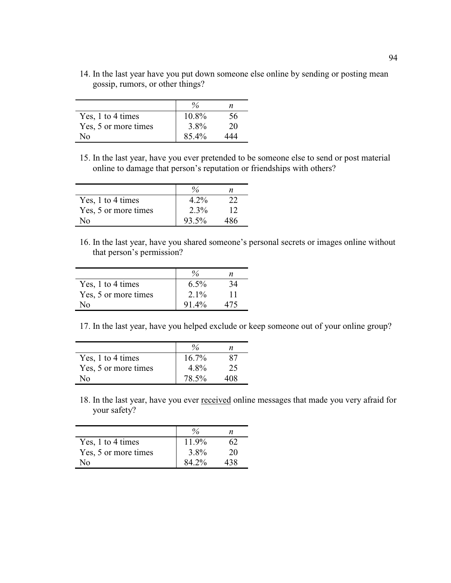14. In the last year have you put down someone else online by sending or posting mean gossip, rumors, or other things?

|                      | $\%$     | n   |
|----------------------|----------|-----|
| Yes, 1 to 4 times    | $10.8\%$ | 56  |
| Yes, 5 or more times | 3.8%     | 20  |
| N٥                   | 85.4%    | 444 |

15. In the last year, have you ever pretended to be someone else to send or post material online to damage that person's reputation or friendships with others?

|                      |         | n   |
|----------------------|---------|-----|
| Yes, 1 to 4 times    | $4.2\%$ |     |
| Yes, 5 or more times | $2.3\%$ | 12  |
| N٥                   | 93.5%   | 486 |

16. In the last year, have you shared someone's personal secrets or images online without that person's permission?

| Yes, 1 to 4 times    | $6.5\%$ |  |
|----------------------|---------|--|
| Yes, 5 or more times | $2.1\%$ |  |
| √օ                   | 91.4%   |  |

17. In the last year, have you helped exclude or keep someone out of your online group?

| Yes, 1 to 4 times    | 16.7% |     |
|----------------------|-------|-----|
| Yes, 5 or more times | 4.8%  | 25  |
| √օ                   | 78.5% | 108 |

18. In the last year, have you ever received online messages that made you very afraid for your safety?

|                      |          | n  |
|----------------------|----------|----|
| Yes, 1 to 4 times    | $11.9\%$ |    |
| Yes, 5 or more times | $3.8\%$  | 20 |
| √∩                   | $84.2\%$ |    |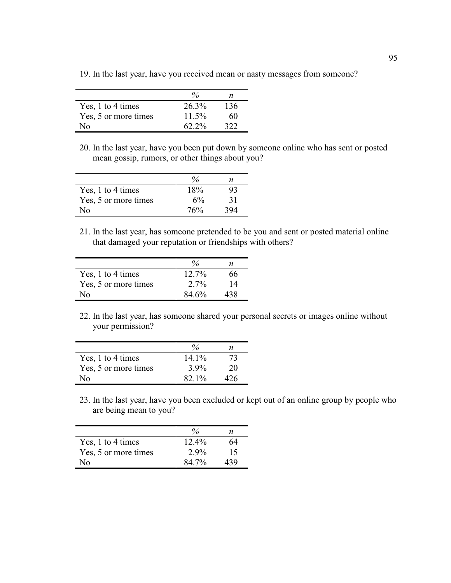19. In the last year, have you received mean or nasty messages from someone?

|                      |          | n   |
|----------------------|----------|-----|
| Yes, 1 to 4 times    | 26.3%    | 136 |
| Yes, 5 or more times | $11.5\%$ | 60  |
| N٥                   | $62.2\%$ |     |

20. In the last year, have you been put down by someone online who has sent or posted mean gossip, rumors, or other things about you?

|                      |     | n  |
|----------------------|-----|----|
| Yes, 1 to 4 times    | 18% | 93 |
| Yes, 5 or more times | 6%  | 31 |
| N٥                   | 76% |    |

21. In the last year, has someone pretended to be you and sent or posted material online that damaged your reputation or friendships with others?

| Yes, 1 to 4 times    | $12.7\%$ | 56  |
|----------------------|----------|-----|
| Yes, 5 or more times | $2.7\%$  | 14  |
| Nο                   | 84.6%    | 438 |

22. In the last year, has someone shared your personal secrets or images online without your permission?

| Yes, 1 to 4 times    | $14.1\%$ | 73 |
|----------------------|----------|----|
| Yes, 5 or more times | $3.9\%$  | 20 |
| ง∩                   | $82.1\%$ | 26 |

23. In the last year, have you been excluded or kept out of an online group by people who are being mean to you?

| Yes, 1 to 4 times    | $12.4\%$     | 64 |
|----------------------|--------------|----|
| Yes, 5 or more times | $2.9\%$      | 15 |
| ง∩                   | <u>{4 7%</u> |    |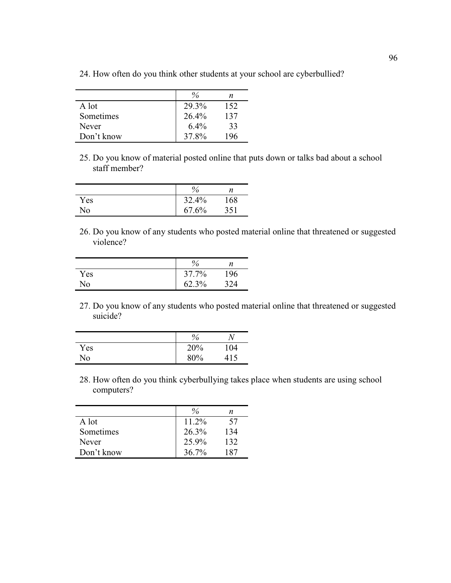|            | $\frac{0}{6}$ | n   |
|------------|---------------|-----|
| A lot      | 29.3%         | 152 |
| Sometimes  | 26.4%         | 137 |
| Never      | $6.4\%$       | 33  |
| Don't know | 37.8%         | 196 |

24. How often do you think other students at your school are cyberbullied?

25. Do you know of material posted online that puts down or talks bad about a school staff member?

|     | $\%$  | n   |
|-----|-------|-----|
| Yes | 32.4% | 168 |
| No  | 67.6% | 351 |

26. Do you know of any students who posted material online that threatened or suggested violence?

|     | $\%$  | n   |
|-----|-------|-----|
| Yes | 37.7% | !96 |
| No  | 62.3% | :24 |

27. Do you know of any students who posted material online that threatened or suggested suicide?

|     | $\%$ |     |
|-----|------|-----|
| Yes | 20%  | 104 |
| No  | 80%  | 415 |

28. How often do you think cyberbullying takes place when students are using school computers?

|            | $\frac{0}{6}$ | n   |
|------------|---------------|-----|
| A lot      | $11.2\%$      | 57  |
| Sometimes  | 26.3%         | 134 |
| Never      | 25.9%         | 132 |
| Don't know | $36.7\%$      | 187 |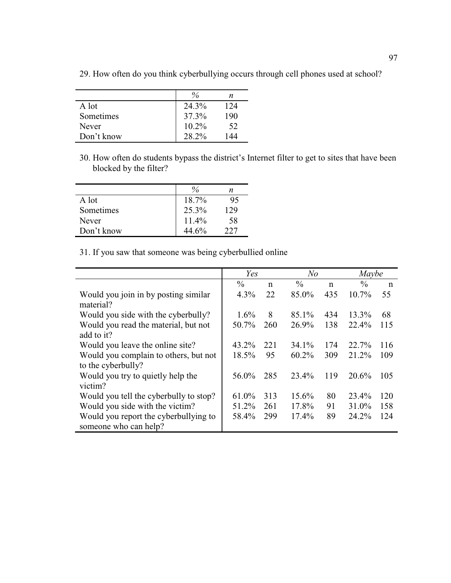|            | $\frac{0}{0}$ | n   |
|------------|---------------|-----|
| A lot      | 24.3%         | 124 |
| Sometimes  | 37.3%         | 190 |
| Never      | $10.2\%$      | 52  |
| Don't know | 28.2%         | 44  |

29. How often do you think cyberbullying occurs through cell phones used at school?

30. How often do students bypass the district's Internet filter to get to sites that have been blocked by the filter?

|            | $\frac{0}{6}$ | n   |
|------------|---------------|-----|
| A lot      | 18.7%         | 95  |
| Sometimes  | 25.3%         | 129 |
| Never      | $11.4\%$      | 58  |
| Don't know | 44.6%         | 227 |

31. If you saw that someone was being cyberbullied online

|                                                                | Yes           |     | N <sub>o</sub> |             | Maybe         |             |
|----------------------------------------------------------------|---------------|-----|----------------|-------------|---------------|-------------|
|                                                                | $\frac{0}{0}$ | n   | $\frac{0}{0}$  | $\mathbf n$ | $\frac{0}{0}$ | $\mathbf n$ |
| Would you join in by posting similar<br>material?              | $4.3\%$       | 22  | 85.0%          | 435         | $10.7\%$      | 55          |
| Would you side with the cyberbully?                            | $1.6\%$       | 8   | 85.1%          | 434         | 13.3%         | 68          |
| Would you read the material, but not<br>add to it?             | 50.7%         | 260 | 26.9%          | 138         | 22.4%         | 115         |
| Would you leave the online site?                               | 43.2%         | 221 | 34.1%          | 174         | 22.7%         | 116         |
| Would you complain to others, but not<br>to the cyberbully?    | 18.5%         | 95  | $60.2\%$       | 309         | 21.2%         | 109         |
| Would you try to quietly help the<br>victim?                   | 56.0%         | 285 | 23.4%          | 119         | 20.6%         | 105         |
| Would you tell the cyberbully to stop?                         | 61.0%         | 313 | 15.6%          | 80          | 23.4%         | 120         |
| Would you side with the victim?                                | 51.2%         | 261 | 17.8%          | 91          | 31.0%         | 158         |
| Would you report the cyberbullying to<br>someone who can help? | 58.4%         | 299 | 17.4%          | 89          | 24.2%         | 124         |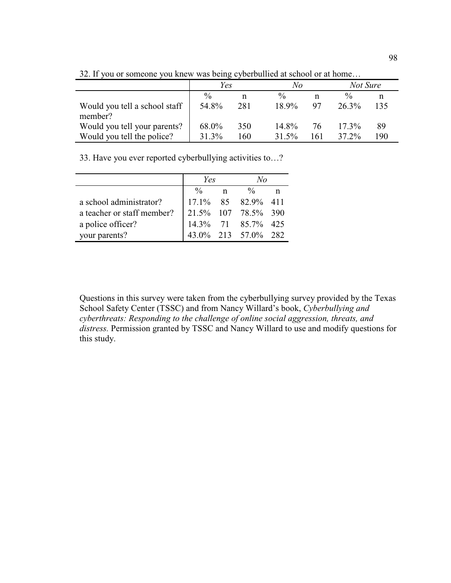|                                          | Yes           |     | No            |     |               | Not Sure |  |
|------------------------------------------|---------------|-----|---------------|-----|---------------|----------|--|
|                                          | $\frac{0}{0}$ | n   | $\frac{0}{0}$ | n   | $\frac{0}{0}$ |          |  |
| Would you tell a school staff<br>member? | 54.8%         | 281 | $189\%$       | 97  | $26.3\%$      | 135      |  |
| Would you tell your parents?             | 68.0%         | 350 | $14.8\%$      | 76  | $17.3\%$      | 89       |  |
| Would you tell the police?               | 31.3%         | 160 | $31.5\%$      | 161 | 37 2%         | 190      |  |

32. If you or someone you knew was being cyberbullied at school or at home…

33. Have you ever reported cyberbullying activities to…?

|                            | Yes           |             | $N_{O}$                                   |  |
|----------------------------|---------------|-------------|-------------------------------------------|--|
|                            | $\frac{0}{0}$ | $\mathbf n$ | $\frac{0}{0}$                             |  |
| a school administrator?    |               |             | 17.1% 85 82.9% 411                        |  |
| a teacher or staff member? |               |             |                                           |  |
| a police officer?          |               |             | 21.5% 107 78.5% 390<br>14.3% 71 85.7% 425 |  |
| your parents?              |               |             | 43.0% 213 57.0% 282                       |  |

Questions in this survey were taken from the cyberbullying survey provided by the Texas School Safety Center (TSSC) and from Nancy Willard's book, *Cyberbullying and cyberthreats: Responding to the challenge of online social aggression, threats, and distress.* Permission granted by TSSC and Nancy Willard to use and modify questions for this study.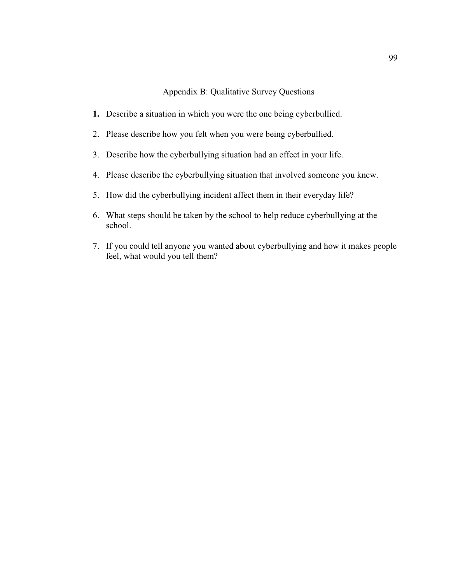Appendix B: Qualitative Survey Questions

- **1.** Describe a situation in which you were the one being cyberbullied.
- 2. Please describe how you felt when you were being cyberbullied.
- 3. Describe how the cyberbullying situation had an effect in your life.
- 4. Please describe the cyberbullying situation that involved someone you knew.
- 5. How did the cyberbullying incident affect them in their everyday life?
- 6. What steps should be taken by the school to help reduce cyberbullying at the school.
- 7. If you could tell anyone you wanted about cyberbullying and how it makes people feel, what would you tell them?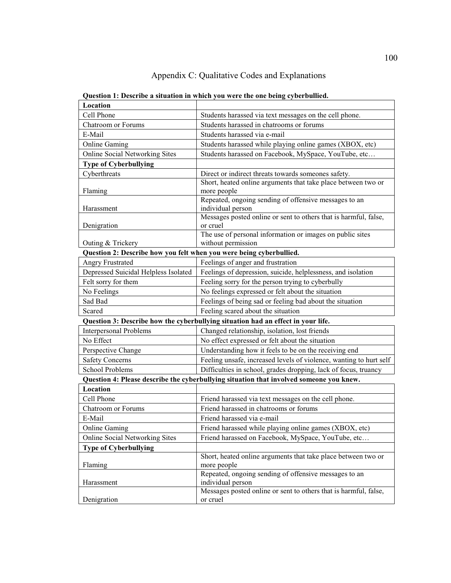## Appendix C: Qualitative Codes and Explanations

| Location                                                            |                                                                                         |
|---------------------------------------------------------------------|-----------------------------------------------------------------------------------------|
| Cell Phone                                                          | Students harassed via text messages on the cell phone.                                  |
| <b>Chatroom</b> or Forums                                           | Students harassed in chatrooms or forums                                                |
| E-Mail                                                              | Students harassed via e-mail                                                            |
| <b>Online Gaming</b>                                                | Students harassed while playing online games (XBOX, etc)                                |
| <b>Online Social Networking Sites</b>                               | Students harassed on Facebook, MySpace, YouTube, etc                                    |
| <b>Type of Cyberbullying</b>                                        |                                                                                         |
| Cyberthreats                                                        | Direct or indirect threats towards someones safety.                                     |
|                                                                     | Short, heated online arguments that take place between two or                           |
| Flaming                                                             | more people                                                                             |
|                                                                     | Repeated, ongoing sending of offensive messages to an                                   |
| Harassment                                                          | individual person<br>Messages posted online or sent to others that is harmful, false,   |
| Denigration                                                         | or cruel                                                                                |
|                                                                     | The use of personal information or images on public sites                               |
| Outing & Trickery                                                   | without permission                                                                      |
| Question 2: Describe how you felt when you were being cyberbullied. |                                                                                         |
| <b>Angry Frustrated</b>                                             | Feelings of anger and frustration                                                       |
| Depressed Suicidal Helpless Isolated                                | Feelings of depression, suicide, helplessness, and isolation                            |
| Felt sorry for them                                                 | Feeling sorry for the person trying to cyberbully                                       |
| No Feelings                                                         | No feelings expressed or felt about the situation                                       |
| Sad Bad                                                             | Feelings of being sad or feeling bad about the situation                                |
| Scared                                                              | Feeling scared about the situation                                                      |
|                                                                     | Question 3: Describe how the cyberbullying situation had an effect in your life.        |
| <b>Interpersonal Problems</b>                                       | Changed relationship, isolation, lost friends                                           |
| No Effect                                                           | No effect expressed or felt about the situation                                         |
| Perspective Change                                                  | Understanding how it feels to be on the receiving end                                   |
| <b>Safety Concerns</b>                                              | Feeling unsafe, increased levels of violence, wanting to hurt self                      |
| <b>School Problems</b>                                              | Difficulties in school, grades dropping, lack of focus, truancy                         |
|                                                                     | Question 4: Please describe the cyberbullying situation that involved someone you knew. |
| Location                                                            |                                                                                         |
| Cell Phone                                                          | Friend harassed via text messages on the cell phone.                                    |
| <b>Chatroom</b> or Forums                                           | Friend harassed in chatrooms or forums                                                  |
| E-Mail                                                              | Friend harassed via e-mail                                                              |
| <b>Online Gaming</b>                                                | Friend harassed while playing online games (XBOX, etc)                                  |
| <b>Online Social Networking Sites</b>                               | Friend harassed on Facebook, MySpace, YouTube, etc                                      |
| <b>Type of Cyberbullying</b>                                        |                                                                                         |
|                                                                     | Short, heated online arguments that take place between two or                           |
| Flaming                                                             | more people                                                                             |
|                                                                     | Repeated, ongoing sending of offensive messages to an                                   |
| Harassment                                                          | individual person                                                                       |
| Denigration                                                         | Messages posted online or sent to others that is harmful, false,<br>or cruel            |
|                                                                     |                                                                                         |

**Question 1: Describe a situation in which you were the one being cyberbullied.**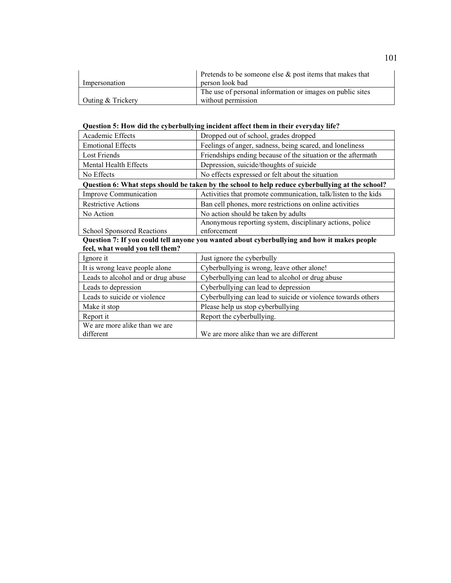|                   | Pretends to be someone else $\&$ post items that makes that |
|-------------------|-------------------------------------------------------------|
| Impersonation     | person look bad                                             |
|                   | The use of personal information or images on public sites   |
| Outing & Trickery | without permission                                          |

## **Question 5: How did the cyberbullying incident affect them in their everyday life?**

| Academic Effects                           | Dropped out of school, grades dropped                                                            |
|--------------------------------------------|--------------------------------------------------------------------------------------------------|
| <b>Emotional Effects</b>                   | Feelings of anger, sadness, being scared, and loneliness                                         |
| Lost Friends                               | Friendships ending because of the situation or the aftermath                                     |
| Mental Health Effects                      | Depression, suicide/thoughts of suicide                                                          |
| No Effects                                 | No effects expressed or felt about the situation                                                 |
|                                            | Question 6: What steps should be taken by the school to help reduce cyberbullying at the school? |
| Improve Communication                      | Activities that promote communication, talk/listen to the kids                                   |
| <b>Restrictive Actions</b>                 | Ban cell phones, more restrictions on online activities                                          |
| No Action                                  | No action should be taken by adults                                                              |
|                                            | Anonymous reporting system, disciplinary actions, police                                         |
| <b>School Sponsored Reactions</b>          | enforcement                                                                                      |
|                                            |                                                                                                  |
|                                            | Question 7: If you could tell anyone you wanted about cyberbullying and how it makes people      |
| feel, what would you tell them?            |                                                                                                  |
| Ignore it                                  | Just ignore the cyberbully                                                                       |
| It is wrong leave people alone             | Cyberbullying is wrong, leave other alone!                                                       |
| Leads to alcohol and or drug abuse         | Cyberbullying can lead to alcohol or drug abuse                                                  |
| Leads to depression                        | Cyberbullying can lead to depression                                                             |
| Leads to suicide or violence               | Cyberbullying can lead to suicide or violence towards others                                     |
| Make it stop                               | Please help us stop cyberbullying                                                                |
| Report it                                  | Report the cyberbullying.                                                                        |
| We are more alike than we are<br>different | We are more alike than we are different                                                          |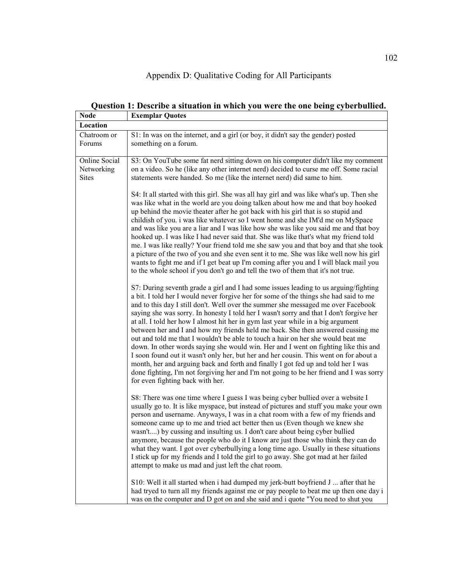## Appendix D: Qualitative Coding for All Participants

| <b>Node</b>                                 | <b>Exemplar Quotes</b>                                                                                                                                                                                                                                                                                                                                                                                                                                                                                                                                                                                                                                                                                                                                                                                                                                                                                                                                                                                                       |
|---------------------------------------------|------------------------------------------------------------------------------------------------------------------------------------------------------------------------------------------------------------------------------------------------------------------------------------------------------------------------------------------------------------------------------------------------------------------------------------------------------------------------------------------------------------------------------------------------------------------------------------------------------------------------------------------------------------------------------------------------------------------------------------------------------------------------------------------------------------------------------------------------------------------------------------------------------------------------------------------------------------------------------------------------------------------------------|
| Location                                    |                                                                                                                                                                                                                                                                                                                                                                                                                                                                                                                                                                                                                                                                                                                                                                                                                                                                                                                                                                                                                              |
| Chatroom or<br>Forums                       | S1: In was on the internet, and a girl (or boy, it didn't say the gender) posted<br>something on a forum.                                                                                                                                                                                                                                                                                                                                                                                                                                                                                                                                                                                                                                                                                                                                                                                                                                                                                                                    |
| Online Social<br>Networking<br><b>Sites</b> | S3: On YouTube some fat nerd sitting down on his computer didn't like my comment<br>on a video. So he (like any other internet nerd) decided to curse me off. Some racial<br>statements were handed. So me (like the internet nerd) did same to him.                                                                                                                                                                                                                                                                                                                                                                                                                                                                                                                                                                                                                                                                                                                                                                         |
|                                             | S4: It all started with this girl. She was all hay girl and was like what's up. Then she<br>was like what in the world are you doing talken about how me and that boy hooked<br>up behind the movie theater after he got back with his girl that is so stupid and<br>childish of you. i was like whatever so I went home and she IM'd me on MySpace<br>and was like you are a liar and I was like how she was like you said me and that boy<br>hooked up. I was like I had never said that. She was like that's what my friend told<br>me. I was like really? Your friend told me she saw you and that boy and that she took<br>a picture of the two of you and she even sent it to me. She was like well now his girl<br>wants to fight me and if I get beat up I'm coming after you and I will black mail you<br>to the whole school if you don't go and tell the two of them that it's not true.                                                                                                                          |
|                                             | S7: During seventh grade a girl and I had some issues leading to us arguing/fighting<br>a bit. I told her I would never forgive her for some of the things she had said to me<br>and to this day I still don't. Well over the summer she messaged me over Facebook<br>saying she was sorry. In honesty I told her I wasn't sorry and that I don't forgive her<br>at all. I told her how I almost hit her in gym last year while in a big argument<br>between her and I and how my friends held me back. She then answered cussing me<br>out and told me that I wouldn't be able to touch a hair on her she would beat me<br>down. In other words saying she would win. Her and I went on fighting like this and<br>I soon found out it wasn't only her, but her and her cousin. This went on for about a<br>month, her and arguing back and forth and finally I got fed up and told her I was<br>done fighting, I'm not forgiving her and I'm not going to be her friend and I was sorry<br>for even fighting back with her. |
|                                             | S8: There was one time where I guess I was being cyber bullied over a website I<br>usually go to. It is like myspace, but instead of pictures and stuff you make your own<br>person and username. Anyways, I was in a chat room with a few of my friends and<br>someone came up to me and tried act better then us (Even though we knew she<br>wasn't) by cussing and insulting us. I don't care about being cyber bullied<br>anymore, because the people who do it I know are just those who think they can do<br>what they want. I got over cyberbullying a long time ago. Usually in these situations<br>I stick up for my friends and I told the girl to go away. She got mad at her failed<br>attempt to make us mad and just left the chat room.                                                                                                                                                                                                                                                                       |
|                                             | S10: Well it all started when i had dumped my jerk-butt boyfriend J  after that he<br>had tryed to turn all my friends against me or pay people to beat me up then one day i<br>was on the computer and D got on and she said and i quote "You need to shut you                                                                                                                                                                                                                                                                                                                                                                                                                                                                                                                                                                                                                                                                                                                                                              |

**Question 1: Describe a situation in which you were the one being cyberbullied.**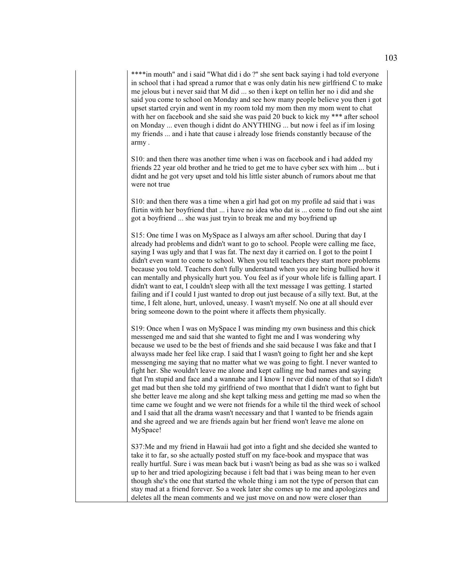\*\*\*\*in mouth" and i said "What did i do ?" she sent back saying i had told everyone in school that i had spread a rumor that e was only datin his new girlfriend C to make me jelous but i never said that M did ... so then i kept on tellin her no i did and she said you come to school on Monday and see how many people believe you then i got upset started cryin and went in my room told my mom then my mom went to chat with her on facebook and she said she was paid 20 buck to kick my \*\*\* after school on Monday ... even though i didnt do ANYTHING ... but now i feel as if im losing my friends ... and i hate that cause i already lose friends constantly because of the army .

S10: and then there was another time when i was on facebook and i had added my friends 22 year old brother and he tried to get me to have cyber sex with him ... but i didnt and he got very upset and told his little sister abunch of rumors about me that were not true

S10: and then there was a time when a girl had got on my profile ad said that i was flirtin with her boyfriend that ... i have no idea who dat is ... come to find out she aint got a boyfriend ... she was just tryin to break me and my boyfriend up

S15: One time I was on MySpace as I always am after school. During that day I already had problems and didn't want to go to school. People were calling me face, saying I was ugly and that I was fat. The next day it carried on. I got to the point I didn't even want to come to school. When you tell teachers they start more problems because you told. Teachers don't fully understand when you are being bullied how it can mentally and physically hurt you. You feel as if your whole life is falling apart. I didn't want to eat, I couldn't sleep with all the text message I was getting. I started failing and if I could I just wanted to drop out just because of a silly text. But, at the time, I felt alone, hurt, unloved, uneasy. I wasn't myself. No one at all should ever bring someone down to the point where it affects them physically.

S19: Once when I was on MySpace I was minding my own business and this chick messenged me and said that she wanted to fight me and I was wondering why because we used to be the best of friends and she said because I was fake and that I alwayss made her feel like crap. I said that I wasn't going to fight her and she kept messenging me saying that no matter what we was going to fight. I never wanted to fight her. She wouldn't leave me alone and kept calling me bad names and saying that I'm stupid and face and a wannabe and I know I never did none of that so I didn't get mad but then she told my girlfriend of two monthat that I didn't want to fight but she better leave me along and she kept talking mess and getting me mad so when the time came we fought and we were not friends for a while til the third week of school and I said that all the drama wasn't necessary and that I wanted to be friends again and she agreed and we are friends again but her friend won't leave me alone on MySpace!

S37:Me and my friend in Hawaii had got into a fight and she decided she wanted to take it to far, so she actually posted stuff on my face-book and myspace that was really hurtful. Sure i was mean back but i wasn't being as bad as she was so i walked up to her and tried apologizing because i felt bad that i was being mean to her even though she's the one that started the whole thing i am not the type of person that can stay mad at a friend forever. So a week later she comes up to me and apologizes and deletes all the mean comments and we just move on and now were closer than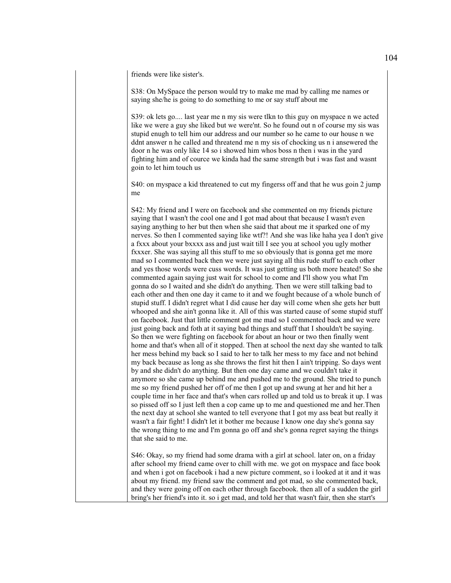friends were like sister's.

S38: On MySpace the person would try to make me mad by calling me names or saying she/he is going to do something to me or say stuff about me

S39: ok lets go.... last year me n my sis were tlkn to this guy on myspace n we acted like we were a guy she liked but we were'nt. So he found out n of course my sis was stupid enugh to tell him our address and our number so he came to our house n we ddnt answer n he called and threatend me n my sis of chocking us n i ansewered the door n he was only like 14 so i showed him whos boss n then i was in the yard fighting him and of cource we kinda had the same strength but i was fast and wasnt goin to let him touch us

S40: on myspace a kid threatened to cut my fingerss off and that he wus goin 2 jump me

S42: My friend and I were on facebook and she commented on my friends picture saying that I wasn't the cool one and I got mad about that because I wasn't even saying anything to her but then when she said that about me it sparked one of my nerves. So then I commented saying like wtf?! And she was like haha yea I don't give a fxxx about your bxxxx ass and just wait till I see you at school you ugly mother fxxxer. She was saying all this stuff to me so obviously that is gonna get me more mad so I commented back then we were just saying all this rude stuff to each other and yes those words were cuss words. It was just getting us both more heated! So she commented again saying just wait for school to come and I'll show you what I'm gonna do so I waited and she didn't do anything. Then we were still talking bad to each other and then one day it came to it and we fought because of a whole bunch of stupid stuff. I didn't regret what I did cause her day will come when she gets her butt whooped and she ain't gonna like it. All of this was started cause of some stupid stuff on facebook. Just that little comment got me mad so I commented back and we were just going back and foth at it saying bad things and stuff that I shouldn't be saying. So then we were fighting on facebook for about an hour or two then finally went home and that's when all of it stopped. Then at school the next day she wanted to talk her mess behind my back so I said to her to talk her mess to my face and not behind my back because as long as she throws the first hit then I ain't tripping. So days went by and she didn't do anything. But then one day came and we couldn't take it anymore so she came up behind me and pushed me to the ground. She tried to punch me so my friend pushed her off of me then I got up and swung at her and hit her a couple time in her face and that's when cars rolled up and told us to break it up. I was so pissed off so I just left then a cop came up to me and questioned me and her.Then the next day at school she wanted to tell everyone that I got my ass beat but really it wasn't a fair fight! I didn't let it bother me because I know one day she's gonna say the wrong thing to me and I'm gonna go off and she's gonna regret saying the things that she said to me.

S46: Okay, so my friend had some drama with a girl at school. later on, on a friday after school my friend came over to chill with me. we got on myspace and face book and when i got on facebook i had a new picture comment, so i looked at it and it was about my friend. my friend saw the comment and got mad, so she commented back, and they were going off on each other through facebook. then all of a sudden the girl bring's her friend's into it. so i get mad, and told her that wasn't fair, then she start's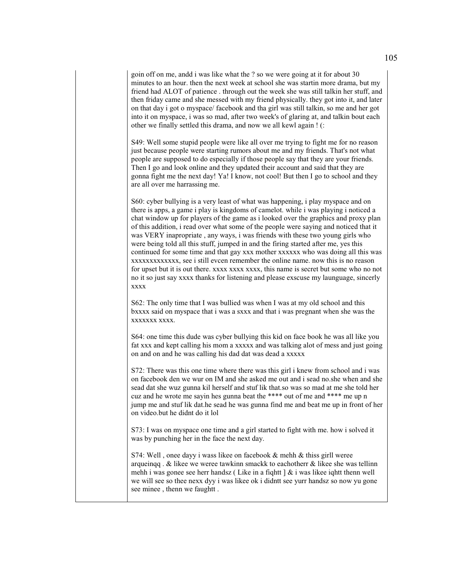goin off on me, andd i was like what the ? so we were going at it for about 30 minutes to an hour. then the next week at school she was startin more drama, but my friend had ALOT of patience . through out the week she was still talkin her stuff, and then friday came and she messed with my friend physically. they got into it, and later on that day i got o myspace/ facebook and tha girl was still talkin, so me and her got into it on myspace, i was so mad, after two week's of glaring at, and talkin bout each other we finally settled this drama, and now we all kewl again ! (:

S49: Well some stupid people were like all over me trying to fight me for no reason just because people were starting rumors about me and my friends. That's not what people are supposed to do especially if those people say that they are your friends. Then I go and look online and they updated their account and said that they are gonna fight me the next day! Ya! I know, not cool! But then I go to school and they are all over me harrassing me.

S60: cyber bullying is a very least of what was happening, i play myspace and on there is apps, a game i play is kingdoms of camelot. while i was playing i noticed a chat window up for players of the game as i looked over the graphics and proxy plan of this addition, i read over what some of the people were saying and noticed that it was VERY inapropriate , any ways, i was friends with these two young girls who were being told all this stuff, jumped in and the firing started after me, yes this continued for some time and that gay xxx mother xxxxxx who was doing all this was xxxxxxxxxxxxx, see i still evcen remember the online name. now this is no reason for upset but it is out there. xxxx xxxx xxxx, this name is secret but some who no not no it so just say xxxx thanks for listening and please exscuse my launguage, sincerly xxxx

S62: The only time that I was bullied was when I was at my old school and this bxxxx said on myspace that i was a sxxx and that i was pregnant when she was the xxxxxxx xxxx.

S64: one time this dude was cyber bullying this kid on face book he was all like you fat xxx and kept calling his mom a xxxxx and was talking alot of mess and just going on and on and he was calling his dad dat was dead a xxxxx

S72: There was this one time where there was this girl i knew from school and i was on facebook den we wur on IM and she asked me out and i sead no.she when and she sead dat she wuz gunna kil herself and stuf lik that.so was so mad at me she told her cuz and he wrote me sayin hes gunna beat the \*\*\*\* out of me and \*\*\*\* me up n jump me and stuf lik dat.he sead he was gunna find me and beat me up in front of her on video.but he didnt do it lol

S73: I was on myspace one time and a girl started to fight with me. how i solved it was by punching her in the face the next day.

S74: Well , onee dayy i wass likee on facebook & mehh & thiss girll weree arqueinqq . & likee we weree tawkinn smackk to eachotherr & likee she was tellinn mehh i was gonee see herr handsz ( Like in a fiqhtt ] & i was likee iqhtt thenn well we will see so thee nexx dyy i was likee ok i didntt see yurr handsz so now yu gone see minee , thenn we faughtt .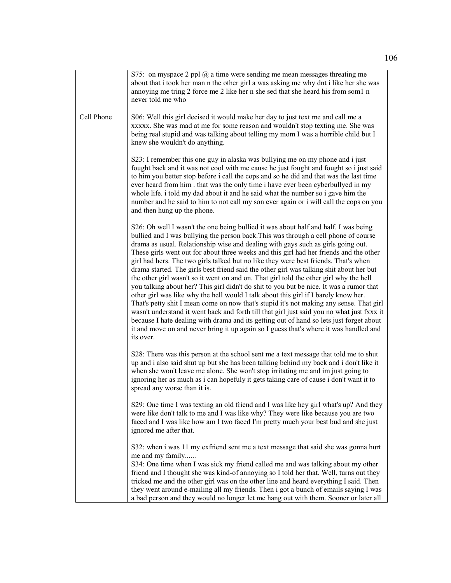|            | S75: on myspace 2 ppl $\omega$ a time were sending me mean messages threating me<br>about that i took her man n the other girl a was asking me why dnt i like her she was<br>annoying me tring 2 force me 2 like her n she sed that she heard his from som1 n<br>never told me who                                                                                                                                                                                                                                                                                                                                                                                                                                                                                                                                                                                                                                                                                                                                                                                                                                                                                                                               |
|------------|------------------------------------------------------------------------------------------------------------------------------------------------------------------------------------------------------------------------------------------------------------------------------------------------------------------------------------------------------------------------------------------------------------------------------------------------------------------------------------------------------------------------------------------------------------------------------------------------------------------------------------------------------------------------------------------------------------------------------------------------------------------------------------------------------------------------------------------------------------------------------------------------------------------------------------------------------------------------------------------------------------------------------------------------------------------------------------------------------------------------------------------------------------------------------------------------------------------|
| Cell Phone | S06: Well this girl decised it would make her day to just text me and call me a<br>xxxxx. She was mad at me for some reason and wouldn't stop texting me. She was<br>being real stupid and was talking about telling my mom I was a horrible child but I<br>knew she wouldn't do anything.                                                                                                                                                                                                                                                                                                                                                                                                                                                                                                                                                                                                                                                                                                                                                                                                                                                                                                                       |
|            | S23: I remember this one guy in alaska was bullying me on my phone and i just<br>fought back and it was not cool with me cause he just fought and fought so i just said<br>to him you better stop before i call the cops and so he did and that was the last time<br>ever heard from him. that was the only time i have ever been cyberbullyed in my<br>whole life. i told my dad about it and he said what the number so i gave him the<br>number and he said to him to not call my son ever again or i will call the cops on you<br>and then hung up the phone.                                                                                                                                                                                                                                                                                                                                                                                                                                                                                                                                                                                                                                                |
|            | S26: Oh well I wasn't the one being bullied it was about half and half. I was being<br>bullied and I was bullying the person back. This was through a cell phone of course<br>drama as usual. Relationship wise and dealing with gays such as girls going out.<br>These girls went out for about three weeks and this girl had her friends and the other<br>girl had hers. The two girls talked but no like they were best friends. That's when<br>drama started. The girls best friend said the other girl was talking shit about her but<br>the other girl wasn't so it went on and on. That girl told the other girl why the hell<br>you talking about her? This girl didn't do shit to you but be nice. It was a rumor that<br>other girl was like why the hell would I talk about this girl if I barely know her.<br>That's petty shit I mean come on now that's stupid it's not making any sense. That girl<br>wasn't understand it went back and forth till that girl just said you no what just fxxx it<br>because I hate dealing with drama and its getting out of hand so lets just forget about<br>it and move on and never bring it up again so I guess that's where it was handled and<br>its over. |
|            | S28: There was this person at the school sent me a text message that told me to shut<br>up and i also said shut up but she has been talking behind my back and i don't like it<br>when she won't leave me alone. She won't stop irritating me and im just going to<br>ignoring her as much as i can hopefuly it gets taking care of cause i don't want it to<br>spread any worse than it is.                                                                                                                                                                                                                                                                                                                                                                                                                                                                                                                                                                                                                                                                                                                                                                                                                     |
|            | S29: One time I was texting an old friend and I was like hey girl what's up? And they<br>were like don't talk to me and I was like why? They were like because you are two<br>faced and I was like how am I two faced I'm pretty much your best bud and she just<br>ignored me after that.                                                                                                                                                                                                                                                                                                                                                                                                                                                                                                                                                                                                                                                                                                                                                                                                                                                                                                                       |
|            | S32: when i was 11 my exfriend sent me a text message that said she was gonna hurt<br>me and my family<br>S34: One time when I was sick my friend called me and was talking about my other<br>friend and I thought she was kind-of annoying so I told her that. Well, turns out they<br>tricked me and the other girl was on the other line and heard everything I said. Then<br>they went around e-mailing all my friends. Then i got a bunch of emails saying I was<br>a bad person and they would no longer let me hang out with them. Sooner or later all                                                                                                                                                                                                                                                                                                                                                                                                                                                                                                                                                                                                                                                    |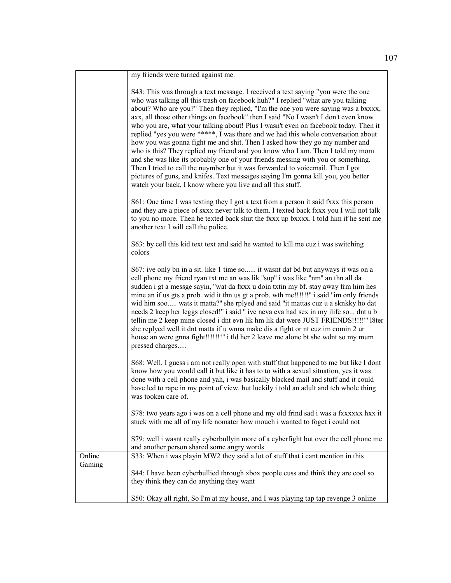|                  | my friends were turned against me.                                                                                                                                                                                                                                                                                                                                                                                                                                                                                                                                                                                                                                                                                                                                                                                                                                                                                                                                                                                    |
|------------------|-----------------------------------------------------------------------------------------------------------------------------------------------------------------------------------------------------------------------------------------------------------------------------------------------------------------------------------------------------------------------------------------------------------------------------------------------------------------------------------------------------------------------------------------------------------------------------------------------------------------------------------------------------------------------------------------------------------------------------------------------------------------------------------------------------------------------------------------------------------------------------------------------------------------------------------------------------------------------------------------------------------------------|
|                  | S43: This was through a text message. I received a text saying "you were the one<br>who was talking all this trash on facebook huh?" I replied "what are you talking<br>about? Who are you?" Then they replied, "I'm the one you were saying was a bxxxx,<br>axx, all those other things on facebook" then I said "No I wasn't I don't even know<br>who you are, what your talking about! Plus I wasn't even on facebook today. Then it<br>replied "yes you were *****, I was there and we had this whole conversation about<br>how you was gonna fight me and shit. Then I asked how they go my number and<br>who is this? They replied my friend and you know who I am. Then I told my mom<br>and she was like its probably one of your friends messing with you or something.<br>Then I tried to call the nuymber but it was forwarded to voicemail. Then I got<br>pictures of guns, and knifes. Text messages saying I'm gonna kill you, you better<br>watch your back, I know where you live and all this stuff. |
|                  | S61: One time I was texting they I got a text from a person it said fxxx this person<br>and they are a piece of sxxx never talk to them. I texted back fxxx you I will not talk<br>to you no more. Then he texted back shut the fxxx up bxxxx. I told him if he sent me<br>another text I will call the police.                                                                                                                                                                                                                                                                                                                                                                                                                                                                                                                                                                                                                                                                                                       |
|                  | S63: by cell this kid text text and said he wanted to kill me cuz i was switching<br>colors                                                                                                                                                                                                                                                                                                                                                                                                                                                                                                                                                                                                                                                                                                                                                                                                                                                                                                                           |
|                  | S67: ive only bn in a sit. like 1 time so it wasnt dat bd but anyways it was on a<br>cell phone my friend ryan txt me an was lik "sup" i was like "nm" an thn all da<br>sudden i gt a messge sayin, "wat da fxxx u doin txtin my bf. stay away frm him hes<br>mine an if us gts a prob. wid it thn us gt a prob. wth me!!!!!!!" i said "im only friends"<br>wid him soo wats it matta?" she rplyed and said "it mattas cuz u a sknkky ho dat<br>needs 2 keep her leggs closed!" i said " ive neva eva had sex in my ilife so dnt u b<br>tellin me 2 keep mine closed i dnt evn lik hm lik dat were JUST FRIENDS!!!!!" 18ter<br>she replyed well it dnt matta if u wnna make dis a fight or nt cuz im comin 2 ur<br>house an were gnna fight!!!!!!!!" i tld her 2 leave me alone bt she wdnt so my mum<br>pressed charges                                                                                                                                                                                              |
|                  | S68: Well, I guess i am not really open with stuff that happened to me but like I dont<br>know how you would call it but like it has to to with a sexual situation, yes it was<br>done with a cell phone and yah, i was basically blacked mail and stuff and it could<br>have led to rape in my point of view. but luckily i told an adult and teh whole thing<br>was tooken care of.                                                                                                                                                                                                                                                                                                                                                                                                                                                                                                                                                                                                                                 |
|                  | S78: two years ago i was on a cell phone and my old frind sad i was a fxxxxxx hxx it<br>stuck with me all of my life nomater how mouch i wanted to foget i could not                                                                                                                                                                                                                                                                                                                                                                                                                                                                                                                                                                                                                                                                                                                                                                                                                                                  |
|                  | S79: well i wasnt really cyberbullyin more of a cyberfight but over the cell phone me<br>and another person shared some angry words                                                                                                                                                                                                                                                                                                                                                                                                                                                                                                                                                                                                                                                                                                                                                                                                                                                                                   |
| Online<br>Gaming | S33: When i was playin MW2 they said a lot of stuff that i cant mention in this                                                                                                                                                                                                                                                                                                                                                                                                                                                                                                                                                                                                                                                                                                                                                                                                                                                                                                                                       |
|                  | S44: I have been cyberbullied through xbox people cuss and think they are cool so<br>they think they can do anything they want                                                                                                                                                                                                                                                                                                                                                                                                                                                                                                                                                                                                                                                                                                                                                                                                                                                                                        |
|                  | S50: Okay all right, So I'm at my house, and I was playing tap tap revenge 3 online                                                                                                                                                                                                                                                                                                                                                                                                                                                                                                                                                                                                                                                                                                                                                                                                                                                                                                                                   |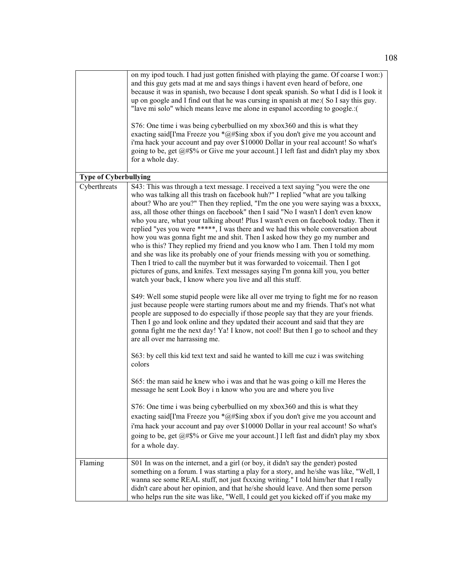|                              | on my ipod touch. I had just gotten finished with playing the game. Of coarse I won:)<br>and this guy gets mad at me and says things i havent even heard of before, one<br>because it was in spanish, two because I dont speak spanish. So what I did is I look it<br>up on google and I find out that he was cursing in spanish at me: (So I say this guy.<br>"lave mi solo" which means leave me alone in espanol according to google.:(                                                                                                                                                                                                                                                                                                                                                                                                                                                                                                                                                                                                                                                                                                                                                                                                                                                                                                                                                                                                                                                                                                                                                                                                                                                                                                                                                                                                                                                                                  |
|------------------------------|-----------------------------------------------------------------------------------------------------------------------------------------------------------------------------------------------------------------------------------------------------------------------------------------------------------------------------------------------------------------------------------------------------------------------------------------------------------------------------------------------------------------------------------------------------------------------------------------------------------------------------------------------------------------------------------------------------------------------------------------------------------------------------------------------------------------------------------------------------------------------------------------------------------------------------------------------------------------------------------------------------------------------------------------------------------------------------------------------------------------------------------------------------------------------------------------------------------------------------------------------------------------------------------------------------------------------------------------------------------------------------------------------------------------------------------------------------------------------------------------------------------------------------------------------------------------------------------------------------------------------------------------------------------------------------------------------------------------------------------------------------------------------------------------------------------------------------------------------------------------------------------------------------------------------------|
|                              | S76: One time i was being cyberbullied on my xbox360 and this is what they<br>exacting said[I'ma Freeze you *@#\$ing xbox if you don't give me you account and<br>i'ma hack your account and pay over \$10000 Dollar in your real account! So what's<br>going to be, get @#\$% or Give me your account.] I left fast and didn't play my xbox<br>for a whole day.                                                                                                                                                                                                                                                                                                                                                                                                                                                                                                                                                                                                                                                                                                                                                                                                                                                                                                                                                                                                                                                                                                                                                                                                                                                                                                                                                                                                                                                                                                                                                            |
| <b>Type of Cyberbullying</b> |                                                                                                                                                                                                                                                                                                                                                                                                                                                                                                                                                                                                                                                                                                                                                                                                                                                                                                                                                                                                                                                                                                                                                                                                                                                                                                                                                                                                                                                                                                                                                                                                                                                                                                                                                                                                                                                                                                                             |
| Cyberthreats                 | S43: This was through a text message. I received a text saying "you were the one<br>who was talking all this trash on facebook huh?" I replied "what are you talking<br>about? Who are you?" Then they replied, "I'm the one you were saying was a bxxxx,<br>ass, all those other things on facebook" then I said "No I wasn't I don't even know<br>who you are, what your talking about! Plus I wasn't even on facebook today. Then it<br>replied "yes you were *****, I was there and we had this whole conversation about<br>how you was gonna fight me and shit. Then I asked how they go my number and<br>who is this? They replied my friend and you know who I am. Then I told my mom<br>and she was like its probably one of your friends messing with you or something.<br>Then I tried to call the nuymber but it was forwarded to voicemail. Then I got<br>pictures of guns, and knifes. Text messages saying I'm gonna kill you, you better<br>watch your back, I know where you live and all this stuff.<br>S49: Well some stupid people were like all over me trying to fight me for no reason<br>just because people were starting rumors about me and my friends. That's not what<br>people are supposed to do especially if those people say that they are your friends.<br>Then I go and look online and they updated their account and said that they are<br>gonna fight me the next day! Ya! I know, not cool! But then I go to school and they<br>are all over me harrassing me.<br>S63: by cell this kid text text and said he wanted to kill me cuz i was switching<br>colors<br>S65: the man said he knew who i was and that he was going o kill me Heres the<br>message he sent Look Boy i n know who you are and where you live<br>S76: One time i was being cyberbullied on my xbox360 and this is what they<br>exacting said[I'ma Freeze you *@#\$ing xbox if you don't give me you account and |
|                              | i'ma hack your account and pay over \$10000 Dollar in your real account! So what's<br>going to be, get @#\$% or Give me your account.] I left fast and didn't play my xbox<br>for a whole day.                                                                                                                                                                                                                                                                                                                                                                                                                                                                                                                                                                                                                                                                                                                                                                                                                                                                                                                                                                                                                                                                                                                                                                                                                                                                                                                                                                                                                                                                                                                                                                                                                                                                                                                              |
| Flaming                      | S01 In was on the internet, and a girl (or boy, it didn't say the gender) posted<br>something on a forum. I was starting a play for a story, and he/she was like, "Well, I<br>wanna see some REAL stuff, not just fxxxing writing." I told him/her that I really<br>didn't care about her opinion, and that he/she should leave. And then some person<br>who helps run the site was like, "Well, I could get you kicked off if you make my                                                                                                                                                                                                                                                                                                                                                                                                                                                                                                                                                                                                                                                                                                                                                                                                                                                                                                                                                                                                                                                                                                                                                                                                                                                                                                                                                                                                                                                                                  |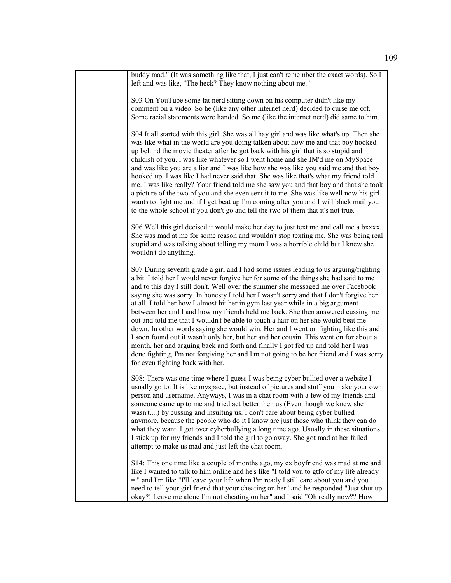| buddy mad." (It was something like that, I just can't remember the exact words). So I<br>left and was like, "The heck? They know nothing about me."                                                                                                                                                                                                                                                                                                                                                                                                                                                                                                                                                                                                                                                                                                                                                                                                                                                                          |
|------------------------------------------------------------------------------------------------------------------------------------------------------------------------------------------------------------------------------------------------------------------------------------------------------------------------------------------------------------------------------------------------------------------------------------------------------------------------------------------------------------------------------------------------------------------------------------------------------------------------------------------------------------------------------------------------------------------------------------------------------------------------------------------------------------------------------------------------------------------------------------------------------------------------------------------------------------------------------------------------------------------------------|
| S03 On YouTube some fat nerd sitting down on his computer didn't like my<br>comment on a video. So he (like any other internet nerd) decided to curse me off.<br>Some racial statements were handed. So me (like the internet nerd) did same to him.                                                                                                                                                                                                                                                                                                                                                                                                                                                                                                                                                                                                                                                                                                                                                                         |
| S04 It all started with this girl. She was all hay girl and was like what's up. Then she<br>was like what in the world are you doing talken about how me and that boy hooked<br>up behind the movie theater after he got back with his girl that is so stupid and<br>childish of you. i was like whatever so I went home and she IM'd me on MySpace<br>and was like you are a liar and I was like how she was like you said me and that boy<br>hooked up. I was like I had never said that. She was like that's what my friend told<br>me. I was like really? Your friend told me she saw you and that boy and that she took<br>a picture of the two of you and she even sent it to me. She was like well now his girl<br>wants to fight me and if I get beat up I'm coming after you and I will black mail you<br>to the whole school if you don't go and tell the two of them that it's not true.                                                                                                                          |
| S06 Well this girl decised it would make her day to just text me and call me a bxxxx.<br>She was mad at me for some reason and wouldn't stop texting me. She was being real<br>stupid and was talking about telling my mom I was a horrible child but I knew she<br>wouldn't do anything.                                                                                                                                                                                                                                                                                                                                                                                                                                                                                                                                                                                                                                                                                                                                    |
| S07 During seventh grade a girl and I had some issues leading to us arguing/fighting<br>a bit. I told her I would never forgive her for some of the things she had said to me<br>and to this day I still don't. Well over the summer she messaged me over Facebook<br>saying she was sorry. In honesty I told her I wasn't sorry and that I don't forgive her<br>at all. I told her how I almost hit her in gym last year while in a big argument<br>between her and I and how my friends held me back. She then answered cussing me<br>out and told me that I wouldn't be able to touch a hair on her she would beat me<br>down. In other words saying she would win. Her and I went on fighting like this and<br>I soon found out it wasn't only her, but her and her cousin. This went on for about a<br>month, her and arguing back and forth and finally I got fed up and told her I was<br>done fighting, I'm not forgiving her and I'm not going to be her friend and I was sorry<br>for even fighting back with her. |
| S08: There was one time where I guess I was being cyber bullied over a website I<br>usually go to. It is like myspace, but instead of pictures and stuff you make your own<br>person and username. Anyways, I was in a chat room with a few of my friends and<br>someone came up to me and tried act better then us (Even though we knew she<br>wasn't) by cussing and insulting us. I don't care about being cyber bullied<br>anymore, because the people who do it I know are just those who think they can do<br>what they want. I got over cyberbullying a long time ago. Usually in these situations<br>I stick up for my friends and I told the girl to go away. She got mad at her failed<br>attempt to make us mad and just left the chat room.                                                                                                                                                                                                                                                                      |
| S14: This one time like a couple of months ago, my ex boyfriend was mad at me and<br>like I wanted to talk to him online and he's like "I told you to gtfo of my life already<br>$=$  " and I'm like "I'll leave your life when I'm ready I still care about you and you<br>need to tell your girl friend that your cheating on her" and he responded "Just shut up<br>okay?! Leave me alone I'm not cheating on her" and I said "Oh really now?? How                                                                                                                                                                                                                                                                                                                                                                                                                                                                                                                                                                        |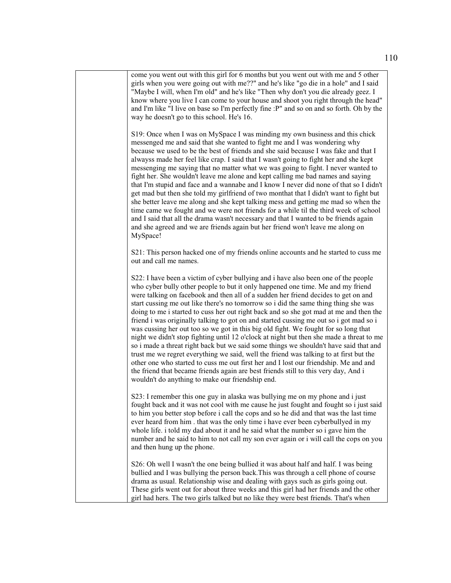come you went out with this girl for 6 months but you went out with me and 5 other girls when you were going out with me??" and he's like "go die in a hole" and I said "Maybe I will, when I'm old" and he's like "Then why don't you die already geez. I know where you live I can come to your house and shoot you right through the head" and I'm like "I live on base so I'm perfectly fine :P" and so on and so forth. Oh by the way he doesn't go to this school. He's 16.

S19: Once when I was on MySpace I was minding my own business and this chick messenged me and said that she wanted to fight me and I was wondering why because we used to be the best of friends and she said because I was fake and that I alwayss made her feel like crap. I said that I wasn't going to fight her and she kept messenging me saying that no matter what we was going to fight. I never wanted to fight her. She wouldn't leave me alone and kept calling me bad names and saying that I'm stupid and face and a wannabe and I know I never did none of that so I didn't get mad but then she told my girlfriend of two monthat that I didn't want to fight but she better leave me along and she kept talking mess and getting me mad so when the time came we fought and we were not friends for a while til the third week of school and I said that all the drama wasn't necessary and that I wanted to be friends again and she agreed and we are friends again but her friend won't leave me along on MySpace!

S21: This person hacked one of my friends online accounts and he started to cuss me out and call me names.

S22: I have been a victim of cyber bullying and i have also been one of the people who cyber bully other people to but it only happened one time. Me and my friend were talking on facebook and then all of a sudden her friend decides to get on and start cussing me out like there's no tomorrow so i did the same thing thing she was doing to me i started to cuss her out right back and so she got mad at me and then the friend i was originally talking to got on and started cussing me out so i got mad so i was cussing her out too so we got in this big old fight. We fought for so long that night we didn't stop fighting until 12 o'clock at night but then she made a threat to me so i made a threat right back but we said some things we shouldn't have said that and trust me we regret everything we said, well the friend was talking to at first but the other one who started to cuss me out first her and I lost our friendship. Me and and the friend that became friends again are best friends still to this very day, And i wouldn't do anything to make our friendship end.

S23: I remember this one guy in alaska was bullying me on my phone and i just fought back and it was not cool with me cause he just fought and fought so i just said to him you better stop before i call the cops and so he did and that was the last time ever heard from him . that was the only time i have ever been cyberbullyed in my whole life. i told my dad about it and he said what the number so i gave him the number and he said to him to not call my son ever again or i will call the cops on you and then hung up the phone.

S26: Oh well I wasn't the one being bullied it was about half and half. I was being bullied and I was bullying the person back.This was through a cell phone of course drama as usual. Relationship wise and dealing with gays such as girls going out. These girls went out for about three weeks and this girl had her friends and the other girl had hers. The two girls talked but no like they were best friends. That's when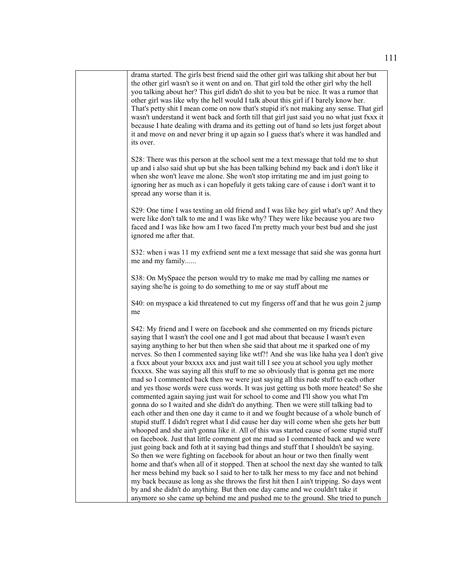| drama started. The girls best friend said the other girl was talking shit about her but<br>the other girl wasn't so it went on and on. That girl told the other girl why the hell<br>you talking about her? This girl didn't do shit to you but be nice. It was a rumor that<br>other girl was like why the hell would I talk about this girl if I barely know her.<br>That's petty shit I mean come on now that's stupid it's not making any sense. That girl<br>wasn't understand it went back and forth till that girl just said you no what just fxxx it<br>because I hate dealing with drama and its getting out of hand so lets just forget about<br>it and move on and never bring it up again so I guess that's where it was handled and<br>its over.                                                                                                                                                                                                                                                                                                                                                                                                                                                                                                                                                                                                                                                                                                                                                                                                                                                                                                                                                                                                                                                                                                                 |
|-------------------------------------------------------------------------------------------------------------------------------------------------------------------------------------------------------------------------------------------------------------------------------------------------------------------------------------------------------------------------------------------------------------------------------------------------------------------------------------------------------------------------------------------------------------------------------------------------------------------------------------------------------------------------------------------------------------------------------------------------------------------------------------------------------------------------------------------------------------------------------------------------------------------------------------------------------------------------------------------------------------------------------------------------------------------------------------------------------------------------------------------------------------------------------------------------------------------------------------------------------------------------------------------------------------------------------------------------------------------------------------------------------------------------------------------------------------------------------------------------------------------------------------------------------------------------------------------------------------------------------------------------------------------------------------------------------------------------------------------------------------------------------------------------------------------------------------------------------------------------------|
| S28: There was this person at the school sent me a text message that told me to shut<br>up and i also said shut up but she has been talking behind my back and i don't like it<br>when she won't leave me alone. She won't stop irritating me and im just going to<br>ignoring her as much as i can hopefuly it gets taking care of cause i don't want it to<br>spread any worse than it is.                                                                                                                                                                                                                                                                                                                                                                                                                                                                                                                                                                                                                                                                                                                                                                                                                                                                                                                                                                                                                                                                                                                                                                                                                                                                                                                                                                                                                                                                                  |
| S29: One time I was texting an old friend and I was like hey girl what's up? And they<br>were like don't talk to me and I was like why? They were like because you are two<br>faced and I was like how am I two faced I'm pretty much your best bud and she just<br>ignored me after that.                                                                                                                                                                                                                                                                                                                                                                                                                                                                                                                                                                                                                                                                                                                                                                                                                                                                                                                                                                                                                                                                                                                                                                                                                                                                                                                                                                                                                                                                                                                                                                                    |
| S32: when i was 11 my exfriend sent me a text message that said she was gonna hurt<br>me and my family                                                                                                                                                                                                                                                                                                                                                                                                                                                                                                                                                                                                                                                                                                                                                                                                                                                                                                                                                                                                                                                                                                                                                                                                                                                                                                                                                                                                                                                                                                                                                                                                                                                                                                                                                                        |
| S38: On MySpace the person would try to make me mad by calling me names or<br>saying she/he is going to do something to me or say stuff about me                                                                                                                                                                                                                                                                                                                                                                                                                                                                                                                                                                                                                                                                                                                                                                                                                                                                                                                                                                                                                                                                                                                                                                                                                                                                                                                                                                                                                                                                                                                                                                                                                                                                                                                              |
| S40: on myspace a kid threatened to cut my fingerss off and that he wus goin 2 jump<br>me                                                                                                                                                                                                                                                                                                                                                                                                                                                                                                                                                                                                                                                                                                                                                                                                                                                                                                                                                                                                                                                                                                                                                                                                                                                                                                                                                                                                                                                                                                                                                                                                                                                                                                                                                                                     |
| S42: My friend and I were on facebook and she commented on my friends picture<br>saying that I wasn't the cool one and I got mad about that because I wasn't even<br>saying anything to her but then when she said that about me it sparked one of my<br>nerves. So then I commented saying like wtf?! And she was like haha yea I don't give<br>a fxxx about your bxxxx axx and just wait till I see you at school you ugly mother<br>fxxxxx. She was saying all this stuff to me so obviously that is gonna get me more<br>mad so I commented back then we were just saying all this rude stuff to each other<br>and yes those words were cuss words. It was just getting us both more heated! So she<br>commented again saying just wait for school to come and I'll show you what I'm<br>gonna do so I waited and she didn't do anything. Then we were still talking bad to<br>each other and then one day it came to it and we fought because of a whole bunch of<br>stupid stuff. I didn't regret what I did cause her day will come when she gets her butt<br>whooped and she ain't gonna like it. All of this was started cause of some stupid stuff<br>on facebook. Just that little comment got me mad so I commented back and we were<br>just going back and foth at it saying bad things and stuff that I shouldn't be saying.<br>So then we were fighting on facebook for about an hour or two then finally went<br>home and that's when all of it stopped. Then at school the next day she wanted to talk<br>her mess behind my back so I said to her to talk her mess to my face and not behind<br>my back because as long as she throws the first hit then I ain't tripping. So days went<br>by and she didn't do anything. But then one day came and we couldn't take it<br>anymore so she came up behind me and pushed me to the ground. She tried to punch |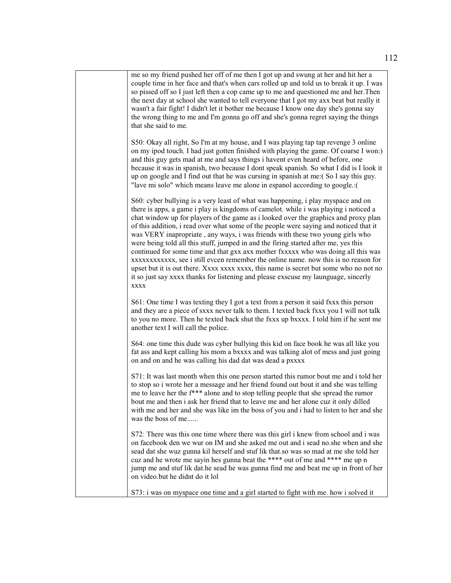| me so my friend pushed her off of me then I got up and swung at her and hit her a<br>couple time in her face and that's when cars rolled up and told us to break it up. I was<br>so pissed off so I just left then a cop came up to me and questioned me and her. Then<br>the next day at school she wanted to tell everyone that I got my axx beat but really it<br>wasn't a fair fight! I didn't let it bother me because I know one day she's gonna say<br>the wrong thing to me and I'm gonna go off and she's gonna regret saying the things<br>that she said to me.                                                                                                                                                                                                                                                                                                                                 |
|-----------------------------------------------------------------------------------------------------------------------------------------------------------------------------------------------------------------------------------------------------------------------------------------------------------------------------------------------------------------------------------------------------------------------------------------------------------------------------------------------------------------------------------------------------------------------------------------------------------------------------------------------------------------------------------------------------------------------------------------------------------------------------------------------------------------------------------------------------------------------------------------------------------|
| S50: Okay all right, So I'm at my house, and I was playing tap tap revenge 3 online<br>on my ipod touch. I had just gotten finished with playing the game. Of coarse I won:)<br>and this guy gets mad at me and says things i havent even heard of before, one<br>because it was in spanish, two because I dont speak spanish. So what I did is I look it<br>up on google and I find out that he was cursing in spanish at me: (So I say this guy.<br>"lave mi solo" which means leave me alone in espanol according to google.:(                                                                                                                                                                                                                                                                                                                                                                         |
| S60: cyber bullying is a very least of what was happening, i play myspace and on<br>there is apps, a game i play is kingdoms of camelot. while i was playing i noticed a<br>chat window up for players of the game as i looked over the graphics and proxy plan<br>of this addition, i read over what some of the people were saying and noticed that it<br>was VERY inapropriate, any ways, i was friends with these two young girls who<br>were being told all this stuff, jumped in and the firing started after me, yes this<br>continued for some time and that gxx axx mother fxxxxx who was doing all this was<br>xxxxxxxxxxx, see i still evcen remember the online name. now this is no reason for<br>upset but it is out there. Xxxx xxxx xxxx, this name is secret but some who no not no<br>it so just say xxxx thanks for listening and please exscuse my launguage, sincerly<br><b>XXXX</b> |
| S61: One time I was texting they I got a text from a person it said fxxx this person<br>and they are a piece of sxxx never talk to them. I texted back fxxx you I will not talk<br>to you no more. Then he texted back shut the fxxx up bxxxx. I told him if he sent me<br>another text I will call the police.                                                                                                                                                                                                                                                                                                                                                                                                                                                                                                                                                                                           |
| S64: one time this dude was cyber bullying this kid on face book he was all like you<br>fat ass and kept calling his mom a bxxxx and was talking alot of mess and just going<br>on and on and he was calling his dad dat was dead a pxxxx                                                                                                                                                                                                                                                                                                                                                                                                                                                                                                                                                                                                                                                                 |
| S71: It was last month when this one person started this rumor bout me and i told her<br>to stop so i wrote her a message and her friend found out bout it and she was telling<br>me to leave her the f*** alone and to stop telling people that she spread the rumor<br>bout me and then i ask her friend that to leave me and her alone cuz it only dilled<br>with me and her and she was like im the boss of you and i had to listen to her and she<br>was the boss of me                                                                                                                                                                                                                                                                                                                                                                                                                              |
| S72: There was this one time where there was this girl i knew from school and i was<br>on facebook den we wur on IM and she asked me out and i sead no.she when and she<br>sead dat she wuz gunna kil herself and stuf lik that.so was so mad at me she told her<br>cuz and he wrote me sayin hes gunna beat the **** out of me and **** me up n<br>jump me and stuf lik dat.he sead he was gunna find me and beat me up in front of her<br>on video.but he didnt do it lol                                                                                                                                                                                                                                                                                                                                                                                                                               |
| S73: i was on myspace one time and a girl started to fight with me. how i solved it                                                                                                                                                                                                                                                                                                                                                                                                                                                                                                                                                                                                                                                                                                                                                                                                                       |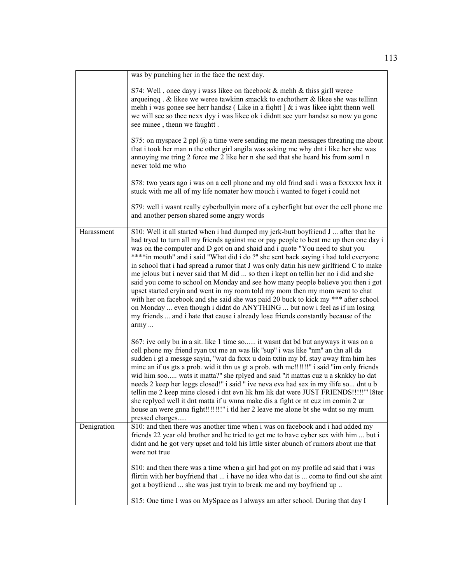|             | was by punching her in the face the next day.                                                                                                                                                                                                                                                                                                                                                                                                                                                                                                                                                                                                                                                                                                                                                                                                                                                                                                                              |
|-------------|----------------------------------------------------------------------------------------------------------------------------------------------------------------------------------------------------------------------------------------------------------------------------------------------------------------------------------------------------------------------------------------------------------------------------------------------------------------------------------------------------------------------------------------------------------------------------------------------------------------------------------------------------------------------------------------------------------------------------------------------------------------------------------------------------------------------------------------------------------------------------------------------------------------------------------------------------------------------------|
|             | S74: Well, onee dayy i wass likee on facebook & mehh & thiss girll weree<br>arqueinqq. $\&$ likee we weree tawkinn smackk to eachotherr $\&$ likee she was tellinn<br>mehh i was gonee see herr handsz (Like in a fiqhtt $\alpha$ i was like iqhtt then well<br>we will see so thee nexx dyy i was likee ok i didntt see yurr handsz so now yu gone<br>see minee, thenn we faughtt.                                                                                                                                                                                                                                                                                                                                                                                                                                                                                                                                                                                        |
|             | S75: on myspace 2 ppl $@$ a time were sending me mean messages threating me about<br>that i took her man n the other girl angila was asking me why dnt i like her she was<br>annoying me tring 2 force me 2 like her n she sed that she heard his from som1 n<br>never told me who                                                                                                                                                                                                                                                                                                                                                                                                                                                                                                                                                                                                                                                                                         |
|             | S78: two years ago i was on a cell phone and my old frind sad i was a fxxxxxx hxx it<br>stuck with me all of my life nomater how mouch i wanted to foget i could not                                                                                                                                                                                                                                                                                                                                                                                                                                                                                                                                                                                                                                                                                                                                                                                                       |
|             | S79: well i wasnt really cyberbullyin more of a cyberfight but over the cell phone me<br>and another person shared some angry words                                                                                                                                                                                                                                                                                                                                                                                                                                                                                                                                                                                                                                                                                                                                                                                                                                        |
| Harassment  | S10: Well it all started when i had dumped my jerk-butt boyfriend J  after that he<br>had tryed to turn all my friends against me or pay people to beat me up then one day i<br>was on the computer and D got on and shaid and i quote "You need to shut you<br>****in mouth" and i said "What did i do?" she sent back saying i had told everyone<br>in school that i had spread a rumor that J was only datin his new girlfriend C to make<br>me jelous but i never said that M did  so then i kept on tellin her no i did and she<br>said you come to school on Monday and see how many people believe you then i got<br>upset started cryin and went in my room told my mom then my mom went to chat<br>with her on facebook and she said she was paid 20 buck to kick my *** after school<br>on Monday  even though i didnt do ANYTHING  but now i feel as if im losing<br>my friends  and i hate that cause i already lose friends constantly because of the<br>army |
|             | S67: ive only bn in a sit. like 1 time so it wasnt dat bd but anyways it was on a<br>cell phone my friend ryan txt me an was lik "sup" i was like "nm" an thn all da<br>sudden i gt a messge sayin, "wat da fxxx u doin txtin my bf. stay away frm him hes<br>mine an if us gts a prob. wid it thn us gt a prob. wth me!!!!!!!" i said "im only friends<br>wid him soo wats it matta?" she rplyed and said "it mattas cuz u a sknkky ho dat<br>needs 2 keep her leggs closed!" i said " ive neva eva had sex in my ilife so dnt u b<br>tellin me 2 keep mine closed i dnt evn lik hm lik dat were JUST FRIENDS!!!!!" 18ter<br>she replyed well it dnt matta if u wnna make dis a fight or nt cuz im comin 2 ur<br>house an were gnna fight!!!!!!!!" i tld her 2 leave me alone bt she wdnt so my mum<br>pressed charges                                                                                                                                                    |
| Denigration | S10: and then there was another time when i was on facebook and i had added my<br>friends 22 year old brother and he tried to get me to have cyber sex with him  but i<br>didnt and he got very upset and told his little sister abunch of rumors about me that<br>were not true                                                                                                                                                                                                                                                                                                                                                                                                                                                                                                                                                                                                                                                                                           |
|             | S10: and then there was a time when a girl had got on my profile ad said that i was<br>flirtin with her boyfriend that  i have no idea who dat is  come to find out she aint<br>got a boyfriend  she was just tryin to break me and my boyfriend up                                                                                                                                                                                                                                                                                                                                                                                                                                                                                                                                                                                                                                                                                                                        |
|             | S15: One time I was on MySpace as I always am after school. During that day I                                                                                                                                                                                                                                                                                                                                                                                                                                                                                                                                                                                                                                                                                                                                                                                                                                                                                              |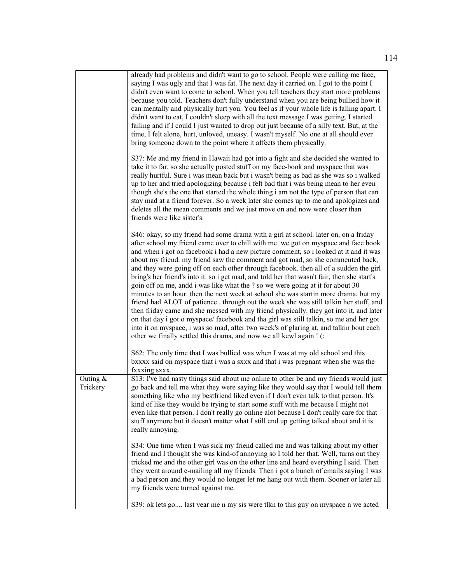|                        | already had problems and didn't want to go to school. People were calling me face,<br>saying I was ugly and that I was fat. The next day it carried on. I got to the point I<br>didn't even want to come to school. When you tell teachers they start more problems<br>because you told. Teachers don't fully understand when you are being bullied how it<br>can mentally and physically hurt you. You feel as if your whole life is falling apart. I<br>didn't want to eat, I couldn't sleep with all the text message I was getting. I started<br>failing and if I could I just wanted to drop out just because of a silly text. But, at the<br>time, I felt alone, hurt, unloved, uneasy. I wasn't myself. No one at all should ever<br>bring someone down to the point where it affects them physically.                                                                                                                                                                                                                                                                                                                                                       |
|------------------------|---------------------------------------------------------------------------------------------------------------------------------------------------------------------------------------------------------------------------------------------------------------------------------------------------------------------------------------------------------------------------------------------------------------------------------------------------------------------------------------------------------------------------------------------------------------------------------------------------------------------------------------------------------------------------------------------------------------------------------------------------------------------------------------------------------------------------------------------------------------------------------------------------------------------------------------------------------------------------------------------------------------------------------------------------------------------------------------------------------------------------------------------------------------------|
|                        | S37: Me and my friend in Hawaii had got into a fight and she decided she wanted to<br>take it to far, so she actually posted stuff on my face-book and myspace that was<br>really hurtful. Sure i was mean back but i wasn't being as bad as she was so i walked<br>up to her and tried apologizing because i felt bad that i was being mean to her even<br>though she's the one that started the whole thing i am not the type of person that can<br>stay mad at a friend forever. So a week later she comes up to me and apologizes and<br>deletes all the mean comments and we just move on and now were closer than<br>friends were like sister's.                                                                                                                                                                                                                                                                                                                                                                                                                                                                                                              |
|                        | S46: okay, so my friend had some drama with a girl at school. later on, on a friday<br>after school my friend came over to chill with me. we got on myspace and face book<br>and when i got on facebook i had a new picture comment, so i looked at it and it was<br>about my friend. my friend saw the comment and got mad, so she commented back,<br>and they were going off on each other through facebook. then all of a sudden the girl<br>bring's her friend's into it. so i get mad, and told her that wasn't fair, then she start's<br>goin off on me, andd i was like what the ? so we were going at it for about 30<br>minutes to an hour. then the next week at school she was startin more drama, but my<br>friend had ALOT of patience . through out the week she was still talkin her stuff, and<br>then friday came and she messed with my friend physically. they got into it, and later<br>on that day i got o myspace/ facebook and tha girl was still talkin, so me and her got<br>into it on myspace, i was so mad, after two week's of glaring at, and talkin bout each<br>other we finally settled this drama, and now we all kewl again ! (: |
|                        | S62: The only time that I was bullied was when I was at my old school and this<br>bxxxx said on myspace that i was a sxxx and that i was pregnant when she was the<br>fxxxing sxxx.                                                                                                                                                                                                                                                                                                                                                                                                                                                                                                                                                                                                                                                                                                                                                                                                                                                                                                                                                                                 |
| Outing $&$<br>Trickery | S13: I've had nasty things said about me online to other be and my friends would just<br>go back and tell me what they were saying like they would say that I would tell them<br>something like who my bestfriend liked even if I don't even talk to that person. It's<br>kind of like they would be trying to start some stuff with me because I might not<br>even like that person. I don't really go online alot because I don't really care for that<br>stuff anymore but it doesn't matter what I still end up getting talked about and it is<br>really annoying.                                                                                                                                                                                                                                                                                                                                                                                                                                                                                                                                                                                              |
|                        | S34: One time when I was sick my friend called me and was talking about my other<br>friend and I thought she was kind-of annoying so I told her that. Well, turns out they<br>tricked me and the other girl was on the other line and heard everything I said. Then<br>they went around e-mailing all my friends. Then i got a bunch of emails saying I was<br>a bad person and they would no longer let me hang out with them. Sooner or later all<br>my friends were turned against me.                                                                                                                                                                                                                                                                                                                                                                                                                                                                                                                                                                                                                                                                           |
|                        | S39: ok lets go last year me n my sis were tlkn to this guy on myspace n we acted                                                                                                                                                                                                                                                                                                                                                                                                                                                                                                                                                                                                                                                                                                                                                                                                                                                                                                                                                                                                                                                                                   |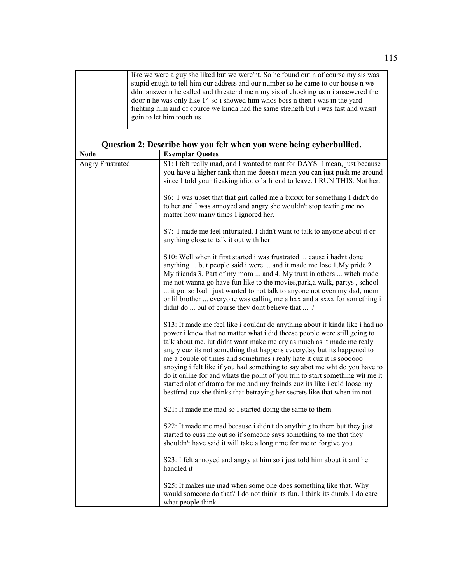| like we were a guy she liked but we were'nt. So he found out n of course my sis was |
|-------------------------------------------------------------------------------------|
| stupid enugh to tell him our address and our number so he came to our house n we    |
| ddnt answer n he called and threatend me n my sis of chocking us n i ansewered the  |
| door n he was only like 14 so i showed him whos boss n then i was in the yard       |
| fighting him and of cource we kind ahad the same strength but i was fast and wasnt  |
| goin to let him touch us                                                            |
|                                                                                     |

| <b>Node</b>             | <b>Exemplar Quotes</b>                                                                                                                                                                                                                                                                                                                                                                                                                                                                                                                                                                                                                                                                                     |
|-------------------------|------------------------------------------------------------------------------------------------------------------------------------------------------------------------------------------------------------------------------------------------------------------------------------------------------------------------------------------------------------------------------------------------------------------------------------------------------------------------------------------------------------------------------------------------------------------------------------------------------------------------------------------------------------------------------------------------------------|
| <b>Angry Frustrated</b> | S1: I felt really mad, and I wanted to rant for DAYS. I mean, just because<br>you have a higher rank than me doesn't mean you can just push me around<br>since I told your freaking idiot of a friend to leave. I RUN THIS. Not her.                                                                                                                                                                                                                                                                                                                                                                                                                                                                       |
|                         | S6: I was upset that that girl called me a bxxxx for something I didn't do<br>to her and I was annoyed and angry she wouldn't stop texting me no<br>matter how many times I ignored her.                                                                                                                                                                                                                                                                                                                                                                                                                                                                                                                   |
|                         | S7: I made me feel infuriated. I didn't want to talk to anyone about it or<br>anything close to talk it out with her.                                                                                                                                                                                                                                                                                                                                                                                                                                                                                                                                                                                      |
|                         | S10: Well when it first started i was frustrated  cause i hadnt done<br>anything  but people said i were  and it made me lose 1. My pride 2.<br>My friends 3. Part of my mom  and 4. My trust in others  witch made<br>me not wanna go have fun like to the movies, park, a walk, partys, school<br>it got so bad i just wanted to not talk to anyone not even my dad, mom<br>or lil brother  everyone was calling me a hxx and a sxxx for something i<br>didnt do  but of course they dont believe that  :/                                                                                                                                                                                               |
|                         | S13: It made me feel like i couldnt do anything about it kinda like i had no<br>power i knew that no matter what i did theese people were still going to<br>talk about me. iut didnt want make me cry as much as it made me realy<br>angry cuz its not something that happens eveeryday but its happened to<br>me a couple of times and sometimes i realy hate it cuz it is soooooo<br>anoying i felt like if you had something to say abot me wht do you have to<br>do it online for and whats the point of you trin to start something wit me it<br>started alot of drama for me and my freinds cuz its like i culd loose my<br>bestfrnd cuz she thinks that betraying her secrets like that when im not |
|                         | S21: It made me mad so I started doing the same to them.                                                                                                                                                                                                                                                                                                                                                                                                                                                                                                                                                                                                                                                   |
|                         | S22: It made me mad because i didn't do anything to them but they just<br>started to cuss me out so if someone says something to me that they<br>shouldn't have said it will take a long time for me to forgive you                                                                                                                                                                                                                                                                                                                                                                                                                                                                                        |
|                         | S23: I felt annoyed and angry at him so i just told him about it and he<br>handled it                                                                                                                                                                                                                                                                                                                                                                                                                                                                                                                                                                                                                      |
|                         | S25: It makes me mad when some one does something like that. Why<br>would someone do that? I do not think its fun. I think its dumb. I do care<br>what people think.                                                                                                                                                                                                                                                                                                                                                                                                                                                                                                                                       |

**Question 2: Describe how you felt when you were being cyberbullied.**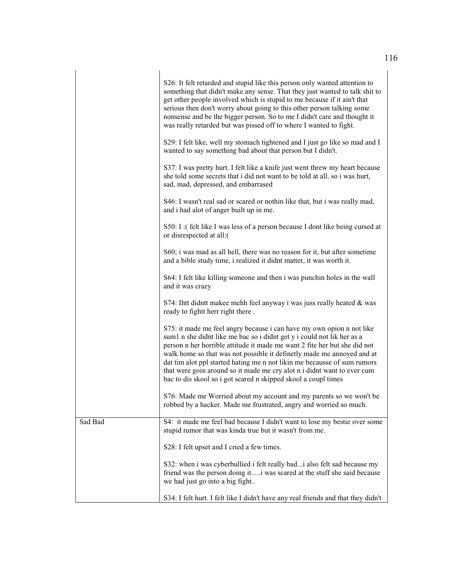|         | S26: It felt retarded and stupid like this person only wanted attention to<br>something that didn't make any sense. That they just wanted to talk shit to<br>get other people involved which is stupid to me because if it ain't that<br>serious then don't worry about going to this other person talking some<br>nonsense and be the bigger person. So to me I didn't care and thought it<br>was really retarded but was pissed off to where I wanted to fight.                                                               |
|---------|---------------------------------------------------------------------------------------------------------------------------------------------------------------------------------------------------------------------------------------------------------------------------------------------------------------------------------------------------------------------------------------------------------------------------------------------------------------------------------------------------------------------------------|
|         | S29: I felt like, well my stomach tightened and I just go like so mad and I<br>wanted to say something bad about that person but I didn't.                                                                                                                                                                                                                                                                                                                                                                                      |
|         | S37: I was pretty hurt. I felt like a knife just went threw my heart because<br>she told some secrets that i did not want to be told at all. so i was hurt,<br>sad, mad, depressed, and embarrased                                                                                                                                                                                                                                                                                                                              |
|         | S46: I wasn't real sad or scared or nothin like that, but i was really mad,<br>and i had alot of anger built up in me.                                                                                                                                                                                                                                                                                                                                                                                                          |
|         | S50: I: (felt like I was less of a person because I dont like being cursed at<br>or disrespected at all:(                                                                                                                                                                                                                                                                                                                                                                                                                       |
|         | S60; i was mad as all hell, there was no reason for it, but after sometime<br>and a bible study time, i realized it didnt matter, it was worth it.                                                                                                                                                                                                                                                                                                                                                                              |
|         | S64: I felt like killing someone and then i was punchin holes in the wall<br>and it was crazy                                                                                                                                                                                                                                                                                                                                                                                                                                   |
|         | S74: Ihtt didntt makee mehh feel anyway i was juss really heated & was<br>ready to fightt herr right there.                                                                                                                                                                                                                                                                                                                                                                                                                     |
|         | S75: it made me feel angry because i can have my own opion n not like<br>sum1 n she didnt like me bac so i didnt get y i could not lik her as a<br>person n her horrible attitude it made me want 2 fite her but she did not<br>walk home so that was not possible it definetly made me annoyed and at<br>dat tim alot ppl started hating me n not likin me becausse of sum rumors<br>that were goin around so it made me cry alot n i didnt want to ever cum<br>bac to dis skool so i got scared n skipped skool a coupl times |
|         | S76: Made me Worried about my account and my parents so we won't be<br>robbed by a hacker. Made me frustrated, angry and worried so much.                                                                                                                                                                                                                                                                                                                                                                                       |
| Sad Bad | S4: it made me feel bad because I didn't want to lose my bestie over some<br>stupid rumor that was kinda true but it wasn't from me.                                                                                                                                                                                                                                                                                                                                                                                            |
|         | S28: I felt upset and I cried a few times.                                                                                                                                                                                                                                                                                                                                                                                                                                                                                      |
|         | S32: when i was cyberbullied i felt really bad i also felt sad because my<br>friend was the person doing iti was scared at the stuff she said because<br>we had just go into a big fight                                                                                                                                                                                                                                                                                                                                        |
|         | S34: I felt hurt. I felt like I didn't have any real friends and that they didn't                                                                                                                                                                                                                                                                                                                                                                                                                                               |

 $\overline{1}$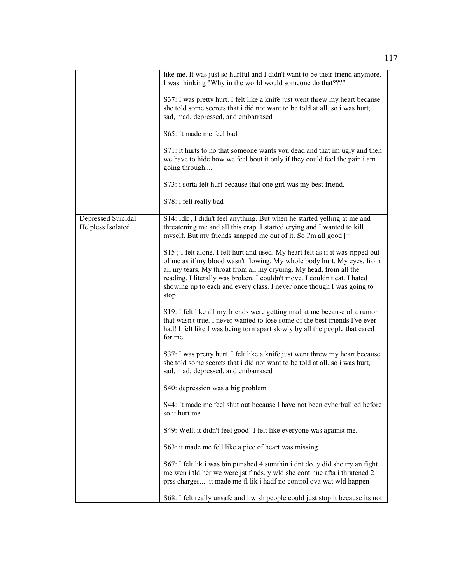|                                         | like me. It was just so hurtful and I didn't want to be their friend anymore.<br>I was thinking "Why in the world would someone do that???"                                                                                                                                                                                                                                                    |
|-----------------------------------------|------------------------------------------------------------------------------------------------------------------------------------------------------------------------------------------------------------------------------------------------------------------------------------------------------------------------------------------------------------------------------------------------|
|                                         | S37: I was pretty hurt. I felt like a knife just went threw my heart because<br>she told some secrets that i did not want to be told at all. so i was hurt,<br>sad, mad, depressed, and embarrased                                                                                                                                                                                             |
|                                         | S65: It made me feel bad                                                                                                                                                                                                                                                                                                                                                                       |
|                                         | S71: it hurts to no that someone wants you dead and that im ugly and then<br>we have to hide how we feel bout it only if they could feel the pain i am<br>going through                                                                                                                                                                                                                        |
|                                         | S73: i sorta felt hurt because that one girl was my best friend.                                                                                                                                                                                                                                                                                                                               |
|                                         | S78: i felt really bad                                                                                                                                                                                                                                                                                                                                                                         |
| Depressed Suicidal<br>Helpless Isolated | S14: Idk, I didn't feel anything. But when he started yelling at me and<br>threatening me and all this crap. I started crying and I wanted to kill<br>myself. But my friends snapped me out of it. So I'm all good [=                                                                                                                                                                          |
|                                         | S15; I felt alone. I felt hurt and used. My heart felt as if it was ripped out<br>of me as if my blood wasn't flowing. My whole body hurt. My eyes, from<br>all my tears. My throat from all my cryuing. My head, from all the<br>reading. I literally was broken. I couldn't move. I couldn't eat. I hated<br>showing up to each and every class. I never once though I was going to<br>stop. |
|                                         | S19: I felt like all my friends were getting mad at me because of a rumor<br>that wasn't true. I never wanted to lose some of the best friends I've ever<br>had! I felt like I was being torn apart slowly by all the people that cared<br>for me.                                                                                                                                             |
|                                         | S37: I was pretty hurt. I felt like a knife just went threw my heart because<br>she told some secrets that i did not want to be told at all. so i was hurt,<br>sad, mad, depressed, and embarrased                                                                                                                                                                                             |
|                                         | S40: depression was a big problem                                                                                                                                                                                                                                                                                                                                                              |
|                                         | S44: It made me feel shut out because I have not been cyberbullied before<br>so it hurt me                                                                                                                                                                                                                                                                                                     |
|                                         | S49: Well, it didn't feel good! I felt like everyone was against me.                                                                                                                                                                                                                                                                                                                           |
|                                         | S63: it made me fell like a pice of heart was missing                                                                                                                                                                                                                                                                                                                                          |
|                                         | S67: I felt lik i was bin punshed 4 sumthin i dnt do. y did she try an fight<br>me wen i tld her we were jst frnds. y wld she continue afta i thratened 2<br>prss charges it made me fl lik i hadf no control ova wat wld happen                                                                                                                                                               |
|                                         | S68: I felt really unsafe and i wish people could just stop it because its not                                                                                                                                                                                                                                                                                                                 |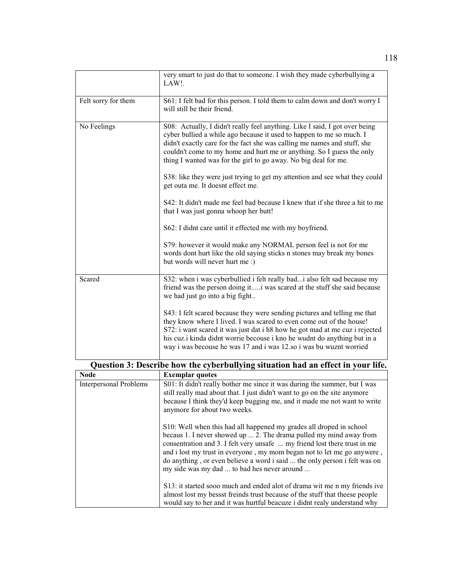|                     | very smart to just do that to someone. I wish they made cyberbullying a<br>LAW!.                                                                                                                                                                                                                                                                                                   |
|---------------------|------------------------------------------------------------------------------------------------------------------------------------------------------------------------------------------------------------------------------------------------------------------------------------------------------------------------------------------------------------------------------------|
| Felt sorry for them | S61: I felt bad for this person. I told them to calm down and don't worry I<br>will still be their friend.                                                                                                                                                                                                                                                                         |
| No Feelings         | S08: Actually, I didn't really feel anything. Like I said, I got over being<br>cyber bullied a while ago because it used to happen to me so much. I<br>didn't exactly care for the fact she was calling me names and stuff, she<br>couldn't come to my home and hurt me or anything. So I guess the only<br>thing I wanted was for the girl to go away. No big deal for me.        |
|                     | S38: like they were just trying to get my attention and see what they could<br>get outa me. It doesnt effect me.                                                                                                                                                                                                                                                                   |
|                     | S42: It didn't made me feel bad because I knew that if she three a hit to me<br>that I was just gonna whoop her butt!                                                                                                                                                                                                                                                              |
|                     | S62: I didnt care until it effected me with my boyfriend.                                                                                                                                                                                                                                                                                                                          |
|                     | S79: however it would make any NORMAL person feel is not for me<br>words dont hurt like the old saying sticks n stones may break my bones<br>but words will never hurt me:)                                                                                                                                                                                                        |
| Scared              | S32: when i was cyberbullied i felt really badi also felt sad because my<br>friend was the person doing it i was scared at the stuff she said because<br>we had just go into a big fight                                                                                                                                                                                           |
|                     | S43: I felt scared because they were sending pictures and telling me that<br>they know where I lived. I was scared to even come out of the house!<br>S72: i want scared it was just dat i h8 how he got mad at me cuz i rejected<br>his cuz.i kinda didnt worrie becouse i kno he wudnt do anything but in a<br>way i was becouse he was 17 and i was 12.so i was bu wuznt worried |

| Question 3: Describe how the cyberbullying situation had an effect in your life. |                                                                                                                                                                                                                                                                                                                                                                                                                               |  |
|----------------------------------------------------------------------------------|-------------------------------------------------------------------------------------------------------------------------------------------------------------------------------------------------------------------------------------------------------------------------------------------------------------------------------------------------------------------------------------------------------------------------------|--|
| <b>Node</b>                                                                      | <b>Exemplar quotes</b>                                                                                                                                                                                                                                                                                                                                                                                                        |  |
| <b>Interpersonal Problems</b>                                                    | S01: It didn't really bother me since it was during the summer, but I was<br>still really mad about that. I just didn't want to go on the site anymore<br>because I think they'd keep bugging me, and it made me not want to write<br>anymore for about two weeks.                                                                                                                                                            |  |
|                                                                                  | S10: Well when this had all happened my grades all droped in school<br>becaus 1. I never showed up  2. The drama pulled my mind away from<br>consentration and 3. I felt very unsafe  my friend lost there trust in me<br>and i lost my trust in everyone, my mom began not to let me go anywere,<br>do anything, or even believe a word i said  the only person i felt was on<br>my side was my dad  to bad hes never around |  |
|                                                                                  | S13: it started sooo much and ended alot of drama wit me n my friends ive<br>almost lost my bessst freinds trust because of the stuff that theese people<br>would say to her and it was hurtful beacuze i didnt realy understand why                                                                                                                                                                                          |  |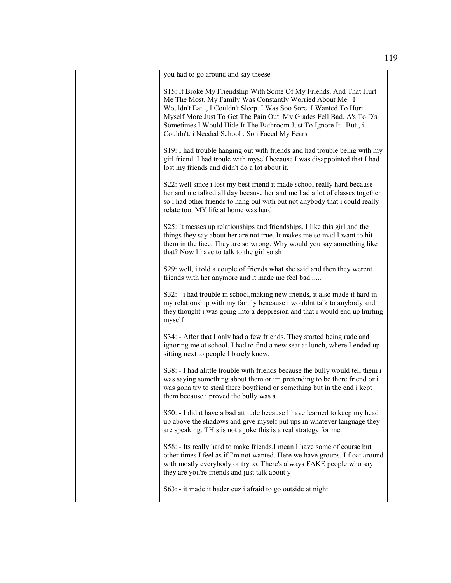you had to go around and say theese

S15: It Broke My Friendship With Some Of My Friends. And That Hurt Me The Most. My Family Was Constantly Worried About Me . I Wouldn't Eat , I Couldn't Sleep. I Was Soo Sore. I Wanted To Hurt Myself More Just To Get The Pain Out. My Grades Fell Bad. A's To D's. Sometimes I Would Hide It The Bathroom Just To Ignore It . But , i Couldn't. i Needed School , So i Faced My Fears

S19: I had trouble hanging out with friends and had trouble being with my girl friend. I had troule with myself because I was disappointed that I had lost my friends and didn't do a lot about it.

S22: well since i lost my best friend it made school really hard because her and me talked all day because her and me had a lot of classes together so i had other friends to hang out with but not anybody that i could really relate too. MY life at home was hard

S25: It messes up relationships and friendships. I like this girl and the things they say about her are not true. It makes me so mad I want to hit them in the face. They are so wrong. Why would you say something like that? Now I have to talk to the girl so sh

S29: well, i told a couple of friends what she said and then they werent friends with her anymore and it made me feel bad.,....

S32: - i had trouble in school,making new friends, it also made it hard in my relationship with my family beacause i wouldnt talk to anybody and they thought i was going into a deppresion and that i would end up hurting myself

S34: - After that I only had a few friends. They started being rude and ignoring me at school. I had to find a new seat at lunch, where I ended up sitting next to people I barely knew.

S38: - I had alittle trouble with friends because the bully would tell them i was saying something about them or im pretending to be there friend or i was gona try to steal there boyfriend or something but in the end i kept them because i proved the bully was a

S50: - I didnt have a bad attitude because I have learned to keep my head up above the shadows and give myself put ups in whatever language they are speaking. THis is not a joke this is a real strategy for me.

S58: - Its really hard to make friends.I mean I have some of course but other times I feel as if I'm not wanted. Here we have groups. I float around with mostly everybody or try to. There's always FAKE people who say they are you're friends and just talk about y

S63: - it made it hader cuz i afraid to go outside at night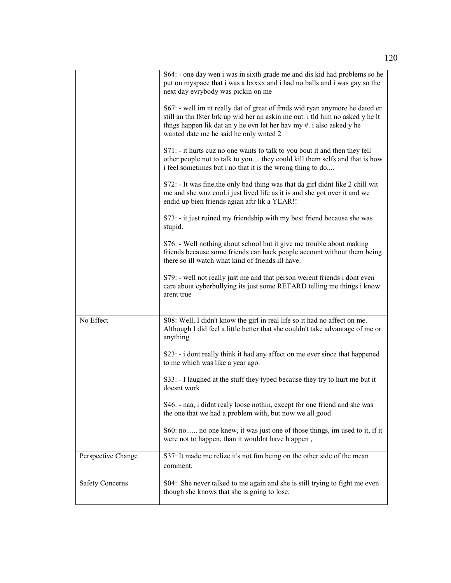|                        | S64: - one day wen i was in sixth grade me and dis kid had problems so he<br>put on myspace that i was a bxxxx and i had no balls and i was gay so the<br>next day evrybody was pickin on me                                                                                   |
|------------------------|--------------------------------------------------------------------------------------------------------------------------------------------------------------------------------------------------------------------------------------------------------------------------------|
|                        | S67: - well im nt really dat of great of frnds wid ryan anymore he dated er<br>still an thn 18ter brk up wid her an askin me out. i tld him no asked y he lt<br>thngs happen lik dat an y he evn let her hav my #. i also asked y he<br>wanted date me he said he only wnted 2 |
|                        | S71: - it hurts cuz no one wants to talk to you bout it and then they tell<br>other people not to talk to you they could kill them selfs and that is how<br>i feel sometimes but i no that it is the wrong thing to do                                                         |
|                        | S72: - It was fine, the only bad thing was that da girl didnt like 2 chill wit<br>me and she wuz cool.i just lived life as it is and she got over it and we<br>endid up bien friends agian aftr lik a YEAR!!                                                                   |
|                        | S73: - it just ruined my friendship with my best friend because she was<br>stupid.                                                                                                                                                                                             |
|                        | S76: - Well nothing about school but it give me trouble about making<br>friends because some friends can hack people account without them being<br>there so ill watch what kind of friends ill have.                                                                           |
|                        | S79: - well not really just me and that person werent friends i dont even<br>care about cyberbullying its just some RETARD telling me things i know<br>arent true                                                                                                              |
| No Effect              | S08: Well, I didn't know the girl in real life so it had no affect on me.<br>Although I did feel a little better that she couldn't take advantage of me or<br>anything.                                                                                                        |
|                        | S23: - i dont really think it had any affect on me ever since that happened<br>to me which was like a year ago.                                                                                                                                                                |
|                        | S33: - I laughed at the stuff they typed because they try to hurt me but it<br>doesnt work                                                                                                                                                                                     |
|                        | S46: - naa, i didnt realy loose nothin, except for one friend and she was<br>the one that we had a problem with, but now we all good                                                                                                                                           |
|                        | S60: no no one knew, it was just one of those things, im used to it, if it<br>were not to happen, than it wouldnt have h appen,                                                                                                                                                |
| Perspective Change     | S37: It made me relize it's not fun being on the other side of the mean<br>comment.                                                                                                                                                                                            |
| <b>Safety Concerns</b> | S04: She never talked to me again and she is still trying to fight me even<br>though she knows that she is going to lose.                                                                                                                                                      |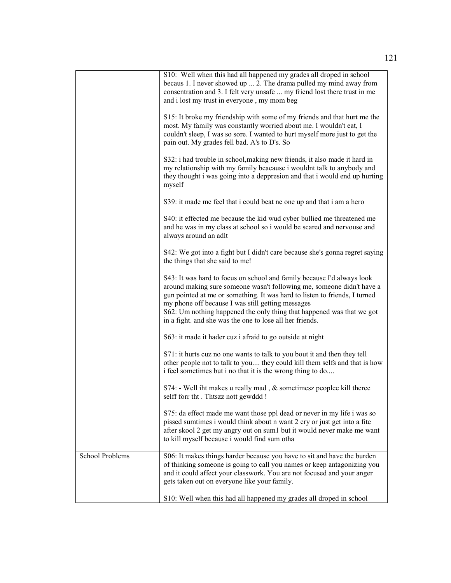|                        | S10: Well when this had all happened my grades all droped in school<br>becaus 1. I never showed up  2. The drama pulled my mind away from<br>consentration and 3. I felt very unsafe  my friend lost there trust in me<br>and i lost my trust in everyone, my mom beg                                                                                                                                                   |
|------------------------|-------------------------------------------------------------------------------------------------------------------------------------------------------------------------------------------------------------------------------------------------------------------------------------------------------------------------------------------------------------------------------------------------------------------------|
|                        | S15: It broke my friendship with some of my friends and that hurt me the<br>most. My family was constantly worried about me. I wouldn't eat, I<br>couldn't sleep, I was so sore. I wanted to hurt myself more just to get the<br>pain out. My grades fell bad. A's to D's. So                                                                                                                                           |
|                        | S32: i had trouble in school, making new friends, it also made it hard in<br>my relationship with my family beacause i wouldnt talk to anybody and<br>they thought i was going into a deppresion and that i would end up hurting<br>myself                                                                                                                                                                              |
|                        | S39: it made me feel that i could beat ne one up and that i am a hero                                                                                                                                                                                                                                                                                                                                                   |
|                        | S40: it effected me because the kid wud cyber bullied me threatened me<br>and he was in my class at school so i would be scared and nervouse and<br>always around an adlt                                                                                                                                                                                                                                               |
|                        | S42: We got into a fight but I didn't care because she's gonna regret saying<br>the things that she said to me!                                                                                                                                                                                                                                                                                                         |
|                        | S43: It was hard to focus on school and family because I'd always look<br>around making sure someone wasn't following me, someone didn't have a<br>gun pointed at me or something. It was hard to listen to friends, I turned<br>my phone off because I was still getting messages<br>S62: Um nothing happened the only thing that happened was that we got<br>in a fight. and she was the one to lose all her friends. |
|                        | S63: it made it hader cuz i afraid to go outside at night                                                                                                                                                                                                                                                                                                                                                               |
|                        | S71: it hurts cuz no one wants to talk to you bout it and then they tell<br>other people not to talk to you they could kill them selfs and that is how<br>i feel sometimes but i no that it is the wrong thing to do                                                                                                                                                                                                    |
|                        | S74: - Well iht makes u really mad, & sometimesz peoplee kill theree<br>selff forr tht . Thtszz nott gewddd !                                                                                                                                                                                                                                                                                                           |
|                        | S75: da effect made me want those ppl dead or never in my life i was so<br>pissed sumtimes i would think about n want 2 cry or just get into a fite<br>after skool 2 get my angry out on sum1 but it would never make me want<br>to kill myself because i would find sum otha                                                                                                                                           |
| <b>School Problems</b> | S06: It makes things harder because you have to sit and have the burden<br>of thinking someone is going to call you names or keep antagonizing you<br>and it could affect your classwork. You are not focused and your anger<br>gets taken out on everyone like your family.                                                                                                                                            |
|                        | S10: Well when this had all happened my grades all droped in school                                                                                                                                                                                                                                                                                                                                                     |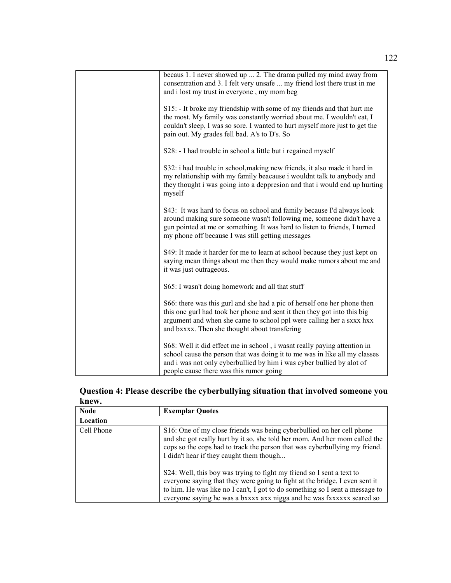| becaus 1. I never showed up  2. The drama pulled my mind away from<br>consentration and 3. I felt very unsafe  my friend lost there trust in me<br>and i lost my trust in everyone, my mom beg                                                                                     |
|------------------------------------------------------------------------------------------------------------------------------------------------------------------------------------------------------------------------------------------------------------------------------------|
| S15: It broke my friendship with some of my friends and that hurt me<br>the most. My family was constantly worried about me. I wouldn't eat, I<br>couldn't sleep, I was so sore. I wanted to hurt myself more just to get the<br>pain out. My grades fell bad. A's to D's. So      |
| S28: - I had trouble in school a little but i regained myself                                                                                                                                                                                                                      |
| S32: i had trouble in school, making new friends, it also made it hard in<br>my relationship with my family beacause i wouldnt talk to anybody and<br>they thought i was going into a deppresion and that i would end up hurting<br>myself                                         |
| S43: It was hard to focus on school and family because I'd always look<br>around making sure someone wasn't following me, someone didn't have a<br>gun pointed at me or something. It was hard to listen to friends, I turned<br>my phone off because I was still getting messages |
| S49: It made it harder for me to learn at school because they just kept on<br>saying mean things about me then they would make rumors about me and<br>it was just outrageous.                                                                                                      |
| S65: I wasn't doing homework and all that stuff                                                                                                                                                                                                                                    |
| S66: there was this gurl and she had a pic of herself one her phone then<br>this one gurl had took her phone and sent it then they got into this big<br>argument and when she came to school ppl were calling her a sxxx hxx<br>and bxxxx. Then she thought about transfering      |
| S68: Well it did effect me in school, i wasnt really paying attention in<br>school cause the person that was doing it to me was in like all my classes<br>and i was not only cyberbullied by him i was cyber bullied by alot of<br>people cause there was this rumor going         |

| Question 4: Please describe the cyberbullying situation that involved someone you |  |
|-----------------------------------------------------------------------------------|--|
| knew.                                                                             |  |

| <b>Node</b> | <b>Exemplar Quotes</b>                                                                                                                                                                                                                                                                                        |
|-------------|---------------------------------------------------------------------------------------------------------------------------------------------------------------------------------------------------------------------------------------------------------------------------------------------------------------|
| Location    |                                                                                                                                                                                                                                                                                                               |
| Cell Phone  | S16: One of my close friends was being cyberbullied on her cell phone<br>and she got really hurt by it so, she told her mom. And her mom called the<br>cops so the cops had to track the person that was cyberbullying my friend.<br>I didn't hear if they caught them though                                 |
|             | S24: Well, this boy was trying to fight my friend so I sent a text to<br>everyone saying that they were going to fight at the bridge. I even sent it<br>to him. He was like no I can't, I got to do something so I sent a message to<br>everyone saying he was a bxxxx axx nigga and he was fxxxxxx scared so |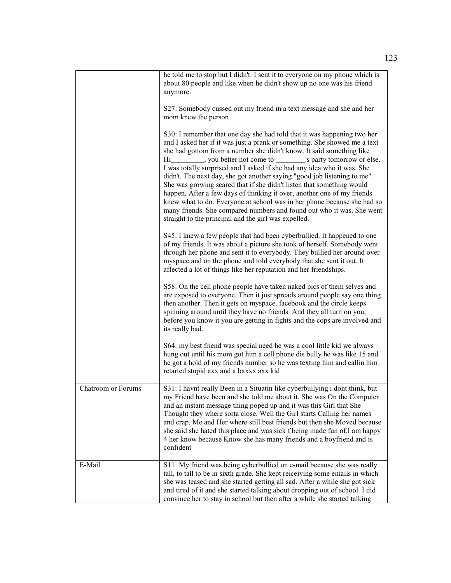|                    | he told me to stop but I didn't. I sent it to everyone on my phone which is<br>about 80 people and like when he didn't show up no one was his friend<br>anymore.<br>S27: Somebody cussed out my friend in a text message and she and her                                                                                                                                                                                                                                                                                                                                                                                                                                                                                                                                                                                                                 |
|--------------------|----------------------------------------------------------------------------------------------------------------------------------------------------------------------------------------------------------------------------------------------------------------------------------------------------------------------------------------------------------------------------------------------------------------------------------------------------------------------------------------------------------------------------------------------------------------------------------------------------------------------------------------------------------------------------------------------------------------------------------------------------------------------------------------------------------------------------------------------------------|
|                    | mom knew the person<br>S30: I remember that one day she had told that it was happening two her<br>and I asked her if it was just a prank or something. She showed me a text<br>she had gottom from a number she didn't know. It said something like<br>Hi___________, you better not come to __________'s party tomorrow or else.<br>I was totally surprised and I asked if she had any idea who it was. She<br>didn't. The next day, she got another saying "good job listening to me".<br>She was growing scared that if she didn't listen that something would<br>happen. After a few days of thinking it over, another one of my friends<br>knew what to do. Everyone at school was in her phone because she had so<br>many friends. She compared numbers and found out who it was. She went<br>straight to the principal and the girl was expelled. |
|                    | S45: I knew a few people that had been cyberbullied. It happened to one<br>of my friends. It was about a picture she took of herself. Somebody went<br>through her phone and sent it to everybody. They bullied her around over<br>myspace and on the phone and told everybody that she sent it out. It<br>affected a lot of things like her reputation and her friendships.                                                                                                                                                                                                                                                                                                                                                                                                                                                                             |
|                    | S58: On the cell phone people have taken naked pics of them selves and<br>are exposed to everyone. Then it just spreads around people say one thing<br>then another. Then it gets on myspace, facebook and the circle keeps<br>spinning around until they have no friends. And they all turn on you,<br>before you know it you are getting in fights and the cops are involved and<br>its really bad.                                                                                                                                                                                                                                                                                                                                                                                                                                                    |
|                    | S64: my best friend was special need he was a cool little kid we always<br>hung out until his mom got him a cell phone dis bully he was like 15 and<br>he got a hold of my friends number so he was texting him and callin him<br>retarted stupid axx and a bxxxx axx kid                                                                                                                                                                                                                                                                                                                                                                                                                                                                                                                                                                                |
| Chatroom or Forums | S31: I havnt really Been in a Situatin like cyberbullying i dont think, but<br>my Friend have been and she told me about it. She was On the Computer<br>and an instant message thing poped up and it was this Girl that She<br>Thought they where sorta close, Well the Girl starts Calling her names<br>and crap. Me and Her where still best friends but then she Moved because<br>she said she hated this place and was sick f being made fun of.I am happy<br>4 her know because Know she has many friends and a boyfriend and is<br>confident                                                                                                                                                                                                                                                                                                       |
| E-Mail             | S11: My friend was being cyberbullied on e-mail because she was really<br>tall, to tall to be in sixth grade. She kept reiceiving some emails in which<br>she was teased and she started getting all sad. After a while she got sick<br>and tired of it and she started talking about dropping out of school. I did<br>convince her to stay in school but then after a while she started talking                                                                                                                                                                                                                                                                                                                                                                                                                                                         |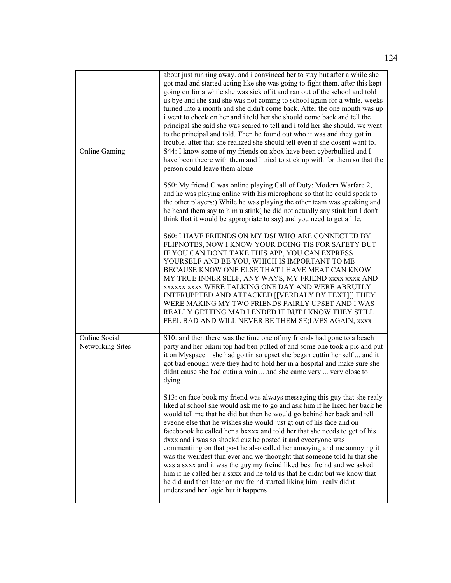|                                   | about just running away. and i convinced her to stay but after a while she<br>got mad and started acting like she was going to fight them. after this kept<br>going on for a while she was sick of it and ran out of the school and told<br>us bye and she said she was not coming to school again for a while. weeks<br>turned into a month and she didn't come back. After the one month was up<br>i went to check on her and i told her she should come back and tell the<br>principal she said she was scared to tell and i told her she should, we went<br>to the principal and told. Then he found out who it was and they got in<br>trouble. after that she realized she should tell even if she dosent want to.                                                                                                                                                          |
|-----------------------------------|----------------------------------------------------------------------------------------------------------------------------------------------------------------------------------------------------------------------------------------------------------------------------------------------------------------------------------------------------------------------------------------------------------------------------------------------------------------------------------------------------------------------------------------------------------------------------------------------------------------------------------------------------------------------------------------------------------------------------------------------------------------------------------------------------------------------------------------------------------------------------------|
| <b>Online Gaming</b>              | S44: I know some of my friends on xbox have been cyberbullied and I<br>have been theere with them and I tried to stick up with for them so that the<br>person could leave them alone                                                                                                                                                                                                                                                                                                                                                                                                                                                                                                                                                                                                                                                                                             |
|                                   | S50: My friend C was online playing Call of Duty: Modern Warfare 2,<br>and he was playing online with his microphone so that he could speak to<br>the other players:) While he was playing the other team was speaking and<br>he heard them say to him u stink( he did not actually say stink but I don't<br>think that it would be appropriate to say) and you need to get a life.                                                                                                                                                                                                                                                                                                                                                                                                                                                                                              |
|                                   | S60: I HAVE FRIENDS ON MY DSI WHO ARE CONNECTED BY<br>FLIPNOTES, NOW I KNOW YOUR DOING TIS FOR SAFETY BUT<br>IF YOU CAN DONT TAKE THIS APP, YOU CAN EXPRESS<br>YOURSELF AND BE YOU, WHICH IS IMPORTANT TO ME<br>BECAUSE KNOW ONE ELSE THAT I HAVE MEAT CAN KNOW<br>MY TRUE INNER SELF, ANY WAYS, MY FRIEND XXXX XXXX AND<br>XXXXXX XXXX WERE TALKING ONE DAY AND WERE ABRUTLY<br>INTERUPPTED AND ATTACKED [[VERBALY BY TEXT][] THEY<br>WERE MAKING MY TWO FRIENDS FAIRLY UPSET AND I WAS<br>REALLY GETTING MAD I ENDED IT BUT I KNOW THEY STILL<br>FEEL BAD AND WILL NEVER BE THEM SE;LVES AGAIN, xxxx                                                                                                                                                                                                                                                                           |
| Online Social<br>Networking Sites | S10: and then there was the time one of my friends had gone to a beach<br>party and her bikini top had ben pulled of and some one took a pic and put<br>it on Myspace  she had gottin so upset she began cuttin her self  and it<br>got bad enough were they had to hold her in a hospital and make sure she<br>didnt cause she had cutin a vain  and she came very  very close to<br>dying                                                                                                                                                                                                                                                                                                                                                                                                                                                                                      |
|                                   | S13: on face book my friend was always messaging this guy that she realy<br>liked at school she would ask me to go and ask him if he liked her back he<br>would tell me that he did but then he would go behind her back and tell<br>eveone else that he wishes she would just gt out of his face and on<br>faceboook he called her a bxxxx and told her that she needs to get of his<br>dxxx and i was so shockd cuz he posted it and eveeryone was<br>commentiing on that post he also called her annoying and me annoying it<br>was the weirdest thin ever and we thoought that someone told hi that she<br>was a sxxx and it was the guy my freind liked best freind and we asked<br>him if he called her a sxxx and he told us that he didnt but we know that<br>he did and then later on my freind started liking him i realy didnt<br>understand her logic but it happens |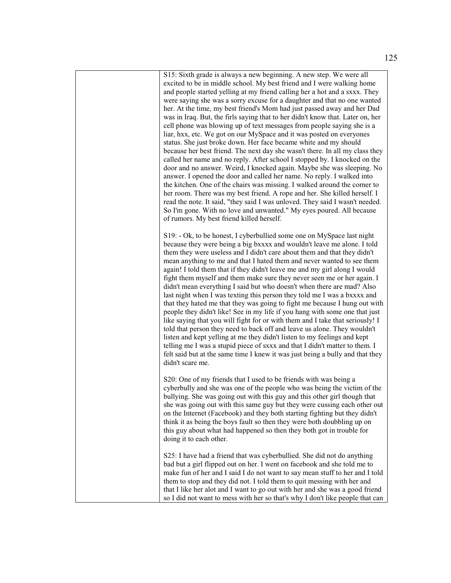S15: Sixth grade is always a new beginning. A new step. We were all excited to be in middle school. My best friend and I were walking home and people started yelling at my friend calling her a hot and a sxxx. They were saying she was a sorry excuse for a daughter and that no one wanted her. At the time, my best friend's Mom had just passed away and her Dad was in Iraq. But, the firls saying that to her didn't know that. Later on, her cell phone was blowing up of text messages from people saying she is a liar, hxx, etc. We got on our MySpace and it was posted on everyones status. She just broke down. Her face became white and my should because her best friend. The next day she wasn't there. In all my class they called her name and no reply. After school I stopped by. I knocked on the door and no answer. Weird, I knocked again. Maybe she was sleeping. No answer. I opened the door and called her name. No reply. I walked into the kitchen. One of the chairs was missing. I walked around the corner to her room. There was my best friend. A rope and her. She killed herself. I read the note. It said, "they said I was unloved. They said I wasn't needed. So I'm gone. With no love and unwanted." My eyes poured. All because of rumors. My best friend killed herself.

S19: - Ok, to be honest, I cyberbullied some one on MySpace last night because they were being a big bxxxx and wouldn't leave me alone. I told them they were useless and I didn't care about them and that they didn't mean anything to me and that I hated them and never wanted to see them again! I told them that if they didn't leave me and my girl along I would fight them myself and them make sure they never seen me or her again. I didn't mean everything I said but who doesn't when there are mad? Also last night when I was texting this person they told me I was a bxxxx and that they hated me that they was going to fight me because I hung out with people they didn't like! See in my life if you hang with some one that just like saying that you will fight for or with them and I take that seriously! I told that person they need to back off and leave us alone. They wouldn't listen and kept yelling at me they didn't listen to my feelings and kept telling me I was a stupid piece of sxxx and that I didn't matter to them. I felt said but at the same time I knew it was just being a bully and that they didn't scare me.

S20: One of my friends that I used to be friends with was being a cyberbully and she was one of the people who was being the victim of the bullying. She was going out with this guy and this other girl though that she was going out with this same guy but they were cussing each other out on the Internet (Facebook) and they both starting fighting but they didn't think it as being the boys fault so then they were both doubbling up on this guy about what had happened so then they both got in trouble for doing it to each other.

S25: I have had a friend that was cyberbullied. She did not do anything bad but a girl flipped out on her. I went on facebook and she told me to make fun of her and I said I do not want to say mean stuff to her and I told them to stop and they did not. I told them to quit messing with her and that I like her alot and I want to go out with her and she was a good friend so I did not want to mess with her so that's why I don't like people that can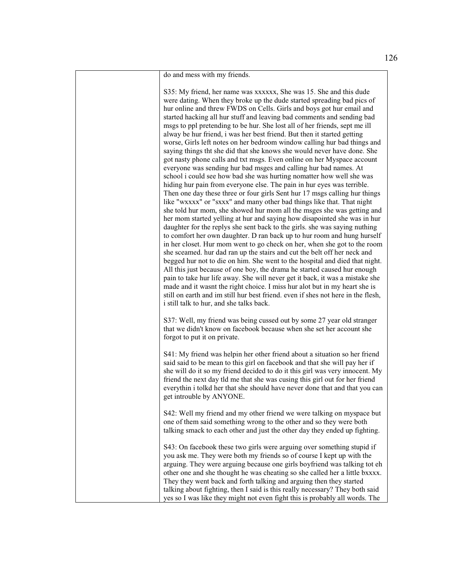do and mess with my friends.

S35: My friend, her name was xxxxxx, She was 15. She and this dude were dating. When they broke up the dude started spreading bad pics of hur online and threw FWDS on Cells. Girls and boys got hur email and started hacking all hur stuff and leaving bad comments and sending bad msgs to ppl pretending to be hur. She lost all of her friends, sept me ill alway be hur friend, i was her best friend. But then it started getting worse, Girls left notes on her bedroom window calling hur bad things and saying things tht she did that she knows she would never have done. She got nasty phone calls and txt msgs. Even online on her Myspace account everyone was sending hur bad msges and calling hur bad names. At school i could see how bad she was hurting nomatter how well she was hiding hur pain from everyone else. The pain in hur eyes was terrible. Then one day these three or four girls Sent hur 17 msgs calling hur things like "wxxxx" or "sxxx" and many other bad things like that. That night she told hur mom, she showed hur mom all the msges she was getting and her mom started yelling at hur and saying how disapointed she was in hur daughter for the replys she sent back to the girls. she was saying nuthing to comfort her own daughter. D ran back up to hur room and hung hurself in her closet. Hur mom went to go check on her, when she got to the room she sceamed. hur dad ran up the stairs and cut the belt off her neck and begged hur not to die on him. She went to the hospital and died that night. All this just because of one boy, the drama he started caused hur enough pain to take hur life away. She will never get it back, it was a mistake she made and it wasnt the right choice. I miss hur alot but in my heart she is still on earth and im still hur best friend. even if shes not here in the flesh, i still talk to hur, and she talks back.

S37: Well, my friend was being cussed out by some 27 year old stranger that we didn't know on facebook because when she set her account she forgot to put it on private.

S41: My friend was helpin her other friend about a situation so her friend said said to be mean to this girl on facebook and that she will pay her if she will do it so my friend decided to do it this girl was very innocent. My friend the next day tld me that she was cusing this girl out for her friend everythin i tolkd her that she should have never done that and that you can get introuble by ANYONE.

S42: Well my friend and my other friend we were talking on myspace but one of them said something wrong to the other and so they were both talking smack to each other and just the other day they ended up fighting.

S43: On facebook these two girls were arguing over something stupid if you ask me. They were both my friends so of course I kept up with the arguing. They were arguing because one girls boyfriend was talking tot eh other one and she thought he was cheating so she called her a little bxxxx. They they went back and forth talking and arguing then they started talking about fighting, then I said is this really necessary? They both said yes so I was like they might not even fight this is probably all words. The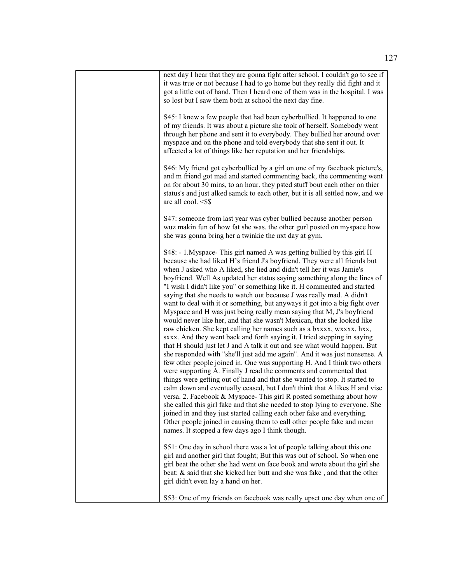| next day I hear that they are gonna fight after school. I couldn't go to see if<br>it was true or not because I had to go home but they really did fight and it<br>got a little out of hand. Then I heard one of them was in the hospital. I was<br>so lost but I saw them both at school the next day fine.                                                                                                                                                                                                                                                                                                                                                                                                                                                                                                                                                                                                                                                                                                                                                                                                                                                                                                                                                                                                                                                                                                                                                                                                                                                                                                                                                                                     |
|--------------------------------------------------------------------------------------------------------------------------------------------------------------------------------------------------------------------------------------------------------------------------------------------------------------------------------------------------------------------------------------------------------------------------------------------------------------------------------------------------------------------------------------------------------------------------------------------------------------------------------------------------------------------------------------------------------------------------------------------------------------------------------------------------------------------------------------------------------------------------------------------------------------------------------------------------------------------------------------------------------------------------------------------------------------------------------------------------------------------------------------------------------------------------------------------------------------------------------------------------------------------------------------------------------------------------------------------------------------------------------------------------------------------------------------------------------------------------------------------------------------------------------------------------------------------------------------------------------------------------------------------------------------------------------------------------|
| S45: I knew a few people that had been cyberbullied. It happened to one<br>of my friends. It was about a picture she took of herself. Somebody went<br>through her phone and sent it to everybody. They bullied her around over<br>myspace and on the phone and told everybody that she sent it out. It<br>affected a lot of things like her reputation and her friendships.                                                                                                                                                                                                                                                                                                                                                                                                                                                                                                                                                                                                                                                                                                                                                                                                                                                                                                                                                                                                                                                                                                                                                                                                                                                                                                                     |
| S46: My friend got cyberbullied by a girl on one of my facebook picture's,<br>and m friend got mad and started commenting back, the commenting went<br>on for about 30 mins, to an hour. they psted stuff bout each other on thier<br>status's and just alked samck to each other, but it is all settled now, and we<br>are all cool. <\$\$                                                                                                                                                                                                                                                                                                                                                                                                                                                                                                                                                                                                                                                                                                                                                                                                                                                                                                                                                                                                                                                                                                                                                                                                                                                                                                                                                      |
| S47: someone from last year was cyber bullied because another person<br>wuz makin fun of how fat she was. the other gurl posted on myspace how<br>she was gonna bring her a twinkie the nxt day at gym.                                                                                                                                                                                                                                                                                                                                                                                                                                                                                                                                                                                                                                                                                                                                                                                                                                                                                                                                                                                                                                                                                                                                                                                                                                                                                                                                                                                                                                                                                          |
| S48: - 1. Myspace - This girl named A was getting bullied by this girl H<br>because she had liked H's friend J's boyfriend. They were all friends but<br>when J asked who A liked, she lied and didn't tell her it was Jamie's<br>boyfriend. Well As updated her status saying something along the lines of<br>"I wish I didn't like you" or something like it. H commented and started<br>saying that she needs to watch out because J was really mad. A didn't<br>want to deal with it or something, but anyways it got into a big fight over<br>Myspace and H was just being really mean saying that M, J's boyfriend<br>would never like her, and that she wasn't Mexican, that she looked like<br>raw chicken. She kept calling her names such as a bxxxx, wxxxx, hxx,<br>sxxx. And they went back and forth saying it. I tried stepping in saying<br>that H should just let J and A talk it out and see what would happen. But<br>she responded with "she'll just add me again". And it was just nonsense. A<br>few other people joined in. One was supporting H. And I think two others<br>were supporting A. Finally J read the comments and commented that<br>things were getting out of hand and that she wanted to stop. It started to<br>calm down and eventually ceased, but I don't think that A likes H and vise<br>versa. 2. Facebook & Myspace- This girl R posted something about how<br>she called this girl fake and that she needed to stop lying to everyone. She<br>joined in and they just started calling each other fake and everything.<br>Other people joined in causing them to call other people fake and mean<br>names. It stopped a few days ago I think though. |
| S51: One day in school there was a lot of people talking about this one<br>girl and another girl that fought; But this was out of school. So when one<br>girl beat the other she had went on face book and wrote about the girl she<br>beat; & said that she kicked her butt and she was fake, and that the other<br>girl didn't even lay a hand on her.                                                                                                                                                                                                                                                                                                                                                                                                                                                                                                                                                                                                                                                                                                                                                                                                                                                                                                                                                                                                                                                                                                                                                                                                                                                                                                                                         |
| S53: One of my friends on facebook was really upset one day when one of                                                                                                                                                                                                                                                                                                                                                                                                                                                                                                                                                                                                                                                                                                                                                                                                                                                                                                                                                                                                                                                                                                                                                                                                                                                                                                                                                                                                                                                                                                                                                                                                                          |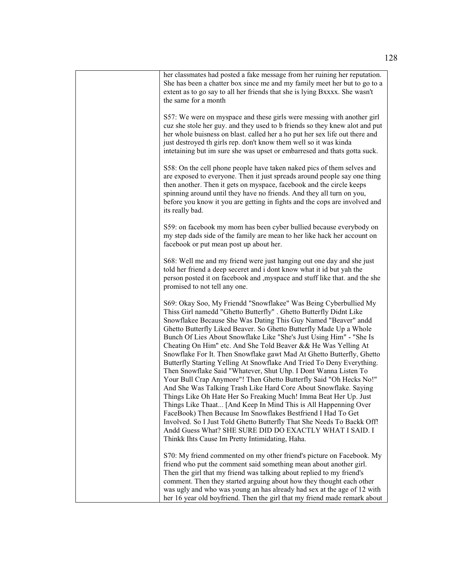| her classmates had posted a fake message from her ruining her reputation.<br>She has been a chatter box since me and my family meet her but to go to a<br>extent as to go say to all her friends that she is lying Bxxxx. She wasn't<br>the same for a month                                                                                                                                                                                                                                                                                                                                                                                                                                                                                                                                                                                                                                                                                                                                                                                                                                                                                                                          |
|---------------------------------------------------------------------------------------------------------------------------------------------------------------------------------------------------------------------------------------------------------------------------------------------------------------------------------------------------------------------------------------------------------------------------------------------------------------------------------------------------------------------------------------------------------------------------------------------------------------------------------------------------------------------------------------------------------------------------------------------------------------------------------------------------------------------------------------------------------------------------------------------------------------------------------------------------------------------------------------------------------------------------------------------------------------------------------------------------------------------------------------------------------------------------------------|
| S57: We were on myspace and these girls were messing with another girl<br>cuz she stole her guy. and they used to b friends so they knew alot and put<br>her whole buisness on blast. called her a ho put her sex life out there and<br>just destroyed th girls rep. don't know them well so it was kinda<br>intetaining but im sure she was upset or embarresed and thats gotta suck.                                                                                                                                                                                                                                                                                                                                                                                                                                                                                                                                                                                                                                                                                                                                                                                                |
| S58: On the cell phone people have taken naked pics of them selves and<br>are exposed to everyone. Then it just spreads around people say one thing<br>then another. Then it gets on myspace, facebook and the circle keeps<br>spinning around until they have no friends. And they all turn on you,<br>before you know it you are getting in fights and the cops are involved and<br>its really bad.                                                                                                                                                                                                                                                                                                                                                                                                                                                                                                                                                                                                                                                                                                                                                                                 |
| S59: on facebook my mom has been cyber bullied because everybody on<br>my step dads side of the family are mean to her like hack her account on<br>facebook or put mean post up about her.                                                                                                                                                                                                                                                                                                                                                                                                                                                                                                                                                                                                                                                                                                                                                                                                                                                                                                                                                                                            |
| S68: Well me and my friend were just hanging out one day and she just<br>told her friend a deep seceret and i dont know what it id but yah the<br>person posted it on facebook and , myspace and stuff like that. and the she<br>promised to not tell any one.                                                                                                                                                                                                                                                                                                                                                                                                                                                                                                                                                                                                                                                                                                                                                                                                                                                                                                                        |
| S69: Okay Soo, My Friendd "Snowflakee" Was Being Cyberbullied My<br>Thiss Girl namedd "Ghetto Butterfly" . Ghetto Butterfly Didnt Like<br>Snowflakee Because She Was Dating This Guy Named "Beaver" andd<br>Ghetto Butterfly Liked Beaver. So Ghetto Butterfly Made Up a Whole<br>Bunch Of Lies About Snowflake Like "She's Just Using Him" - "She Is<br>Cheating On Him" etc. And She Told Beaver && He Was Yelling At<br>Snowflake For It. Then Snowflake gawt Mad At Ghetto Butterfly, Ghetto<br>Butterfly Starting Yelling At Snowflake And Tried To Deny Everything.<br>Then Snowflake Said "Whatever, Shut Uhp. I Dont Wanna Listen To<br>Your Bull Crap Anymore"! Then Ghetto Butterfly Said "Oh Hecks No!"<br>And She Was Talking Trash Like Hard Core About Snowflake. Saying<br>Things Like Oh Hate Her So Freaking Much! Imma Beat Her Up. Just<br>Things Like Thaat [And Keep In Mind This is All Happenning Over<br>FaceBook) Then Because Im Snowflakes Bestfriend I Had To Get<br>Involved. So I Just Told Ghetto Butterfly That She Needs To Backk Off!<br>Andd Guess What? SHE SURE DID DO EXACTLY WHAT I SAID. I<br>Thinkk Ihts Cause Im Pretty Intimidating, Haha. |
| S70: My friend commented on my other friend's picture on Facebook. My<br>friend who put the comment said something mean about another girl.<br>Then the girl that my friend was talking about replied to my friend's<br>comment. Then they started arguing about how they thought each other<br>was ugly and who was young an has already had sex at the age of 12 with<br>her 16 year old boyfriend. Then the girl that my friend made remark about                                                                                                                                                                                                                                                                                                                                                                                                                                                                                                                                                                                                                                                                                                                                  |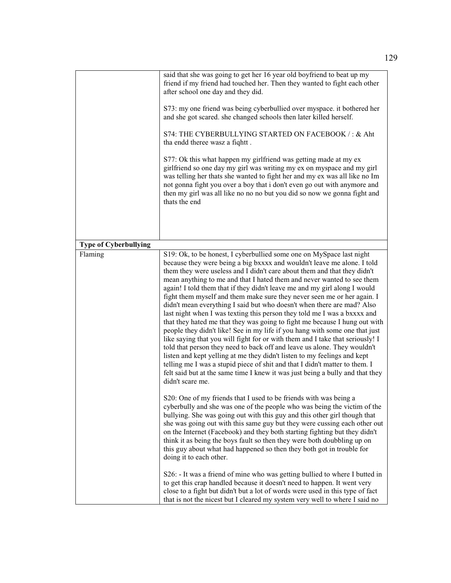|                              | said that she was going to get her 16 year old boyfriend to beat up my<br>friend if my friend had touched her. Then they wanted to fight each other<br>after school one day and they did.<br>S73: my one friend was being cyberbullied over myspace. it bothered her<br>and she got scared. she changed schools then later killed herself.<br>S74: THE CYBERBULLYING STARTED ON FACEBOOK /: & Aht<br>tha endd theree wasz a fiqhtt.<br>S77: Ok this what happen my girlfriend was getting made at my ex<br>girlfriend so one day my girl was writing my ex on myspace and my girl<br>was telling her thats she wanted to fight her and my ex was all like no Im<br>not gonna fight you over a boy that i don't even go out with anymore and<br>then my girl was all like no no no but you did so now we gonna fight and<br>thats the end                                                                                                                                                                                                                                                                                                                                                                      |
|------------------------------|---------------------------------------------------------------------------------------------------------------------------------------------------------------------------------------------------------------------------------------------------------------------------------------------------------------------------------------------------------------------------------------------------------------------------------------------------------------------------------------------------------------------------------------------------------------------------------------------------------------------------------------------------------------------------------------------------------------------------------------------------------------------------------------------------------------------------------------------------------------------------------------------------------------------------------------------------------------------------------------------------------------------------------------------------------------------------------------------------------------------------------------------------------------------------------------------------------------|
| <b>Type of Cyberbullying</b> |                                                                                                                                                                                                                                                                                                                                                                                                                                                                                                                                                                                                                                                                                                                                                                                                                                                                                                                                                                                                                                                                                                                                                                                                               |
| Flaming                      | S19: Ok, to be honest, I cyberbullied some one on MySpace last night<br>because they were being a big bxxxx and wouldn't leave me alone. I told<br>them they were useless and I didn't care about them and that they didn't<br>mean anything to me and that I hated them and never wanted to see them<br>again! I told them that if they didn't leave me and my girl along I would<br>fight them myself and them make sure they never seen me or her again. I<br>didn't mean everything I said but who doesn't when there are mad? Also<br>last night when I was texting this person they told me I was a bxxxx and<br>that they hated me that they was going to fight me because I hung out with<br>people they didn't like! See in my life if you hang with some one that just<br>like saying that you will fight for or with them and I take that seriously! I<br>told that person they need to back off and leave us alone. They wouldn't<br>listen and kept yelling at me they didn't listen to my feelings and kept<br>telling me I was a stupid piece of shit and that I didn't matter to them. I<br>felt said but at the same time I knew it was just being a bully and that they<br>didn't scare me. |
|                              | S20: One of my friends that I used to be friends with was being a<br>cyberbully and she was one of the people who was being the victim of the<br>bullying. She was going out with this guy and this other girl though that<br>she was going out with this same guy but they were cussing each other out<br>on the Internet (Facebook) and they both starting fighting but they didn't<br>think it as being the boys fault so then they were both doubbling up on<br>this guy about what had happened so then they both got in trouble for<br>doing it to each other.                                                                                                                                                                                                                                                                                                                                                                                                                                                                                                                                                                                                                                          |
|                              | S26: - It was a friend of mine who was getting bullied to where I butted in<br>to get this crap handled because it doesn't need to happen. It went very<br>close to a fight but didn't but a lot of words were used in this type of fact<br>that is not the nicest but I cleared my system very well to where I said no                                                                                                                                                                                                                                                                                                                                                                                                                                                                                                                                                                                                                                                                                                                                                                                                                                                                                       |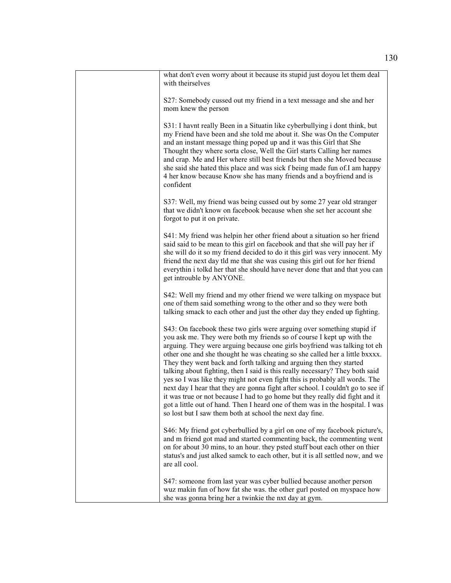| what don't even worry about it because its stupid just doyou let them deal<br>with theirselves                                                                                                                                                                                                                                                                                                                                                                                                                                                                                                                                                                                                                                                                                                                                                                    |
|-------------------------------------------------------------------------------------------------------------------------------------------------------------------------------------------------------------------------------------------------------------------------------------------------------------------------------------------------------------------------------------------------------------------------------------------------------------------------------------------------------------------------------------------------------------------------------------------------------------------------------------------------------------------------------------------------------------------------------------------------------------------------------------------------------------------------------------------------------------------|
| S27: Somebody cussed out my friend in a text message and she and her<br>mom knew the person                                                                                                                                                                                                                                                                                                                                                                                                                                                                                                                                                                                                                                                                                                                                                                       |
| S31: I havnt really Been in a Situatin like cyberbullying i dont think, but<br>my Friend have been and she told me about it. She was On the Computer<br>and an instant message thing poped up and it was this Girl that She<br>Thought they where sorta close, Well the Girl starts Calling her names<br>and crap. Me and Her where still best friends but then she Moved because<br>she said she hated this place and was sick f being made fun of.I am happy<br>4 her know because Know she has many friends and a boyfriend and is<br>confident                                                                                                                                                                                                                                                                                                                |
| S37: Well, my friend was being cussed out by some 27 year old stranger<br>that we didn't know on facebook because when she set her account she<br>forgot to put it on private.                                                                                                                                                                                                                                                                                                                                                                                                                                                                                                                                                                                                                                                                                    |
| S41: My friend was helpin her other friend about a situation so her friend<br>said said to be mean to this girl on facebook and that she will pay her if<br>she will do it so my friend decided to do it this girl was very innocent. My<br>friend the next day tld me that she was cusing this girl out for her friend<br>everythin i tolkd her that she should have never done that and that you can<br>get introuble by ANYONE.                                                                                                                                                                                                                                                                                                                                                                                                                                |
| S42: Well my friend and my other friend we were talking on myspace but<br>one of them said something wrong to the other and so they were both<br>talking smack to each other and just the other day they ended up fighting.                                                                                                                                                                                                                                                                                                                                                                                                                                                                                                                                                                                                                                       |
| S43: On facebook these two girls were arguing over something stupid if<br>you ask me. They were both my friends so of course I kept up with the<br>arguing. They were arguing because one girls boyfriend was talking tot eh<br>other one and she thought he was cheating so she called her a little bxxxx.<br>They they went back and forth talking and arguing then they started<br>talking about fighting, then I said is this really necessary? They both said<br>yes so I was like they might not even fight this is probably all words. The<br>next day I hear that they are gonna fight after school. I couldn't go to see if<br>it was true or not because I had to go home but they really did fight and it<br>got a little out of hand. Then I heard one of them was in the hospital. I was<br>so lost but I saw them both at school the next day fine. |
| S46: My friend got cyberbullied by a girl on one of my facebook picture's,<br>and m friend got mad and started commenting back, the commenting went<br>on for about 30 mins, to an hour. they psted stuff bout each other on thier<br>status's and just alked samck to each other, but it is all settled now, and we<br>are all cool.                                                                                                                                                                                                                                                                                                                                                                                                                                                                                                                             |
| S47: someone from last year was cyber bullied because another person<br>wuz makin fun of how fat she was. the other gurl posted on myspace how<br>she was gonna bring her a twinkie the nxt day at gym.                                                                                                                                                                                                                                                                                                                                                                                                                                                                                                                                                                                                                                                           |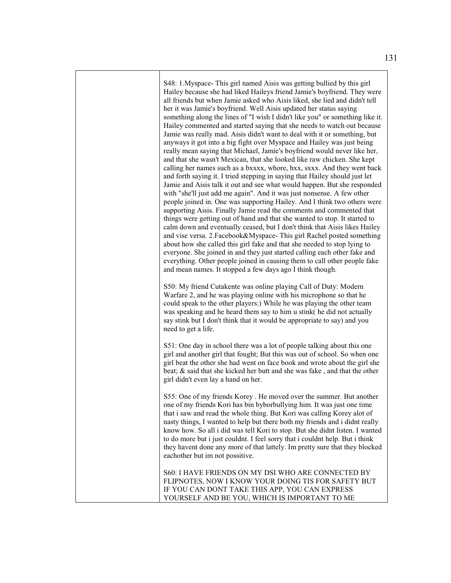S48: 1.Myspace- This girl named Aisis was getting bullied by this girl Hailey because she had liked Haileys friend Jamie's boyfriend. They were all friends but when Jamie asked who Aisis liked, she lied and didn't tell her it was Jamie's boyfriend. Well Aisis updated her status saying something along the lines of "I wish I didn't like you" or something like it. Hailey commented and started saying that she needs to watch out because Jamie was really mad. Aisis didn't want to deal with it or something, but anyways it got into a big fight over Myspace and Hailey was just being really mean saying that Michael, Jamie's boyfriend would never like her, and that she wasn't Mexican, that she looked like raw chicken. She kept calling her names such as a bxxxx, whore, hxx, sxxx. And they went back and forth saying it. I tried stepping in saying that Hailey should just let Jamie and Aisis talk it out and see what would happen. But she responded with "she'll just add me again". And it was just nonsense. A few other people joined in. One was supporting Hailey. And I think two others were supporting Aisis. Finally Jamie read the comments and commented that things were getting out of hand and that she wanted to stop. It started to calm down and eventually ceased, but I don't think that Aisis likes Hailey and vise versa. 2.Facebook&Myspace- This girl Rachel posted something about how she called this girl fake and that she needed to stop lying to everyone. She joined in and they just started calling each other fake and everything. Other people joined in causing them to call other people fake and mean names. It stopped a few days ago I think though.

S50: My friend Cutakente was online playing Call of Duty: Modern Warfare 2, and he was playing online with his microphone so that he could speak to the other players:) While he was playing the other team was speaking and he heard them say to him u stink( he did not actually say stink but I don't think that it would be appropriate to say) and you need to get a life.

S51: One day in school there was a lot of people talking about this one girl and another girl that fought; But this was out of school. So when one girl beat the other she had went on face book and wrote about the girl she beat; & said that she kicked her butt and she was fake , and that the other girl didn't even lay a hand on her.

S55: One of my friends Korey . He moved over the summer. But another one of my friends Kori has bin byborbullying him. It was just one time that i saw and read the whole thing. But Kori was calling Korey alot of nasty things, I wanted to help but there both my friends and i didnt really know how. So all i did was tell Kori to stop. But she didnt listen. I wanted to do more but i just couldnt. I feel sorry that i couldnt help. But i think they havent done any more of that lattely. Im pretty sure that they blocked eachother but im not possitive.

S60: I HAVE FRIENDS ON MY DSI WHO ARE CONNECTED BY FLIPNOTES, NOW I KNOW YOUR DOING TIS FOR SAFETY BUT IF YOU CAN DONT TAKE THIS APP, YOU CAN EXPRESS YOURSELF AND BE YOU, WHICH IS IMPORTANT TO ME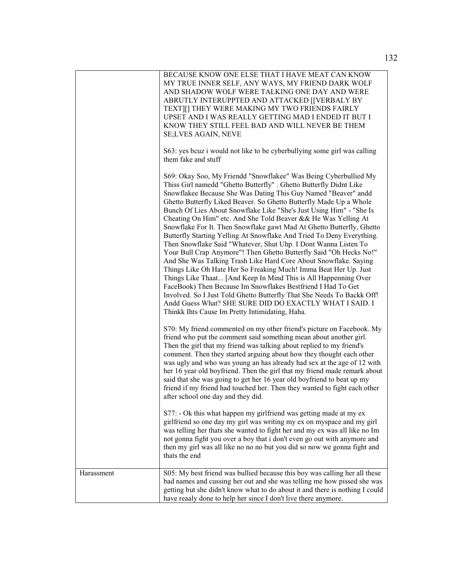|            | BECAUSE KNOW ONE ELSE THAT I HAVE MEAT CAN KNOW<br>MY TRUE INNER SELF, ANY WAYS, MY FRIEND DARK WOLF<br>AND SHADOW WOLF WERE TALKING ONE DAY AND WERE<br>ABRUTLY INTERUPPTED AND ATTACKED [[VERBALY BY<br>TEXT][] THEY WERE MAKING MY TWO FRIENDS FAIRLY<br>UPSET AND I WAS REALLY GETTING MAD I ENDED IT BUT I<br>KNOW THEY STILL FEEL BAD AND WILL NEVER BE THEM<br>SE;LVES AGAIN, NEVE                                                                                                                                                                                                                                                                                                                                                                                                                                                                                                                                                                                                                                                                                                                                                                                            |
|------------|--------------------------------------------------------------------------------------------------------------------------------------------------------------------------------------------------------------------------------------------------------------------------------------------------------------------------------------------------------------------------------------------------------------------------------------------------------------------------------------------------------------------------------------------------------------------------------------------------------------------------------------------------------------------------------------------------------------------------------------------------------------------------------------------------------------------------------------------------------------------------------------------------------------------------------------------------------------------------------------------------------------------------------------------------------------------------------------------------------------------------------------------------------------------------------------|
|            | S63: yes bcuz i would not like to be cyberbullying some girl was calling<br>them fake and stuff                                                                                                                                                                                                                                                                                                                                                                                                                                                                                                                                                                                                                                                                                                                                                                                                                                                                                                                                                                                                                                                                                      |
|            | S69: Okay Soo, My Friendd "Snowflakee" Was Being Cyberbullied My<br>Thiss Girl namedd "Ghetto Butterfly". Ghetto Butterfly Didnt Like<br>Snowflakee Because She Was Dating This Guy Named "Beaver" andd<br>Ghetto Butterfly Liked Beaver. So Ghetto Butterfly Made Up a Whole<br>Bunch Of Lies About Snowflake Like "She's Just Using Him" - "She Is<br>Cheating On Him" etc. And She Told Beaver && He Was Yelling At<br>Snowflake For It. Then Snowflake gawt Mad At Ghetto Butterfly, Ghetto<br>Butterfly Starting Yelling At Snowflake And Tried To Deny Everything.<br>Then Snowflake Said "Whatever, Shut Uhp. I Dont Wanna Listen To<br>Your Bull Crap Anymore"! Then Ghetto Butterfly Said "Oh Hecks No!"<br>And She Was Talking Trash Like Hard Core About Snowflake. Saying<br>Things Like Oh Hate Her So Freaking Much! Imma Beat Her Up. Just<br>Things Like Thaat [And Keep In Mind This is All Happenning Over<br>FaceBook) Then Because Im Snowflakes Bestfriend I Had To Get<br>Involved. So I Just Told Ghetto Butterfly That She Needs To Backk Off!<br>Andd Guess What? SHE SURE DID DO EXACTLY WHAT I SAID. I<br>Thinkk Ihts Cause Im Pretty Intimidating, Haha. |
|            | S70: My friend commented on my other friend's picture on Facebook. My<br>friend who put the comment said something mean about another girl.<br>Then the girl that my friend was talking about replied to my friend's<br>comment. Then they started arguing about how they thought each other<br>was ugly and who was young an has already had sex at the age of 12 with<br>her 16 year old boyfriend. Then the girl that my friend made remark about<br>said that she was going to get her 16 year old boyfriend to beat up my<br>friend if my friend had touched her. Then they wanted to fight each other<br>after school one day and they did.                                                                                                                                                                                                                                                                                                                                                                                                                                                                                                                                    |
|            | S77: - Ok this what happen my girlfriend was getting made at my ex<br>girlfriend so one day my girl was writing my ex on myspace and my girl<br>was telling her thats she wanted to fight her and my ex was all like no Im<br>not gonna fight you over a boy that i don't even go out with anymore and<br>then my girl was all like no no no but you did so now we gonna fight and<br>thats the end                                                                                                                                                                                                                                                                                                                                                                                                                                                                                                                                                                                                                                                                                                                                                                                  |
| Harassment | S05: My best friend was bullied because this boy was calling her all these<br>bad names and cussing her out and she was telling me how pissed she was<br>getting but she didn't know what to do about it and there is nothing I could<br>have reaaly done to help her since I don't live there anymore.                                                                                                                                                                                                                                                                                                                                                                                                                                                                                                                                                                                                                                                                                                                                                                                                                                                                              |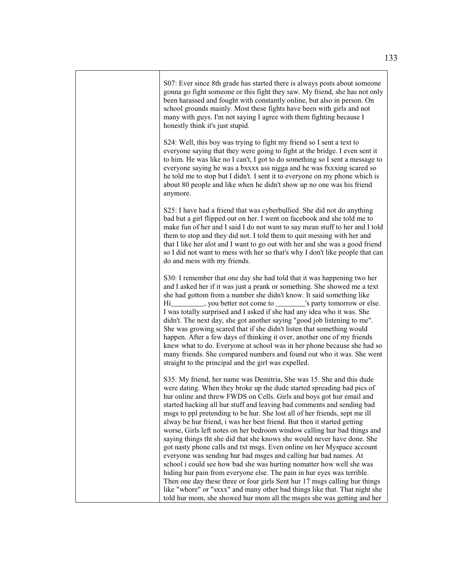S07: Ever since 8th grade has started there is always posts about someone gonna go fight someone or this fight they saw. My friend, she has not only been harassed and fought with constantly online, but also in person. On school grounds mainly. Most these fights have been with girls and not many with guys. I'm not saying I agree with them fighting because I honestly think it's just stupid.

S24: Well, this boy was trying to fight my friend so I sent a text to everyone saying that they were going to fight at the bridge. I even sent it to him. He was like no I can't, I got to do something so I sent a message to everyone saying he was a bxxxx ass nigga and he was fxxxing scared so he told me to stop but I didn't. I sent it to everyone on my phone which is about 80 people and like when he didn't show up no one was his friend anymore.

S25: I have had a friend that was cyberbullied. She did not do anything bad but a girl flipped out on her. I went on facebook and she told me to make fun of her and I said I do not want to say mean stuff to her and I told them to stop and they did not. I told them to quit messing with her and that I like her alot and I want to go out with her and she was a good friend so I did not want to mess with her so that's why I don't like people that can do and mess with my friends.

S30: I remember that one day she had told that it was happening two her and I asked her if it was just a prank or something. She showed me a text she had gottom from a number she didn't know. It said something like Hi\_\_\_\_\_\_\_\_\_, you better not come to \_\_\_\_\_\_\_\_'s party tomorrow or else. I was totally surprised and I asked if she had any idea who it was. She didn't. The next day, she got another saying "good job listening to me". She was growing scared that if she didn't listen that something would happen. After a few days of thinking it over, another one of my friends knew what to do. Everyone at school was in her phone because she had so many friends. She compared numbers and found out who it was. She went straight to the principal and the girl was expelled.

S35: My friend, her name was Demitria, She was 15. She and this dude were dating. When they broke up the dude started spreading bad pics of hur online and threw FWDS on Cells. Girls and boys got hur email and started hacking all hur stuff and leaving bad comments and sending bad msgs to ppl pretending to be hur. She lost all of her friends, sept me ill alway be hur friend, i was her best friend. But then it started getting worse, Girls left notes on her bedroom window calling hur bad things and saying things tht she did that she knows she would never have done. She got nasty phone calls and txt msgs. Even online on her Myspace account everyone was sending hur bad msges and calling hur bad names. At school i could see how bad she was hurting nomatter how well she was hiding hur pain from everyone else. The pain in hur eyes was terrible. Then one day these three or four girls Sent hur 17 msgs calling hur things like "whore" or "sxxx" and many other bad things like that. That night she told hur mom, she showed hur mom all the msges she was getting and her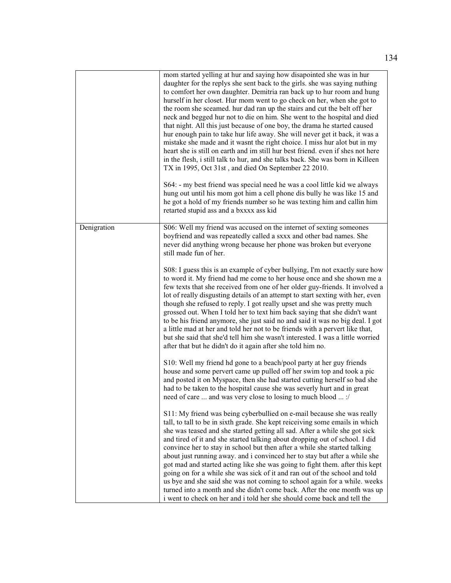|             | mom started yelling at hur and saying how disapointed she was in hur<br>daughter for the replys she sent back to the girls. she was saying nuthing<br>to comfort her own daughter. Demitria ran back up to hur room and hung<br>hurself in her closet. Hur mom went to go check on her, when she got to<br>the room she sceamed. hur dad ran up the stairs and cut the belt off her<br>neck and begged hur not to die on him. She went to the hospital and died<br>that night. All this just because of one boy, the drama he started caused<br>hur enough pain to take hur life away. She will never get it back, it was a<br>mistake she made and it wasnt the right choice. I miss hur alot but in my<br>heart she is still on earth and im still hur best friend, even if shes not here<br>in the flesh, i still talk to hur, and she talks back. She was born in Killeen<br>TX in 1995, Oct 31st, and died On September 22 2010.<br>S64: - my best friend was special need he was a cool little kid we always<br>hung out until his mom got him a cell phone dis bully he was like 15 and<br>he got a hold of my friends number so he was texting him and callin him<br>retarted stupid ass and a bxxxx ass kid |
|-------------|----------------------------------------------------------------------------------------------------------------------------------------------------------------------------------------------------------------------------------------------------------------------------------------------------------------------------------------------------------------------------------------------------------------------------------------------------------------------------------------------------------------------------------------------------------------------------------------------------------------------------------------------------------------------------------------------------------------------------------------------------------------------------------------------------------------------------------------------------------------------------------------------------------------------------------------------------------------------------------------------------------------------------------------------------------------------------------------------------------------------------------------------------------------------------------------------------------------------|
| Denigration | S06: Well my friend was accused on the internet of sexting someones<br>boyfriend and was repeatedly called a sxxx and other bad names. She<br>never did anything wrong because her phone was broken but everyone<br>still made fun of her.<br>S08: I guess this is an example of cyber bullying, I'm not exactly sure how<br>to word it. My friend had me come to her house once and she shown me a<br>few texts that she received from one of her older guy-friends. It involved a<br>lot of really disgusting details of an attempt to start sexting with her, even<br>though she refused to reply. I got really upset and she was pretty much<br>grossed out. When I told her to text him back saying that she didn't want<br>to be his friend anymore, she just said no and said it was no big deal. I got<br>a little mad at her and told her not to be friends with a pervert like that,<br>but she said that she'd tell him she wasn't interested. I was a little worried<br>after that but he didn't do it again after she told him no.                                                                                                                                                                      |
|             | S10: Well my friend hd gone to a beach/pool party at her guy friends<br>house and some pervert came up pulled off her swim top and took a pic<br>and posted it on Myspace, then she had started cutting herself so bad she<br>had to be taken to the hospital cause she was severly hurt and in great<br>need of care  and was very close to losing to much blood  :/                                                                                                                                                                                                                                                                                                                                                                                                                                                                                                                                                                                                                                                                                                                                                                                                                                                |
|             | S11: My friend was being cyberbullied on e-mail because she was really<br>tall, to tall to be in sixth grade. She kept reiceiving some emails in which<br>she was teased and she started getting all sad. After a while she got sick<br>and tired of it and she started talking about dropping out of school. I did<br>convince her to stay in school but then after a while she started talking<br>about just running away. and i convinced her to stay but after a while she<br>got mad and started acting like she was going to fight them. after this kept<br>going on for a while she was sick of it and ran out of the school and told<br>us bye and she said she was not coming to school again for a while. weeks<br>turned into a month and she didn't come back. After the one month was up<br>i went to check on her and i told her she should come back and tell the                                                                                                                                                                                                                                                                                                                                     |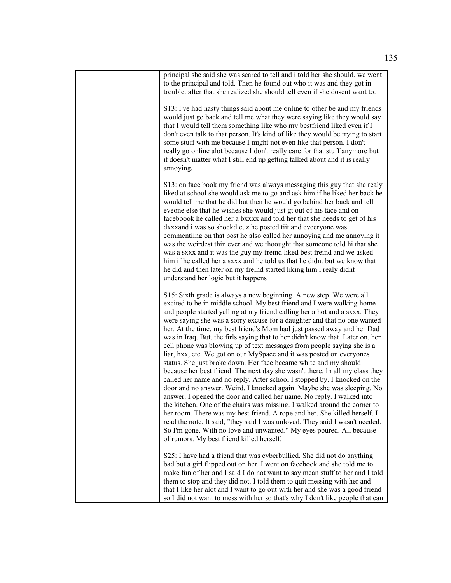| principal she said she was scared to tell and i told her she should, we went<br>to the principal and told. Then he found out who it was and they got in<br>trouble, after that she realized she should tell even if she dosent want to.                                                                                                                                                                                                                                                                                                                                                                                                                                                                                                                                                                                                                                                                                                                                                                                                                                                                                                                                                                                                                                                                                                                                    |
|----------------------------------------------------------------------------------------------------------------------------------------------------------------------------------------------------------------------------------------------------------------------------------------------------------------------------------------------------------------------------------------------------------------------------------------------------------------------------------------------------------------------------------------------------------------------------------------------------------------------------------------------------------------------------------------------------------------------------------------------------------------------------------------------------------------------------------------------------------------------------------------------------------------------------------------------------------------------------------------------------------------------------------------------------------------------------------------------------------------------------------------------------------------------------------------------------------------------------------------------------------------------------------------------------------------------------------------------------------------------------|
| S13: I've had nasty things said about me online to other be and my friends<br>would just go back and tell me what they were saying like they would say<br>that I would tell them something like who my bestfriend liked even if I<br>don't even talk to that person. It's kind of like they would be trying to start<br>some stuff with me because I might not even like that person. I don't<br>really go online alot because I don't really care for that stuff anymore but<br>it doesn't matter what I still end up getting talked about and it is really<br>annoying.                                                                                                                                                                                                                                                                                                                                                                                                                                                                                                                                                                                                                                                                                                                                                                                                  |
| S13: on face book my friend was always messaging this guy that she realy<br>liked at school she would ask me to go and ask him if he liked her back he<br>would tell me that he did but then he would go behind her back and tell<br>eveone else that he wishes she would just gt out of his face and on<br>faceboook he called her a bxxxx and told her that she needs to get of his<br>dxxxand i was so shockd cuz he posted tiit and eveeryone was<br>commentiing on that post he also called her annoying and me annoying it<br>was the weirdest thin ever and we thoought that someone told hi that she<br>was a sxxx and it was the guy my freind liked best freind and we asked<br>him if he called her a sxxx and he told us that he didnt but we know that<br>he did and then later on my freind started liking him i realy didnt<br>understand her logic but it happens                                                                                                                                                                                                                                                                                                                                                                                                                                                                                          |
| S15: Sixth grade is always a new beginning. A new step. We were all<br>excited to be in middle school. My best friend and I were walking home<br>and people started yelling at my friend calling her a hot and a sxxx. They<br>were saying she was a sorry excuse for a daughter and that no one wanted<br>her. At the time, my best friend's Mom had just passed away and her Dad<br>was in Iraq. But, the firls saying that to her didn't know that. Later on, her<br>cell phone was blowing up of text messages from people saying she is a<br>liar, hxx, etc. We got on our MySpace and it was posted on everyones<br>status. She just broke down. Her face became white and my should<br>because her best friend. The next day she wasn't there. In all my class they<br>called her name and no reply. After school I stopped by. I knocked on the<br>door and no answer. Weird, I knocked again. Maybe she was sleeping. No<br>answer. I opened the door and called her name. No reply. I walked into<br>the kitchen. One of the chairs was missing. I walked around the corner to<br>her room. There was my best friend. A rope and her. She killed herself. I<br>read the note. It said, "they said I was unloved. They said I wasn't needed.<br>So I'm gone. With no love and unwanted." My eyes poured. All because<br>of rumors. My best friend killed herself. |
| S25: I have had a friend that was cyberbullied. She did not do anything<br>bad but a girl flipped out on her. I went on facebook and she told me to<br>make fun of her and I said I do not want to say mean stuff to her and I told<br>them to stop and they did not. I told them to quit messing with her and<br>that I like her alot and I want to go out with her and she was a good friend<br>so I did not want to mess with her so that's why I don't like people that can                                                                                                                                                                                                                                                                                                                                                                                                                                                                                                                                                                                                                                                                                                                                                                                                                                                                                            |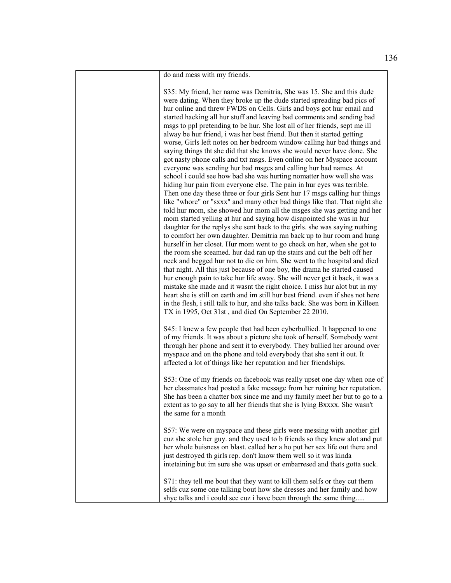do and mess with my friends.

S35: My friend, her name was Demitria, She was 15. She and this dude were dating. When they broke up the dude started spreading bad pics of hur online and threw FWDS on Cells. Girls and boys got hur email and started hacking all hur stuff and leaving bad comments and sending bad msgs to ppl pretending to be hur. She lost all of her friends, sept me ill alway be hur friend, i was her best friend. But then it started getting worse, Girls left notes on her bedroom window calling hur bad things and saying things tht she did that she knows she would never have done. She got nasty phone calls and txt msgs. Even online on her Myspace account everyone was sending hur bad msges and calling hur bad names. At school i could see how bad she was hurting nomatter how well she was hiding hur pain from everyone else. The pain in hur eyes was terrible. Then one day these three or four girls Sent hur 17 msgs calling hur things like "whore" or "sxxx" and many other bad things like that. That night she told hur mom, she showed hur mom all the msges she was getting and her mom started yelling at hur and saying how disapointed she was in hur daughter for the replys she sent back to the girls. she was saying nuthing to comfort her own daughter. Demitria ran back up to hur room and hung hurself in her closet. Hur mom went to go check on her, when she got to the room she sceamed. hur dad ran up the stairs and cut the belt off her neck and begged hur not to die on him. She went to the hospital and died that night. All this just because of one boy, the drama he started caused hur enough pain to take hur life away. She will never get it back, it was a mistake she made and it wasnt the right choice. I miss hur alot but in my heart she is still on earth and im still hur best friend. even if shes not here in the flesh, i still talk to hur, and she talks back. She was born in Killeen TX in 1995, Oct 31st , and died On September 22 2010.

S45: I knew a few people that had been cyberbullied. It happened to one of my friends. It was about a picture she took of herself. Somebody went through her phone and sent it to everybody. They bullied her around over myspace and on the phone and told everybody that she sent it out. It affected a lot of things like her reputation and her friendships.

S53: One of my friends on facebook was really upset one day when one of her classmates had posted a fake message from her ruining her reputation. She has been a chatter box since me and my family meet her but to go to a extent as to go say to all her friends that she is lying Bxxxx. She wasn't the same for a month

S57: We were on myspace and these girls were messing with another girl cuz she stole her guy. and they used to b friends so they knew alot and put her whole buisness on blast. called her a ho put her sex life out there and just destroyed th girls rep. don't know them well so it was kinda intetaining but im sure she was upset or embarresed and thats gotta suck.

S71: they tell me bout that they want to kill them selfs or they cut them selfs cuz some one talking bout how she dresses and her family and how shye talks and i could see cuz i have been through the same thing.....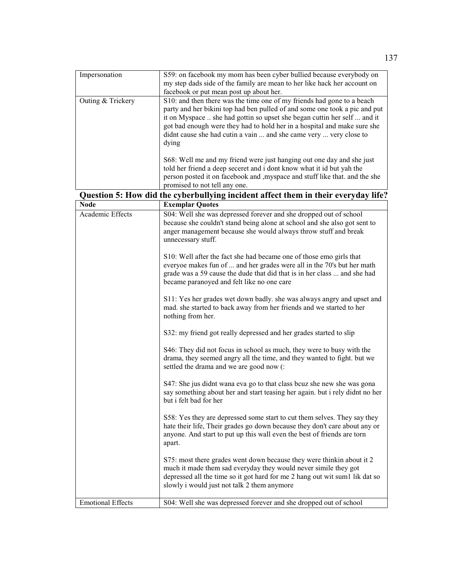| Impersonation            | S59: on facebook my mom has been cyber bullied because everybody on<br>my step dads side of the family are mean to her like hack her account on<br>facebook or put mean post up about her.                                                                                                                                                                                                  |
|--------------------------|---------------------------------------------------------------------------------------------------------------------------------------------------------------------------------------------------------------------------------------------------------------------------------------------------------------------------------------------------------------------------------------------|
| Outing & Trickery        | S10: and then there was the time one of my friends had gone to a beach<br>party and her bikini top had ben pulled of and some one took a pic and put<br>it on Myspace  she had gottin so upset she began cuttin her self  and it<br>got bad enough were they had to hold her in a hospital and make sure she<br>didnt cause she had cutin a vain  and she came very  very close to<br>dying |
|                          | S68: Well me and my friend were just hanging out one day and she just<br>told her friend a deep seceret and i dont know what it id but yah the<br>person posted it on facebook and , myspace and stuff like that. and the she                                                                                                                                                               |
|                          | promised to not tell any one.                                                                                                                                                                                                                                                                                                                                                               |
|                          | Question 5: How did the cyberbullying incident affect them in their everyday life?                                                                                                                                                                                                                                                                                                          |
| <b>Node</b>              | <b>Exemplar Quotes</b>                                                                                                                                                                                                                                                                                                                                                                      |
| Academic Effects         | S04: Well she was depressed forever and she dropped out of school<br>because she couldn't stand being alone at school and she also got sent to<br>anger management because she would always throw stuff and break<br>unnecessary stuff.                                                                                                                                                     |
|                          | S10: Well after the fact she had became one of those emo girls that<br>everyoe makes fun of  and her grades were all in the 70's but her math<br>grade was a 59 cause the dude that did that is in her class  and she had<br>became paranoyed and felt like no one care                                                                                                                     |
|                          | S11: Yes her grades wet down badly. she was always angry and upset and<br>mad. she started to back away from her friends and we started to her<br>nothing from her.                                                                                                                                                                                                                         |
|                          | S32: my friend got really depressed and her grades started to slip                                                                                                                                                                                                                                                                                                                          |
|                          | S46: They did not focus in school as much, they were to busy with the<br>drama, they seemed angry all the time, and they wanted to fight. but we<br>settled the drama and we are good now (:                                                                                                                                                                                                |
|                          | S47: She jus didnt wana eva go to that class beuz she new she was gona<br>say something about her and start teasing her again. but i rely didnt no her<br>but i felt bad for her                                                                                                                                                                                                            |
|                          | S58: Yes they are depressed some start to cut them selves. They say they<br>hate their life, Their grades go down because they don't care about any or<br>anyone. And start to put up this wall even the best of friends are torn<br>apart.                                                                                                                                                 |
|                          | S75: most there grades went down because they were thinkin about it 2<br>much it made them sad everyday they would never simile they got<br>depressed all the time so it got hard for me 2 hang out wit sum1 lik dat so<br>slowly i would just not talk 2 them anymore                                                                                                                      |
| <b>Emotional Effects</b> | S04: Well she was depressed forever and she dropped out of school                                                                                                                                                                                                                                                                                                                           |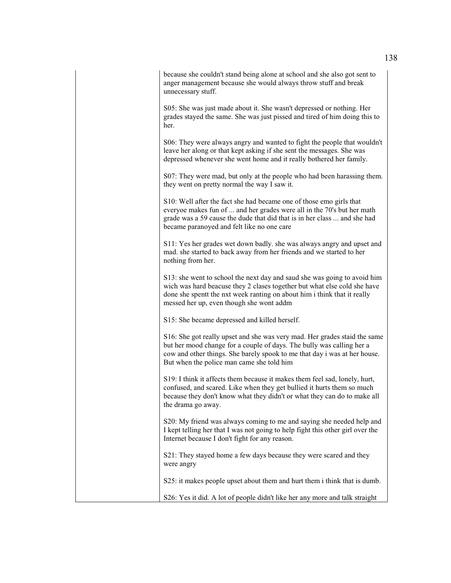because she couldn't stand being alone at school and she also got sent to anger management because she would always throw stuff and break unnecessary stuff.

S05: She was just made about it. She wasn't depressed or nothing. Her grades stayed the same. She was just pissed and tired of him doing this to her.

S06: They were always angry and wanted to fight the people that wouldn't leave her along or that kept asking if she sent the messages. She was depressed whenever she went home and it really bothered her family.

S07: They were mad, but only at the people who had been harassing them. they went on pretty normal the way I saw it.

S10: Well after the fact she had became one of those emo girls that everyoe makes fun of ... and her grades were all in the 70's but her math grade was a 59 cause the dude that did that is in her class ... and she had became paranoyed and felt like no one care

S11: Yes her grades wet down badly. she was always angry and upset and mad. she started to back away from her friends and we started to her nothing from her.

S13: she went to school the next day and saud she was going to avoid him wich was hard beacuse they 2 clases together but what else cold she have done she spentt the nxt week ranting on about him i think that it really messed her up, even though she wont addm

S15: She became depressed and killed herself.

S16: She got really upset and she was very mad. Her grades staid the same but her mood change for a couple of days. The bully was calling her a cow and other things. She barely spook to me that day i was at her house. But when the police man came she told him

S19: I think it affects them because it makes them feel sad, lonely, hurt, confused, and scared. Like when they get bullied it hurts them so much because they don't know what they didn't or what they can do to make all the drama go away.

S20: My friend was always coming to me and saying she needed help and I kept telling her that I was not going to help fight this other girl over the Internet because I don't fight for any reason.

S21: They stayed home a few days because they were scared and they were angry

S25: it makes people upset about them and hurt them i think that is dumb.

S26: Yes it did. A lot of people didn't like her any more and talk straight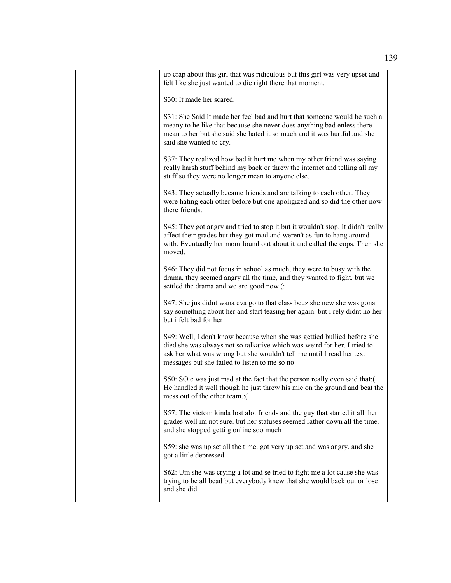up crap about this girl that was ridiculous but this girl was very upset and felt like she just wanted to die right there that moment.

S30: It made her scared.

S31: She Said It made her feel bad and hurt that someone would be such a meany to he like that because she never does anything bad enless there mean to her but she said she hated it so much and it was hurtful and she said she wanted to cry.

S37: They realized how bad it hurt me when my other friend was saying really harsh stuff behind my back or threw the internet and telling all my stuff so they were no longer mean to anyone else.

S43: They actually became friends and are talking to each other. They were hating each other before but one apoligized and so did the other now there friends.

S45: They got angry and tried to stop it but it wouldn't stop. It didn't really affect their grades but they got mad and weren't as fun to hang around with. Eventually her mom found out about it and called the cops. Then she moved.

S46: They did not focus in school as much, they were to busy with the drama, they seemed angry all the time, and they wanted to fight. but we settled the drama and we are good now (:

S47: She jus didnt wana eva go to that class bcuz she new she was gona say something about her and start teasing her again. but i rely didnt no her but i felt bad for her

S49: Well, I don't know because when she was gettied bullied before she died she was always not so talkative which was weird for her. I tried to ask her what was wrong but she wouldn't tell me until I read her text messages but she failed to listen to me so no

S50: SO c was just mad at the fact that the person really even said that:( He handled it well though he just threw his mic on the ground and beat the mess out of the other team.:(

S57: The victom kinda lost alot friends and the guy that started it all. her grades well im not sure. but her statuses seemed rather down all the time. and she stopped getti g online soo much

S59: she was up set all the time. got very up set and was angry. and she got a little depressed

S62: Um she was crying a lot and se tried to fight me a lot cause she was trying to be all bead but everybody knew that she would back out or lose and she did.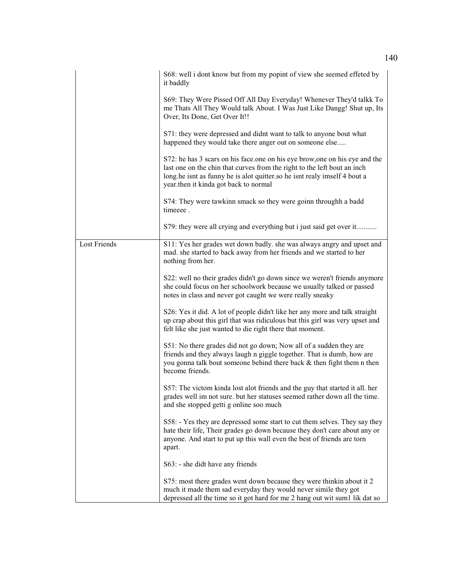|                     | S68: well i dont know but from my popint of view she seemed effeted by<br>it baddly                                                                                                                                                                                           |
|---------------------|-------------------------------------------------------------------------------------------------------------------------------------------------------------------------------------------------------------------------------------------------------------------------------|
|                     | S69: They Were Pissed Off All Day Everyday! Whenever They'd talkk To<br>me Thats All They Would talk About. I Was Just Like Dangg! Shut up, Its<br>Over, Its Done, Get Over It!!                                                                                              |
|                     | S71: they were depressed and didnt want to talk to anyone bout what<br>happened they would take there anger out on someone else                                                                                                                                               |
|                     | S72: he has 3 scars on his face one on his eye brow, one on his eye and the<br>last one on the chin that curves from the right to the left bout an inch<br>long.he isnt as funny he is alot quitter so he isnt realy imself 4 bout a<br>year.then it kinda got back to normal |
|                     | S74: They were tawkinn smack so they were goinn throughh a badd<br>timeeee.                                                                                                                                                                                                   |
|                     | S79: they were all crying and everything but i just said get over it                                                                                                                                                                                                          |
| <b>Lost Friends</b> | S11: Yes her grades wet down badly. she was always angry and upset and<br>mad. she started to back away from her friends and we started to her<br>nothing from her.                                                                                                           |
|                     | S22: well no their grades didn't go down since we weren't friends anymore<br>she could focus on her schoolwork because we usually talked or passed<br>notes in class and never got caught we were really sneaky                                                               |
|                     | S26: Yes it did. A lot of people didn't like her any more and talk straight<br>up crap about this girl that was ridiculous but this girl was very upset and<br>felt like she just wanted to die right there that moment.                                                      |
|                     | S51: No there grades did not go down; Now all of a sudden they are<br>friends and they always laugh n giggle together. That is dumb, how are<br>you gonna talk bout someone behind there back & then fight them n then<br>become friends.                                     |
|                     | S57: The victom kinda lost alot friends and the guy that started it all. her<br>grades well im not sure. but her statuses seemed rather down all the time.<br>and she stopped getti g online soo much                                                                         |
|                     | S58: - Yes they are depressed some start to cut them selves. They say they<br>hate their life, Their grades go down because they don't care about any or<br>anyone. And start to put up this wall even the best of friends are torn<br>apart.                                 |
|                     | S63: - she didt have any friends                                                                                                                                                                                                                                              |
|                     | S75: most there grades went down because they were thinkin about it 2<br>much it made them sad everyday they would never simile they got<br>depressed all the time so it got hard for me 2 hang out wit sum1 lik dat so                                                       |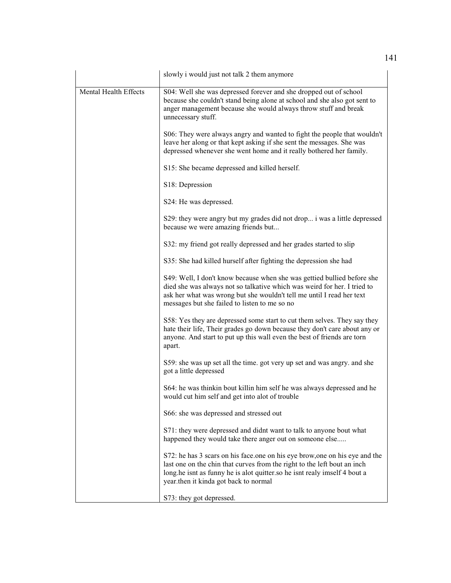|                       | slowly i would just not talk 2 them anymore                                                                                                                                                                                                                                   |
|-----------------------|-------------------------------------------------------------------------------------------------------------------------------------------------------------------------------------------------------------------------------------------------------------------------------|
| Mental Health Effects | S04: Well she was depressed forever and she dropped out of school<br>because she couldn't stand being alone at school and she also got sent to<br>anger management because she would always throw stuff and break<br>unnecessary stuff.                                       |
|                       | S06: They were always angry and wanted to fight the people that wouldn't<br>leave her along or that kept asking if she sent the messages. She was<br>depressed whenever she went home and it really bothered her family.                                                      |
|                       | S15: She became depressed and killed herself.                                                                                                                                                                                                                                 |
|                       | S18: Depression                                                                                                                                                                                                                                                               |
|                       | S24: He was depressed.                                                                                                                                                                                                                                                        |
|                       | S29: they were angry but my grades did not drop i was a little depressed<br>because we were amazing friends but                                                                                                                                                               |
|                       | S32: my friend got really depressed and her grades started to slip                                                                                                                                                                                                            |
|                       | S35: She had killed hurself after fighting the depression she had                                                                                                                                                                                                             |
|                       | S49: Well, I don't know because when she was gettied bullied before she<br>died she was always not so talkative which was weird for her. I tried to<br>ask her what was wrong but she wouldn't tell me until I read her text<br>messages but she failed to listen to me so no |
|                       | S58: Yes they are depressed some start to cut them selves. They say they<br>hate their life, Their grades go down because they don't care about any or<br>anyone. And start to put up this wall even the best of friends are torn<br>apart.                                   |
|                       | S59: she was up set all the time. got very up set and was angry. and she<br>got a little depressed                                                                                                                                                                            |
|                       | S64: he was thinkin bout killin him self he was always depressed and he<br>would cut him self and get into alot of trouble                                                                                                                                                    |
|                       | S66: she was depressed and stressed out                                                                                                                                                                                                                                       |
|                       | S71: they were depressed and didnt want to talk to anyone bout what<br>happened they would take there anger out on someone else                                                                                                                                               |
|                       | S72: he has 3 scars on his face one on his eye brow, one on his eye and the<br>last one on the chin that curves from the right to the left bout an inch<br>long.he isnt as funny he is alot quitter so he isnt realy imself 4 bout a<br>year.then it kinda got back to normal |
|                       | S73: they got depressed.                                                                                                                                                                                                                                                      |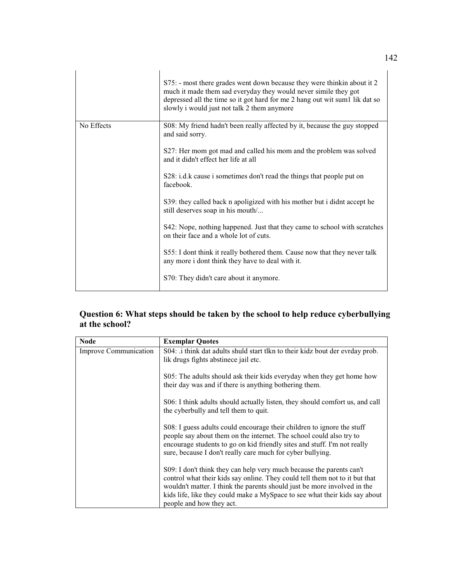|            | S75: - most there grades went down because they were thinkin about it 2<br>much it made them sad everyday they would never simile they got<br>depressed all the time so it got hard for me 2 hang out wit sum1 lik dat so<br>slowly i would just not talk 2 them anymore |
|------------|--------------------------------------------------------------------------------------------------------------------------------------------------------------------------------------------------------------------------------------------------------------------------|
| No Effects | S08: My friend hadn't been really affected by it, because the guy stopped<br>and said sorry.                                                                                                                                                                             |
|            | S27: Her mom got mad and called his mom and the problem was solved<br>and it didn't effect her life at all                                                                                                                                                               |
|            | S28: i.d.k cause i sometimes don't read the things that people put on<br>facebook.                                                                                                                                                                                       |
|            | S39: they called back n apoligized with his mother but i didnt accept he<br>still deserves soap in his mouth/                                                                                                                                                            |
|            | S42: Nope, nothing happened. Just that they came to school with scratches<br>on their face and a whole lot of cuts.                                                                                                                                                      |
|            | S55: I dont think it really bothered them. Cause now that they never talk<br>any more i dont think they have to deal with it.                                                                                                                                            |
|            | S70: They didn't care about it anymore.                                                                                                                                                                                                                                  |

# **Question 6: What steps should be taken by the school to help reduce cyberbullying at the school?**

| <b>Node</b>           | <b>Exemplar Quotes</b>                                                                                                                                                                                                                                                                                                                    |
|-----------------------|-------------------------------------------------------------------------------------------------------------------------------------------------------------------------------------------------------------------------------------------------------------------------------------------------------------------------------------------|
| Improve Communication | S04: i think dat adults shuld start tlkn to their kidz bout der evrday prob.<br>lik drugs fights abstinece jail etc.                                                                                                                                                                                                                      |
|                       | S05: The adults should ask their kids everyday when they get home how<br>their day was and if there is anything bothering them.                                                                                                                                                                                                           |
|                       | S06: I think adults should actually listen, they should comfort us, and call<br>the cyberbully and tell them to quit.                                                                                                                                                                                                                     |
|                       | S08: I guess adults could encourage their children to ignore the stuff<br>people say about them on the internet. The school could also try to<br>encourage students to go on kid friendly sites and stuff. I'm not really<br>sure, because I don't really care much for cyber bullying.                                                   |
|                       | S09: I don't think they can help very much because the parents can't<br>control what their kids say online. They could tell them not to it but that<br>wouldn't matter. I think the parents should just be more involved in the<br>kids life, like they could make a MySpace to see what their kids say about<br>people and how they act. |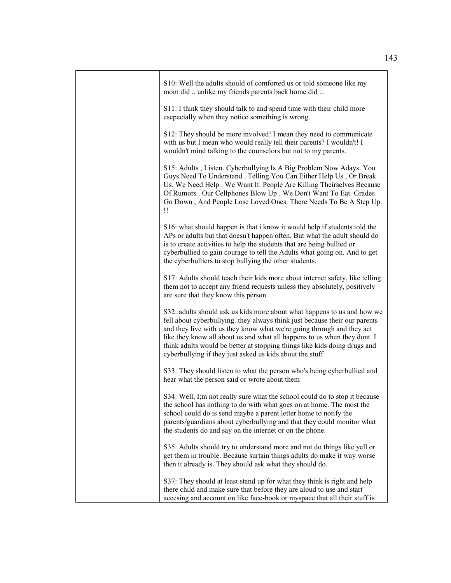| S10: Well the adults should of comforted us or told someone like my<br>mom did  unlike my friends parents back home did                                                                                                                                                                                                                                                                                                                             |
|-----------------------------------------------------------------------------------------------------------------------------------------------------------------------------------------------------------------------------------------------------------------------------------------------------------------------------------------------------------------------------------------------------------------------------------------------------|
| S11: I think they should talk to and spend time with their child more<br>escpecially when they notice something is wrong.                                                                                                                                                                                                                                                                                                                           |
| S12: They should be more involved! I mean they need to communicate<br>with us but I mean who would really tell their parents? I wouldn't! I<br>wouldn't mind talking to the counselors but not to my parents.                                                                                                                                                                                                                                       |
| S15: Adults, Listen. Cyberbullying Is A Big Problem Now Adays. You<br>Guys Need To Understand . Telling You Can Either Help Us, Or Break<br>Us. We Need Help. We Want It. People Are Killing Theirselves Because<br>Of Rumors . Our Cellphones Blow Up . We Don't Want To Eat. Grades<br>Go Down, And People Lose Loved Ones. There Needs To Be A Step Up.<br>$\mathbf{1}$                                                                          |
| S16: what should happen is that i know it would help if students told the<br>APs or adults but that doesn't happen often. But what the adult should do<br>is to create activities to help the students that are being bullied or<br>cyberbullied to gain courage to tell the Adults what going on. And to get<br>the cyberbulliers to stop bullying the other students.                                                                             |
| S17: Adults should teach their kids more about internet safety, like telling<br>them not to accept any friend requests unless they absolutely, positively<br>are sure that they know this person.                                                                                                                                                                                                                                                   |
| S32: adults should ask us kids more about what happens to us and how we<br>fell about cyberbullying. they always think just because their our parents<br>and they live with us they know what we're going through and they act<br>like they know all about us and what all happens to us when they dont. I<br>think adults would be better at stopping things like kids doing drugs and<br>cyberbullying if they just asked us kids about the stuff |
| S33: They should listen to what the person who's being cyberbullied and<br>hear what the person said or wrote about them                                                                                                                                                                                                                                                                                                                            |
| S34: Well, I;m not really sure what the school could do to stop it because<br>the school has nothing to do with what goes on at home. The most the<br>school could do is send maybe a parent letter home to notify the<br>parents/guardians about cyberbullying and that they could monitor what<br>the students do and say on the internet or on the phone.                                                                                        |
| S35: Adults should try to understand more and not do things like yell or<br>get them in trouble. Because surtain things adults do make it way worse<br>then it already is. They should ask what they should do.                                                                                                                                                                                                                                     |
| S37: They should at least stand up for what they think is right and help<br>there child and make sure that before they are aloud to use and start<br>accesing and account on like face-book or myspace that all their stuff is                                                                                                                                                                                                                      |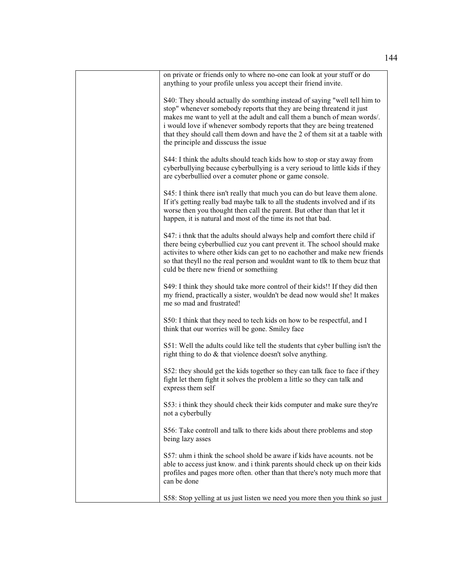| on private or friends only to where no-one can look at your stuff or do<br>anything to your profile unless you accept their friend invite.                                                                                                                                                                                                                                                                                      |
|---------------------------------------------------------------------------------------------------------------------------------------------------------------------------------------------------------------------------------------------------------------------------------------------------------------------------------------------------------------------------------------------------------------------------------|
| S40: They should actually do somthing instead of saying "well tell him to<br>stop" whenever somebody reports that they are being threatend it just<br>makes me want to yell at the adult and call them a bunch of mean words/.<br>i would love if whenever sombody reports that they are being treatened<br>that they should call them down and have the 2 of them sit at a taable with<br>the principle and disscuss the issue |
| S44: I think the adults should teach kids how to stop or stay away from<br>cyberbullying because cyberbullying is a very serioud to little kids if they<br>are cyberbullied over a comuter phone or game console.                                                                                                                                                                                                               |
| S45: I think there isn't really that much you can do but leave them alone.<br>If it's getting really bad maybe talk to all the students involved and if its<br>worse then you thought then call the parent. But other than that let it<br>happen, it is natural and most of the time its not that bad.                                                                                                                          |
| S47: i thnk that the adults should always help and comfort there child if<br>there being cyberbullied cuz you cant prevent it. The school should make<br>activites to where other kids can get to no eachother and make new friends<br>so that theyll no the real person and wouldnt want to tlk to them bcuz that<br>culd be there new friend or somethiing                                                                    |
| S49: I think they should take more control of their kids!! If they did then<br>my friend, practically a sister, wouldn't be dead now would she! It makes<br>me so mad and frustrated!                                                                                                                                                                                                                                           |
| S50: I think that they need to tech kids on how to be respectful, and I<br>think that our worries will be gone. Smiley face                                                                                                                                                                                                                                                                                                     |
| S51: Well the adults could like tell the students that cyber bulling isn't the<br>right thing to do & that violence doesn't solve anything.                                                                                                                                                                                                                                                                                     |
| S52: they should get the kids together so they can talk face to face if they<br>fight let them fight it solves the problem a little so they can talk and<br>express them self                                                                                                                                                                                                                                                   |
| S53: i think they should check their kids computer and make sure they're<br>not a cyberbully                                                                                                                                                                                                                                                                                                                                    |
| S56: Take controll and talk to there kids about there problems and stop<br>being lazy asses                                                                                                                                                                                                                                                                                                                                     |
| S57: uhm i think the school shold be aware if kids have acounts, not be<br>able to access just know. and i think parents should check up on their kids<br>profiles and pages more often. other than that there's noty much more that<br>can be done                                                                                                                                                                             |
| S58: Stop yelling at us just listen we need you more then you think so just                                                                                                                                                                                                                                                                                                                                                     |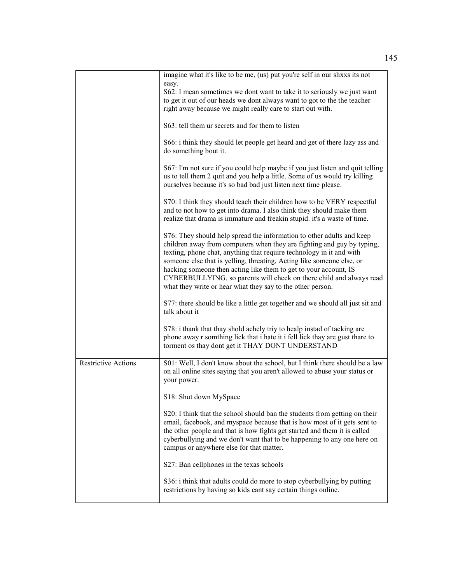|                            | imagine what it's like to be me, (us) put you're self in our shass its not<br>easy.                                                                                                                                                                                                                                                                                                                                                                                                                       |
|----------------------------|-----------------------------------------------------------------------------------------------------------------------------------------------------------------------------------------------------------------------------------------------------------------------------------------------------------------------------------------------------------------------------------------------------------------------------------------------------------------------------------------------------------|
|                            | S62: I mean sometimes we dont want to take it to seriously we just want                                                                                                                                                                                                                                                                                                                                                                                                                                   |
|                            | to get it out of our heads we dont always want to got to the the teacher                                                                                                                                                                                                                                                                                                                                                                                                                                  |
|                            | right away because we might really care to start out with.                                                                                                                                                                                                                                                                                                                                                                                                                                                |
|                            | S63: tell them ur secrets and for them to listen                                                                                                                                                                                                                                                                                                                                                                                                                                                          |
|                            | S66: i think they should let people get heard and get of there lazy ass and<br>do something bout it.                                                                                                                                                                                                                                                                                                                                                                                                      |
|                            | S67: I'm not sure if you could help maybe if you just listen and quit telling<br>us to tell them 2 quit and you help a little. Some of us would try killing<br>ourselves because it's so bad bad just listen next time please.                                                                                                                                                                                                                                                                            |
|                            | S70: I think they should teach their children how to be VERY respectful<br>and to not how to get into drama. I also think they should make them<br>realize that drama is immature and freakin stupid. it's a waste of time.                                                                                                                                                                                                                                                                               |
|                            | S76: They should help spread the information to other adults and keep<br>children away from computers when they are fighting and guy by typing,<br>texting, phone chat, anything that require technology in it and with<br>someone else that is yelling, threating, Acting like someone else, or<br>hacking someone then acting like them to get to your account, IS<br>CYBERBULLYING. so parents will check on there child and always read<br>what they write or hear what they say to the other person. |
|                            | S77: there should be like a little get together and we should all just sit and<br>talk about it                                                                                                                                                                                                                                                                                                                                                                                                           |
|                            | S78: i thank that thay shold achely triy to healp instad of tacking are<br>phone away r somthing lick that i hate it i fell lick thay are gust thare to<br>torment os thay dont get it THAY DONT UNDERSTAND                                                                                                                                                                                                                                                                                               |
| <b>Restrictive Actions</b> | S01: Well, I don't know about the school, but I think there should be a law<br>on all online sites saying that you aren't allowed to abuse your status or<br>your power.                                                                                                                                                                                                                                                                                                                                  |
|                            | S18: Shut down MySpace                                                                                                                                                                                                                                                                                                                                                                                                                                                                                    |
|                            | S20: I think that the school should ban the students from getting on their<br>email, facebook, and myspace because that is how most of it gets sent to<br>the other people and that is how fights get started and them it is called<br>cyberbullying and we don't want that to be happening to any one here on<br>campus or anywhere else for that matter.                                                                                                                                                |
|                            | S27: Ban cellphones in the texas schools                                                                                                                                                                                                                                                                                                                                                                                                                                                                  |
|                            | S36: i think that adults could do more to stop cyberbullying by putting<br>restrictions by having so kids cant say certain things online.                                                                                                                                                                                                                                                                                                                                                                 |
|                            |                                                                                                                                                                                                                                                                                                                                                                                                                                                                                                           |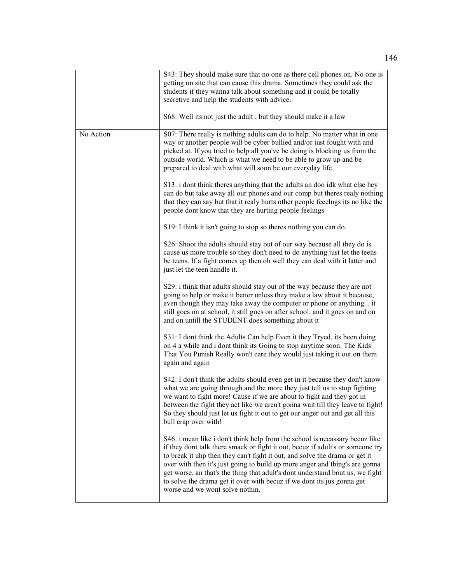|           | S43: They should make sure that no one as there cell phones on. No one is<br>getting on site that can cause this drama. Sometimes they could ask the<br>students if they wanna talk about something and it could be totally<br>secretive and help the students with advice.<br>S68: Well its not just the adult, but they should make it a law                                                                                                                                                                            |
|-----------|---------------------------------------------------------------------------------------------------------------------------------------------------------------------------------------------------------------------------------------------------------------------------------------------------------------------------------------------------------------------------------------------------------------------------------------------------------------------------------------------------------------------------|
| No Action | S07: There really is nothing adults can do to help. No matter what in one<br>way or another people will be cyber bullied and/or just fought with and<br>picked at. If you tried to help all you've be doing is blocking us from the<br>outside world. Which is what we need to be able to grow up and be<br>prepared to deal with what will soon be our everyday life.                                                                                                                                                    |
|           | S13: i dont think theres anything that the adults an doo idk what else hey<br>can do but take away all our phones and our comp but theres realy nothing<br>that they can say but that it realy hurts other people feeelngs its no like the<br>people dont know that they are hurting people feelings                                                                                                                                                                                                                      |
|           | S19: I think it isn't going to stop so theres nothing you can do.                                                                                                                                                                                                                                                                                                                                                                                                                                                         |
|           | S26: Shoot the adults should stay out of our way because all they do is<br>cause us more trouble so they don't need to do anything just let the teens<br>be teens. If a fight comes up then oh well they can deal with it latter and<br>just let the teen handle it.                                                                                                                                                                                                                                                      |
|           | S29: i think that adults should stay out of the way because they are not<br>going to help or make it better unless they make a law about it because,<br>even though they may take away the computer or phone or anything it<br>still goes on at school, it still goes on after school, and it goes on and on<br>and on untill the STUDENT does something about it                                                                                                                                                         |
|           | S31: I dont think the Adults Can help Even it they Tryed. its been doing<br>on 4 a while and i dont think its Going to stop anytime soon. The Kids<br>That You Punish Really won't care they would just taking it out on them<br>again and again                                                                                                                                                                                                                                                                          |
|           | S42: I don't think the adults should even get in it because they don't know<br>what we are going through and the more they just tell us to stop fighting<br>we want to fight more! Cause if we are about to fight and they got in<br>between the fight they act like we aren't gonna wait till they leave to fight!<br>So they should just let us fight it out to get our anger out and get all this<br>bull crap over with!                                                                                              |
|           | S46: i mean like i don't think help from the school is necassary becuz like<br>if they dont talk there smack or fight it out, becuz if adult's or someone try<br>to break it uhp then they can't fight it out, and solve the drama or get it<br>over with then it's just going to build up more anger and thing's are gonna<br>get worse, an that's the thing that adult's dont understand bout us, we fight<br>to solve the drama get it over with becuz if we dont its jus gonna get<br>worse and we wont solve nothin. |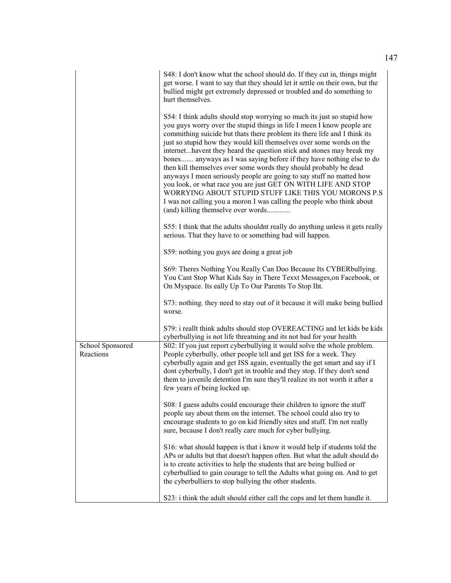|                               | S48: I don't know what the school should do. If they cut in, things might<br>get worse. I want to say that they should let it settle on their own, but the<br>bullied might get extremely depressed or troubled and do something to<br>hurt themselves.                                                                                                                                                                                                                                                                                                                                                                                                                                                                                                                                                                                      |
|-------------------------------|----------------------------------------------------------------------------------------------------------------------------------------------------------------------------------------------------------------------------------------------------------------------------------------------------------------------------------------------------------------------------------------------------------------------------------------------------------------------------------------------------------------------------------------------------------------------------------------------------------------------------------------------------------------------------------------------------------------------------------------------------------------------------------------------------------------------------------------------|
|                               | S54: I think adults should stop worrying so much its just so stupid how<br>you guys worry over the stupid things in life I meen I know people are<br>commithing suicide but thats there problem its there life and I think its<br>just so stupid how they would kill themselves over some words on the<br>internethavent they heard the question stick and stones may break my<br>bones anyways as I was saying before if they have nothing else to do<br>then kill themselves over some words they should probably be dead<br>anyways I meen seriously people are going to say stuff no matted how<br>you look, or what race you are just GET ON WITH LIFE AND STOP<br>WORRYING ABOUT STUPID STUFF LIKE THIS YOU MORONS P.S<br>I was not calling you a moron I was calling the people who think about<br>(and) killing themselve over words |
|                               | S55: I think that the adults shouldnt really do anything unless it gets really<br>serious. That they have to or something bad will happen.                                                                                                                                                                                                                                                                                                                                                                                                                                                                                                                                                                                                                                                                                                   |
|                               | S59: nothing you guys are doing a great job                                                                                                                                                                                                                                                                                                                                                                                                                                                                                                                                                                                                                                                                                                                                                                                                  |
|                               | S69: Theres Nothing You Really Can Doo Because Its CYBERbullying.<br>You Cant Stop What Kids Say in There Texxt Messages, on Facebook, or<br>On Myspace. Its eally Up To Our Parents To Stop Iht.                                                                                                                                                                                                                                                                                                                                                                                                                                                                                                                                                                                                                                            |
|                               | S73: nothing. they need to stay out of it because it will make being bullied<br>worse.                                                                                                                                                                                                                                                                                                                                                                                                                                                                                                                                                                                                                                                                                                                                                       |
|                               | S79: i reallt think adults should stop OVEREACTING and let kids be kids<br>cyberbullying is not life threatning and its not bad for your health                                                                                                                                                                                                                                                                                                                                                                                                                                                                                                                                                                                                                                                                                              |
| School Sponsored<br>Reactions | S02: If you just report cyberbullying it would solve the whole problem.<br>People cyberbully, other people tell and get ISS for a week. They<br>cyberbully again and get ISS again, eventually the get smart and say if I<br>dont cyberbully, I don't get in trouble and they stop. If they don't send<br>them to juvenile detention I'm sure they'll realize its not worth it after a<br>few years of being locked up.                                                                                                                                                                                                                                                                                                                                                                                                                      |
|                               | S08: I guess adults could encourage their children to ignore the stuff<br>people say about them on the internet. The school could also try to<br>encourage students to go on kid friendly sites and stuff. I'm not really<br>sure, because I don't really care much for cyber bullying.                                                                                                                                                                                                                                                                                                                                                                                                                                                                                                                                                      |
|                               | S16: what should happen is that i know it would help if students told the<br>APs or adults but that doesn't happen often. But what the adult should do<br>is to create activities to help the students that are being bullied or<br>cyberbullied to gain courage to tell the Adults what going on. And to get<br>the cyberbulliers to stop bullying the other students.                                                                                                                                                                                                                                                                                                                                                                                                                                                                      |
|                               | S23: i think the adult should either call the cops and let them handle it.                                                                                                                                                                                                                                                                                                                                                                                                                                                                                                                                                                                                                                                                                                                                                                   |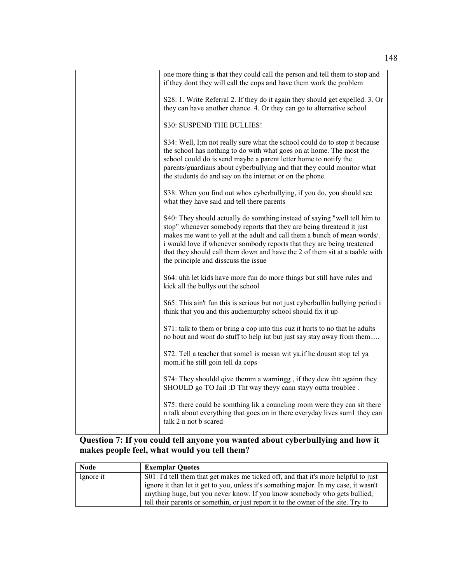| one more thing is that they could call the person and tell them to stop and<br>if they dont they will call the cops and have them work the problem                                                                                                                                                                                                                                                                              |
|---------------------------------------------------------------------------------------------------------------------------------------------------------------------------------------------------------------------------------------------------------------------------------------------------------------------------------------------------------------------------------------------------------------------------------|
| S28: 1. Write Referral 2. If they do it again they should get expelled. 3. Or<br>they can have another chance. 4. Or they can go to alternative school                                                                                                                                                                                                                                                                          |
| S30: SUSPEND THE BULLIES!                                                                                                                                                                                                                                                                                                                                                                                                       |
| S34: Well, I;m not really sure what the school could do to stop it because<br>the school has nothing to do with what goes on at home. The most the<br>school could do is send maybe a parent letter home to notify the<br>parents/guardians about cyberbullying and that they could monitor what<br>the students do and say on the internet or on the phone.                                                                    |
| S38: When you find out whos cyberbullying, if you do, you should see<br>what they have said and tell there parents                                                                                                                                                                                                                                                                                                              |
| S40: They should actually do somthing instead of saying "well tell him to<br>stop" whenever somebody reports that they are being threatend it just<br>makes me want to yell at the adult and call them a bunch of mean words/.<br>i would love if whenever sombody reports that they are being treatened<br>that they should call them down and have the 2 of them sit at a taable with<br>the principle and disscuss the issue |
| S64: uhh let kids have more fun do more things but still have rules and<br>kick all the bullys out the school                                                                                                                                                                                                                                                                                                                   |
| S65: This ain't fun this is serious but not just cyberbullin bullying period i<br>think that you and this audiemurphy school should fix it up                                                                                                                                                                                                                                                                                   |
| S71: talk to them or bring a cop into this cuz it hurts to no that he adults<br>no bout and wont do stuff to help iut but just say stay away from them                                                                                                                                                                                                                                                                          |
| S72: Tell a teacher that some1 is messn wit ya.if he dousnt stop tel ya<br>mom.if he still goin tell da cops                                                                                                                                                                                                                                                                                                                    |
| S74: They shouldd qive themm a warningg, if they dew ihtt againn they<br>SHOULD go TO Jail :D Tht way theyy cann stayy outta troublee.                                                                                                                                                                                                                                                                                          |
| S75: there could be somthing lik a councling room were they can sit there<br>n talk about everything that goes on in there everyday lives sum1 they can<br>talk 2 n not b scared                                                                                                                                                                                                                                                |

## **Question 7: If you could tell anyone you wanted about cyberbullying and how it makes people feel, what would you tell them?**

| <b>Node</b> | <b>Exemplar Ouotes</b>                                                               |
|-------------|--------------------------------------------------------------------------------------|
| Ignore it   | S01: I'd tell them that get makes me ticked off, and that it's more helpful to just  |
|             | ignore it than let it get to you, unless it's something major. In my case, it wasn't |
|             | anything huge, but you never know. If you know somebody who gets bullied,            |
|             | tell their parents or somethin, or just report it to the owner of the site. Try to   |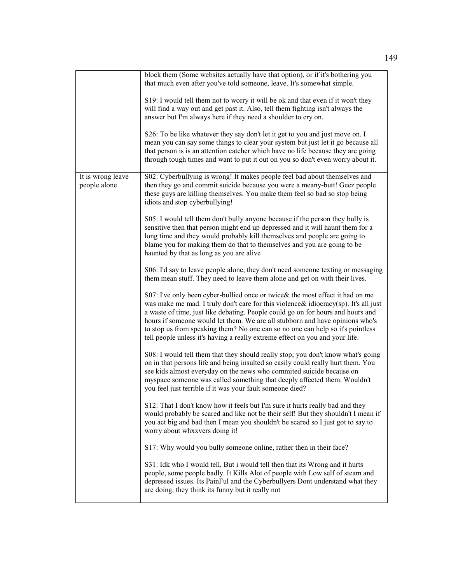|                                   | block them (Some websites actually have that option), or if it's bothering you<br>that much even after you've told someone, leave. It's somewhat simple.<br>S19: I would tell them not to worry it will be ok and that even if it won't they<br>will find a way out and get past it. Also, tell them fighting isn't always the<br>answer but I'm always here if they need a shoulder to cry on.<br>S26: To be like whatever they say don't let it get to you and just move on. I<br>mean you can say some things to clear your system but just let it go because all<br>that person is is an attention catcher which have no life because they are going |
|-----------------------------------|----------------------------------------------------------------------------------------------------------------------------------------------------------------------------------------------------------------------------------------------------------------------------------------------------------------------------------------------------------------------------------------------------------------------------------------------------------------------------------------------------------------------------------------------------------------------------------------------------------------------------------------------------------|
|                                   | through tough times and want to put it out on you so don't even worry about it.                                                                                                                                                                                                                                                                                                                                                                                                                                                                                                                                                                          |
| It is wrong leave<br>people alone | S02: Cyberbullying is wrong! It makes people feel bad about themselves and<br>then they go and commit suicide because you were a meany-butt! Geez people<br>these guys are killing themselves. You make them feel so bad so stop being<br>idiots and stop cyberbullying!                                                                                                                                                                                                                                                                                                                                                                                 |
|                                   | S05: I would tell them don't bully anyone because if the person they bully is<br>sensitive then that person might end up depressed and it will haunt them for a<br>long time and they would probably kill themselves and people are going to<br>blame you for making them do that to themselves and you are going to be<br>haunted by that as long as you are alive                                                                                                                                                                                                                                                                                      |
|                                   | S06: I'd say to leave people alone, they don't need someone texting or messaging<br>them mean stuff. They need to leave them alone and get on with their lives.                                                                                                                                                                                                                                                                                                                                                                                                                                                                                          |
|                                   | S07: I've only been cyber-bullied once or twice & the most effect it had on me<br>was make me mad. I truly don't care for this violence & idiocracy(sp). It's all just<br>a waste of time, just like debating. People could go on for hours and hours and<br>hours if someone would let them. We are all stubborn and have opinions who's<br>to stop us from speaking them? No one can so no one can help so it's pointless<br>tell people unless it's having a really extreme effect on you and your life.                                                                                                                                              |
|                                   | S08: I would tell them that they should really stop; you don't know what's going<br>on in that persons life and being insulted so easily could really hurt them. You<br>see kids almost everyday on the news who commited suicide because on<br>myspace someone was called something that deeply affected them. Wouldn't<br>you feel just terrible if it was your fault someone died?                                                                                                                                                                                                                                                                    |
|                                   | S12: That I don't know how it feels but I'm sure it hurts really bad and they<br>would probably be scared and like not be their self! But they shouldn't I mean if<br>you act big and bad then I mean you shouldn't be scared so I just got to say to<br>worry about whxxvers doing it!                                                                                                                                                                                                                                                                                                                                                                  |
|                                   | S17: Why would you bully someone online, rather then in their face?                                                                                                                                                                                                                                                                                                                                                                                                                                                                                                                                                                                      |
|                                   | S31: Idk who I would tell, But i would tell then that its Wrong and it hurts<br>people, some people badly. It Kills Alot of people with Low self of steam and<br>depressed issues. Its PainFul and the Cyberbullyers Dont understand what they<br>are doing, they think its funny but it really not                                                                                                                                                                                                                                                                                                                                                      |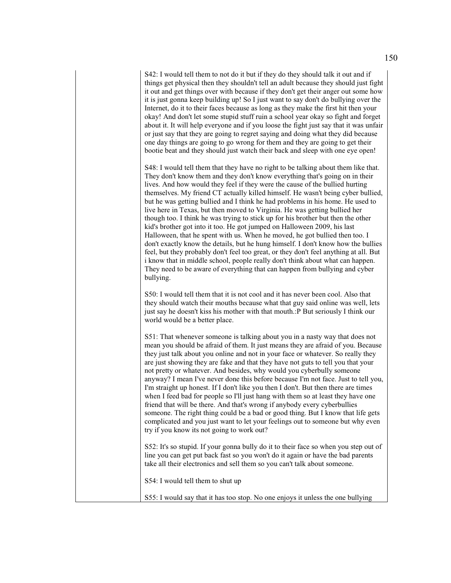S42: I would tell them to not do it but if they do they should talk it out and if things get physical then they shouldn't tell an adult because they should just fight it out and get things over with because if they don't get their anger out some how it is just gonna keep building up! So I just want to say don't do bullying over the Internet, do it to their faces because as long as they make the first hit then your okay! And don't let some stupid stuff ruin a school year okay so fight and forget about it. It will help everyone and if you loose the fight just say that it was unfair or just say that they are going to regret saying and doing what they did because one day things are going to go wrong for them and they are going to get their bootie beat and they should just watch their back and sleep with one eye open!

S48: I would tell them that they have no right to be talking about them like that. They don't know them and they don't know everything that's going on in their lives. And how would they feel if they were the cause of the bullied hurting themselves. My friend CT actually killed himself. He wasn't being cyber bullied, but he was getting bullied and I think he had problems in his home. He used to live here in Texas, but then moved to Virginia. He was getting bullied her though too. I think he was trying to stick up for his brother but then the other kid's brother got into it too. He got jumped on Halloween 2009, his last Halloween, that he spent with us. When he moved, he got bullied then too. I don't exactly know the details, but he hung himself. I don't know how the bullies feel, but they probably don't feel too great, or they don't feel anything at all. But i know that in middle school, people really don't think about what can happen. They need to be aware of everything that can happen from bullying and cyber bullying.

S50: I would tell them that it is not cool and it has never been cool. Also that they should watch their mouths because what that guy said online was well, lets just say he doesn't kiss his mother with that mouth.:P But seriously I think our world would be a better place.

S51: That whenever someone is talking about you in a nasty way that does not mean you should be afraid of them. It just means they are afraid of you. Because they just talk about you online and not in your face or whatever. So really they are just showing they are fake and that they have not guts to tell you that your not pretty or whatever. And besides, why would you cyberbully someone anyway? I mean I've never done this before because I'm not face. Just to tell you, I'm straight up honest. If I don't like you then I don't. But then there are times when I feed bad for people so I'll just hang with them so at least they have one friend that will be there. And that's wrong if anybody every cyberbullies someone. The right thing could be a bad or good thing. But I know that life gets complicated and you just want to let your feelings out to someone but why even try if you know its not going to work out?

S52: It's so stupid. If your gonna bully do it to their face so when you step out of line you can get put back fast so you won't do it again or have the bad parents take all their electronics and sell them so you can't talk about someone.

S54: I would tell them to shut up

S55: I would say that it has too stop. No one enjoys it unless the one bullying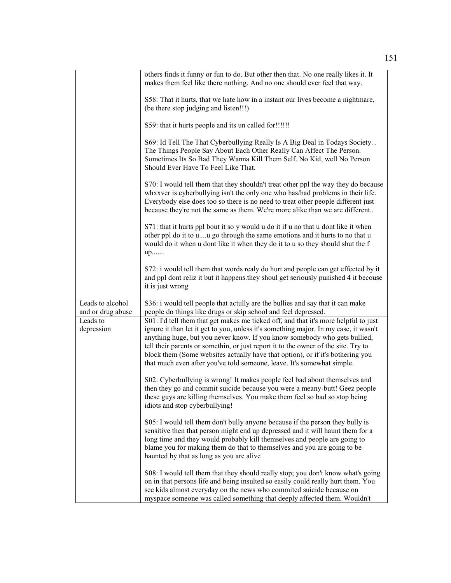|                                       | others finds it funny or fun to do. But other then that. No one really likes it. It<br>makes them feel like there nothing. And no one should ever feel that way.                                                                                                                                                                                                                                                                                                                                           |
|---------------------------------------|------------------------------------------------------------------------------------------------------------------------------------------------------------------------------------------------------------------------------------------------------------------------------------------------------------------------------------------------------------------------------------------------------------------------------------------------------------------------------------------------------------|
|                                       | S58: That it hurts, that we hate how in a instant our lives become a nightmare,<br>(be there stop judging and listen!!!)                                                                                                                                                                                                                                                                                                                                                                                   |
|                                       | S59: that it hurts people and its un called for!!!!!!                                                                                                                                                                                                                                                                                                                                                                                                                                                      |
|                                       | S69: Id Tell The That Cyberbullying Really Is A Big Deal in Todays Society<br>The Things People Say About Each Other Really Can Affect The Person.<br>Sometimes Its So Bad They Wanna Kill Them Self. No Kid, well No Person<br>Should Ever Have To Feel Like That.                                                                                                                                                                                                                                        |
|                                       | S70: I would tell them that they shouldn't treat other ppl the way they do because<br>whxxver is cyberbullying isn't the only one who has/had problems in their life.<br>Everybody else does too so there is no need to treat other people different just<br>because they're not the same as them. We're more alike than we are different                                                                                                                                                                  |
|                                       | S71: that it hurts ppl bout it so y would u do it if u no that u dont like it when<br>other ppl do it to uu go through the same emotions and it hurts to no that u<br>would do it when u dont like it when they do it to u so they should shut the f<br>up                                                                                                                                                                                                                                                 |
|                                       | S72: i would tell them that words realy do hurt and people can get effected by it<br>and ppl dont reliz it but it happens they shoul get seriously punished 4 it becouse<br>it is just wrong                                                                                                                                                                                                                                                                                                               |
| Leads to alcohol<br>and or drug abuse | S36: i would tell people that actully are the bullies and say that it can make<br>people do things like drugs or skip school and feel depressed.                                                                                                                                                                                                                                                                                                                                                           |
| Leads to<br>depression                | S01: I'd tell them that get makes me ticked off, and that it's more helpful to just<br>ignore it than let it get to you, unless it's something major. In my case, it wasn't<br>anything huge, but you never know. If you know somebody who gets bullied,<br>tell their parents or somethin, or just report it to the owner of the site. Try to<br>block them (Some websites actually have that option), or if it's bothering you<br>that much even after you've told someone, leave. It's somewhat simple. |
|                                       | S02: Cyberbullying is wrong! It makes people feel bad about themselves and<br>then they go and commit suicide because you were a meany-butt! Geez people<br>these guys are killing themselves. You make them feel so bad so stop being<br>idiots and stop cyberbullying!                                                                                                                                                                                                                                   |
|                                       | S05: I would tell them don't bully anyone because if the person they bully is<br>sensitive then that person might end up depressed and it will haunt them for a<br>long time and they would probably kill themselves and people are going to<br>blame you for making them do that to themselves and you are going to be<br>haunted by that as long as you are alive                                                                                                                                        |
|                                       | S08: I would tell them that they should really stop; you don't know what's going<br>on in that persons life and being insulted so easily could really hurt them. You<br>see kids almost everyday on the news who commited suicide because on<br>myspace someone was called something that deeply affected them. Wouldn't                                                                                                                                                                                   |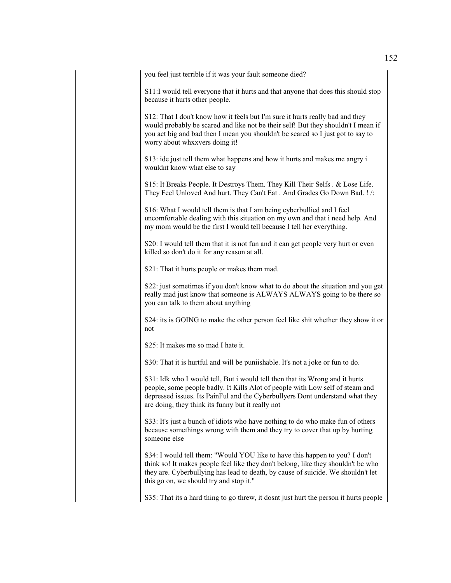you feel just terrible if it was your fault someone died?

S11:I would tell everyone that it hurts and that anyone that does this should stop because it hurts other people.

S12: That I don't know how it feels but I'm sure it hurts really bad and they would probably be scared and like not be their self! But they shouldn't I mean if you act big and bad then I mean you shouldn't be scared so I just got to say to worry about whxxvers doing it!

S13: ide just tell them what happens and how it hurts and makes me angry i wouldnt know what else to say

S15: It Breaks People. It Destroys Them. They Kill Their Selfs . & Lose Life. They Feel Unloved And hurt. They Can't Eat . And Grades Go Down Bad. ! /:

S16: What I would tell them is that I am being cyberbullied and I feel uncomfortable dealing with this situation on my own and that i need help. And my mom would be the first I would tell because I tell her everything.

S20: I would tell them that it is not fun and it can get people very hurt or even killed so don't do it for any reason at all.

S21: That it hurts people or makes them mad.

S22: just sometimes if you don't know what to do about the situation and you get really mad just know that someone is ALWAYS ALWAYS going to be there so you can talk to them about anything

S24: its is GOING to make the other person feel like shit whether they show it or not

S25: It makes me so mad I hate it.

S30: That it is hurtful and will be puniishable. It's not a joke or fun to do.

S31: Idk who I would tell, But i would tell then that its Wrong and it hurts people, some people badly. It Kills Alot of people with Low self of steam and depressed issues. Its PainFul and the Cyberbullyers Dont understand what they are doing, they think its funny but it really not

S33: It's just a bunch of idiots who have nothing to do who make fun of others because somethings wrong with them and they try to cover that up by hurting someone else

S34: I would tell them: "Would YOU like to have this happen to you? I don't think so! It makes people feel like they don't belong, like they shouldn't be who they are. Cyberbullying has lead to death, by cause of suicide. We shouldn't let this go on, we should try and stop it."

S35: That its a hard thing to go threw, it dosnt just hurt the person it hurts people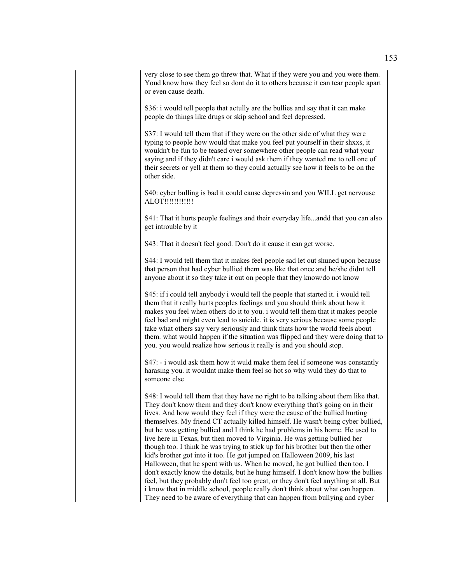very close to see them go threw that. What if they were you and you were them. Youd know how they feel so dont do it to others becuase it can tear people apart or even cause death.

S36: i would tell people that actully are the bullies and say that it can make people do things like drugs or skip school and feel depressed.

S37: I would tell them that if they were on the other side of what they were typing to people how would that make you feel put yourself in their shxxs, it wouldn't be fun to be teased over somewhere other people can read what your saying and if they didn't care i would ask them if they wanted me to tell one of their secrets or yell at them so they could actually see how it feels to be on the other side.

S40: cyber bulling is bad it could cause depressin and you WILL get nervouse ALOT!!!!!!!!!!!!

S41: That it hurts people feelings and their everyday life...andd that you can also get introuble by it

S43: That it doesn't feel good. Don't do it cause it can get worse.

S44: I would tell them that it makes feel people sad let out shuned upon because that person that had cyber bullied them was like that once and he/she didnt tell anyone about it so they take it out on people that they know/do not know

S45: if i could tell anybody i would tell the people that started it. i would tell them that it really hurts peoples feelings and you should think about how it makes you feel when others do it to you. i would tell them that it makes people feel bad and might even lead to suicide. it is very serious because some people take what others say very seriously and think thats how the world feels about them. what would happen if the situation was flipped and they were doing that to you. you would realize how serious it really is and you should stop.

S47: - i would ask them how it wuld make them feel if someone was constantly harasing you. it wouldnt make them feel so hot so why wuld they do that to someone else

S48: I would tell them that they have no right to be talking about them like that. They don't know them and they don't know everything that's going on in their lives. And how would they feel if they were the cause of the bullied hurting themselves. My friend CT actually killed himself. He wasn't being cyber bullied, but he was getting bullied and I think he had problems in his home. He used to live here in Texas, but then moved to Virginia. He was getting bullied her though too. I think he was trying to stick up for his brother but then the other kid's brother got into it too. He got jumped on Halloween 2009, his last Halloween, that he spent with us. When he moved, he got bullied then too. I don't exactly know the details, but he hung himself. I don't know how the bullies feel, but they probably don't feel too great, or they don't feel anything at all. But i know that in middle school, people really don't think about what can happen. They need to be aware of everything that can happen from bullying and cyber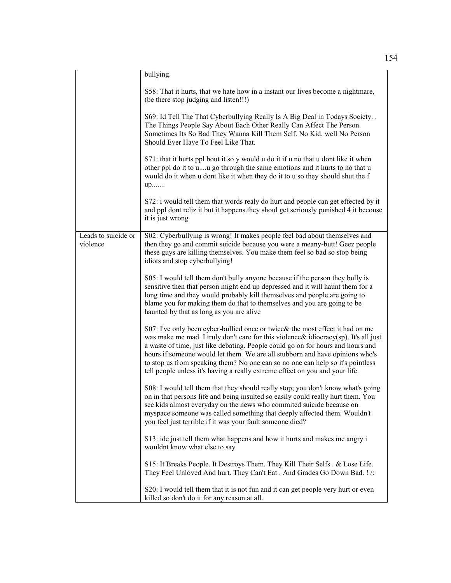|                                 | bullying.                                                                                                                                                                                                                                                                                                                                                                                                                                                                                                  |
|---------------------------------|------------------------------------------------------------------------------------------------------------------------------------------------------------------------------------------------------------------------------------------------------------------------------------------------------------------------------------------------------------------------------------------------------------------------------------------------------------------------------------------------------------|
|                                 | S58: That it hurts, that we hate how in a instant our lives become a nightmare,<br>(be there stop judging and listen!!!)                                                                                                                                                                                                                                                                                                                                                                                   |
|                                 | S69: Id Tell The That Cyberbullying Really Is A Big Deal in Todays Society. .<br>The Things People Say About Each Other Really Can Affect The Person.<br>Sometimes Its So Bad They Wanna Kill Them Self. No Kid, well No Person<br>Should Ever Have To Feel Like That.                                                                                                                                                                                                                                     |
|                                 | S71: that it hurts ppl bout it so y would u do it if u no that u dont like it when<br>other ppl do it to uu go through the same emotions and it hurts to no that u<br>would do it when u dont like it when they do it to u so they should shut the f<br>up                                                                                                                                                                                                                                                 |
|                                 | S72: i would tell them that words realy do hurt and people can get effected by it<br>and ppl dont reliz it but it happens.they shoul get seriously punished 4 it becouse<br>it is just wrong                                                                                                                                                                                                                                                                                                               |
| Leads to suicide or<br>violence | S02: Cyberbullying is wrong! It makes people feel bad about themselves and<br>then they go and commit suicide because you were a meany-butt! Geez people<br>these guys are killing themselves. You make them feel so bad so stop being<br>idiots and stop cyberbullying!                                                                                                                                                                                                                                   |
|                                 | S05: I would tell them don't bully anyone because if the person they bully is<br>sensitive then that person might end up depressed and it will haunt them for a<br>long time and they would probably kill themselves and people are going to<br>blame you for making them do that to themselves and you are going to be<br>haunted by that as long as you are alive                                                                                                                                        |
|                                 | S07: I've only been cyber-bullied once or twice& the most effect it had on me<br>was make me mad. I truly don't care for this violence & idiocracy(sp). It's all just<br>a waste of time, just like debating. People could go on for hours and hours and<br>hours if someone would let them. We are all stubborn and have opinions who's<br>to stop us from speaking them? No one can so no one can help so it's pointless<br>tell people unless it's having a really extreme effect on you and your life. |
|                                 | S08: I would tell them that they should really stop; you don't know what's going<br>on in that persons life and being insulted so easily could really hurt them. You<br>see kids almost everyday on the news who commited suicide because on<br>myspace someone was called something that deeply affected them. Wouldn't<br>you feel just terrible if it was your fault someone died?                                                                                                                      |
|                                 | S13: ide just tell them what happens and how it hurts and makes me angry i<br>wouldnt know what else to say                                                                                                                                                                                                                                                                                                                                                                                                |
|                                 | S15: It Breaks People. It Destroys Them. They Kill Their Selfs. & Lose Life.<br>They Feel Unloved And hurt. They Can't Eat. And Grades Go Down Bad. ! /:                                                                                                                                                                                                                                                                                                                                                   |
|                                 | S20: I would tell them that it is not fun and it can get people very hurt or even<br>killed so don't do it for any reason at all.                                                                                                                                                                                                                                                                                                                                                                          |

154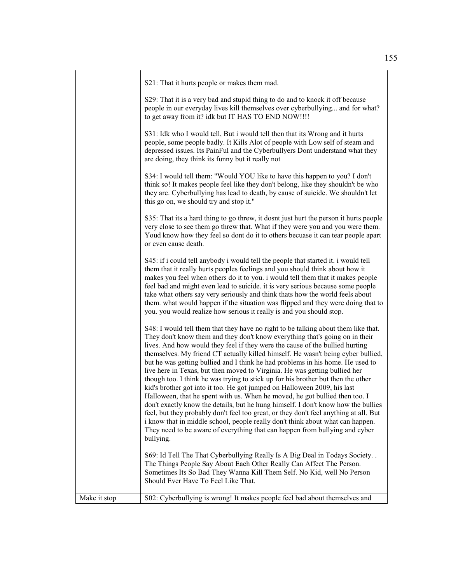S21: That it hurts people or makes them mad.

S29: That it is a very bad and stupid thing to do and to knock it off because people in our everyday lives kill themselves over cyberbullying... and for what? to get away from it? idk but IT HAS TO END NOW!!!!

S31: Idk who I would tell, But i would tell then that its Wrong and it hurts people, some people badly. It Kills Alot of people with Low self of steam and depressed issues. Its PainFul and the Cyberbullyers Dont understand what they are doing, they think its funny but it really not

S34: I would tell them: "Would YOU like to have this happen to you? I don't think so! It makes people feel like they don't belong, like they shouldn't be who they are. Cyberbullying has lead to death, by cause of suicide. We shouldn't let this go on, we should try and stop it."

S35: That its a hard thing to go threw, it dosnt just hurt the person it hurts people very close to see them go threw that. What if they were you and you were them. Youd know how they feel so dont do it to others becuase it can tear people apart or even cause death.

S45: if i could tell anybody i would tell the people that started it. i would tell them that it really hurts peoples feelings and you should think about how it makes you feel when others do it to you. i would tell them that it makes people feel bad and might even lead to suicide. it is very serious because some people take what others say very seriously and think thats how the world feels about them. what would happen if the situation was flipped and they were doing that to you. you would realize how serious it really is and you should stop.

S48: I would tell them that they have no right to be talking about them like that. They don't know them and they don't know everything that's going on in their lives. And how would they feel if they were the cause of the bullied hurting themselves. My friend CT actually killed himself. He wasn't being cyber bullied, but he was getting bullied and I think he had problems in his home. He used to live here in Texas, but then moved to Virginia. He was getting bullied her though too. I think he was trying to stick up for his brother but then the other kid's brother got into it too. He got jumped on Halloween 2009, his last Halloween, that he spent with us. When he moved, he got bullied then too. I don't exactly know the details, but he hung himself. I don't know how the bullies feel, but they probably don't feel too great, or they don't feel anything at all. But i know that in middle school, people really don't think about what can happen. They need to be aware of everything that can happen from bullying and cyber bullying.

S69: Id Tell The That Cyberbullying Really Is A Big Deal in Todays Society. . The Things People Say About Each Other Really Can Affect The Person. Sometimes Its So Bad They Wanna Kill Them Self. No Kid, well No Person Should Ever Have To Feel Like That.

Make it stop S02: Cyberbullying is wrong! It makes people feel bad about themselves and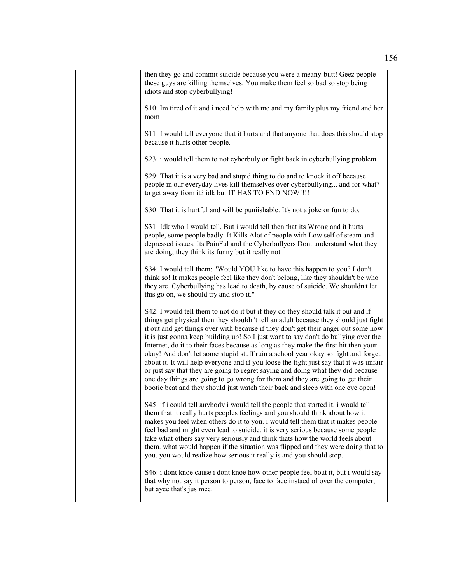then they go and commit suicide because you were a meany-butt! Geez people these guys are killing themselves. You make them feel so bad so stop being idiots and stop cyberbullying!

S10: Im tired of it and i need help with me and my family plus my friend and her mom

S11: I would tell everyone that it hurts and that anyone that does this should stop because it hurts other people.

S23: i would tell them to not cyberbuly or fight back in cyberbullying problem

S29: That it is a very bad and stupid thing to do and to knock it off because people in our everyday lives kill themselves over cyberbullying... and for what? to get away from it? idk but IT HAS TO END NOW!!!!

S30: That it is hurtful and will be puniishable. It's not a joke or fun to do.

S31: Idk who I would tell, But i would tell then that its Wrong and it hurts people, some people badly. It Kills Alot of people with Low self of steam and depressed issues. Its PainFul and the Cyberbullyers Dont understand what they are doing, they think its funny but it really not

S34: I would tell them: "Would YOU like to have this happen to you? I don't think so! It makes people feel like they don't belong, like they shouldn't be who they are. Cyberbullying has lead to death, by cause of suicide. We shouldn't let this go on, we should try and stop it."

S42: I would tell them to not do it but if they do they should talk it out and if things get physical then they shouldn't tell an adult because they should just fight it out and get things over with because if they don't get their anger out some how it is just gonna keep building up! So I just want to say don't do bullying over the Internet, do it to their faces because as long as they make the first hit then your okay! And don't let some stupid stuff ruin a school year okay so fight and forget about it. It will help everyone and if you loose the fight just say that it was unfair or just say that they are going to regret saying and doing what they did because one day things are going to go wrong for them and they are going to get their bootie beat and they should just watch their back and sleep with one eye open!

S45: if i could tell anybody i would tell the people that started it. i would tell them that it really hurts peoples feelings and you should think about how it makes you feel when others do it to you. i would tell them that it makes people feel bad and might even lead to suicide. it is very serious because some people take what others say very seriously and think thats how the world feels about them. what would happen if the situation was flipped and they were doing that to you. you would realize how serious it really is and you should stop.

S46: i dont knoe cause i dont knoe how other people feel bout it, but i would say that why not say it person to person, face to face instaed of over the computer, but ayee that's jus mee.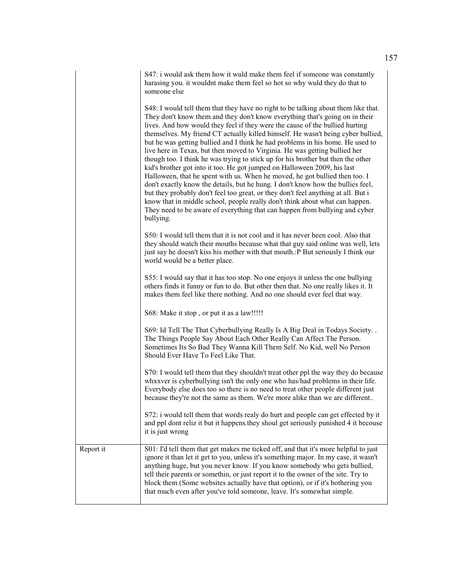S47: i would ask them how it wuld make them feel if someone was constantly harasing you. it wouldnt make them feel so hot so why wuld they do that to someone else

|           | S48: I would tell them that they have no right to be talking about them like that.<br>They don't know them and they don't know everything that's going on in their<br>lives. And how would they feel if they were the cause of the bullied hurting<br>themselves. My friend CT actually killed himself. He wasn't being cyber bullied,<br>but he was getting bullied and I think he had problems in his home. He used to<br>live here in Texas, but then moved to Virginia. He was getting bullied her<br>though too. I think he was trying to stick up for his brother but then the other<br>kid's brother got into it too. He got jumped on Halloween 2009, his last<br>Halloween, that he spent with us. When he moved, he got bullied then too. I<br>don't exactly know the details, but he hung. I don't know how the bullies feel,<br>but they probably don't feel too great, or they don't feel anything at all. But i<br>know that in middle school, people really don't think about what can happen.<br>They need to be aware of everything that can happen from bullying and cyber<br>bullying. |
|-----------|-----------------------------------------------------------------------------------------------------------------------------------------------------------------------------------------------------------------------------------------------------------------------------------------------------------------------------------------------------------------------------------------------------------------------------------------------------------------------------------------------------------------------------------------------------------------------------------------------------------------------------------------------------------------------------------------------------------------------------------------------------------------------------------------------------------------------------------------------------------------------------------------------------------------------------------------------------------------------------------------------------------------------------------------------------------------------------------------------------------|
|           | S50: I would tell them that it is not cool and it has never been cool. Also that<br>they should watch their mouths because what that guy said online was well, lets<br>just say he doesn't kiss his mother with that mouth.: P But seriously I think our<br>world would be a better place.                                                                                                                                                                                                                                                                                                                                                                                                                                                                                                                                                                                                                                                                                                                                                                                                                |
|           | S55: I would say that it has too stop. No one enjoys it unless the one bullying<br>others finds it funny or fun to do. But other then that. No one really likes it. It<br>makes them feel like there nothing. And no one should ever feel that way.                                                                                                                                                                                                                                                                                                                                                                                                                                                                                                                                                                                                                                                                                                                                                                                                                                                       |
|           | S68: Make it stop, or put it as a law!!!!!                                                                                                                                                                                                                                                                                                                                                                                                                                                                                                                                                                                                                                                                                                                                                                                                                                                                                                                                                                                                                                                                |
|           | S69: Id Tell The That Cyberbullying Really Is A Big Deal in Todays Society. .<br>The Things People Say About Each Other Really Can Affect The Person.<br>Sometimes Its So Bad They Wanna Kill Them Self. No Kid, well No Person<br>Should Ever Have To Feel Like That.                                                                                                                                                                                                                                                                                                                                                                                                                                                                                                                                                                                                                                                                                                                                                                                                                                    |
|           | S70: I would tell them that they shouldn't treat other ppl the way they do because<br>whxxver is cyberbullying isn't the only one who has/had problems in their life.<br>Everybody else does too so there is no need to treat other people different just<br>because they're not the same as them. We're more alike than we are different                                                                                                                                                                                                                                                                                                                                                                                                                                                                                                                                                                                                                                                                                                                                                                 |
|           | S72: i would tell them that words realy do hurt and people can get effected by it<br>and ppl dont reliz it but it happens they shoul get seriously punished 4 it becouse<br>it is just wrong                                                                                                                                                                                                                                                                                                                                                                                                                                                                                                                                                                                                                                                                                                                                                                                                                                                                                                              |
| Report it | S01: I'd tell them that get makes me ticked off, and that it's more helpful to just<br>ignore it than let it get to you, unless it's something major. In my case, it wasn't<br>anything huge, but you never know. If you know somebody who gets bullied,<br>tell their parents or somethin, or just report it to the owner of the site. Try to<br>block them (Some websites actually have that option), or if it's bothering you<br>that much even after you've told someone, leave. It's somewhat simple.                                                                                                                                                                                                                                                                                                                                                                                                                                                                                                                                                                                                |

 $\overline{\phantom{a}}$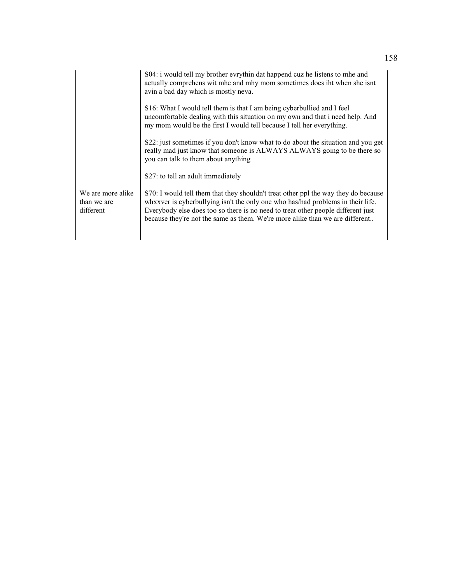|                                               | S04: i would tell my brother evrythin dat happend cuz he listens to mhe and<br>actually comprehens wit mhe and mhy mom sometimes does iht when she isnt<br>avin a bad day which is mostly neva.                                                                                                                                           |
|-----------------------------------------------|-------------------------------------------------------------------------------------------------------------------------------------------------------------------------------------------------------------------------------------------------------------------------------------------------------------------------------------------|
|                                               | S16: What I would tell them is that I am being cyberbullied and I feel<br>uncomfortable dealing with this situation on my own and that i need help. And<br>my mom would be the first I would tell because I tell her everything.                                                                                                          |
|                                               | S22: just sometimes if you don't know what to do about the situation and you get<br>really mad just know that someone is ALWAYS ALWAYS going to be there so<br>you can talk to them about anything                                                                                                                                        |
|                                               | S27: to tell an adult immediately                                                                                                                                                                                                                                                                                                         |
| We are more alike<br>than we are<br>different | S70: I would tell them that they shouldn't treat other ppl the way they do because<br>whxxver is cyberbullying isn't the only one who has/had problems in their life.<br>Everybody else does too so there is no need to treat other people different just<br>because they're not the same as them. We're more alike than we are different |